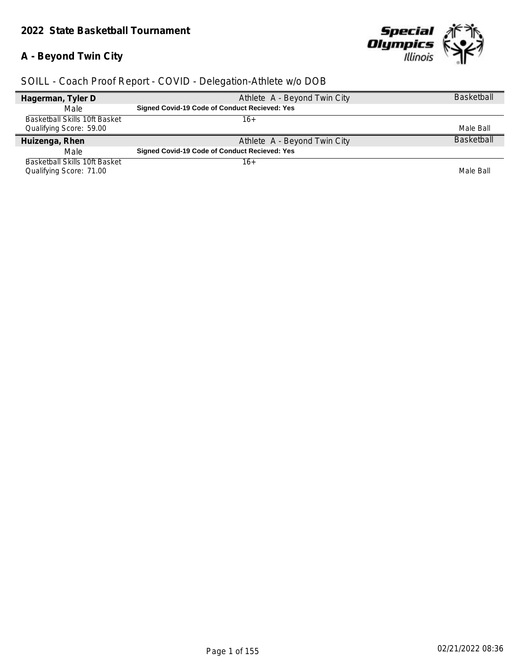#### *2022 State Basketball Tournament*

## **A - Beyond Twin City**

Ī



| Hagerman, Tyler D                    | Athlete A - Beyond Twin City                  | <b>Basketball</b> |
|--------------------------------------|-----------------------------------------------|-------------------|
| Male                                 | Signed Covid-19 Code of Conduct Recieved: Yes |                   |
| Basketball Skills 10ft Basket        | 16+                                           |                   |
| Qualifying Score: 59.00              |                                               | Male Ball         |
| Huizenga, Rhen                       | Athlete A - Beyond Twin City                  | <b>Basketball</b> |
|                                      |                                               |                   |
| Male                                 | Signed Covid-19 Code of Conduct Recieved: Yes |                   |
| <b>Basketball Skills 10ft Basket</b> | $16+$                                         |                   |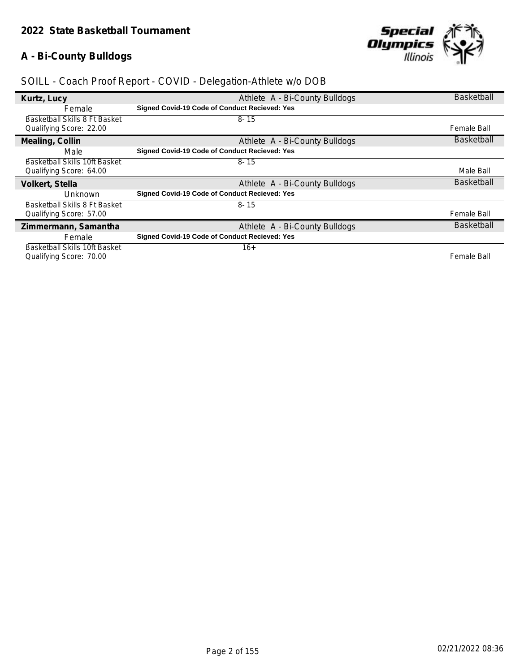## **A - Bi-County Bulldogs**



| Kurtz, Lucy                   | Athlete A - Bi-County Bulldogs                | <b>Basketball</b>  |
|-------------------------------|-----------------------------------------------|--------------------|
| Female                        | Signed Covid-19 Code of Conduct Recieved: Yes |                    |
| Basketball Skills 8 Ft Basket | $8 - 15$                                      |                    |
| Qualifying Score: 22.00       |                                               | Female Ball        |
| Mealing, Collin               | Athlete A - Bi-County Bulldogs                | <b>Basketball</b>  |
| Male                          | Signed Covid-19 Code of Conduct Recieved: Yes |                    |
| Basketball Skills 10ft Basket | $8 - 15$                                      |                    |
| Qualifying Score: 64.00       |                                               | Male Ball          |
|                               |                                               |                    |
| Volkert, Stella               | Athlete A - Bi-County Bulldogs                | <b>Basketball</b>  |
| Unknown                       | Signed Covid-19 Code of Conduct Recieved: Yes |                    |
| Basketball Skills 8 Ft Basket | $8 - 15$                                      |                    |
| Qualifying Score: 57.00       |                                               | <b>Female Ball</b> |
| Zimmermann, Samantha          | Athlete A - Bi-County Bulldogs                | <b>Basketball</b>  |
| Female                        | Signed Covid-19 Code of Conduct Recieved: Yes |                    |
| Basketball Skills 10ft Basket | $16+$                                         |                    |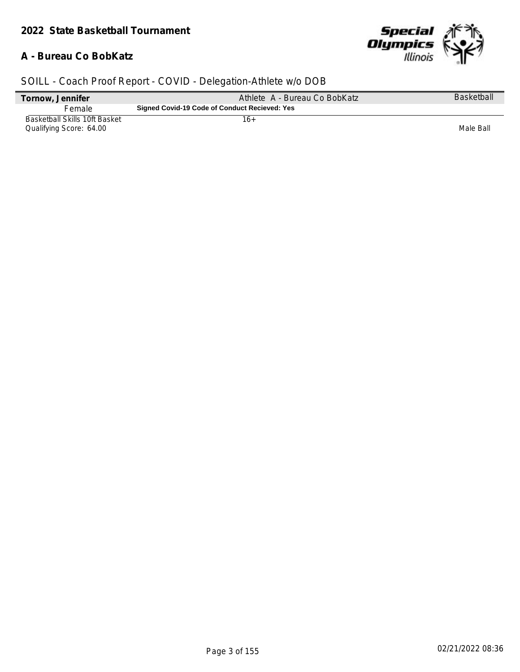## **A - Bureau Co BobKatz**



| <b>Basketball</b> |
|-------------------|
|                   |
| Male Ball         |
|                   |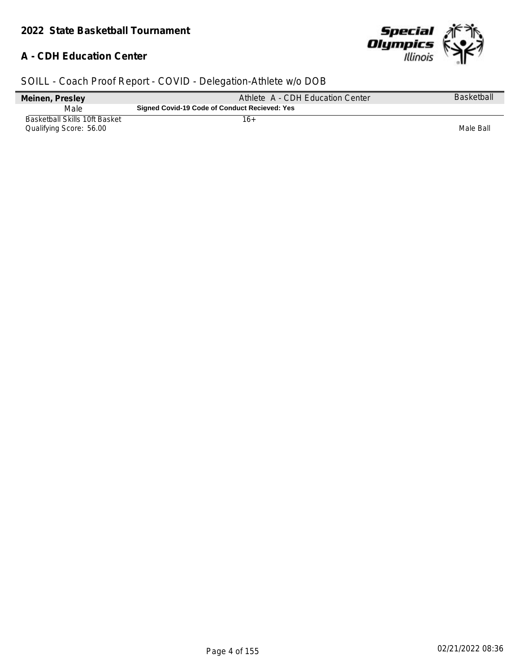## **A - CDH Education Center**



| Meinen, Presley                                          | Athlete A - CDH Education Center              | <b>Basketball</b> |
|----------------------------------------------------------|-----------------------------------------------|-------------------|
| Male                                                     | Signed Covid-19 Code of Conduct Recieved: Yes |                   |
| Basketball Skills 10ft Basket<br>Qualifying Score: 56.00 | 16+                                           | Male Ball         |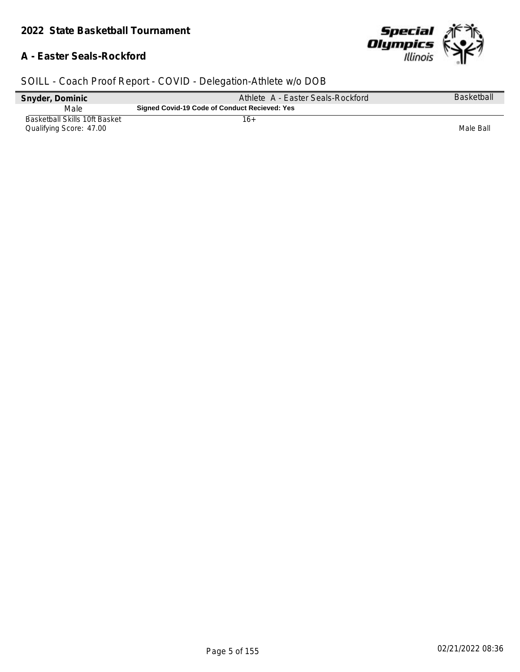## **A - Easter Seals-Rockford**



| Snyder, Dominic                                                 | Athlete A - Easter Seals-Rockford             | <b>Basketball</b> |
|-----------------------------------------------------------------|-----------------------------------------------|-------------------|
| Male                                                            | Signed Covid-19 Code of Conduct Recieved: Yes |                   |
| <b>Basketball Skills 10ft Basket</b><br>Qualifying Score: 47.00 | 16+                                           | Male Ball         |
|                                                                 |                                               |                   |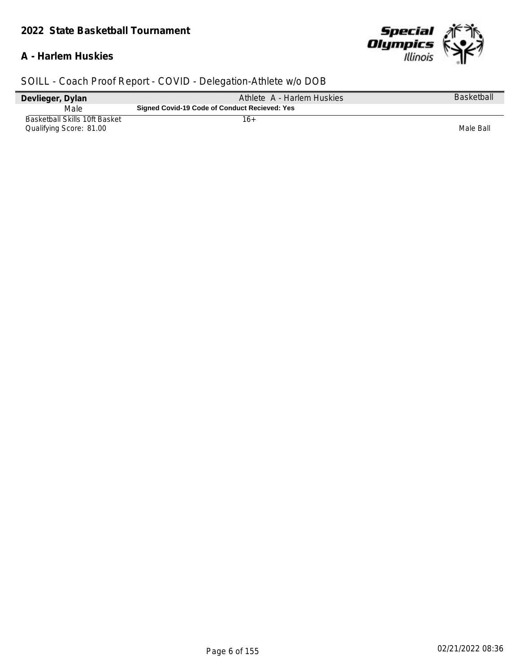#### *2022 State Basketball Tournament*

## **A - Harlem Huskies**



| Devlieger, Dylan                                         | Athlete A - Harlem Huskies                    | Basketball |
|----------------------------------------------------------|-----------------------------------------------|------------|
| Male                                                     | Signed Covid-19 Code of Conduct Recieved: Yes |            |
| Basketball Skills 10ft Basket<br>Qualifying Score: 81.00 | 16+                                           | Male Ball  |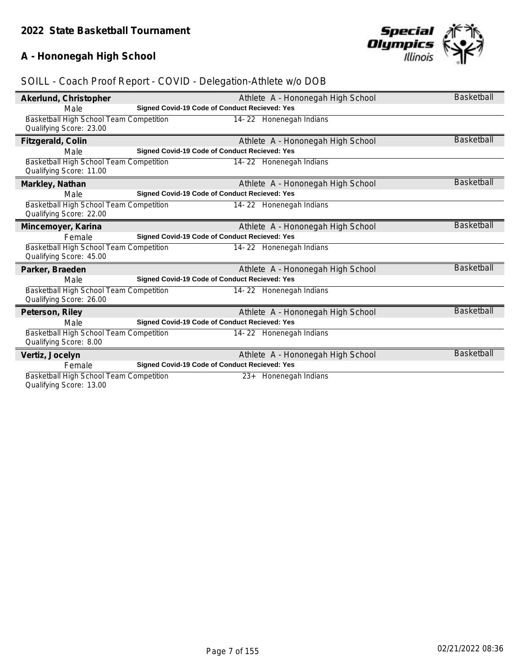## **A - Hononegah High School**



| Akerlund, Christopher                   | Athlete A - Hononegah High School             | <b>Basketball</b> |
|-----------------------------------------|-----------------------------------------------|-------------------|
| Male                                    | Signed Covid-19 Code of Conduct Recieved: Yes |                   |
| Basketball High School Team Competition | 14-22 Honenegah Indians                       |                   |
| Qualifying Score: 23.00                 |                                               |                   |
| Fitzgerald, Colin                       | Athlete A - Hononegah High School             | <b>Basketball</b> |
| Male                                    | Signed Covid-19 Code of Conduct Recieved: Yes |                   |
| Basketball High School Team Competition | 14-22 Honenegah Indians                       |                   |
| Qualifying Score: 11.00                 |                                               |                   |
| Markley, Nathan                         | Athlete A - Hononegah High School             | <b>Basketball</b> |
| Male                                    | Signed Covid-19 Code of Conduct Recieved: Yes |                   |
| Basketball High School Team Competition | 14-22 Honenegah Indians                       |                   |
| Qualifying Score: 22.00                 |                                               |                   |
| Mincemoyer, Karina                      | Athlete A - Hononegah High School             | <b>Basketball</b> |
| Female                                  | Signed Covid-19 Code of Conduct Recieved: Yes |                   |
| Basketball High School Team Competition | 14-22 Honenegah Indians                       |                   |
| Qualifying Score: 45.00                 |                                               |                   |
| Parker, Braeden                         | Athlete A - Hononegah High School             | <b>Basketball</b> |
| Male                                    | Signed Covid-19 Code of Conduct Recieved: Yes |                   |
| Basketball High School Team Competition | 14-22 Honenegah Indians                       |                   |
| Qualifying Score: 26.00                 |                                               |                   |
| Peterson, Riley                         | Athlete A - Hononegah High School             | <b>Basketball</b> |
| Male                                    | Signed Covid-19 Code of Conduct Recieved: Yes |                   |
| Basketball High School Team Competition | 14-22 Honenegah Indians                       |                   |
| Qualifying Score: 8.00                  |                                               |                   |
| Vertiz, Jocelyn                         | Athlete A - Hononegah High School             | <b>Basketball</b> |
| Female                                  | Signed Covid-19 Code of Conduct Recieved: Yes |                   |
| Basketball High School Team Competition | Honenegah Indians<br>$23+$                    |                   |
| Qualifying Score: 13.00                 |                                               |                   |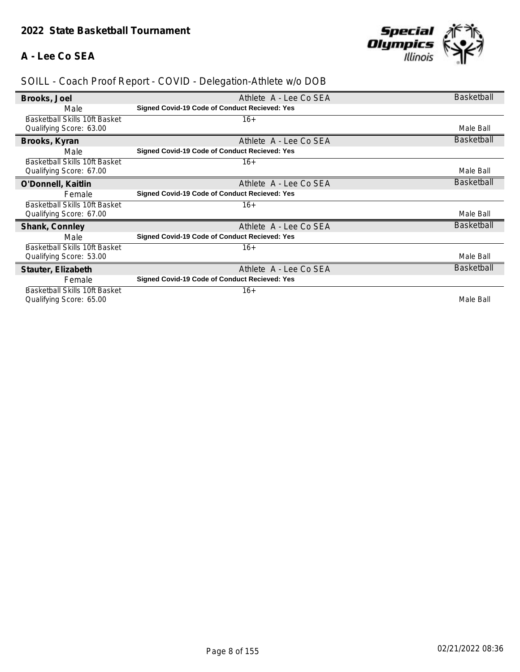## **A - Lee Co SEA**



| Brooks, Joel                         | Athlete A - Lee Co SEA                               | <b>Basketball</b> |
|--------------------------------------|------------------------------------------------------|-------------------|
| Male                                 | <b>Signed Covid-19 Code of Conduct Recieved: Yes</b> |                   |
| Basketball Skills 10ft Basket        | $16+$                                                |                   |
| Qualifying Score: 63.00              |                                                      | Male Ball         |
| Brooks, Kyran                        | Athlete A - Lee Co SEA                               | <b>Basketball</b> |
| Male                                 | <b>Signed Covid-19 Code of Conduct Recieved: Yes</b> |                   |
| <b>Basketball Skills 10ft Basket</b> | $16+$                                                |                   |
| Qualifying Score: 67.00              |                                                      | Male Ball         |
| O'Donnell, Kaitlin                   | Athlete A - Lee Co SEA                               | <b>Basketball</b> |
| Female                               | <b>Signed Covid-19 Code of Conduct Recieved: Yes</b> |                   |
| Basketball Skills 10ft Basket        | $16+$                                                |                   |
| Qualifying Score: 67.00              |                                                      | Male Ball         |
| Shank, Connley                       | Athlete A - Lee Co SEA                               | <b>Basketball</b> |
| Male                                 | <b>Signed Covid-19 Code of Conduct Recieved: Yes</b> |                   |
| Basketball Skills 10ft Basket        | $16+$                                                |                   |
| Qualifying Score: 53.00              |                                                      | Male Ball         |
| Stauter, Elizabeth                   | Athlete A - Lee Co SEA                               | <b>Basketball</b> |
| Female                               | <b>Signed Covid-19 Code of Conduct Recieved: Yes</b> |                   |
| <b>Basketball Skills 10ft Basket</b> | $16+$                                                |                   |
| Qualifying Score: 65.00              |                                                      | Male Ball         |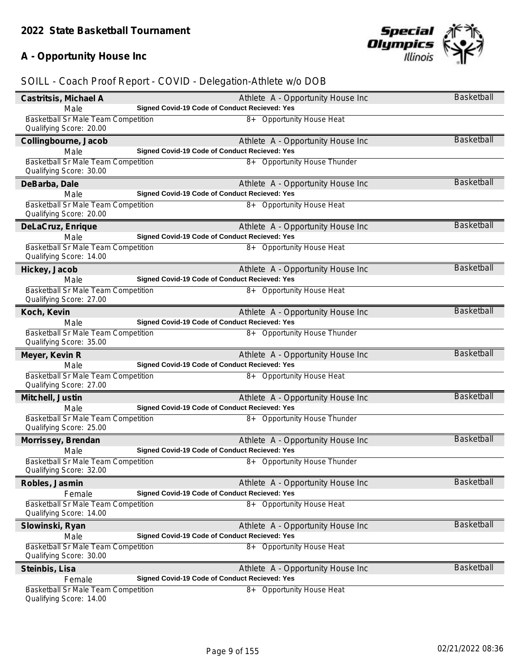## **A - Opportunity House Inc**



| Castritsis, Michael A                                                 | Athlete A - Opportunity House Inc                                             | Basketball        |
|-----------------------------------------------------------------------|-------------------------------------------------------------------------------|-------------------|
| Male                                                                  | Signed Covid-19 Code of Conduct Recieved: Yes                                 |                   |
| <b>Basketball Sr Male Team Competition</b>                            | 8+ Opportunity House Heat                                                     |                   |
| Qualifying Score: 20.00                                               |                                                                               |                   |
| Collingbourne, Jacob                                                  | Athlete A - Opportunity House Inc                                             | <b>Basketball</b> |
| Male                                                                  | Signed Covid-19 Code of Conduct Recieved: Yes                                 |                   |
| Basketball Sr Male Team Competition<br>Qualifying Score: 30.00        | 8+ Opportunity House Thunder                                                  |                   |
| DeBarba, Dale                                                         | Athlete A - Opportunity House Inc                                             | <b>Basketball</b> |
| Male                                                                  | Signed Covid-19 Code of Conduct Recieved: Yes                                 |                   |
| Basketball Sr Male Team Competition<br>Qualifying Score: 20.00        | 8+ Opportunity House Heat                                                     |                   |
| DeLaCruz, Enrique                                                     | Athlete A - Opportunity House Inc                                             | <b>Basketball</b> |
| Male                                                                  | Signed Covid-19 Code of Conduct Recieved: Yes                                 |                   |
| <b>Basketball Sr Male Team Competition</b><br>Qualifying Score: 14.00 | 8+ Opportunity House Heat                                                     |                   |
| Hickey, Jacob                                                         | Athlete A - Opportunity House Inc                                             | Basketball        |
| Male                                                                  | Signed Covid-19 Code of Conduct Recieved: Yes                                 |                   |
| Basketball Sr Male Team Competition                                   | 8+ Opportunity House Heat                                                     |                   |
| Qualifying Score: 27.00                                               |                                                                               |                   |
| Koch, Kevin                                                           | Athlete A - Opportunity House Inc                                             | <b>Basketball</b> |
| Male<br>Basketball Sr Male Team Competition                           | Signed Covid-19 Code of Conduct Recieved: Yes<br>8+ Opportunity House Thunder |                   |
| Qualifying Score: 35.00                                               |                                                                               |                   |
| Meyer, Kevin R                                                        | Athlete A - Opportunity House Inc                                             | <b>Basketball</b> |
| Male                                                                  | Signed Covid-19 Code of Conduct Recieved: Yes                                 |                   |
| Basketball Sr Male Team Competition<br>Qualifying Score: 27.00        | 8+ Opportunity House Heat                                                     |                   |
| Mitchell, Justin                                                      | Athlete A - Opportunity House Inc                                             | <b>Basketball</b> |
| Male                                                                  | Signed Covid-19 Code of Conduct Recieved: Yes                                 |                   |
| Basketball Sr Male Team Competition<br>Qualifying Score: 25.00        | 8+ Opportunity House Thunder                                                  |                   |
| Morrissey, Brendan                                                    | Athlete A - Opportunity House Inc                                             | <b>Basketball</b> |
| Male                                                                  | Signed Covid-19 Code of Conduct Recieved: Yes                                 |                   |
| Basketball Sr Male Team Competition<br>Qualifying Score: 32.00        | 8+ Opportunity House Thunder                                                  |                   |
| Robles, Jasmin                                                        | Athlete A - Opportunity House Inc                                             | <b>Basketball</b> |
| Female                                                                | <b>Signed Covid-19 Code of Conduct Recieved: Yes</b>                          |                   |
| <b>Basketball Sr Male Team Competition</b><br>Qualifying Score: 14.00 | 8+ Opportunity House Heat                                                     |                   |
| Slowinski, Ryan                                                       | Athlete A - Opportunity House Inc                                             | <b>Basketball</b> |
| Male                                                                  | <b>Signed Covid-19 Code of Conduct Recieved: Yes</b>                          |                   |
| Basketball Sr Male Team Competition                                   | 8+ Opportunity House Heat                                                     |                   |
| Qualifying Score: 30.00                                               |                                                                               |                   |
| Steinbis, Lisa                                                        | Athlete A - Opportunity House Inc                                             | <b>Basketball</b> |
| Female<br><b>Basketball Sr Male Team Competition</b>                  | Signed Covid-19 Code of Conduct Recieved: Yes<br>8+ Opportunity House Heat    |                   |
| Qualifying Score: 14.00                                               |                                                                               |                   |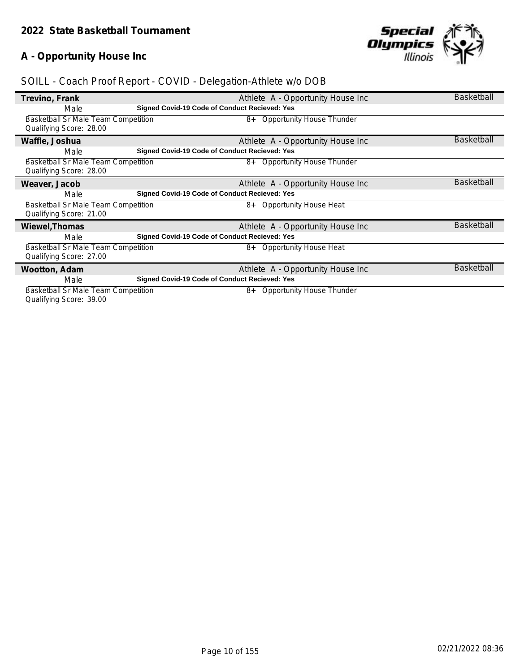## **A - Opportunity House Inc**



| Trevino, Frank                             | Athlete A - Opportunity House Inc                    | <b>Basketball</b> |
|--------------------------------------------|------------------------------------------------------|-------------------|
| Male                                       | Signed Covid-19 Code of Conduct Recieved: Yes        |                   |
| <b>Basketball Sr Male Team Competition</b> | Opportunity House Thunder<br>8+                      |                   |
| Qualifying Score: 28.00                    |                                                      |                   |
| Waffle, Joshua                             | Athlete A - Opportunity House Inc                    | <b>Basketball</b> |
| Male                                       | Signed Covid-19 Code of Conduct Recieved: Yes        |                   |
| Basketball Sr Male Team Competition        | 8+ Opportunity House Thunder                         |                   |
| Qualifying Score: 28.00                    |                                                      |                   |
| Weaver, Jacob                              | Athlete A - Opportunity House Inc                    | <b>Basketball</b> |
| Male                                       | <b>Signed Covid-19 Code of Conduct Recieved: Yes</b> |                   |
| <b>Basketball Sr Male Team Competition</b> | 8+ Opportunity House Heat                            |                   |
| Qualifying Score: 21.00                    |                                                      |                   |
| Wiewel, Thomas                             | Athlete A - Opportunity House Inc                    | <b>Basketball</b> |
| Male                                       | Signed Covid-19 Code of Conduct Recieved: Yes        |                   |
| Basketball Sr Male Team Competition        | 8+ Opportunity House Heat                            |                   |
| Qualifying Score: 27.00                    |                                                      |                   |
| Wootton, Adam                              | Athlete A - Opportunity House Inc                    | <b>Basketball</b> |
| Male                                       | Signed Covid-19 Code of Conduct Recieved: Yes        |                   |
| Basketball Sr Male Team Competition        | <b>Opportunity House Thunder</b><br>8+               |                   |
| Qualifying Score: 39.00                    |                                                      |                   |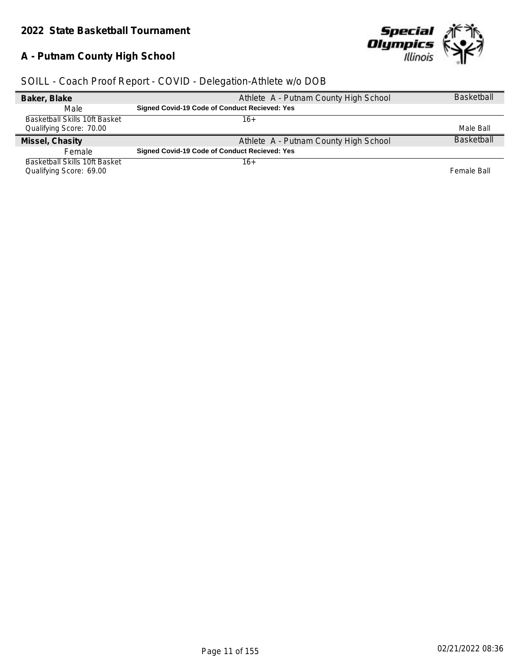## **A - Putnam County High School**



| Baker, Blake                  | Athlete A - Putnam County High School                | <b>Basketball</b> |
|-------------------------------|------------------------------------------------------|-------------------|
| Male                          | Signed Covid-19 Code of Conduct Recieved: Yes        |                   |
| Basketball Skills 10ft Basket | 16+                                                  |                   |
| Qualifying Score: 70.00       |                                                      | Male Ball         |
| Missel, Chasity               | Athlete A - Putnam County High School                | <b>Basketball</b> |
|                               |                                                      |                   |
| Female                        | <b>Signed Covid-19 Code of Conduct Recieved: Yes</b> |                   |
| Basketball Skills 10ft Basket | 16+                                                  |                   |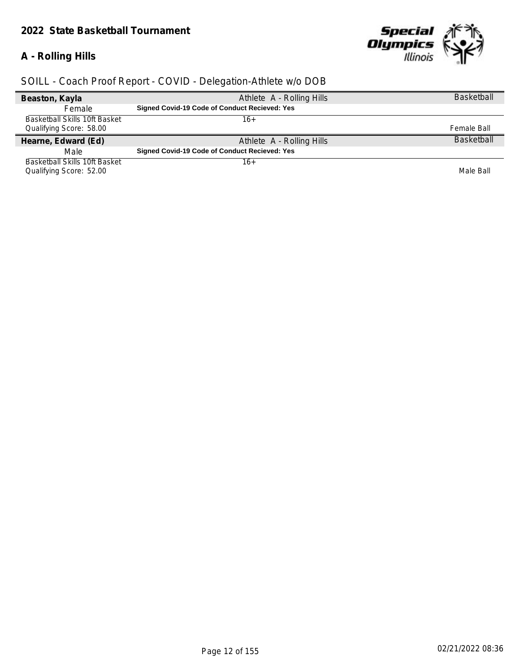## *2022 State Basketball Tournament*

## **A - Rolling Hills**



| Beaston, Kayla                | Athlete A - Rolling Hills                     | <b>Basketball</b> |
|-------------------------------|-----------------------------------------------|-------------------|
| <b>Female</b>                 | Signed Covid-19 Code of Conduct Recieved: Yes |                   |
| Basketball Skills 10ft Basket | 16+                                           |                   |
| Qualifying Score: 58.00       |                                               | Female Ball       |
| Hearne, Edward (Ed)           | Athlete A - Rolling Hills                     | <b>Basketball</b> |
| Male                          | Signed Covid-19 Code of Conduct Recieved: Yes |                   |
| Basketball Skills 10ft Basket | 16+                                           |                   |
| Qualifying Score: 52.00       |                                               | Male Ball         |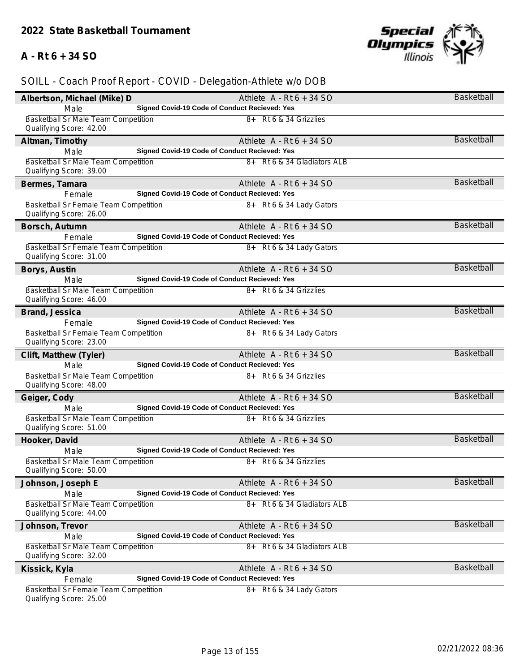## **A - Rt 6 + 34 SO**



| Albertson, Michael (Mike) D                                      | Athlete $A - Rt6 + 34 SO$                     | Basketball        |
|------------------------------------------------------------------|-----------------------------------------------|-------------------|
| Male                                                             | Signed Covid-19 Code of Conduct Recieved: Yes |                   |
| Basketball Sr Male Team Competition                              | 8+ Rt 6 & 34 Grizzlies                        |                   |
| Qualifying Score: 42.00                                          |                                               |                   |
| Altman, Timothy                                                  | Athlete $A - Rt6 + 34 SO$                     | <b>Basketball</b> |
| Male                                                             | Signed Covid-19 Code of Conduct Recieved: Yes |                   |
| <b>Basketball Sr Male Team Competition</b>                       | 8+ Rt 6 & 34 Gladiators ALB                   |                   |
| Qualifying Score: 39.00                                          |                                               |                   |
| Bermes, Tamara                                                   | Athlete $A - Rt6 + 34 SO$                     | <b>Basketball</b> |
| Female                                                           | Signed Covid-19 Code of Conduct Recieved: Yes |                   |
| Basketball Sr Female Team Competition                            | 8+ Rt 6 & 34 Lady Gators                      |                   |
| Qualifying Score: 26.00                                          |                                               |                   |
| Borsch, Autumn                                                   | Athlete $A - Rt6 + 34 SO$                     | <b>Basketball</b> |
| Female                                                           | Signed Covid-19 Code of Conduct Recieved: Yes |                   |
| Basketball Sr Female Team Competition<br>Qualifying Score: 31.00 | 8+ Rt 6 & 34 Lady Gators                      |                   |
| Borys, Austin                                                    | Athlete $A - Rt6 + 34 SO$                     | <b>Basketball</b> |
| Male                                                             | Signed Covid-19 Code of Conduct Recieved: Yes |                   |
| Basketball Sr Male Team Competition                              | 8+ Rt 6 & 34 Grizzlies                        |                   |
| Qualifying Score: 46.00                                          |                                               |                   |
| Brand, Jessica                                                   | Athlete $A - Rt6 + 34 SO$                     | <b>Basketball</b> |
| Female                                                           | Signed Covid-19 Code of Conduct Recieved: Yes |                   |
| Basketball Sr Female Team Competition                            | 8+ Rt 6 & 34 Lady Gators                      |                   |
| Qualifying Score: 23.00                                          |                                               |                   |
| Clift, Matthew (Tyler)                                           | Athlete $A - Rt6 + 34 SO$                     | <b>Basketball</b> |
| Male                                                             | Signed Covid-19 Code of Conduct Recieved: Yes |                   |
| <b>Basketball Sr Male Team Competition</b>                       | 8+ Rt 6 & 34 Grizzlies                        |                   |
| Qualifying Score: 48.00                                          |                                               |                   |
| Geiger, Cody                                                     | Athlete $A - Rt6 + 34 SO$                     | <b>Basketball</b> |
| Male                                                             | Signed Covid-19 Code of Conduct Recieved: Yes |                   |
| Basketball Sr Male Team Competition<br>Qualifying Score: 51.00   | 8+ Rt 6 & 34 Grizzlies                        |                   |
| Hooker, David                                                    | Athlete $A - Rt6 + 34 SO$                     | <b>Basketball</b> |
| Male                                                             | Signed Covid-19 Code of Conduct Recieved: Yes |                   |
| Basketball Sr Male Team Competition                              | 8+ Rt 6 & 34 Grizzlies                        |                   |
| Qualifying Score: 50.00                                          |                                               |                   |
| Johnson, Joseph E                                                | Athlete $A - Rt6 + 34 SO$                     | Basketball        |
| Male                                                             | Signed Covid-19 Code of Conduct Recieved: Yes |                   |
| Basketball Sr Male Team Competition                              | 8+ Rt 6 & 34 Gladiators ALB                   |                   |
| Qualifying Score: 44.00                                          |                                               |                   |
| Johnson, Trevor                                                  | Athlete $A - Rt6 + 34 SO$                     | Basketball        |
| Male                                                             | Signed Covid-19 Code of Conduct Recieved: Yes |                   |
| <b>Basketball Sr Male Team Competition</b>                       | 8+ Rt 6 & 34 Gladiators ALB                   |                   |
| Qualifying Score: 32.00                                          |                                               |                   |
| Kissick, Kyla                                                    | Athlete $A - Rt6 + 34 SO$                     | <b>Basketball</b> |
| Female                                                           | Signed Covid-19 Code of Conduct Recieved: Yes |                   |
| <b>Basketball Sr Female Team Competition</b>                     | 8+ Rt 6 & 34 Lady Gators                      |                   |
| Qualifying Score: 25.00                                          |                                               |                   |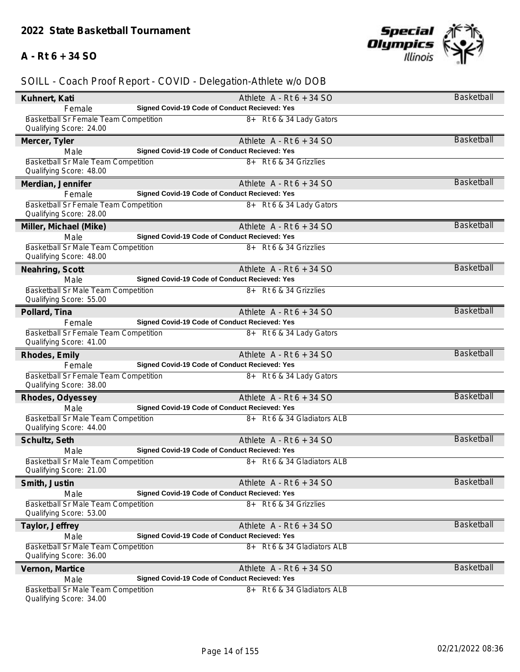## **A - Rt 6 + 34 SO**



| Kuhnert, Kati                                                         | Athlete $A - Rt6 + 34 SO$                     | Basketball        |
|-----------------------------------------------------------------------|-----------------------------------------------|-------------------|
| Female                                                                | Signed Covid-19 Code of Conduct Recieved: Yes |                   |
| Basketball Sr Female Team Competition<br>Qualifying Score: 24.00      | 8+ Rt 6 & 34 Lady Gators                      |                   |
| Mercer, Tyler                                                         | Athlete $A - Rt6 + 34 SO$                     | Basketball        |
| Male                                                                  | Signed Covid-19 Code of Conduct Recieved: Yes |                   |
| Basketball Sr Male Team Competition<br>Qualifying Score: 48.00        | 8+ Rt 6 & 34 Grizzlies                        |                   |
| Merdian, Jennifer                                                     | Athlete $A - Rt6 + 34 SO$                     | <b>Basketball</b> |
| Female                                                                | Signed Covid-19 Code of Conduct Recieved: Yes |                   |
| Basketball Sr Female Team Competition<br>Qualifying Score: 28.00      | 8+ Rt 6 & 34 Lady Gators                      |                   |
| Miller, Michael (Mike)                                                | Athlete $A - Rt6 + 34 SO$                     | <b>Basketball</b> |
| Male                                                                  | Signed Covid-19 Code of Conduct Recieved: Yes |                   |
| Basketball Sr Male Team Competition<br>Qualifying Score: 48.00        | 8+ Rt 6 & 34 Grizzlies                        |                   |
| Neahring, Scott                                                       | Athlete $A - Rt6 + 34 SO$                     | <b>Basketball</b> |
| Male                                                                  | Signed Covid-19 Code of Conduct Recieved: Yes |                   |
| <b>Basketball Sr Male Team Competition</b><br>Qualifying Score: 55.00 | 8+ Rt 6 & 34 Grizzlies                        |                   |
| Pollard, Tina                                                         | Athlete $A - Rt6 + 34 SO$                     | <b>Basketball</b> |
| Female                                                                | Signed Covid-19 Code of Conduct Recieved: Yes |                   |
| Basketball Sr Female Team Competition<br>Qualifying Score: 41.00      | 8+ Rt 6 & 34 Lady Gators                      |                   |
| Rhodes, Emily                                                         | Athlete $A - Rt6 + 34 SO$                     | <b>Basketball</b> |
| Female                                                                | Signed Covid-19 Code of Conduct Recieved: Yes |                   |
| Basketball Sr Female Team Competition<br>Qualifying Score: 38.00      | 8+ Rt 6 & 34 Lady Gators                      |                   |
| Rhodes, Odyessey                                                      | Athlete $A - Rt6 + 34 SO$                     | <b>Basketball</b> |
| Male                                                                  | Signed Covid-19 Code of Conduct Recieved: Yes |                   |
| Basketball Sr Male Team Competition<br>Qualifying Score: 44.00        | 8+ Rt 6 & 34 Gladiators ALB                   |                   |
| Schultz, Seth                                                         | Athlete $A - Rt6 + 34 SO$                     | <b>Basketball</b> |
| Male                                                                  | Signed Covid-19 Code of Conduct Recieved: Yes |                   |
| Basketball Sr Male Team Competition<br>Qualifying Score: 21.00        | 8+ Rt 6 & 34 Gladiators ALB                   |                   |
| Smith, Justin                                                         | Athlete $A - Rt6 + 34 SO$                     | <b>Basketball</b> |
| Male                                                                  | Signed Covid-19 Code of Conduct Recieved: Yes |                   |
| Basketball Sr Male Team Competition<br>Qualifying Score: 53.00        | 8+ Rt 6 & 34 Grizzlies                        |                   |
| Taylor, Jeffrey                                                       | Athlete $A - Rt6 + 34 SO$                     | <b>Basketball</b> |
| Male                                                                  | Signed Covid-19 Code of Conduct Recieved: Yes |                   |
| <b>Basketball Sr Male Team Competition</b><br>Qualifying Score: 36.00 | 8+ Rt 6 & 34 Gladiators ALB                   |                   |
| Vernon, Martice                                                       | Athlete $A - Rt6 + 34 SO$                     | <b>Basketball</b> |
| Male                                                                  | Signed Covid-19 Code of Conduct Recieved: Yes |                   |
| <b>Basketball Sr Male Team Competition</b><br>Qualifying Score: 34.00 | 8+ Rt 6 & 34 Gladiators ALB                   |                   |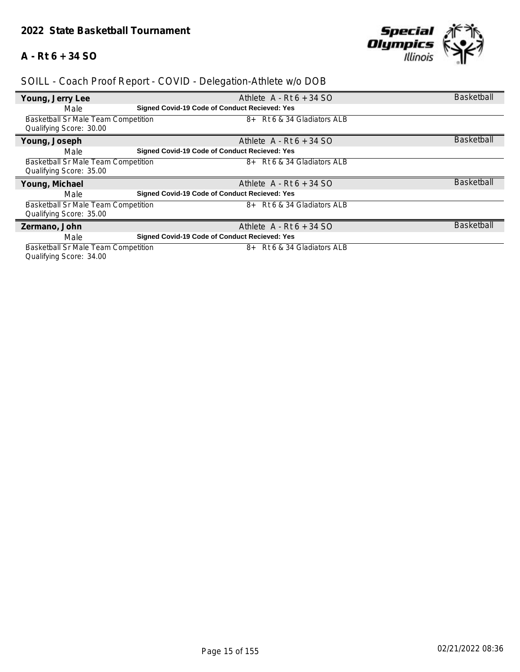## **A - Rt 6 + 34 SO**



## *SOILL - Coach Proof Report - COVID - Delegation-Athlete w/o DOB*

| Young, Jerry Lee                    | Athlete $A - Rt6 + 34 SO$                            | <b>Basketball</b> |
|-------------------------------------|------------------------------------------------------|-------------------|
| Male                                | Signed Covid-19 Code of Conduct Recieved: Yes        |                   |
| Basketball Sr Male Team Competition | 8+ Rt 6 & 34 Gladiators ALB                          |                   |
| Qualifying Score: 30.00             |                                                      |                   |
| Young, Joseph                       | Athlete $A - Rt6 + 34 SO$                            | <b>Basketball</b> |
| Male                                | Signed Covid-19 Code of Conduct Recieved: Yes        |                   |
| Basketball Sr Male Team Competition | 8+ Rt 6 & 34 Gladiators ALB                          |                   |
| Qualifying Score: 35.00             |                                                      |                   |
| Young, Michael                      | Athlete $A - Rt6 + 34 SO$                            | <b>Basketball</b> |
| Male                                | <b>Signed Covid-19 Code of Conduct Recieved: Yes</b> |                   |
| Basketball Sr Male Team Competition | 8+ Rt 6 & 34 Gladiators ALB                          |                   |
| Qualifying Score: 35.00             |                                                      |                   |
| Zermano, John                       | Athlete $A - Rt6 + 34 SO$                            | <b>Basketball</b> |
| Male                                | <b>Signed Covid-19 Code of Conduct Recieved: Yes</b> |                   |
| Basketball Sr Male Team Competition | 8+ Rt 6 & 34 Gladiators ALB                          |                   |

Qualifying Score: 34.00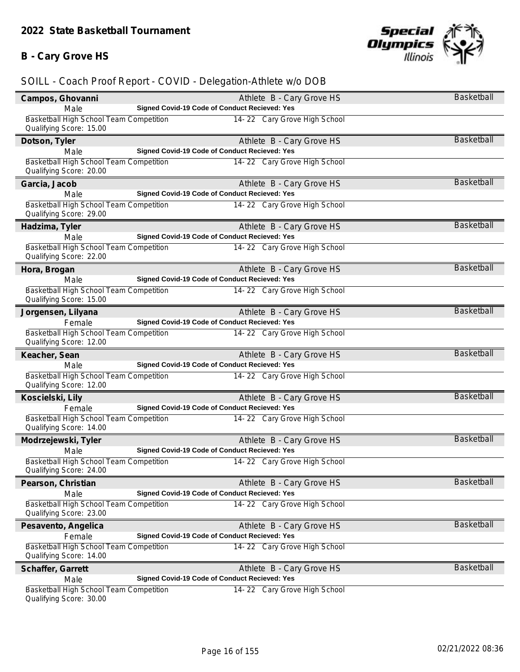## **B - Cary Grove HS**



|                                                                    |                                               |                              | <b>Basketball</b> |
|--------------------------------------------------------------------|-----------------------------------------------|------------------------------|-------------------|
| Campos, Ghovanni                                                   |                                               | Athlete B - Cary Grove HS    |                   |
| Male                                                               | Signed Covid-19 Code of Conduct Recieved: Yes |                              |                   |
| Basketball High School Team Competition<br>Qualifying Score: 15.00 |                                               | 14-22 Cary Grove High School |                   |
| Dotson, Tyler                                                      |                                               | Athlete B - Cary Grove HS    | Basketball        |
| Male                                                               | Signed Covid-19 Code of Conduct Recieved: Yes |                              |                   |
| Basketball High School Team Competition                            |                                               | 14-22 Cary Grove High School |                   |
| Qualifying Score: 20.00                                            |                                               |                              |                   |
| Garcia, Jacob                                                      |                                               | Athlete B - Cary Grove HS    | Basketball        |
| Male                                                               | Signed Covid-19 Code of Conduct Recieved: Yes |                              |                   |
| Basketball High School Team Competition                            |                                               | 14-22 Cary Grove High School |                   |
| Qualifying Score: 29.00                                            |                                               |                              |                   |
| Hadzima, Tyler                                                     |                                               | Athlete B - Cary Grove HS    | <b>Basketball</b> |
| Male                                                               | Signed Covid-19 Code of Conduct Recieved: Yes |                              |                   |
| Basketball High School Team Competition                            |                                               | 14-22 Cary Grove High School |                   |
| Qualifying Score: 22.00                                            |                                               |                              |                   |
| Hora, Brogan                                                       |                                               | Athlete B - Cary Grove HS    | <b>Basketball</b> |
| Male                                                               | Signed Covid-19 Code of Conduct Recieved: Yes |                              |                   |
| Basketball High School Team Competition                            |                                               | 14-22 Cary Grove High School |                   |
| Qualifying Score: 15.00                                            |                                               |                              |                   |
| Jorgensen, Lilyana                                                 |                                               | Athlete B - Cary Grove HS    | <b>Basketball</b> |
| Female                                                             | Signed Covid-19 Code of Conduct Recieved: Yes |                              |                   |
| Basketball High School Team Competition                            |                                               | 14-22 Cary Grove High School |                   |
| Qualifying Score: 12.00                                            |                                               |                              |                   |
| Keacher, Sean                                                      |                                               | Athlete B - Cary Grove HS    | <b>Basketball</b> |
| Male                                                               | Signed Covid-19 Code of Conduct Recieved: Yes |                              |                   |
| Basketball High School Team Competition                            |                                               | 14-22 Cary Grove High School |                   |
| Qualifying Score: 12.00                                            |                                               |                              |                   |
| Koscielski, Lily                                                   |                                               | Athlete B - Cary Grove HS    | Basketball        |
| Female                                                             | Signed Covid-19 Code of Conduct Recieved: Yes |                              |                   |
| Basketball High School Team Competition                            |                                               | 14-22 Cary Grove High School |                   |
| Qualifying Score: 14.00                                            |                                               |                              |                   |
| Modrzejewski, Tyler                                                |                                               | Athlete B - Cary Grove HS    | <b>Basketball</b> |
| Male                                                               | Signed Covid-19 Code of Conduct Recieved: Yes |                              |                   |
| Basketball High School Team Competition                            |                                               | 14-22 Cary Grove High School |                   |
| Qualifying Score: 24.00                                            |                                               |                              |                   |
| Pearson, Christian                                                 |                                               | Athlete B - Cary Grove HS    | Basketball        |
| Male                                                               | Signed Covid-19 Code of Conduct Recieved: Yes |                              |                   |
| Basketball High School Team Competition                            |                                               | 14-22 Cary Grove High School |                   |
| Qualifying Score: 23.00                                            |                                               |                              |                   |
| Pesavento, Angelica                                                |                                               | Athlete B - Cary Grove HS    | Basketball        |
| Female                                                             | Signed Covid-19 Code of Conduct Recieved: Yes |                              |                   |
| Basketball High School Team Competition                            |                                               | 14-22 Cary Grove High School |                   |
| Qualifying Score: 14.00                                            |                                               |                              |                   |
| Schaffer, Garrett                                                  |                                               | Athlete B - Cary Grove HS    | Basketball        |
| Male                                                               | Signed Covid-19 Code of Conduct Recieved: Yes |                              |                   |
| Basketball High School Team Competition                            |                                               | 14-22 Cary Grove High School |                   |
| Qualifying Score: 30.00                                            |                                               |                              |                   |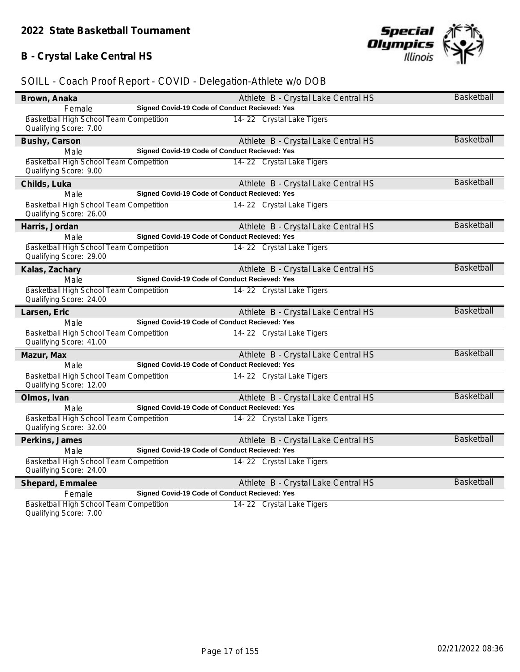## **B - Crystal Lake Central HS**



| Brown, Anaka                                                       | Athlete B - Crystal Lake Central HS                  | <b>Basketball</b> |
|--------------------------------------------------------------------|------------------------------------------------------|-------------------|
| Female                                                             | Signed Covid-19 Code of Conduct Recieved: Yes        |                   |
| Basketball High School Team Competition<br>Qualifying Score: 7.00  | 14-22 Crystal Lake Tigers                            |                   |
| Bushy, Carson                                                      | Athlete B - Crystal Lake Central HS                  | <b>Basketball</b> |
| Male                                                               | Signed Covid-19 Code of Conduct Recieved: Yes        |                   |
| Basketball High School Team Competition<br>Qualifying Score: 9.00  | 14-22 Crystal Lake Tigers                            |                   |
| Childs, Luka                                                       | Athlete B - Crystal Lake Central HS                  | <b>Basketball</b> |
| Male                                                               | Signed Covid-19 Code of Conduct Recieved: Yes        |                   |
| Basketball High School Team Competition<br>Qualifying Score: 26.00 | 14-22 Crystal Lake Tigers                            |                   |
| Harris, Jordan                                                     | Athlete B - Crystal Lake Central HS                  | <b>Basketball</b> |
| Male                                                               | <b>Signed Covid-19 Code of Conduct Recieved: Yes</b> |                   |
| Basketball High School Team Competition<br>Qualifying Score: 29.00 | 14-22 Crystal Lake Tigers                            |                   |
| Kalas, Zachary                                                     | Athlete B - Crystal Lake Central HS                  | <b>Basketball</b> |
| Male                                                               | <b>Signed Covid-19 Code of Conduct Recieved: Yes</b> |                   |
| Basketball High School Team Competition<br>Qualifying Score: 24.00 | 14-22 Crystal Lake Tigers                            |                   |
| Larsen, Eric                                                       | Athlete B - Crystal Lake Central HS                  | <b>Basketball</b> |
| Male                                                               | Signed Covid-19 Code of Conduct Recieved: Yes        |                   |
| Basketball High School Team Competition<br>Qualifying Score: 41.00 | 14-22 Crystal Lake Tigers                            |                   |
| Mazur, Max                                                         | Athlete B - Crystal Lake Central HS                  | <b>Basketball</b> |
| Male                                                               | Signed Covid-19 Code of Conduct Recieved: Yes        |                   |
| Basketball High School Team Competition<br>Qualifying Score: 12.00 | 14-22 Crystal Lake Tigers                            |                   |
| Olmos, Ivan                                                        | Athlete B - Crystal Lake Central HS                  | Basketball        |
| Male                                                               | Signed Covid-19 Code of Conduct Recieved: Yes        |                   |
| Basketball High School Team Competition<br>Qualifying Score: 32.00 | 14-22 Crystal Lake Tigers                            |                   |
| Perkins, James                                                     | Athlete B - Crystal Lake Central HS                  | Basketball        |
| Male                                                               | Signed Covid-19 Code of Conduct Recieved: Yes        |                   |
| Basketball High School Team Competition<br>Qualifying Score: 24.00 | 14-22 Crystal Lake Tigers                            |                   |
| Shepard, Emmalee                                                   | Athlete B - Crystal Lake Central HS                  | <b>Basketball</b> |
| Female                                                             | Signed Covid-19 Code of Conduct Recieved: Yes        |                   |
| Basketball High School Team Competition<br>Qualifying Score: 7.00  | 14-22 Crystal Lake Tigers                            |                   |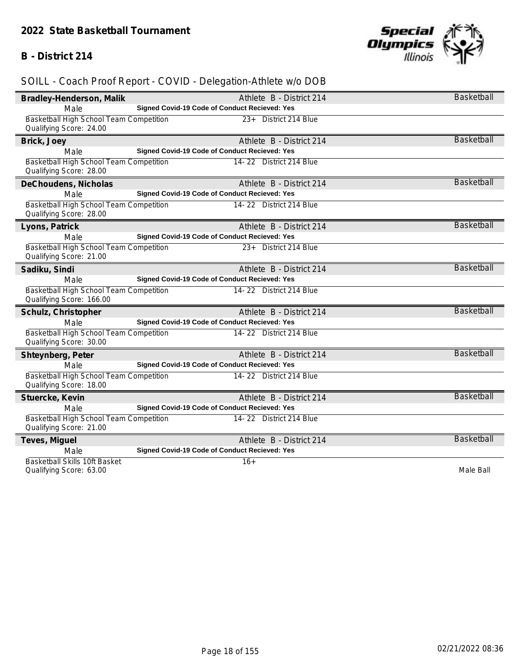### **B - District 214**



| Bradley-Henderson, Malik                                            | Athlete B - District 214                      | <b>Basketball</b> |
|---------------------------------------------------------------------|-----------------------------------------------|-------------------|
| Male                                                                | Signed Covid-19 Code of Conduct Recieved: Yes |                   |
| Basketball High School Team Competition<br>Qualifying Score: 24.00  | 23+ District 214 Blue                         |                   |
| Brick, Joey                                                         | Athlete B - District 214                      | <b>Basketball</b> |
| Male                                                                | Signed Covid-19 Code of Conduct Recieved: Yes |                   |
| Basketball High School Team Competition<br>Qualifying Score: 28.00  | 14-22 District 214 Blue                       |                   |
| DeChoudens, Nicholas                                                | Athlete B - District 214                      | <b>Basketball</b> |
| Male                                                                | Signed Covid-19 Code of Conduct Recieved: Yes |                   |
| Basketball High School Team Competition<br>Qualifying Score: 28.00  | 14-22 District 214 Blue                       |                   |
| Lyons, Patrick                                                      | Athlete B - District 214                      | <b>Basketball</b> |
| Male                                                                | Signed Covid-19 Code of Conduct Recieved: Yes |                   |
| Basketball High School Team Competition<br>Qualifying Score: 21.00  | 23+ District 214 Blue                         |                   |
| Sadiku, Sindi                                                       | Athlete B - District 214                      | <b>Basketball</b> |
| Male                                                                | Signed Covid-19 Code of Conduct Recieved: Yes |                   |
| Basketball High School Team Competition<br>Qualifying Score: 166.00 | 14-22 District 214 Blue                       |                   |
| Schulz, Christopher                                                 | Athlete B - District 214                      | <b>Basketball</b> |
| Male                                                                | Signed Covid-19 Code of Conduct Recieved: Yes |                   |
| Basketball High School Team Competition<br>Qualifying Score: 30.00  | 14-22 District 214 Blue                       |                   |
| Shteynberg, Peter                                                   | Athlete B - District 214                      | <b>Basketball</b> |
| Male                                                                | Signed Covid-19 Code of Conduct Recieved: Yes |                   |
| Basketball High School Team Competition<br>Qualifying Score: 18.00  | 14-22 District 214 Blue                       |                   |
| Stuercke, Kevin                                                     | Athlete B - District 214                      | <b>Basketball</b> |
| Male                                                                | Signed Covid-19 Code of Conduct Recieved: Yes |                   |
| Basketball High School Team Competition<br>Qualifying Score: 21.00  | 14-22 District 214 Blue                       |                   |
| Teves, Miguel                                                       | Athlete B - District 214                      | <b>Basketball</b> |
| Male                                                                | Signed Covid-19 Code of Conduct Recieved: Yes |                   |
| Basketball Skills 10ft Basket<br>Qualifying Score: 63.00            | $16+$                                         | Male Ball         |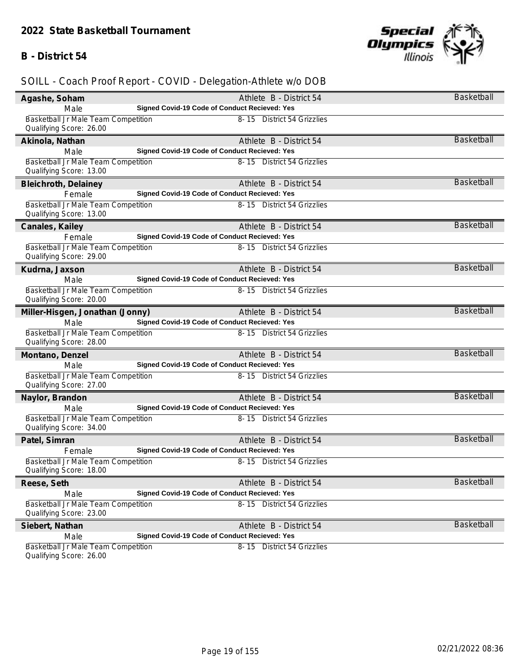#### **B - District 54**



## *SOILL - Coach Proof Report - COVID - Delegation-Athlete w/o DOB*

| Agashe, Soham                                                  | Athlete B - District 54                       | Basketball        |
|----------------------------------------------------------------|-----------------------------------------------|-------------------|
| Male                                                           | Signed Covid-19 Code of Conduct Recieved: Yes |                   |
| Basketball Jr Male Team Competition<br>Qualifying Score: 26.00 | 8-15 District 54 Grizzlies                    |                   |
| Akinola, Nathan                                                | Athlete B - District 54                       | <b>Basketball</b> |
| Male                                                           | Signed Covid-19 Code of Conduct Recieved: Yes |                   |
| Basketball Jr Male Team Competition                            | 8-15 District 54 Grizzlies                    |                   |
| Qualifying Score: 13.00                                        |                                               |                   |
| Bleichroth, Delainey                                           | Athlete B - District 54                       | Basketball        |
| Female                                                         | Signed Covid-19 Code of Conduct Recieved: Yes |                   |
| Basketball Jr Male Team Competition                            | 8-15 District 54 Grizzlies                    |                   |
| Qualifying Score: 13.00                                        |                                               |                   |
| Canales, Kailey                                                | Athlete B - District 54                       | <b>Basketball</b> |
| Female                                                         | Signed Covid-19 Code of Conduct Recieved: Yes |                   |
| Basketball Jr Male Team Competition                            | 8-15 District 54 Grizzlies                    |                   |
| Qualifying Score: 29.00                                        |                                               |                   |
| Kudrna, Jaxson                                                 | Athlete B - District 54                       | <b>Basketball</b> |
| Male                                                           | Signed Covid-19 Code of Conduct Recieved: Yes |                   |
| Basketball Jr Male Team Competition                            | 8-15 District 54 Grizzlies                    |                   |
| Qualifying Score: 20.00                                        |                                               |                   |
| Miller-Hisgen, Jonathan (Jonny)                                | Athlete B - District 54                       | <b>Basketball</b> |
| Male                                                           | Signed Covid-19 Code of Conduct Recieved: Yes |                   |
| Basketball Jr Male Team Competition<br>Qualifying Score: 28.00 | 8-15 District 54 Grizzlies                    |                   |
| Montano, Denzel                                                | Athlete B - District 54                       | <b>Basketball</b> |
| Male                                                           | Signed Covid-19 Code of Conduct Recieved: Yes |                   |
| Basketball Jr Male Team Competition                            | 8-15 District 54 Grizzlies                    |                   |
| Qualifying Score: 27.00                                        |                                               |                   |
| Naylor, Brandon                                                | Athlete B - District 54                       | <b>Basketball</b> |
| Male                                                           | Signed Covid-19 Code of Conduct Recieved: Yes |                   |
| Basketball Jr Male Team Competition                            | 8-15 District 54 Grizzlies                    |                   |
| Qualifying Score: 34.00                                        |                                               |                   |
| Patel, Simran                                                  | Athlete B - District 54                       | <b>Basketball</b> |
| Female                                                         | Signed Covid-19 Code of Conduct Recieved: Yes |                   |
| Basketball Jr Male Team Competition<br>Qualifying Score: 18.00 | 8-15 District 54 Grizzlies                    |                   |
| Reese, Seth                                                    | Athlete B - District 54                       | Basketball        |
| Male                                                           | Signed Covid-19 Code of Conduct Recieved: Yes |                   |
| Basketball Jr Male Team Competition                            | 8-15 District 54 Grizzlies                    |                   |
| Qualifying Score: 23.00                                        |                                               |                   |
| Siebert, Nathan                                                | Athlete B - District 54                       | <b>Basketball</b> |
| Male                                                           | Signed Covid-19 Code of Conduct Recieved: Yes |                   |
| Basketball Jr Male Team Competition<br>Oualifying Score: 26.00 | 8-15 District 54 Grizzlies                    |                   |

Qualifying Score: 26.00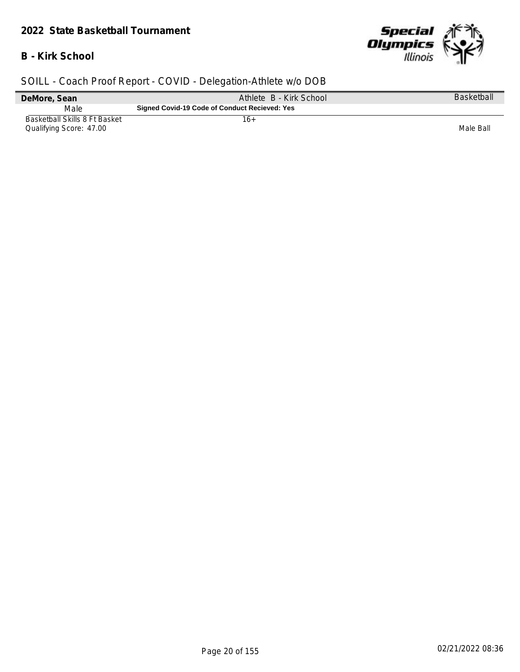#### *2022 State Basketball Tournament*

## **B - Kirk School**



| DeMore, Sean                                             | Athlete B - Kirk School                       | Basketball |
|----------------------------------------------------------|-----------------------------------------------|------------|
| Male                                                     | Signed Covid-19 Code of Conduct Recieved: Yes |            |
| Basketball Skills 8 Ft Basket<br>Qualifying Score: 47.00 | 16+                                           | Male Ball  |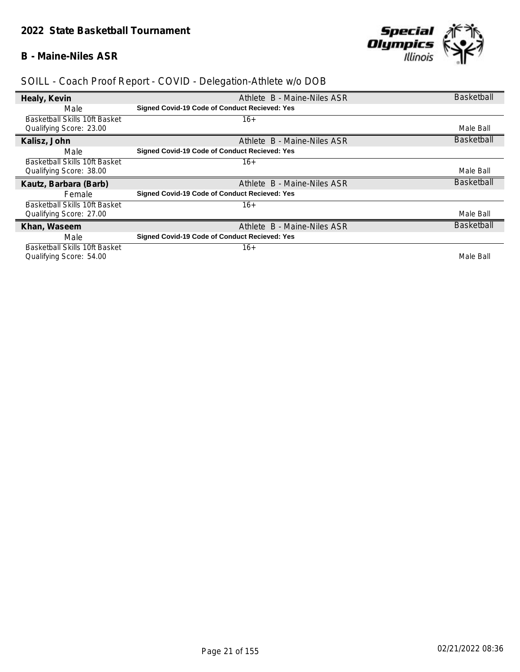## **B - Maine-Niles ASR**



| Healy, Kevin                  | Athlete B - Maine-Niles ASR                   | <b>Basketball</b> |
|-------------------------------|-----------------------------------------------|-------------------|
| Male                          | Signed Covid-19 Code of Conduct Recieved: Yes |                   |
| Basketball Skills 10ft Basket | 16+                                           |                   |
| Qualifying Score: 23.00       |                                               | Male Ball         |
| Kalisz, John                  | Athlete B - Maine-Niles ASR                   | <b>Basketball</b> |
| Male                          | Signed Covid-19 Code of Conduct Recieved: Yes |                   |
| Basketball Skills 10ft Basket | $16+$                                         |                   |
| Qualifying Score: 38.00       |                                               | Male Ball         |
| Kautz, Barbara (Barb)         | Athlete B - Maine-Niles ASR                   | <b>Basketball</b> |
| <b>Female</b>                 | Signed Covid-19 Code of Conduct Recieved: Yes |                   |
| Basketball Skills 10ft Basket | $16+$                                         |                   |
| Qualifying Score: 27.00       |                                               | Male Ball         |
|                               |                                               |                   |
| Khan, Waseem                  | Athlete B - Maine-Niles ASR                   | <b>Basketball</b> |
| Male                          | Signed Covid-19 Code of Conduct Recieved: Yes |                   |
| Basketball Skills 10ft Basket | 16+                                           |                   |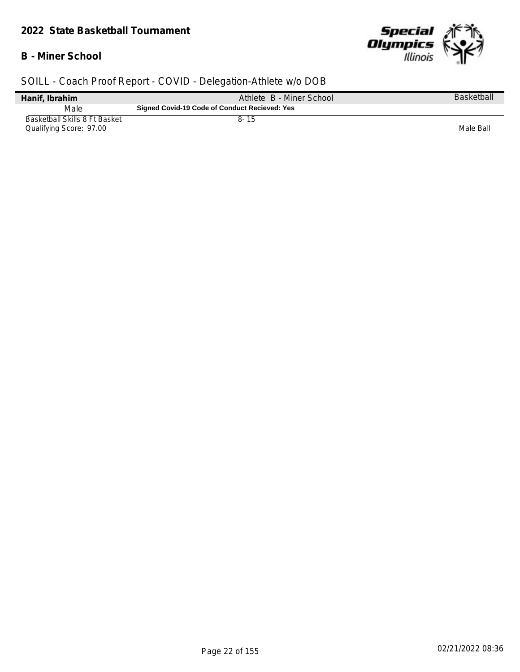#### *2022 State Basketball Tournament*

## **B - Miner School**



| Hanif, Ibrahim                                           | Athlete B - Miner School                      | Basketball |
|----------------------------------------------------------|-----------------------------------------------|------------|
| Male                                                     | Signed Covid-19 Code of Conduct Recieved: Yes |            |
| Basketball Skills 8 Ft Basket<br>Qualifying Score: 97.00 | $8 - 15$                                      | Male Ball  |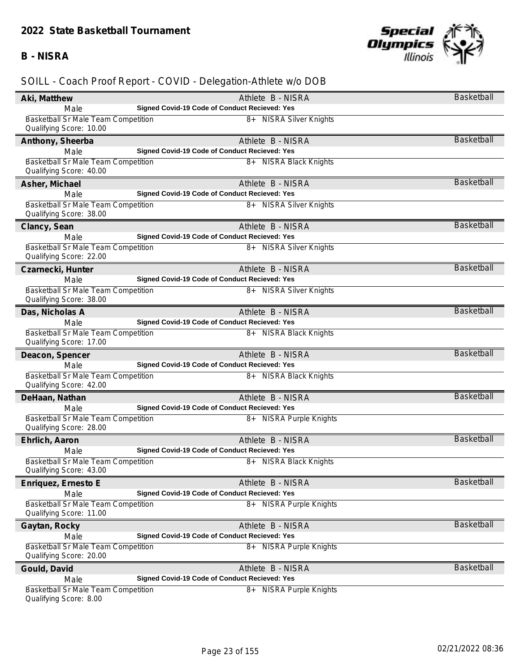#### **B - NISRA**



| Aki, Matthew                                                         | Athlete B - NISRA                                    | <b>Basketball</b> |
|----------------------------------------------------------------------|------------------------------------------------------|-------------------|
| Male                                                                 | Signed Covid-19 Code of Conduct Recieved: Yes        |                   |
| <b>Basketball Sr Male Team Competition</b>                           | 8+ NISRA Silver Knights                              |                   |
| Qualifying Score: 10.00                                              |                                                      |                   |
| Anthony, Sheerba                                                     | Athlete B - NISRA                                    | <b>Basketball</b> |
| Male                                                                 | Signed Covid-19 Code of Conduct Recieved: Yes        |                   |
| Basketball Sr Male Team Competition                                  | 8+ NISRA Black Knights                               |                   |
| Qualifying Score: 40.00                                              |                                                      |                   |
| Asher, Michael                                                       | Athlete B - NISRA                                    | <b>Basketball</b> |
| Male                                                                 | Signed Covid-19 Code of Conduct Recieved: Yes        |                   |
| Basketball Sr Male Team Competition                                  | 8+ NISRA Silver Knights                              |                   |
| Qualifying Score: 38.00                                              |                                                      |                   |
| Clancy, Sean                                                         | Athlete B - NISRA                                    | <b>Basketball</b> |
| Male                                                                 | Signed Covid-19 Code of Conduct Recieved: Yes        |                   |
| Basketball Sr Male Team Competition<br>Qualifying Score: 22.00       | 8+ NISRA Silver Knights                              |                   |
| Czarnecki, Hunter                                                    | Athlete B - NISRA                                    | Basketball        |
| Male                                                                 | Signed Covid-19 Code of Conduct Recieved: Yes        |                   |
| Basketball Sr Male Team Competition                                  | 8+ NISRA Silver Knights                              |                   |
| Qualifying Score: 38.00                                              |                                                      |                   |
| Das, Nicholas A                                                      | Athlete B - NISRA                                    | <b>Basketball</b> |
| Male                                                                 | Signed Covid-19 Code of Conduct Recieved: Yes        |                   |
| Basketball Sr Male Team Competition<br>Qualifying Score: 17.00       | 8+ NISRA Black Knights                               |                   |
| Deacon, Spencer                                                      | Athlete B - NISRA                                    | <b>Basketball</b> |
| Male                                                                 | Signed Covid-19 Code of Conduct Recieved: Yes        |                   |
| Basketball Sr Male Team Competition                                  | 8+ NISRA Black Knights                               |                   |
| Qualifying Score: 42.00                                              |                                                      |                   |
| DeHaan, Nathan                                                       | Athlete B - NISRA                                    | <b>Basketball</b> |
| Male                                                                 | Signed Covid-19 Code of Conduct Recieved: Yes        |                   |
| Basketball Sr Male Team Competition<br>Qualifying Score: 28.00       | 8+ NISRA Purple Knights                              |                   |
| Ehrlich, Aaron                                                       | Athlete B - NISRA                                    | <b>Basketball</b> |
| Male                                                                 | Signed Covid-19 Code of Conduct Recieved: Yes        |                   |
| Basketball Sr Male Team Competition<br>Qualifying Score: 43.00       | 8+ NISRA Black Knights                               |                   |
| Enriquez, Ernesto E                                                  | Athlete B - NISRA                                    | <b>Basketball</b> |
| Male                                                                 | <b>Signed Covid-19 Code of Conduct Recieved: Yes</b> |                   |
| Basketball Sr Male Team Competition                                  | 8+<br>NISRA Purple Knights                           |                   |
| Qualifying Score: 11.00                                              |                                                      |                   |
| Gaytan, Rocky                                                        | Athlete B - NISRA                                    | <b>Basketball</b> |
| Male                                                                 | Signed Covid-19 Code of Conduct Recieved: Yes        |                   |
| Basketball Sr Male Team Competition                                  | 8+ NISRA Purple Knights                              |                   |
| Qualifying Score: 20.00                                              |                                                      |                   |
| Gould, David                                                         | Athlete B - NISRA                                    | <b>Basketball</b> |
| Male                                                                 | Signed Covid-19 Code of Conduct Recieved: Yes        |                   |
| <b>Basketball Sr Male Team Competition</b><br>Qualifying Score: 8.00 | 8+ NISRA Purple Knights                              |                   |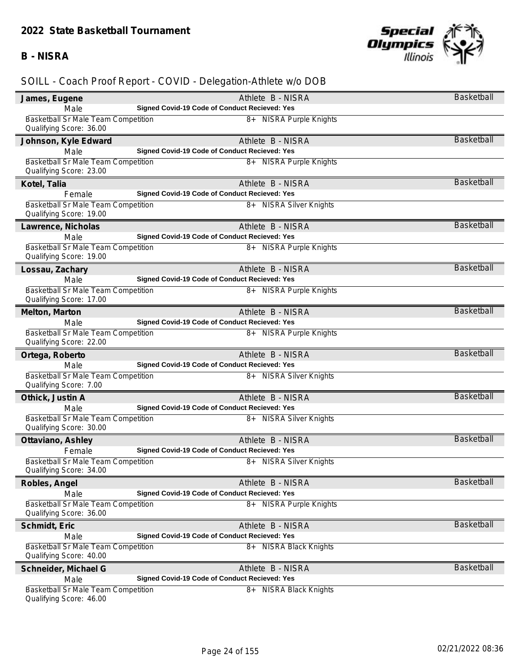#### **B - NISRA**



| James, Eugene                                                         | Athlete B - NISRA                                    | Basketball        |
|-----------------------------------------------------------------------|------------------------------------------------------|-------------------|
| Male                                                                  | Signed Covid-19 Code of Conduct Recieved: Yes        |                   |
| Basketball Sr Male Team Competition                                   | 8+ NISRA Purple Knights                              |                   |
| Qualifying Score: 36.00                                               |                                                      |                   |
| Johnson, Kyle Edward                                                  | Athlete B - NISRA                                    | <b>Basketball</b> |
| Male                                                                  | Signed Covid-19 Code of Conduct Recieved: Yes        |                   |
| Basketball Sr Male Team Competition                                   | 8+ NISRA Purple Knights                              |                   |
| Qualifying Score: 23.00                                               |                                                      |                   |
| Kotel, Talia                                                          | Athlete B - NISRA                                    | <b>Basketball</b> |
| Female                                                                | Signed Covid-19 Code of Conduct Recieved: Yes        |                   |
| Basketball Sr Male Team Competition<br>Qualifying Score: 19.00        | 8+ NISRA Silver Knights                              |                   |
| Lawrence, Nicholas                                                    | Athlete B - NISRA                                    | <b>Basketball</b> |
| Male                                                                  | Signed Covid-19 Code of Conduct Recieved: Yes        |                   |
| Basketball Sr Male Team Competition                                   | 8+ NISRA Purple Knights                              |                   |
| Qualifying Score: 19.00                                               |                                                      |                   |
| Lossau, Zachary                                                       | Athlete B - NISRA                                    | <b>Basketball</b> |
| Male                                                                  | Signed Covid-19 Code of Conduct Recieved: Yes        |                   |
| Basketball Sr Male Team Competition                                   | 8+ NISRA Purple Knights                              |                   |
| Qualifying Score: 17.00                                               |                                                      |                   |
| Melton, Marton                                                        | Athlete B - NISRA                                    | <b>Basketball</b> |
| Male                                                                  | Signed Covid-19 Code of Conduct Recieved: Yes        |                   |
| Basketball Sr Male Team Competition                                   | 8+ NISRA Purple Knights                              |                   |
| Qualifying Score: 22.00                                               |                                                      |                   |
| Ortega, Roberto                                                       | Athlete B - NISRA                                    | <b>Basketball</b> |
| Male                                                                  | Signed Covid-19 Code of Conduct Recieved: Yes        |                   |
| <b>Basketball Sr Male Team Competition</b><br>Qualifying Score: 7.00  | 8+ NISRA Silver Knights                              |                   |
| Othick, Justin A                                                      | Athlete B - NISRA                                    | <b>Basketball</b> |
| Male                                                                  | Signed Covid-19 Code of Conduct Recieved: Yes        |                   |
| Basketball Sr Male Team Competition<br>Qualifying Score: 30.00        | 8+ NISRA Silver Knights                              |                   |
| Ottaviano, Ashley                                                     | Athlete B - NISRA                                    | <b>Basketball</b> |
| Female                                                                | Signed Covid-19 Code of Conduct Recieved: Yes        |                   |
| Basketball Sr Male Team Competition<br>Qualifying Score: 34.00        | 8+ NISRA Silver Knights                              |                   |
| Robles, Angel                                                         | Athlete B - NISRA                                    | <b>Basketball</b> |
| Male                                                                  | Signed Covid-19 Code of Conduct Recieved: Yes        |                   |
| Basketball Sr Male Team Competition                                   | $8+$<br>NISRA Purple Knights                         |                   |
| Qualifying Score: 36.00                                               |                                                      |                   |
| Schmidt, Eric                                                         | Athlete B - NISRA                                    | <b>Basketball</b> |
| Male                                                                  | <b>Signed Covid-19 Code of Conduct Recieved: Yes</b> |                   |
| Basketball Sr Male Team Competition<br>Qualifying Score: 40.00        | 8+ NISRA Black Knights                               |                   |
| Schneider, Michael G                                                  | Athlete B - NISRA                                    | <b>Basketball</b> |
| Male                                                                  | Signed Covid-19 Code of Conduct Recieved: Yes        |                   |
| <b>Basketball Sr Male Team Competition</b><br>Qualifying Score: 46.00 | 8+ NISRA Black Knights                               |                   |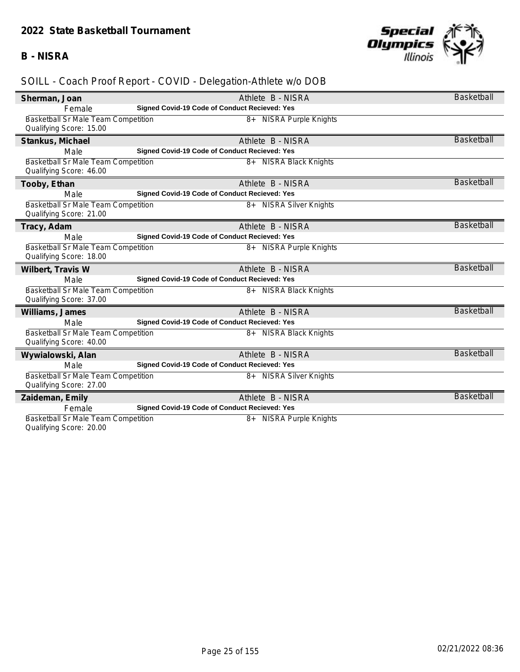#### **B - NISRA**



| Sherman, Joan                                                         | Athlete B - NISRA                                                  | Basketball        |
|-----------------------------------------------------------------------|--------------------------------------------------------------------|-------------------|
| Female                                                                | Signed Covid-19 Code of Conduct Recieved: Yes                      |                   |
| <b>Basketball Sr Male Team Competition</b>                            | 8+ NISRA Purple Knights                                            |                   |
| Qualifying Score: 15.00                                               |                                                                    |                   |
| Stankus, Michael                                                      | Athlete B - NISRA                                                  | <b>Basketball</b> |
| Male                                                                  | Signed Covid-19 Code of Conduct Recieved: Yes                      |                   |
| Basketball Sr Male Team Competition                                   | 8+ NISRA Black Knights                                             |                   |
| Qualifying Score: 46.00                                               |                                                                    |                   |
| Tooby, Ethan                                                          | Athlete B - NISRA                                                  | <b>Basketball</b> |
| Male                                                                  | Signed Covid-19 Code of Conduct Recieved: Yes                      |                   |
| <b>Basketball Sr Male Team Competition</b>                            | 8+ NISRA Silver Knights                                            |                   |
| Qualifying Score: 21.00                                               |                                                                    |                   |
| Tracy, Adam                                                           | Athlete B - NISRA                                                  | <b>Basketball</b> |
| Male                                                                  | Signed Covid-19 Code of Conduct Recieved: Yes                      |                   |
| Basketball Sr Male Team Competition<br>Qualifying Score: 18.00        | 8+ NISRA Purple Knights                                            |                   |
|                                                                       |                                                                    | <b>Basketball</b> |
| Wilbert, Travis W                                                     | Athlete B - NISRA<br>Signed Covid-19 Code of Conduct Recieved: Yes |                   |
| Male                                                                  |                                                                    |                   |
| <b>Basketball Sr Male Team Competition</b><br>Qualifying Score: 37.00 | 8+ NISRA Black Knights                                             |                   |
| Williams, James                                                       | Athlete B - NISRA                                                  | <b>Basketball</b> |
| Male                                                                  | Signed Covid-19 Code of Conduct Recieved: Yes                      |                   |
| <b>Basketball Sr Male Team Competition</b>                            | 8+ NISRA Black Knights                                             |                   |
| Qualifying Score: 40.00                                               |                                                                    |                   |
| Wywialowski, Alan                                                     | Athlete B - NISRA                                                  | <b>Basketball</b> |
| Male                                                                  | Signed Covid-19 Code of Conduct Recieved: Yes                      |                   |
| Basketball Sr Male Team Competition                                   | 8+ NISRA Silver Knights                                            |                   |
| Qualifying Score: 27.00                                               |                                                                    |                   |
| Zaideman, Emily                                                       | Athlete B - NISRA                                                  | <b>Basketball</b> |
| Female                                                                | Signed Covid-19 Code of Conduct Recieved: Yes                      |                   |
| <b>Basketball Sr Male Team Competition</b>                            | <b>NISRA Purple Knights</b><br>$8+$                                |                   |
| Qualifying Score: 20.00                                               |                                                                    |                   |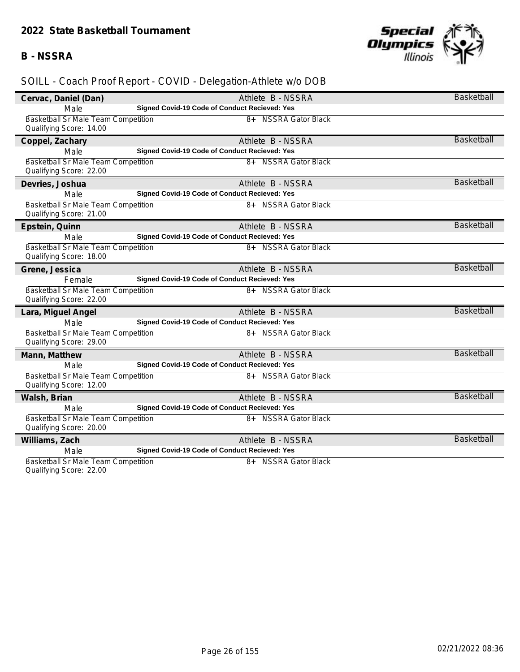#### **B - NSSRA**



| Cervac, Daniel (Dan)                                           | Athlete B - NSSRA                             | Basketball        |
|----------------------------------------------------------------|-----------------------------------------------|-------------------|
| Male                                                           | Signed Covid-19 Code of Conduct Recieved: Yes |                   |
| Basketball Sr Male Team Competition                            | 8+ NSSRA Gator Black                          |                   |
| Qualifying Score: 14.00                                        |                                               |                   |
| Coppel, Zachary                                                | Athlete B - NSSRA                             | <b>Basketball</b> |
| Male                                                           | Signed Covid-19 Code of Conduct Recieved: Yes |                   |
| Basketball Sr Male Team Competition                            | 8+ NSSRA Gator Black                          |                   |
| Qualifying Score: 22.00                                        |                                               |                   |
| Devries, Joshua                                                | Athlete B - NSSRA                             | <b>Basketball</b> |
| Male                                                           | Signed Covid-19 Code of Conduct Recieved: Yes |                   |
| <b>Basketball Sr Male Team Competition</b>                     | 8+ NSSRA Gator Black                          |                   |
| Qualifying Score: 21.00                                        |                                               |                   |
| Epstein, Quinn                                                 | Athlete B - NSSRA                             | <b>Basketball</b> |
| Male                                                           | Signed Covid-19 Code of Conduct Recieved: Yes |                   |
| Basketball Sr Male Team Competition                            | 8+ NSSRA Gator Black                          |                   |
| Qualifying Score: 18.00                                        |                                               |                   |
| Grene, Jessica                                                 | Athlete B - NSSRA                             | <b>Basketball</b> |
| Female                                                         | Signed Covid-19 Code of Conduct Recieved: Yes |                   |
| <b>Basketball Sr Male Team Competition</b>                     | 8+ NSSRA Gator Black                          |                   |
| Qualifying Score: 22.00                                        |                                               |                   |
| Lara, Miguel Angel                                             | Athlete B - NSSRA                             | <b>Basketball</b> |
| Male                                                           | Signed Covid-19 Code of Conduct Recieved: Yes |                   |
| Basketball Sr Male Team Competition                            | 8+ NSSRA Gator Black                          |                   |
| Qualifying Score: 29.00                                        |                                               |                   |
| Mann, Matthew                                                  | Athlete B - NSSRA                             | <b>Basketball</b> |
| Male                                                           | Signed Covid-19 Code of Conduct Recieved: Yes |                   |
| Basketball Sr Male Team Competition                            | 8+ NSSRA Gator Black                          |                   |
| Qualifying Score: 12.00                                        |                                               |                   |
| Walsh, Brian                                                   | Athlete B - NSSRA                             | <b>Basketball</b> |
| Male                                                           | Signed Covid-19 Code of Conduct Recieved: Yes |                   |
| Basketball Sr Male Team Competition                            | 8+ NSSRA Gator Black                          |                   |
| Qualifying Score: 20.00                                        |                                               |                   |
| Williams, Zach                                                 | Athlete B - NSSRA                             | <b>Basketball</b> |
| Male                                                           | Signed Covid-19 Code of Conduct Recieved: Yes |                   |
| Basketball Sr Male Team Competition<br>Qualifying Score: 22.00 | 8+ NSSRA Gator Black                          |                   |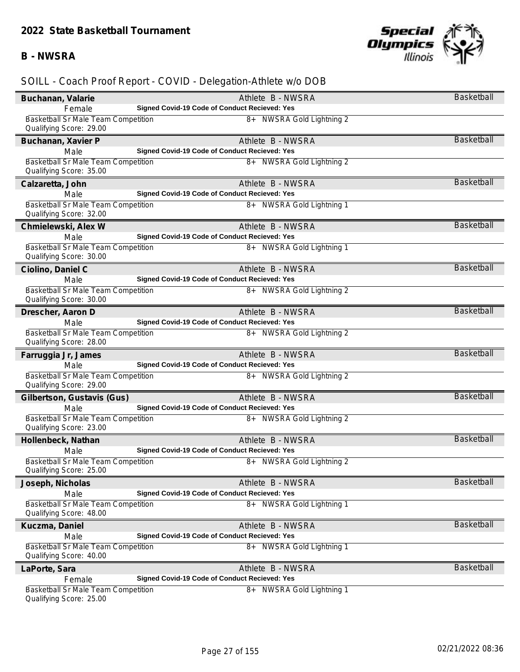### **B - NWSRA**



| Buchanan, Valarie                                                     | Athlete B - NWSRA                                    | Basketball        |
|-----------------------------------------------------------------------|------------------------------------------------------|-------------------|
| Female                                                                | Signed Covid-19 Code of Conduct Recieved: Yes        |                   |
| <b>Basketball Sr Male Team Competition</b>                            | 8+ NWSRA Gold Lightning 2                            |                   |
| Qualifying Score: 29.00                                               |                                                      |                   |
| Buchanan, Xavier P                                                    | Athlete B - NWSRA                                    | <b>Basketball</b> |
| Male                                                                  | Signed Covid-19 Code of Conduct Recieved: Yes        |                   |
| <b>Basketball Sr Male Team Competition</b>                            | 8+ NWSRA Gold Lightning 2                            |                   |
| Qualifying Score: 35.00                                               |                                                      |                   |
| Calzaretta, John                                                      | Athlete B - NWSRA                                    | <b>Basketball</b> |
| Male                                                                  | Signed Covid-19 Code of Conduct Recieved: Yes        |                   |
| Basketball Sr Male Team Competition                                   | 8+ NWSRA Gold Lightning 1                            |                   |
| Qualifying Score: 32.00                                               |                                                      |                   |
| Chmielewski, Alex W                                                   | Athlete B - NWSRA                                    | <b>Basketball</b> |
| Male                                                                  | Signed Covid-19 Code of Conduct Recieved: Yes        |                   |
| <b>Basketball Sr Male Team Competition</b><br>Qualifying Score: 30.00 | 8+ NWSRA Gold Lightning 1                            |                   |
| Ciolino, Daniel C                                                     | Athlete B - NWSRA                                    | <b>Basketball</b> |
| Male                                                                  | Signed Covid-19 Code of Conduct Recieved: Yes        |                   |
| Basketball Sr Male Team Competition                                   | 8+ NWSRA Gold Lightning 2                            |                   |
| Qualifying Score: 30.00                                               |                                                      |                   |
| Drescher, Aaron D                                                     | Athlete B - NWSRA                                    | <b>Basketball</b> |
| Male                                                                  | Signed Covid-19 Code of Conduct Recieved: Yes        |                   |
| Basketball Sr Male Team Competition<br>Qualifying Score: 28.00        | 8+ NWSRA Gold Lightning 2                            |                   |
| Farruggia Jr, James                                                   | Athlete B - NWSRA                                    | <b>Basketball</b> |
| Male                                                                  | Signed Covid-19 Code of Conduct Recieved: Yes        |                   |
| <b>Basketball Sr Male Team Competition</b>                            | 8+ NWSRA Gold Lightning 2                            |                   |
| Qualifying Score: 29.00                                               |                                                      |                   |
| Gilbertson, Gustavis (Gus)                                            | Athlete B - NWSRA                                    | <b>Basketball</b> |
| Male                                                                  | Signed Covid-19 Code of Conduct Recieved: Yes        |                   |
| Basketball Sr Male Team Competition<br>Qualifying Score: 23.00        | 8+ NWSRA Gold Lightning 2                            |                   |
| Hollenbeck, Nathan                                                    | Athlete B - NWSRA                                    | <b>Basketball</b> |
| Male                                                                  | Signed Covid-19 Code of Conduct Recieved: Yes        |                   |
| Basketball Sr Male Team Competition                                   | 8+ NWSRA Gold Lightning 2                            |                   |
| Qualifying Score: 25.00                                               |                                                      |                   |
| Joseph, Nicholas                                                      | Athlete B - NWSRA                                    | <b>Basketball</b> |
| Male                                                                  | Signed Covid-19 Code of Conduct Recieved: Yes        |                   |
| <b>Basketball Sr Male Team Competition</b><br>Qualifying Score: 48.00 | 8+<br>NWSRA Gold Lightning 1                         |                   |
| Kuczma, Daniel                                                        | Athlete B - NWSRA                                    | Basketball        |
| Male                                                                  | <b>Signed Covid-19 Code of Conduct Recieved: Yes</b> |                   |
| Basketball Sr Male Team Competition                                   | 8+<br>NWSRA Gold Lightning 1                         |                   |
| Qualifying Score: 40.00                                               |                                                      |                   |
| LaPorte, Sara                                                         | Athlete B - NWSRA                                    | <b>Basketball</b> |
| Female                                                                | Signed Covid-19 Code of Conduct Recieved: Yes        |                   |
| <b>Basketball Sr Male Team Competition</b><br>Qualifying Score: 25.00 | 8+ NWSRA Gold Lightning 1                            |                   |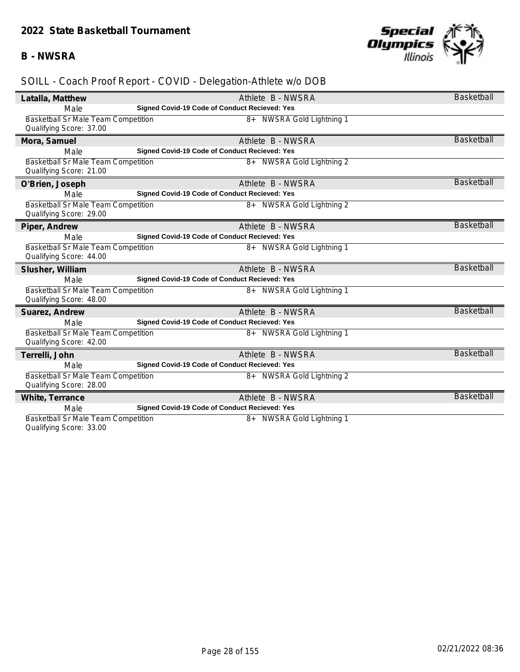### **B - NWSRA**



| Latalla, Matthew                                                      | Athlete B - NWSRA                             | Basketball        |
|-----------------------------------------------------------------------|-----------------------------------------------|-------------------|
| Male                                                                  | Signed Covid-19 Code of Conduct Recieved: Yes |                   |
| Basketball Sr Male Team Competition<br>Qualifying Score: 37.00        | 8+ NWSRA Gold Lightning 1                     |                   |
| Mora, Samuel                                                          | Athlete B - NWSRA                             | Basketball        |
| Male                                                                  | Signed Covid-19 Code of Conduct Recieved: Yes |                   |
| Basketball Sr Male Team Competition<br>Qualifying Score: 21.00        | 8+ NWSRA Gold Lightning 2                     |                   |
| O'Brien, Joseph                                                       | Athlete B - NWSRA                             | <b>Basketball</b> |
| Male                                                                  | Signed Covid-19 Code of Conduct Recieved: Yes |                   |
| <b>Basketball Sr Male Team Competition</b><br>Qualifying Score: 29.00 | 8+ NWSRA Gold Lightning 2                     |                   |
| Piper, Andrew                                                         | Athlete B - NWSRA                             | <b>Basketball</b> |
| Male                                                                  | Signed Covid-19 Code of Conduct Recieved: Yes |                   |
| Basketball Sr Male Team Competition<br>Qualifying Score: 44.00        | 8+ NWSRA Gold Lightning 1                     |                   |
| Slusher, William                                                      | Athlete B - NWSRA                             | <b>Basketball</b> |
| Male                                                                  | Signed Covid-19 Code of Conduct Recieved: Yes |                   |
| Basketball Sr Male Team Competition<br>Qualifying Score: 48.00        | 8+ NWSRA Gold Lightning 1                     |                   |
| Suarez, Andrew                                                        | Athlete B - NWSRA                             | <b>Basketball</b> |
| Male                                                                  | Signed Covid-19 Code of Conduct Recieved: Yes |                   |
| <b>Basketball Sr Male Team Competition</b><br>Qualifying Score: 42.00 | 8+ NWSRA Gold Lightning 1                     |                   |
| Terrelli, John                                                        | Athlete B - NWSRA                             | <b>Basketball</b> |
| Male                                                                  | Signed Covid-19 Code of Conduct Recieved: Yes |                   |
| Basketball Sr Male Team Competition<br>Qualifying Score: 28.00        | 8+ NWSRA Gold Lightning 2                     |                   |
| White, Terrance                                                       | Athlete B - NWSRA                             | <b>Basketball</b> |
| Male                                                                  | Signed Covid-19 Code of Conduct Recieved: Yes |                   |
| Basketball Sr Male Team Competition<br>Qualifying Score: 33.00        | NWSRA Gold Lightning 1<br>$8+$                |                   |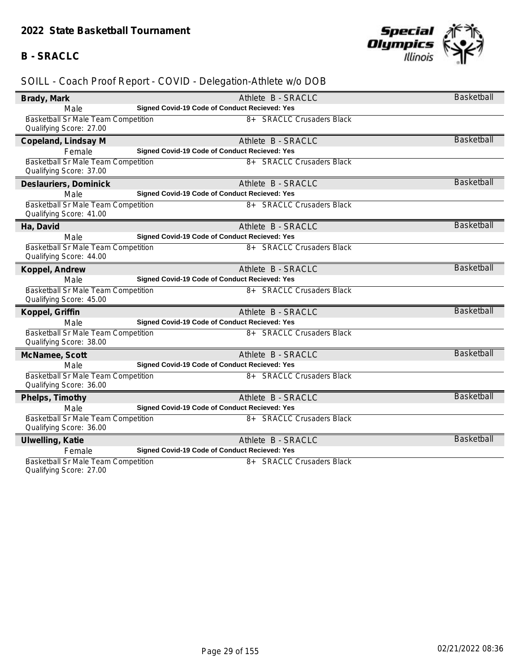## **B - SRACLC**



## *SOILL - Coach Proof Report - COVID - Delegation-Athlete w/o DOB*

| Brady, Mark                                                    | Athlete B - SRACLC                                                         | <b>Basketball</b> |
|----------------------------------------------------------------|----------------------------------------------------------------------------|-------------------|
| Male                                                           | Signed Covid-19 Code of Conduct Recieved: Yes                              |                   |
| Basketball Sr Male Team Competition                            | 8+ SRACLC Crusaders Black                                                  |                   |
| Qualifying Score: 27.00                                        |                                                                            |                   |
| Copeland, Lindsay M                                            | Athlete B - SRACLC                                                         | <b>Basketball</b> |
| Female                                                         | Signed Covid-19 Code of Conduct Recieved: Yes                              |                   |
| Basketball Sr Male Team Competition                            | 8+ SRACLC Crusaders Black                                                  |                   |
| Qualifying Score: 37.00                                        |                                                                            |                   |
| Deslauriers, Dominick                                          | Athlete B - SRACLC                                                         | <b>Basketball</b> |
| Male                                                           | Signed Covid-19 Code of Conduct Recieved: Yes                              |                   |
| Basketball Sr Male Team Competition                            | 8+ SRACLC Crusaders Black                                                  |                   |
| Qualifying Score: 41.00                                        |                                                                            |                   |
| Ha, David                                                      | Athlete B - SRACLC                                                         | <b>Basketball</b> |
| Male                                                           | Signed Covid-19 Code of Conduct Recieved: Yes                              |                   |
| Basketball Sr Male Team Competition                            | 8+ SRACLC Crusaders Black                                                  |                   |
| Qualifying Score: 44.00                                        |                                                                            |                   |
| Koppel, Andrew                                                 | Athlete B - SRACLC                                                         | <b>Basketball</b> |
| Male                                                           | Signed Covid-19 Code of Conduct Recieved: Yes                              |                   |
| Basketball Sr Male Team Competition<br>Qualifying Score: 45.00 | 8+ SRACLC Crusaders Black                                                  |                   |
|                                                                |                                                                            | <b>Basketball</b> |
| Koppel, Griffin                                                | Athlete B - SRACLC                                                         |                   |
| Male                                                           | Signed Covid-19 Code of Conduct Recieved: Yes<br>8+ SRACLC Crusaders Black |                   |
| Basketball Sr Male Team Competition<br>Qualifying Score: 38.00 |                                                                            |                   |
|                                                                |                                                                            | <b>Basketball</b> |
| McNamee, Scott                                                 | Athlete B - SRACLC<br>Signed Covid-19 Code of Conduct Recieved: Yes        |                   |
| Male<br><b>Basketball Sr Male Team Competition</b>             | 8+ SRACLC Crusaders Black                                                  |                   |
| Qualifying Score: 36.00                                        |                                                                            |                   |
| Phelps, Timothy                                                | Athlete B - SRACLC                                                         | <b>Basketball</b> |
| Male                                                           | Signed Covid-19 Code of Conduct Recieved: Yes                              |                   |
| Basketball Sr Male Team Competition                            | 8+ SRACLC Crusaders Black                                                  |                   |
| Qualifying Score: 36.00                                        |                                                                            |                   |
| Ulwelling, Katie                                               | Athlete B - SRACLC                                                         | <b>Basketball</b> |
| Female                                                         | Signed Covid-19 Code of Conduct Recieved: Yes                              |                   |
| Basketball Sr Male Team Competition                            | 8+ SRACLC Crusaders Black                                                  |                   |
|                                                                |                                                                            |                   |

Qualifying Score: 27.00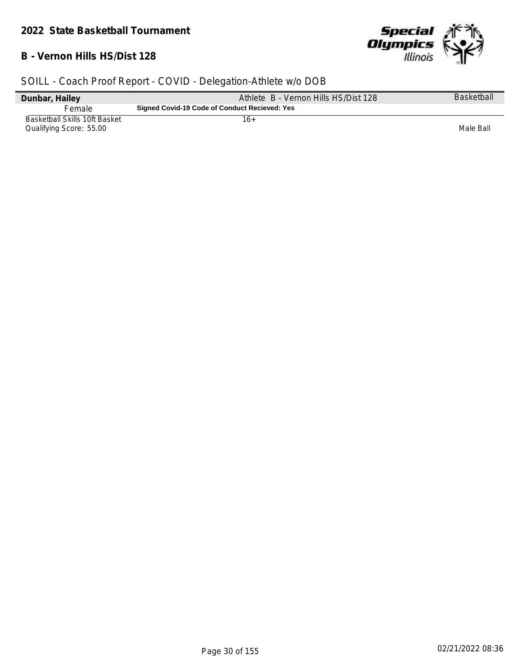## **B - Vernon Hills HS/Dist 128**



| Dunbar, Hailey                                                  | Athlete B - Vernon Hills HS/Dist 128          | <b>Basketball</b> |
|-----------------------------------------------------------------|-----------------------------------------------|-------------------|
| Female                                                          | Signed Covid-19 Code of Conduct Recieved: Yes |                   |
| <b>Basketball Skills 10ft Basket</b><br>Qualifying Score: 55.00 | 16+                                           | Male Ball         |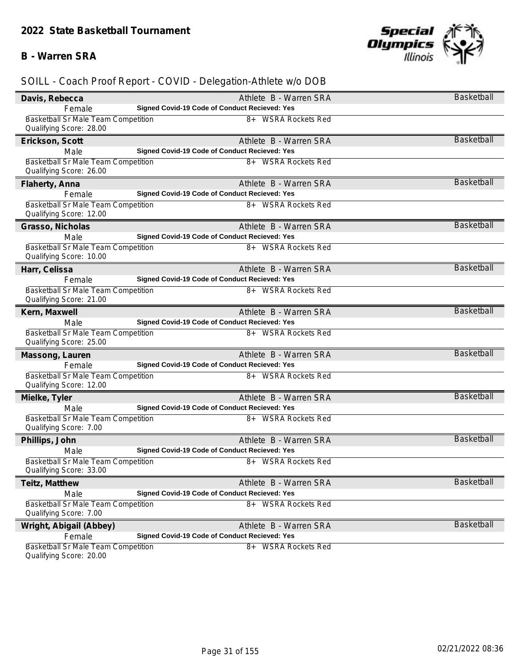## **B - Warren SRA**



## *SOILL - Coach Proof Report - COVID - Delegation-Athlete w/o DOB*

| Davis, Rebecca                                                        | Athlete B - Warren SRA                               | <b>Basketball</b> |
|-----------------------------------------------------------------------|------------------------------------------------------|-------------------|
| Female                                                                | Signed Covid-19 Code of Conduct Recieved: Yes        |                   |
| Basketball Sr Male Team Competition<br>Qualifying Score: 28.00        | 8+ WSRA Rockets Red                                  |                   |
| Erickson, Scott                                                       | Athlete B - Warren SRA                               | <b>Basketball</b> |
| Male                                                                  | Signed Covid-19 Code of Conduct Recieved: Yes        |                   |
| Basketball Sr Male Team Competition<br>Qualifying Score: 26.00        | 8+ WSRA Rockets Red                                  |                   |
| Flaherty, Anna                                                        | Athlete B - Warren SRA                               | <b>Basketball</b> |
| Female                                                                | Signed Covid-19 Code of Conduct Recieved: Yes        |                   |
| Basketball Sr Male Team Competition<br>Qualifying Score: 12.00        | 8+ WSRA Rockets Red                                  |                   |
| Grasso, Nicholas                                                      | Athlete B - Warren SRA                               | <b>Basketball</b> |
| Male                                                                  | Signed Covid-19 Code of Conduct Recieved: Yes        |                   |
| Basketball Sr Male Team Competition<br>Qualifying Score: 10.00        | 8+ WSRA Rockets Red                                  |                   |
| Harr, Celissa                                                         | Athlete B - Warren SRA                               | <b>Basketball</b> |
| Female                                                                | Signed Covid-19 Code of Conduct Recieved: Yes        |                   |
| Basketball Sr Male Team Competition<br>Qualifying Score: 21.00        | 8+ WSRA Rockets Red                                  |                   |
| Kern, Maxwell                                                         | Athlete B - Warren SRA                               | <b>Basketball</b> |
| Male                                                                  | Signed Covid-19 Code of Conduct Recieved: Yes        |                   |
| Basketball Sr Male Team Competition<br>Qualifying Score: 25.00        | 8+ WSRA Rockets Red                                  |                   |
| Massong, Lauren                                                       | Athlete B - Warren SRA                               | <b>Basketball</b> |
| Female                                                                | Signed Covid-19 Code of Conduct Recieved: Yes        |                   |
| <b>Basketball Sr Male Team Competition</b><br>Qualifying Score: 12.00 | 8+ WSRA Rockets Red                                  |                   |
| Mielke, Tyler                                                         | Athlete B - Warren SRA                               | <b>Basketball</b> |
| Male                                                                  | Signed Covid-19 Code of Conduct Recieved: Yes        |                   |
| Basketball Sr Male Team Competition<br>Qualifying Score: 7.00         | 8+ WSRA Rockets Red                                  |                   |
| Phillips, John                                                        | Athlete B - Warren SRA                               | <b>Basketball</b> |
| Male                                                                  | Signed Covid-19 Code of Conduct Recieved: Yes        |                   |
| Basketball Sr Male Team Competition<br>Qualifying Score: 33.00        | 8+ WSRA Rockets Red                                  |                   |
| Teitz, Matthew                                                        | Athlete B - Warren SRA                               | <b>Basketball</b> |
| Male                                                                  | Signed Covid-19 Code of Conduct Recieved: Yes        |                   |
| <b>Basketball Sr Male Team Competition</b><br>Qualifying Score: 7.00  | 8+ WSRA Rockets Red                                  |                   |
| Wright, Abigail (Abbey)                                               | Athlete B - Warren SRA                               | <b>Basketball</b> |
| Female                                                                | <b>Signed Covid-19 Code of Conduct Recieved: Yes</b> |                   |
| Basketball Sr Male Team Competition<br>Qualifying Score: 20.00        | 8+ WSRA Rockets Red                                  |                   |

Qualifying Score: 20.00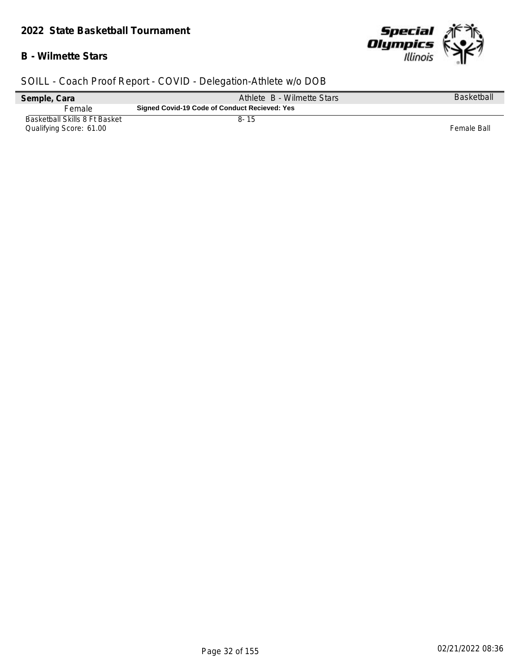#### *2022 State Basketball Tournament*

### **B - Wilmette Stars**



| Semple, Cara                                             | Athlete B - Wilmette Stars                    | <b>Basketball</b> |
|----------------------------------------------------------|-----------------------------------------------|-------------------|
| Female                                                   | Signed Covid-19 Code of Conduct Recieved: Yes |                   |
| Basketball Skills 8 Ft Basket<br>Qualifying Score: 61.00 | 8-15                                          | Female Ball       |
|                                                          |                                               |                   |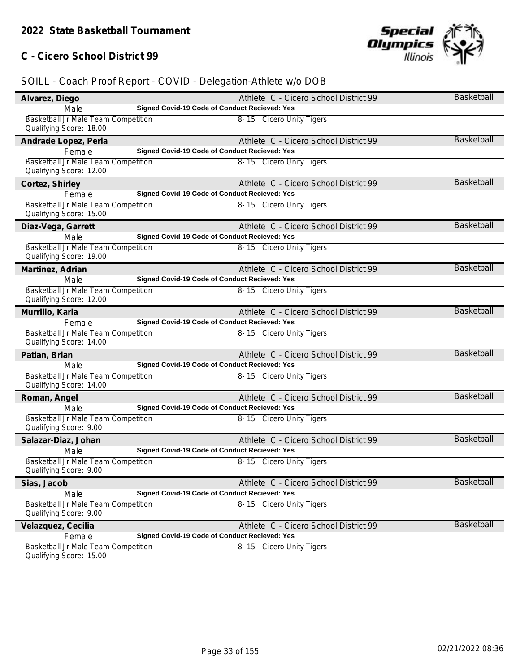## **C - Cicero School District 99**

| Alvarez, Diego                             |                                               | Athlete C - Cicero School District 99 | Basketball        |
|--------------------------------------------|-----------------------------------------------|---------------------------------------|-------------------|
| Male                                       | Signed Covid-19 Code of Conduct Recieved: Yes |                                       |                   |
| Basketball Jr Male Team Competition        |                                               | 8-15 Cicero Unity Tigers              |                   |
| Qualifying Score: 18.00                    |                                               |                                       |                   |
| Andrade Lopez, Perla                       |                                               | Athlete C - Cicero School District 99 | <b>Basketball</b> |
| Female                                     | Signed Covid-19 Code of Conduct Recieved: Yes |                                       |                   |
| Basketball Jr Male Team Competition        |                                               | 8-15 Cicero Unity Tigers              |                   |
| Qualifying Score: 12.00                    |                                               |                                       |                   |
| Cortez, Shirley                            |                                               | Athlete C - Cicero School District 99 | <b>Basketball</b> |
| Female                                     | Signed Covid-19 Code of Conduct Recieved: Yes |                                       |                   |
| <b>Basketball Jr Male Team Competition</b> |                                               | 8-15 Cicero Unity Tigers              |                   |
| Qualifying Score: 15.00                    |                                               |                                       |                   |
| Diaz-Vega, Garrett                         |                                               | Athlete C - Cicero School District 99 | Basketball        |
| Male                                       | Signed Covid-19 Code of Conduct Recieved: Yes |                                       |                   |
| Basketball Jr Male Team Competition        |                                               | 8-15 Cicero Unity Tigers              |                   |
| Qualifying Score: 19.00                    |                                               |                                       |                   |
| Martinez, Adrian                           |                                               | Athlete C - Cicero School District 99 | Basketball        |
| Male                                       | Signed Covid-19 Code of Conduct Recieved: Yes |                                       |                   |
| Basketball Jr Male Team Competition        |                                               | 8-15 Cicero Unity Tigers              |                   |
| Qualifying Score: 12.00                    |                                               |                                       |                   |
| Murrillo, Karla                            |                                               | Athlete C - Cicero School District 99 | <b>Basketball</b> |
| Female                                     | Signed Covid-19 Code of Conduct Recieved: Yes |                                       |                   |
| Basketball Jr Male Team Competition        |                                               | 8-15 Cicero Unity Tigers              |                   |
| Qualifying Score: 14.00                    |                                               |                                       |                   |
| Patlan, Brian                              |                                               | Athlete C - Cicero School District 99 | <b>Basketball</b> |
| Male                                       | Signed Covid-19 Code of Conduct Recieved: Yes |                                       |                   |
| Basketball Jr Male Team Competition        |                                               | 8-15 Cicero Unity Tigers              |                   |
| Qualifying Score: 14.00                    |                                               |                                       |                   |
| Roman, Angel                               |                                               | Athlete C - Cicero School District 99 | <b>Basketball</b> |
| Male                                       | Signed Covid-19 Code of Conduct Recieved: Yes |                                       |                   |
| Basketball Jr Male Team Competition        |                                               | 8-15 Cicero Unity Tigers              |                   |
| Qualifying Score: 9.00                     |                                               |                                       |                   |
| Salazar-Diaz, Johan                        |                                               | Athlete C - Cicero School District 99 | <b>Basketball</b> |
| Male                                       | Signed Covid-19 Code of Conduct Recieved: Yes |                                       |                   |
| Basketball Jr Male Team Competition        |                                               | 8-15 Cicero Unity Tigers              |                   |
| Qualifying Score: 9.00                     |                                               |                                       |                   |
| Sias, Jacob                                |                                               | Athlete C - Cicero School District 99 | Basketball        |
| Male                                       | Signed Covid-19 Code of Conduct Recieved: Yes |                                       |                   |
| Basketball Jr Male Team Competition        |                                               | 8-15 Cicero Unity Tigers              |                   |
| Qualifying Score: 9.00                     |                                               |                                       |                   |
| Velazquez, Cecilia                         |                                               | Athlete C - Cicero School District 99 | <b>Basketball</b> |
| Female                                     | Signed Covid-19 Code of Conduct Recieved: Yes |                                       |                   |
| Basketball Jr Male Team Competition        |                                               | 8-15 Cicero Unity Tigers              |                   |
| Qualifying Score: 15.00                    |                                               |                                       |                   |

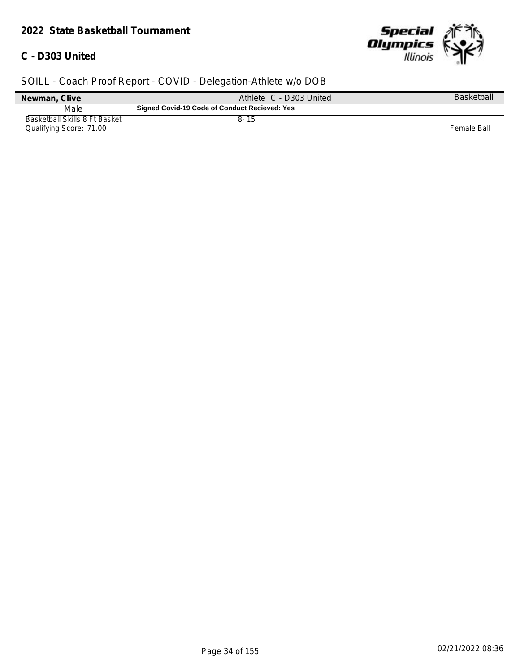#### *2022 State Basketball Tournament*

## **C - D303 United**



| Newman, Clive                                            | Athlete C - D303 United                       | Basketball  |
|----------------------------------------------------------|-----------------------------------------------|-------------|
| Male                                                     | Signed Covid-19 Code of Conduct Recieved: Yes |             |
| Basketball Skills 8 Ft Basket<br>Qualifying Score: 71.00 | $8 - 15$                                      | Female Ball |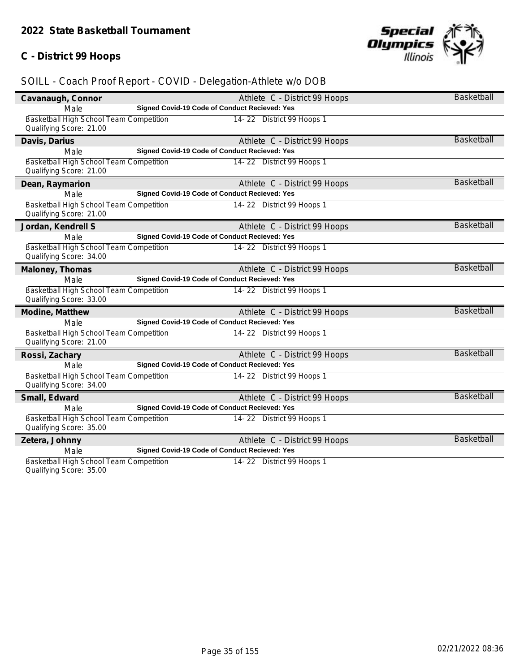## **C - District 99 Hoops**



## *SOILL - Coach Proof Report - COVID - Delegation-Athlete w/o DOB*

| Cavanaugh, Connor                                                  |                                                      | Athlete C - District 99 Hoops | <b>Basketball</b> |
|--------------------------------------------------------------------|------------------------------------------------------|-------------------------------|-------------------|
| Male                                                               | Signed Covid-19 Code of Conduct Recieved: Yes        |                               |                   |
| Basketball High School Team Competition<br>Qualifying Score: 21.00 |                                                      | 14-22 District 99 Hoops 1     |                   |
|                                                                    |                                                      |                               | <b>Basketball</b> |
| Davis, Darius                                                      | <b>Signed Covid-19 Code of Conduct Recieved: Yes</b> | Athlete C - District 99 Hoops |                   |
| Male                                                               |                                                      |                               |                   |
| Basketball High School Team Competition<br>Qualifying Score: 21.00 |                                                      | 14-22 District 99 Hoops 1     |                   |
| Dean, Raymarion                                                    |                                                      | Athlete C - District 99 Hoops | <b>Basketball</b> |
| Male                                                               | Signed Covid-19 Code of Conduct Recieved: Yes        |                               |                   |
| Basketball High School Team Competition<br>Qualifying Score: 21.00 |                                                      | 14-22 District 99 Hoops 1     |                   |
| Jordan, Kendrell S                                                 |                                                      | Athlete C - District 99 Hoops | <b>Basketball</b> |
| Male                                                               | Signed Covid-19 Code of Conduct Recieved: Yes        |                               |                   |
| Basketball High School Team Competition                            |                                                      | 14-22 District 99 Hoops 1     |                   |
| Qualifying Score: 34.00                                            |                                                      |                               |                   |
| Maloney, Thomas                                                    |                                                      | Athlete C - District 99 Hoops | <b>Basketball</b> |
| Male                                                               | Signed Covid-19 Code of Conduct Recieved: Yes        |                               |                   |
| Basketball High School Team Competition                            |                                                      | 14-22 District 99 Hoops 1     |                   |
| Qualifying Score: 33.00                                            |                                                      |                               |                   |
| Modine, Matthew                                                    |                                                      | Athlete C - District 99 Hoops | <b>Basketball</b> |
| Male                                                               | Signed Covid-19 Code of Conduct Recieved: Yes        |                               |                   |
| Basketball High School Team Competition<br>Qualifying Score: 21.00 |                                                      | 14-22 District 99 Hoops 1     |                   |
| Rossi, Zachary                                                     |                                                      | Athlete C - District 99 Hoops | <b>Basketball</b> |
| Male                                                               | Signed Covid-19 Code of Conduct Recieved: Yes        |                               |                   |
| Basketball High School Team Competition<br>Qualifying Score: 34.00 |                                                      | 14-22 District 99 Hoops 1     |                   |
| Small, Edward                                                      |                                                      | Athlete C - District 99 Hoops | <b>Basketball</b> |
| Male                                                               | Signed Covid-19 Code of Conduct Recieved: Yes        |                               |                   |
| Basketball High School Team Competition                            |                                                      | 14-22 District 99 Hoops 1     |                   |
| Qualifying Score: 35.00                                            |                                                      |                               |                   |
| Zetera, Johnny                                                     |                                                      | Athlete C - District 99 Hoops | <b>Basketball</b> |
| Male                                                               | Signed Covid-19 Code of Conduct Recieved: Yes        |                               |                   |
| Basketball High School Team Competition                            |                                                      | 14-22 District 99 Hoops 1     |                   |
|                                                                    |                                                      |                               |                   |

Qualifying Score: 35.00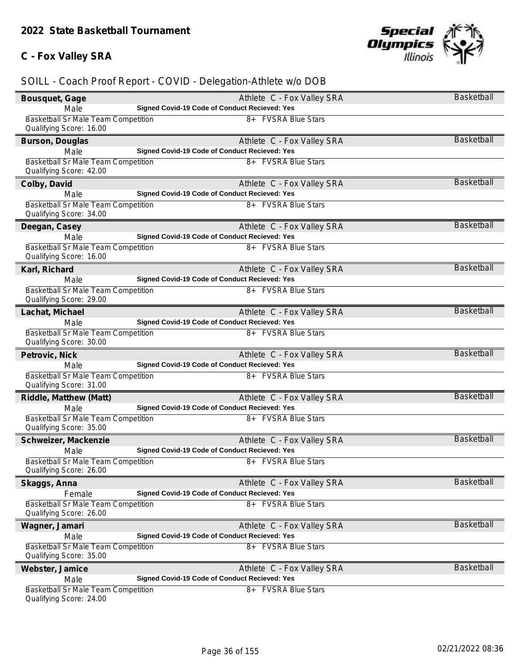## **C - Fox Valley SRA**



| Bousquet, Gage                                                        | Athlete C - Fox Valley SRA                    | Basketball        |
|-----------------------------------------------------------------------|-----------------------------------------------|-------------------|
| Male                                                                  | Signed Covid-19 Code of Conduct Recieved: Yes |                   |
| Basketball Sr Male Team Competition                                   | 8+ FVSRA Blue Stars                           |                   |
| Qualifying Score: 16.00                                               |                                               |                   |
| Burson, Douglas                                                       | Athlete C - Fox Valley SRA                    | <b>Basketball</b> |
| Male                                                                  | Signed Covid-19 Code of Conduct Recieved: Yes |                   |
| Basketball Sr Male Team Competition<br>Qualifying Score: 42.00        | 8+ FVSRA Blue Stars                           |                   |
| Colby, David                                                          | Athlete C - Fox Valley SRA                    | Basketball        |
| Male                                                                  | Signed Covid-19 Code of Conduct Recieved: Yes |                   |
| Basketball Sr Male Team Competition<br>Qualifying Score: 34.00        | 8+ FVSRA Blue Stars                           |                   |
| Deegan, Casey                                                         | Athlete C - Fox Valley SRA                    | Basketball        |
| Male                                                                  | Signed Covid-19 Code of Conduct Recieved: Yes |                   |
| <b>Basketball Sr Male Team Competition</b><br>Qualifying Score: 16.00 | 8+ FVSRA Blue Stars                           |                   |
| Karl, Richard                                                         | Athlete C - Fox Valley SRA                    | <b>Basketball</b> |
| Male                                                                  | Signed Covid-19 Code of Conduct Recieved: Yes |                   |
| Basketball Sr Male Team Competition<br>Qualifying Score: 29.00        | 8+ FVSRA Blue Stars                           |                   |
| Lachat, Michael                                                       | Athlete C - Fox Valley SRA                    | <b>Basketball</b> |
| Male                                                                  | Signed Covid-19 Code of Conduct Recieved: Yes |                   |
| Basketball Sr Male Team Competition<br>Qualifying Score: 30.00        | 8+ FVSRA Blue Stars                           |                   |
| Petrovic, Nick                                                        | Athlete C - Fox Valley SRA                    | <b>Basketball</b> |
| Male                                                                  | Signed Covid-19 Code of Conduct Recieved: Yes |                   |
| <b>Basketball Sr Male Team Competition</b><br>Qualifying Score: 31.00 | 8+ FVSRA Blue Stars                           |                   |
| Riddle, Matthew (Matt)                                                | Athlete C - Fox Valley SRA                    | <b>Basketball</b> |
| Male                                                                  | Signed Covid-19 Code of Conduct Recieved: Yes |                   |
| Basketball Sr Male Team Competition<br>Qualifying Score: 35.00        | 8+ FVSRA Blue Stars                           |                   |
| Schweizer, Mackenzie                                                  | Athlete C - Fox Valley SRA                    | <b>Basketball</b> |
| Male                                                                  | Signed Covid-19 Code of Conduct Recieved: Yes |                   |
| Basketball Sr Male Team Competition<br>Qualifying Score: 26.00        | 8+ FVSRA Blue Stars                           |                   |
| Skaggs, Anna                                                          | Athlete C - Fox Valley SRA                    | Basketball        |
| Female                                                                | Signed Covid-19 Code of Conduct Recieved: Yes |                   |
| Basketball Sr Male Team Competition<br>Qualifying Score: 26.00        | 8+ FVSRA Blue Stars                           |                   |
| Wagner, Jamari                                                        | Athlete C - Fox Valley SRA                    | <b>Basketball</b> |
| Male                                                                  | Signed Covid-19 Code of Conduct Recieved: Yes |                   |
| Basketball Sr Male Team Competition                                   | 8+ FVSRA Blue Stars                           |                   |
| Qualifying Score: 35.00                                               |                                               |                   |
| Webster, Jamice                                                       | Athlete C - Fox Valley SRA                    | <b>Basketball</b> |
| Male                                                                  | Signed Covid-19 Code of Conduct Recieved: Yes |                   |
| <b>Basketball Sr Male Team Competition</b><br>Qualifying Score: 24.00 | 8+ FVSRA Blue Stars                           |                   |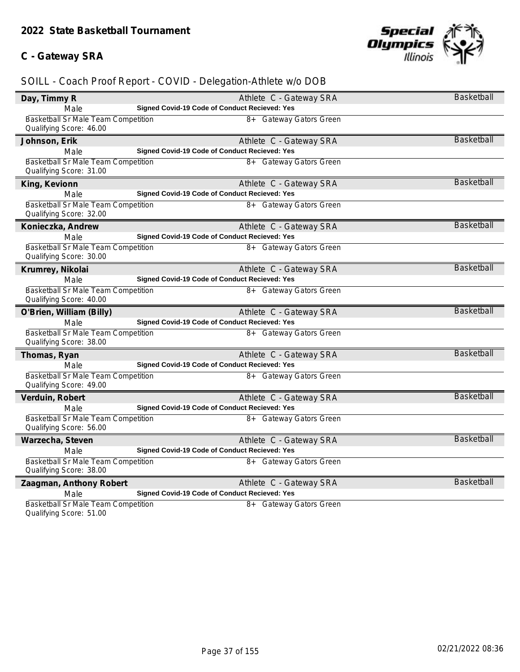## **C - Gateway SRA**



| Day, Timmy R                                                          | Athlete C - Gateway SRA                              | <b>Basketball</b> |
|-----------------------------------------------------------------------|------------------------------------------------------|-------------------|
| Male                                                                  | Signed Covid-19 Code of Conduct Recieved: Yes        |                   |
| <b>Basketball Sr Male Team Competition</b><br>Qualifying Score: 46.00 | 8+ Gateway Gators Green                              |                   |
| Johnson, Erik                                                         | Athlete C - Gateway SRA                              | <b>Basketball</b> |
| Male                                                                  | Signed Covid-19 Code of Conduct Recieved: Yes        |                   |
| Basketball Sr Male Team Competition<br>Qualifying Score: 31.00        | 8+ Gateway Gators Green                              |                   |
| King, Kevionn                                                         | Athlete C - Gateway SRA                              | <b>Basketball</b> |
| Male                                                                  | <b>Signed Covid-19 Code of Conduct Recieved: Yes</b> |                   |
| Basketball Sr Male Team Competition<br>Qualifying Score: 32.00        | 8+ Gateway Gators Green                              |                   |
| Konieczka, Andrew                                                     | Athlete C - Gateway SRA                              | <b>Basketball</b> |
| Male                                                                  | Signed Covid-19 Code of Conduct Recieved: Yes        |                   |
| Basketball Sr Male Team Competition<br>Qualifying Score: 30.00        | 8+ Gateway Gators Green                              |                   |
| Krumrey, Nikolai                                                      | Athlete C - Gateway SRA                              | <b>Basketball</b> |
| Male                                                                  | Signed Covid-19 Code of Conduct Recieved: Yes        |                   |
| Basketball Sr Male Team Competition<br>Qualifying Score: 40.00        | 8+ Gateway Gators Green                              |                   |
| O'Brien, William (Billy)                                              | Athlete C - Gateway SRA                              | <b>Basketball</b> |
| Male                                                                  | Signed Covid-19 Code of Conduct Recieved: Yes        |                   |
| Basketball Sr Male Team Competition<br>Qualifying Score: 38.00        | 8+ Gateway Gators Green                              |                   |
| Thomas, Ryan                                                          | Athlete C - Gateway SRA                              | <b>Basketball</b> |
| Male                                                                  | Signed Covid-19 Code of Conduct Recieved: Yes        |                   |
| Basketball Sr Male Team Competition<br>Qualifying Score: 49.00        | 8+ Gateway Gators Green                              |                   |
| Verduin, Robert                                                       | Athlete C - Gateway SRA                              | <b>Basketball</b> |
| Male                                                                  | Signed Covid-19 Code of Conduct Recieved: Yes        |                   |
| Basketball Sr Male Team Competition<br>Qualifying Score: 56.00        | 8+ Gateway Gators Green                              |                   |
| Warzecha, Steven                                                      | Athlete C - Gateway SRA                              | <b>Basketball</b> |
| Male                                                                  | Signed Covid-19 Code of Conduct Recieved: Yes        |                   |
| Basketball Sr Male Team Competition<br>Qualifying Score: 38.00        | 8+ Gateway Gators Green                              |                   |
| Zaagman, Anthony Robert                                               | Athlete C - Gateway SRA                              | <b>Basketball</b> |
| Male                                                                  | Signed Covid-19 Code of Conduct Recieved: Yes        |                   |
| Basketball Sr Male Team Competition<br>Qualifying Score: 51.00        | 8+ Gateway Gators Green                              |                   |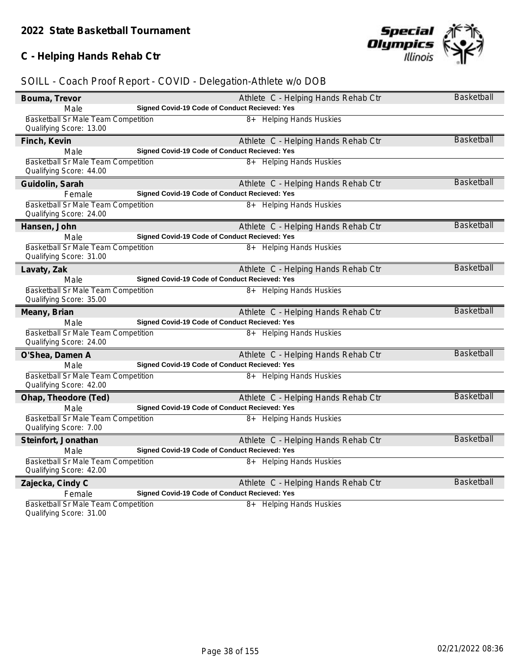## **C - Helping Hands Rehab Ctr**

| Bouma, Trevor                                                         |                                               | Athlete C - Helping Hands Rehab Ctr | <b>Basketball</b> |
|-----------------------------------------------------------------------|-----------------------------------------------|-------------------------------------|-------------------|
| Male                                                                  | Signed Covid-19 Code of Conduct Recieved: Yes |                                     |                   |
| <b>Basketball Sr Male Team Competition</b><br>Qualifying Score: 13.00 |                                               | 8+ Helping Hands Huskies            |                   |
| Finch, Kevin                                                          |                                               | Athlete C - Helping Hands Rehab Ctr | <b>Basketball</b> |
| Male                                                                  | Signed Covid-19 Code of Conduct Recieved: Yes |                                     |                   |
| Basketball Sr Male Team Competition<br>Qualifying Score: 44.00        |                                               | 8+ Helping Hands Huskies            |                   |
| Guidolin, Sarah                                                       |                                               | Athlete C - Helping Hands Rehab Ctr | <b>Basketball</b> |
| Female                                                                | Signed Covid-19 Code of Conduct Recieved: Yes |                                     |                   |
| Basketball Sr Male Team Competition<br>Qualifying Score: 24.00        |                                               | 8+ Helping Hands Huskies            |                   |
| Hansen, John                                                          |                                               | Athlete C - Helping Hands Rehab Ctr | <b>Basketball</b> |
| Male                                                                  | Signed Covid-19 Code of Conduct Recieved: Yes |                                     |                   |
| Basketball Sr Male Team Competition<br>Qualifying Score: 31.00        |                                               | 8+ Helping Hands Huskies            |                   |
| Lavaty, Zak                                                           |                                               | Athlete C - Helping Hands Rehab Ctr | <b>Basketball</b> |
| Male                                                                  | Signed Covid-19 Code of Conduct Recieved: Yes |                                     |                   |
| Basketball Sr Male Team Competition<br>Qualifying Score: 35.00        |                                               | 8+ Helping Hands Huskies            |                   |
| Meany, Brian                                                          |                                               | Athlete C - Helping Hands Rehab Ctr | <b>Basketball</b> |
| Male                                                                  | Signed Covid-19 Code of Conduct Recieved: Yes |                                     |                   |
| Basketball Sr Male Team Competition<br>Qualifying Score: 24.00        |                                               | 8+ Helping Hands Huskies            |                   |
| O'Shea, Damen A                                                       |                                               | Athlete C - Helping Hands Rehab Ctr | <b>Basketball</b> |
| Male                                                                  | Signed Covid-19 Code of Conduct Recieved: Yes |                                     |                   |
| Basketball Sr Male Team Competition<br>Qualifying Score: 42.00        |                                               | 8+ Helping Hands Huskies            |                   |
| Ohap, Theodore (Ted)                                                  |                                               | Athlete C - Helping Hands Rehab Ctr | <b>Basketball</b> |
| Male                                                                  | Signed Covid-19 Code of Conduct Recieved: Yes |                                     |                   |
| Basketball Sr Male Team Competition<br>Qualifying Score: 7.00         |                                               | 8+ Helping Hands Huskies            |                   |
| Steinfort, Jonathan                                                   |                                               | Athlete C - Helping Hands Rehab Ctr | Basketball        |
| Male                                                                  | Signed Covid-19 Code of Conduct Recieved: Yes |                                     |                   |
| Basketball Sr Male Team Competition<br>Qualifying Score: 42.00        |                                               | 8+ Helping Hands Huskies            |                   |
| Zajecka, Cindy C                                                      |                                               | Athlete C - Helping Hands Rehab Ctr | <b>Basketball</b> |
| Female                                                                | Signed Covid-19 Code of Conduct Recieved: Yes |                                     |                   |
| Basketball Sr Male Team Competition<br>Qualifying Score: 31.00        |                                               | 8+ Helping Hands Huskies            |                   |

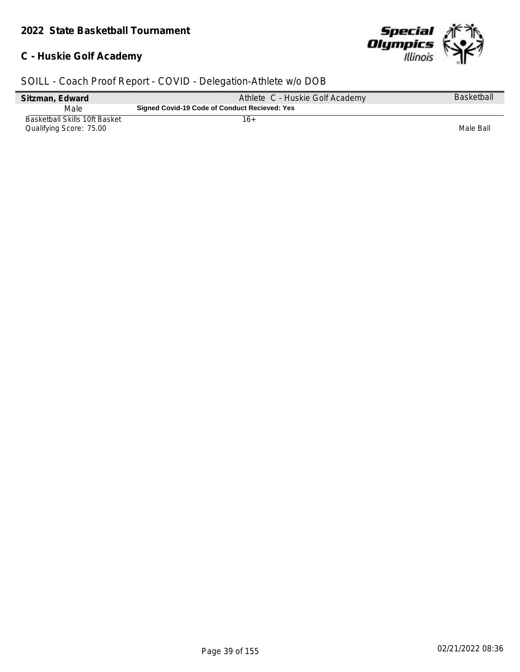## **C - Huskie Golf Academy**



| Sitzman, Edward                                                 | Athlete C - Huskie Golf Academy               | <b>Basketball</b> |
|-----------------------------------------------------------------|-----------------------------------------------|-------------------|
| Male                                                            | Signed Covid-19 Code of Conduct Recieved: Yes |                   |
| <b>Basketball Skills 10ft Basket</b><br>Qualifying Score: 75.00 | 16+                                           | Male Ball         |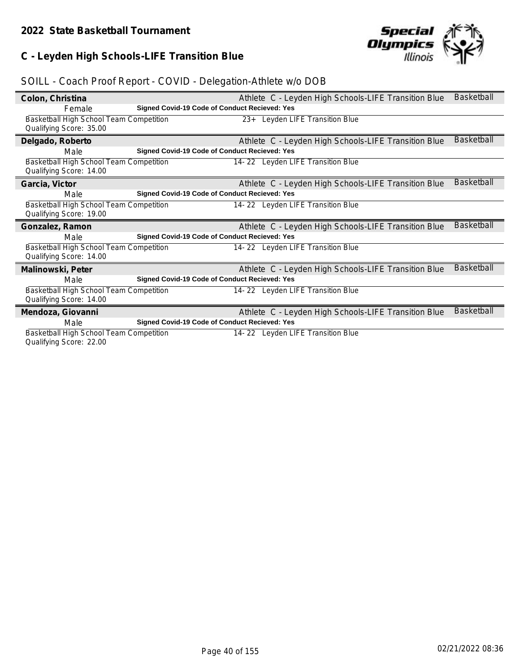## **C - Leyden High Schools-LIFE Transition Blue**



## *SOILL - Coach Proof Report - COVID - Delegation-Athlete w/o DOB*

| Colon, Christina                                                   |                                                      | Athlete C - Leyden High Schools-LIFE Transition Blue | <b>Basketball</b> |
|--------------------------------------------------------------------|------------------------------------------------------|------------------------------------------------------|-------------------|
| Female                                                             | Signed Covid-19 Code of Conduct Recieved: Yes        |                                                      |                   |
| Basketball High School Team Competition<br>Qualifying Score: 35.00 |                                                      | 23+ Leyden LIFE Transition Blue                      |                   |
| Delgado, Roberto                                                   |                                                      | Athlete C - Leyden High Schools-LIFE Transition Blue | <b>Basketball</b> |
| Male                                                               | Signed Covid-19 Code of Conduct Recieved: Yes        |                                                      |                   |
| Basketball High School Team Competition<br>Qualifying Score: 14.00 |                                                      | 14-22 Leyden LIFE Transition Blue                    |                   |
| Garcia, Victor                                                     |                                                      | Athlete C - Leyden High Schools-LIFE Transition Blue | <b>Basketball</b> |
| Male                                                               | Signed Covid-19 Code of Conduct Recieved: Yes        |                                                      |                   |
| Basketball High School Team Competition<br>Qualifying Score: 19.00 |                                                      | 14-22 Leyden LIFE Transition Blue                    |                   |
| Gonzalez, Ramon                                                    |                                                      | Athlete C - Leyden High Schools-LIFE Transition Blue | <b>Basketball</b> |
| Male                                                               | Signed Covid-19 Code of Conduct Recieved: Yes        |                                                      |                   |
| Basketball High School Team Competition<br>Qualifying Score: 14.00 |                                                      | 14-22 Leyden LIFE Transition Blue                    |                   |
| Malinowski, Peter                                                  |                                                      | Athlete C - Leyden High Schools-LIFE Transition Blue | <b>Basketball</b> |
| Male                                                               | <b>Signed Covid-19 Code of Conduct Recieved: Yes</b> |                                                      |                   |
| Basketball High School Team Competition<br>Qualifying Score: 14.00 |                                                      | 14-22 Leyden LIFE Transition Blue                    |                   |
| Mendoza, Giovanni                                                  |                                                      | Athlete C - Leyden High Schools-LIFE Transition Blue | <b>Basketball</b> |
| Male                                                               | <b>Signed Covid-19 Code of Conduct Recieved: Yes</b> |                                                      |                   |
| Basketball High School Team Competition<br>Oualifying Score: 22.00 |                                                      | 14-22 Leyden LIFE Transition Blue                    |                   |

Qualifying Score: 22.00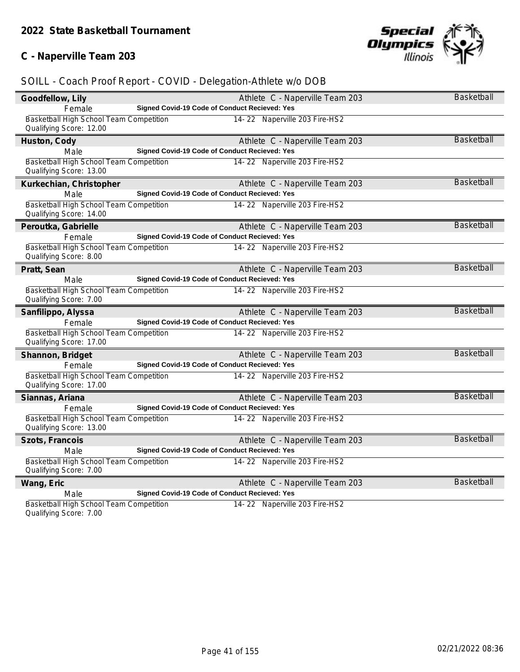## **C - Naperville Team 203**



| Goodfellow, Lily                                                   |                                                      | Athlete C - Naperville Team 203 | Basketball        |
|--------------------------------------------------------------------|------------------------------------------------------|---------------------------------|-------------------|
| Female                                                             | Signed Covid-19 Code of Conduct Recieved: Yes        |                                 |                   |
| Basketball High School Team Competition<br>Qualifying Score: 12.00 |                                                      | 14-22 Naperville 203 Fire-HS2   |                   |
| Huston, Cody                                                       |                                                      | Athlete C - Naperville Team 203 | Basketball        |
| Male                                                               | Signed Covid-19 Code of Conduct Recieved: Yes        |                                 |                   |
| Basketball High School Team Competition<br>Qualifying Score: 13.00 |                                                      | 14-22 Naperville 203 Fire-HS2   |                   |
| Kurkechian, Christopher                                            |                                                      | Athlete C - Naperville Team 203 | <b>Basketball</b> |
| Male                                                               | Signed Covid-19 Code of Conduct Recieved: Yes        |                                 |                   |
| Basketball High School Team Competition<br>Qualifying Score: 14.00 |                                                      | 14-22 Naperville 203 Fire-HS2   |                   |
| Peroutka, Gabrielle                                                |                                                      | Athlete C - Naperville Team 203 | <b>Basketball</b> |
| Female                                                             | Signed Covid-19 Code of Conduct Recieved: Yes        |                                 |                   |
| Basketball High School Team Competition<br>Qualifying Score: 8.00  |                                                      | 14-22 Naperville 203 Fire-HS2   |                   |
| Pratt, Sean                                                        |                                                      | Athlete C - Naperville Team 203 | <b>Basketball</b> |
| Male                                                               | Signed Covid-19 Code of Conduct Recieved: Yes        |                                 |                   |
| Basketball High School Team Competition<br>Qualifying Score: 7.00  |                                                      | 14-22 Naperville 203 Fire-HS2   |                   |
| Sanfilippo, Alyssa                                                 |                                                      | Athlete C - Naperville Team 203 | <b>Basketball</b> |
| Female                                                             | <b>Signed Covid-19 Code of Conduct Recieved: Yes</b> |                                 |                   |
| Basketball High School Team Competition<br>Qualifying Score: 17.00 |                                                      | 14-22 Naperville 203 Fire-HS2   |                   |
| Shannon, Bridget                                                   |                                                      | Athlete C - Naperville Team 203 | Basketball        |
| Female                                                             | Signed Covid-19 Code of Conduct Recieved: Yes        |                                 |                   |
| Basketball High School Team Competition<br>Qualifying Score: 17.00 |                                                      | 14-22 Naperville 203 Fire-HS2   |                   |
| Siannas, Ariana                                                    |                                                      | Athlete C - Naperville Team 203 | <b>Basketball</b> |
| Female                                                             | <b>Signed Covid-19 Code of Conduct Recieved: Yes</b> |                                 |                   |
| Basketball High School Team Competition<br>Qualifying Score: 13.00 |                                                      | 14-22 Naperville 203 Fire-HS2   |                   |
| Szots, Francois                                                    |                                                      | Athlete C - Naperville Team 203 | <b>Basketball</b> |
| Male                                                               | Signed Covid-19 Code of Conduct Recieved: Yes        |                                 |                   |
| Basketball High School Team Competition<br>Qualifying Score: 7.00  |                                                      | 14-22 Naperville 203 Fire-HS2   |                   |
| Wang, Eric                                                         |                                                      | Athlete C - Naperville Team 203 | <b>Basketball</b> |
| Male                                                               | Signed Covid-19 Code of Conduct Recieved: Yes        |                                 |                   |
| Basketball High School Team Competition<br>Qualifying Score: 7.00  |                                                      | 14-22 Naperville 203 Fire-HS2   |                   |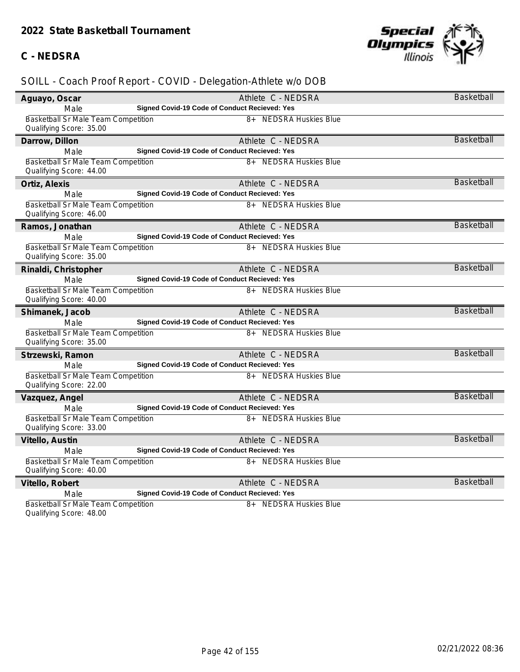#### **C - NEDSRA**



| Aguayo, Oscar                                                  | Athlete C - NEDSRA                            | <b>Basketball</b> |
|----------------------------------------------------------------|-----------------------------------------------|-------------------|
| Male                                                           | Signed Covid-19 Code of Conduct Recieved: Yes |                   |
| Basketball Sr Male Team Competition<br>Qualifying Score: 35.00 | <b>NEDSRA Huskies Blue</b><br>$8+$            |                   |
| Darrow, Dillon                                                 | Athlete C - NEDSRA                            | <b>Basketball</b> |
| Male                                                           | Signed Covid-19 Code of Conduct Recieved: Yes |                   |
| Basketball Sr Male Team Competition<br>Qualifying Score: 44.00 | <b>NEDSRA Huskies Blue</b><br>8+              |                   |
| Ortiz, Alexis                                                  | Athlete C - NEDSRA                            | <b>Basketball</b> |
| Male                                                           | Signed Covid-19 Code of Conduct Recieved: Yes |                   |
| Basketball Sr Male Team Competition<br>Qualifying Score: 46.00 | <b>NEDSRA Huskies Blue</b><br>$8+$            |                   |
| Ramos, Jonathan                                                | Athlete C - NEDSRA                            | <b>Basketball</b> |
| Male                                                           | Signed Covid-19 Code of Conduct Recieved: Yes |                   |
| Basketball Sr Male Team Competition                            | 8+ NEDSRA Huskies Blue                        |                   |
| Qualifying Score: 35.00                                        |                                               |                   |
| Rinaldi, Christopher                                           | Athlete C - NEDSRA                            | <b>Basketball</b> |
| Male                                                           | Signed Covid-19 Code of Conduct Recieved: Yes |                   |
| Basketball Sr Male Team Competition<br>Qualifying Score: 40.00 | 8+ NEDSRA Huskies Blue                        |                   |
| Shimanek, Jacob                                                | Athlete C - NEDSRA                            | <b>Basketball</b> |
| Male                                                           | Signed Covid-19 Code of Conduct Recieved: Yes |                   |
| Basketball Sr Male Team Competition<br>Qualifying Score: 35.00 | 8+ NEDSRA Huskies Blue                        |                   |
| Strzewski, Ramon                                               | Athlete C - NEDSRA                            | <b>Basketball</b> |
| Male                                                           | Signed Covid-19 Code of Conduct Recieved: Yes |                   |
| Basketball Sr Male Team Competition<br>Qualifying Score: 22.00 | 8+ NEDSRA Huskies Blue                        |                   |
| Vazquez, Angel                                                 | Athlete C - NEDSRA                            | <b>Basketball</b> |
| Male                                                           | Signed Covid-19 Code of Conduct Recieved: Yes |                   |
| Basketball Sr Male Team Competition<br>Qualifying Score: 33.00 | <b>NEDSRA Huskies Blue</b><br>$8+$            |                   |
| Vitello, Austin                                                | Athlete C - NEDSRA                            | <b>Basketball</b> |
| Male                                                           | Signed Covid-19 Code of Conduct Recieved: Yes |                   |
| Basketball Sr Male Team Competition                            | 8+ NEDSRA Huskies Blue                        |                   |
| Qualifying Score: 40.00                                        |                                               |                   |
| Vitello, Robert                                                | Athlete C - NEDSRA                            | <b>Basketball</b> |
| Male                                                           | Signed Covid-19 Code of Conduct Recieved: Yes |                   |
| Basketball Sr Male Team Competition<br>Qualifying Score: 48.00 | <b>NEDSRA Huskies Blue</b><br>$8+$            |                   |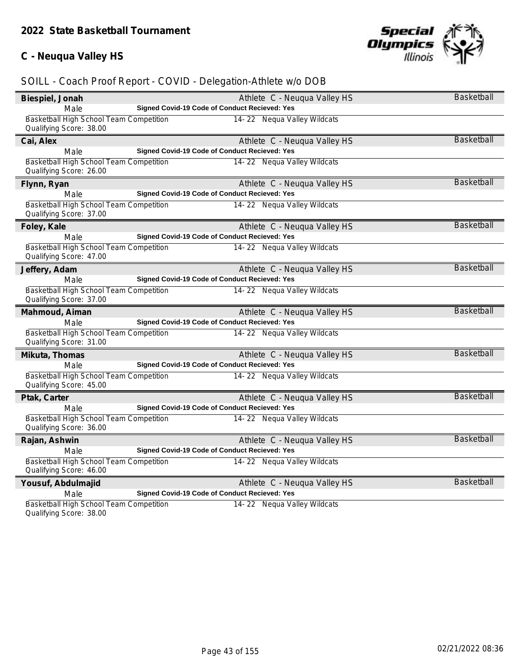## **C - Neuqua Valley HS**



| Biespiel, Jonah                                                    |                                                      | Athlete C - Neuqua Valley HS | <b>Basketball</b> |
|--------------------------------------------------------------------|------------------------------------------------------|------------------------------|-------------------|
| Male                                                               | Signed Covid-19 Code of Conduct Recieved: Yes        |                              |                   |
| Basketball High School Team Competition<br>Qualifying Score: 38.00 |                                                      | 14-22 Nequa Valley Wildcats  |                   |
| Cai, Alex                                                          |                                                      | Athlete C - Neuqua Valley HS | <b>Basketball</b> |
| Male                                                               | <b>Signed Covid-19 Code of Conduct Recieved: Yes</b> |                              |                   |
| Basketball High School Team Competition<br>Qualifying Score: 26.00 |                                                      | 14-22 Nequa Valley Wildcats  |                   |
| Flynn, Ryan                                                        |                                                      | Athlete C - Neuqua Valley HS | <b>Basketball</b> |
| Male                                                               | Signed Covid-19 Code of Conduct Recieved: Yes        |                              |                   |
| Basketball High School Team Competition<br>Qualifying Score: 37.00 |                                                      | 14-22 Nequa Valley Wildcats  |                   |
| Foley, Kale                                                        |                                                      | Athlete C - Neuqua Valley HS | <b>Basketball</b> |
| Male                                                               | <b>Signed Covid-19 Code of Conduct Recieved: Yes</b> |                              |                   |
| Basketball High School Team Competition<br>Qualifying Score: 47.00 |                                                      | 14-22 Nequa Valley Wildcats  |                   |
| Jeffery, Adam                                                      |                                                      | Athlete C - Neuqua Valley HS | <b>Basketball</b> |
| Male                                                               | Signed Covid-19 Code of Conduct Recieved: Yes        |                              |                   |
| Basketball High School Team Competition<br>Qualifying Score: 37.00 |                                                      | 14-22 Nequa Valley Wildcats  |                   |
| Mahmoud, Aiman                                                     |                                                      | Athlete C - Neuqua Valley HS | <b>Basketball</b> |
| Male                                                               | Signed Covid-19 Code of Conduct Recieved: Yes        |                              |                   |
| Basketball High School Team Competition<br>Qualifying Score: 31.00 |                                                      | 14-22 Nequa Valley Wildcats  |                   |
| Mikuta, Thomas                                                     |                                                      | Athlete C - Neuqua Valley HS | <b>Basketball</b> |
| Male                                                               | Signed Covid-19 Code of Conduct Recieved: Yes        |                              |                   |
| Basketball High School Team Competition<br>Qualifying Score: 45.00 |                                                      | 14-22 Nequa Valley Wildcats  |                   |
| Ptak, Carter                                                       |                                                      | Athlete C - Neuqua Valley HS | <b>Basketball</b> |
| Male                                                               | Signed Covid-19 Code of Conduct Recieved: Yes        |                              |                   |
| Basketball High School Team Competition<br>Qualifying Score: 36.00 |                                                      | 14-22 Nequa Valley Wildcats  |                   |
| Rajan, Ashwin                                                      |                                                      | Athlete C - Neuqua Valley HS | <b>Basketball</b> |
| Male                                                               | <b>Signed Covid-19 Code of Conduct Recieved: Yes</b> |                              |                   |
| Basketball High School Team Competition<br>Qualifying Score: 46.00 |                                                      | 14-22 Nequa Valley Wildcats  |                   |
| Yousuf, Abdulmajid                                                 |                                                      | Athlete C - Neuqua Valley HS | <b>Basketball</b> |
| Male                                                               | Signed Covid-19 Code of Conduct Recieved: Yes        |                              |                   |
| Basketball High School Team Competition<br>Qualifying Score: 38.00 |                                                      | 14-22 Nequa Valley Wildcats  |                   |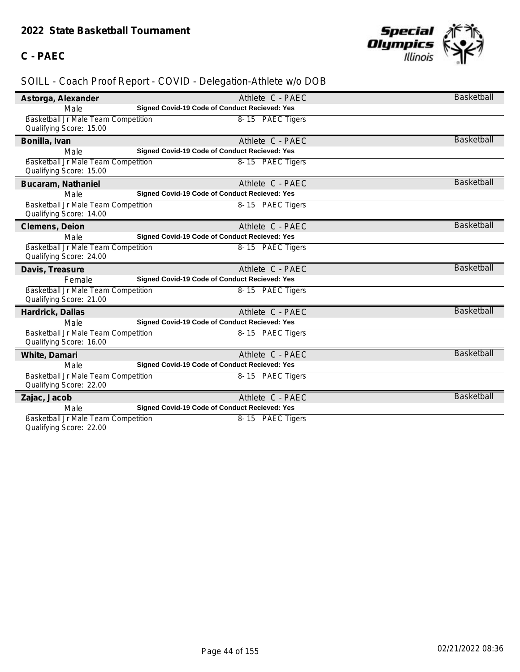## **C - PAEC**



| Astorga, Alexander                                             | Athlete C - PAEC                              | Basketball        |
|----------------------------------------------------------------|-----------------------------------------------|-------------------|
| Male                                                           | Signed Covid-19 Code of Conduct Recieved: Yes |                   |
| Basketball Jr Male Team Competition<br>Qualifying Score: 15.00 | 8-15 PAEC Tigers                              |                   |
| Bonilla, Ivan                                                  | Athlete C - PAEC                              | <b>Basketball</b> |
| Male                                                           | Signed Covid-19 Code of Conduct Recieved: Yes |                   |
| Basketball Jr Male Team Competition<br>Qualifying Score: 15.00 | 8-15 PAEC Tigers                              |                   |
| Bucaram, Nathaniel                                             | Athlete C - PAEC                              | <b>Basketball</b> |
| Male                                                           | Signed Covid-19 Code of Conduct Recieved: Yes |                   |
| Basketball Jr Male Team Competition<br>Qualifying Score: 14.00 | 8-15 PAEC Tigers                              |                   |
| Clemens, Deion                                                 | Athlete C - PAEC                              | <b>Basketball</b> |
| Male                                                           | Signed Covid-19 Code of Conduct Recieved: Yes |                   |
| Basketball Jr Male Team Competition<br>Qualifying Score: 24.00 | 8-15 PAEC Tigers                              |                   |
| Davis, Treasure                                                | Athlete C - PAEC                              | <b>Basketball</b> |
| Female                                                         | Signed Covid-19 Code of Conduct Recieved: Yes |                   |
| Basketball Jr Male Team Competition<br>Qualifying Score: 21.00 | 8-15 PAEC Tigers                              |                   |
| Hardrick, Dallas                                               | Athlete C - PAEC                              | Basketball        |
| Male                                                           | Signed Covid-19 Code of Conduct Recieved: Yes |                   |
| Basketball Jr Male Team Competition<br>Qualifying Score: 16.00 | 8-15 PAEC Tigers                              |                   |
| White, Damari                                                  | Athlete C - PAEC                              | <b>Basketball</b> |
| Male                                                           | Signed Covid-19 Code of Conduct Recieved: Yes |                   |
| Basketball Jr Male Team Competition<br>Qualifying Score: 22.00 | 8-15 PAEC Tigers                              |                   |
| Zajac, Jacob                                                   | Athlete C - PAEC                              | <b>Basketball</b> |
| Male                                                           | Signed Covid-19 Code of Conduct Recieved: Yes |                   |
| Basketball Jr Male Team Competition<br>Qualifying Score: 22.00 | 8-15 PAEC Tigers                              |                   |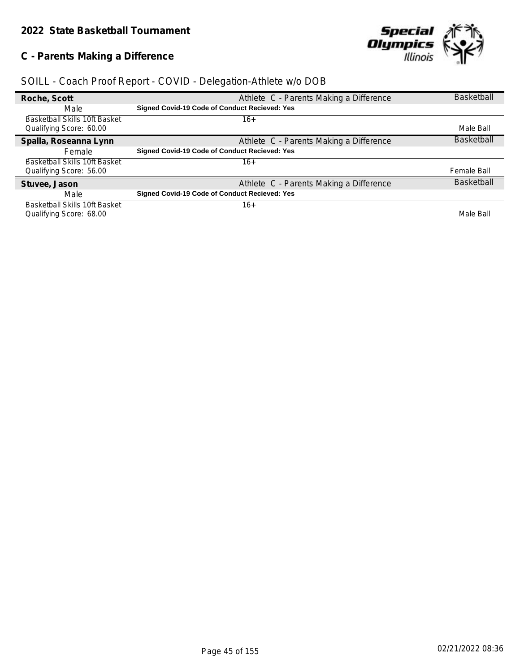## **C - Parents Making a Difference**



| Roche, Scott                         | Athlete C - Parents Making a Difference              | <b>Basketball</b> |
|--------------------------------------|------------------------------------------------------|-------------------|
| Male                                 | <b>Signed Covid-19 Code of Conduct Recieved: Yes</b> |                   |
| Basketball Skills 10ft Basket        | 16+                                                  |                   |
| Qualifying Score: 60.00              |                                                      | Male Ball         |
| Spalla, Roseanna Lynn                | Athlete C - Parents Making a Difference              | <b>Basketball</b> |
| Female                               | <b>Signed Covid-19 Code of Conduct Recieved: Yes</b> |                   |
| <b>Basketball Skills 10ft Basket</b> | 16+                                                  |                   |
| Qualifying Score: 56.00              |                                                      | Female Ball       |
| Stuvee, Jason                        | Athlete C - Parents Making a Difference              | <b>Basketball</b> |
| Male                                 | <b>Signed Covid-19 Code of Conduct Recieved: Yes</b> |                   |
| Basketball Skills 10ft Basket        | 16+                                                  |                   |
| Qualifying Score: 68.00              |                                                      | Male Ball         |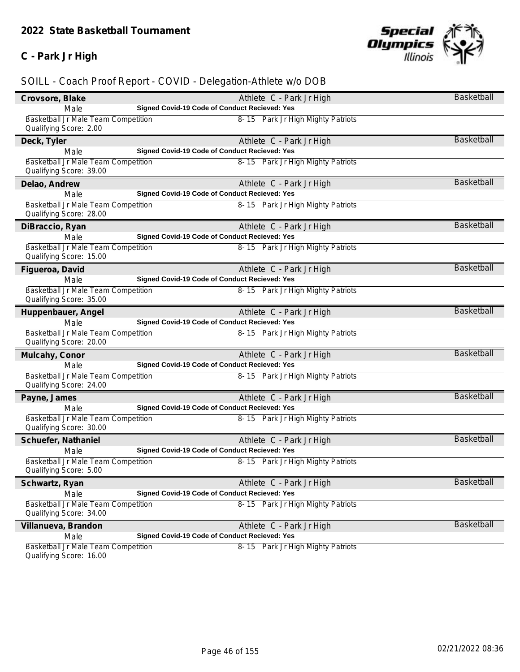## **C - Park Jr High**



## *SOILL - Coach Proof Report - COVID - Delegation-Athlete w/o DOB*

| Crovsore, Blake                                                | Athlete C - Park Jr High                      | Basketball        |
|----------------------------------------------------------------|-----------------------------------------------|-------------------|
| Male                                                           | Signed Covid-19 Code of Conduct Recieved: Yes |                   |
| Basketball Jr Male Team Competition                            | 8-15 Park Jr High Mighty Patriots             |                   |
| Qualifying Score: 2.00                                         |                                               |                   |
| Deck, Tyler                                                    | Athlete C - Park Jr High                      | <b>Basketball</b> |
| Male                                                           | Signed Covid-19 Code of Conduct Recieved: Yes |                   |
| Basketball Jr Male Team Competition                            | 8-15 Park Jr High Mighty Patriots             |                   |
| Qualifying Score: 39.00                                        |                                               |                   |
| Delao, Andrew                                                  | Athlete C - Park Jr High                      | Basketball        |
| Male                                                           | Signed Covid-19 Code of Conduct Recieved: Yes |                   |
| Basketball Jr Male Team Competition                            | 8-15 Park Jr High Mighty Patriots             |                   |
| Qualifying Score: 28.00                                        |                                               |                   |
| DiBraccio, Ryan                                                | Athlete C - Park Jr High                      | <b>Basketball</b> |
| Male                                                           | Signed Covid-19 Code of Conduct Recieved: Yes |                   |
| Basketball Jr Male Team Competition                            | 8-15 Park Jr High Mighty Patriots             |                   |
| Qualifying Score: 15.00                                        |                                               |                   |
| Figueroa, David                                                | Athlete C - Park Jr High                      | <b>Basketball</b> |
| Male                                                           | Signed Covid-19 Code of Conduct Recieved: Yes |                   |
| Basketball Jr Male Team Competition                            | 8-15 Park Jr High Mighty Patriots             |                   |
| Qualifying Score: 35.00                                        |                                               |                   |
| Huppenbauer, Angel                                             | Athlete C - Park Jr High                      | <b>Basketball</b> |
| Male                                                           | Signed Covid-19 Code of Conduct Recieved: Yes |                   |
| Basketball Jr Male Team Competition                            | 8-15 Park Jr High Mighty Patriots             |                   |
| Qualifying Score: 20.00                                        |                                               |                   |
| Mulcahy, Conor                                                 | Athlete C - Park Jr High                      | <b>Basketball</b> |
| Male                                                           | Signed Covid-19 Code of Conduct Recieved: Yes |                   |
| Basketball Jr Male Team Competition                            | 8-15 Park Jr High Mighty Patriots             |                   |
| Qualifying Score: 24.00                                        |                                               |                   |
| Payne, James                                                   | Athlete C - Park Jr High                      | <b>Basketball</b> |
| Male                                                           | Signed Covid-19 Code of Conduct Recieved: Yes |                   |
| Basketball Jr Male Team Competition                            | 8-15 Park Jr High Mighty Patriots             |                   |
| Qualifying Score: 30.00                                        |                                               |                   |
| Schuefer, Nathaniel                                            | Athlete C - Park Jr High                      | Basketball        |
| Male                                                           | Signed Covid-19 Code of Conduct Recieved: Yes |                   |
| Basketball Jr Male Team Competition                            | 8-15 Park Jr High Mighty Patriots             |                   |
| Qualifying Score: 5.00                                         |                                               |                   |
| Schwartz, Ryan                                                 | Athlete C - Park Jr High                      | Basketball        |
| Male                                                           | Signed Covid-19 Code of Conduct Recieved: Yes |                   |
| Basketball Jr Male Team Competition                            | 8-15 Park Jr High Mighty Patriots             |                   |
| Qualifying Score: 34.00                                        |                                               |                   |
| Villanueva, Brandon                                            | Athlete C - Park Jr High                      | <b>Basketball</b> |
| Male                                                           | Signed Covid-19 Code of Conduct Recieved: Yes |                   |
| Basketball Jr Male Team Competition<br>Qualifying Scoro: 16.00 | 8-15 Park Jr High Mighty Patriots             |                   |
|                                                                |                                               |                   |

Qualifying Score: 16.00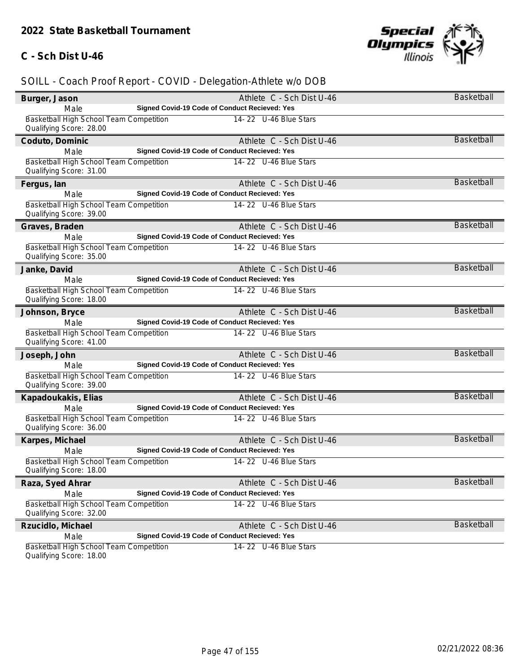#### **C - Sch Dist U-46**



## *SOILL - Coach Proof Report - COVID - Delegation-Athlete w/o DOB*

| Burger, Jason                                                             | Athlete C - Sch Dist U-46                     | Basketball        |
|---------------------------------------------------------------------------|-----------------------------------------------|-------------------|
| Male                                                                      | Signed Covid-19 Code of Conduct Recieved: Yes |                   |
| Basketball High School Team Competition<br>Qualifying Score: 28.00        | 14-22 U-46 Blue Stars                         |                   |
| Coduto, Dominic                                                           | Athlete C - Sch Dist U-46                     | <b>Basketball</b> |
| Male                                                                      | Signed Covid-19 Code of Conduct Recieved: Yes |                   |
| Basketball High School Team Competition<br>Qualifying Score: 31.00        | 14-22 U-46 Blue Stars                         |                   |
| Fergus, lan                                                               | Athlete C - Sch Dist U-46                     | <b>Basketball</b> |
| Male                                                                      | Signed Covid-19 Code of Conduct Recieved: Yes |                   |
| Basketball High School Team Competition<br>Qualifying Score: 39.00        | 14-22 U-46 Blue Stars                         |                   |
| Graves, Braden                                                            | Athlete C - Sch Dist U-46                     | <b>Basketball</b> |
| Male                                                                      | Signed Covid-19 Code of Conduct Recieved: Yes |                   |
| Basketball High School Team Competition<br>Qualifying Score: 35.00        | 14-22 U-46 Blue Stars                         |                   |
| Janke, David                                                              | Athlete C - Sch Dist U-46                     | <b>Basketball</b> |
| Male                                                                      | Signed Covid-19 Code of Conduct Recieved: Yes |                   |
| Basketball High School Team Competition<br>Qualifying Score: 18.00        | 14-22 U-46 Blue Stars                         |                   |
| Johnson, Bryce                                                            | Athlete C - Sch Dist U-46                     | <b>Basketball</b> |
| Male                                                                      | Signed Covid-19 Code of Conduct Recieved: Yes |                   |
| Basketball High School Team Competition<br>Qualifying Score: 41.00        | 14-22 U-46 Blue Stars                         |                   |
| Joseph, John                                                              | Athlete C - Sch Dist U-46                     | <b>Basketball</b> |
| Male                                                                      | Signed Covid-19 Code of Conduct Recieved: Yes |                   |
| Basketball High School Team Competition<br>Qualifying Score: 39.00        | 14-22 U-46 Blue Stars                         |                   |
| Kapadoukakis, Elias                                                       | Athlete C - Sch Dist U-46                     | <b>Basketball</b> |
| Male                                                                      | Signed Covid-19 Code of Conduct Recieved: Yes |                   |
| Basketball High School Team Competition<br>Qualifying Score: 36.00        | 14-22 U-46 Blue Stars                         |                   |
| Karpes, Michael                                                           | Athlete C - Sch Dist U-46                     | <b>Basketball</b> |
| Male                                                                      | Signed Covid-19 Code of Conduct Recieved: Yes |                   |
| Basketball High School Team Competition<br>Qualifying Score: 18.00        | 14-22 U-46 Blue Stars                         |                   |
| Raza, Syed Ahrar                                                          | Athlete C - Sch Dist U-46                     | Basketball        |
| Male                                                                      | Signed Covid-19 Code of Conduct Recieved: Yes |                   |
| Basketball High School Team Competition<br>Qualifying Score: 32.00        | 14-22 U-46 Blue Stars                         |                   |
| Rzucidlo, Michael                                                         | Athlete C - Sch Dist U-46                     | <b>Basketball</b> |
| Male                                                                      | Signed Covid-19 Code of Conduct Recieved: Yes |                   |
| <b>Basketball High School Team Competition</b><br>Qualifying Score: 18.00 | 14-22 U-46 Blue Stars                         |                   |

Qualifying Score: 18.00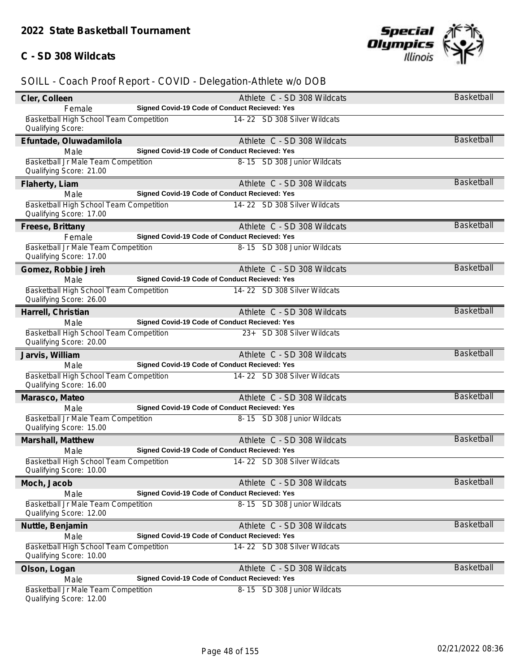#### **C - SD 308 Wildcats**



| Cler, Colleen                                                      |                                               | Athlete C - SD 308 Wildcats  | Basketball        |
|--------------------------------------------------------------------|-----------------------------------------------|------------------------------|-------------------|
| Female                                                             | Signed Covid-19 Code of Conduct Recieved: Yes |                              |                   |
| Basketball High School Team Competition<br>Qualifying Score:       |                                               | 14-22 SD 308 Silver Wildcats |                   |
| Efuntade, Oluwadamilola                                            |                                               | Athlete C - SD 308 Wildcats  | <b>Basketball</b> |
| Male                                                               | Signed Covid-19 Code of Conduct Recieved: Yes |                              |                   |
| Basketball Jr Male Team Competition<br>Qualifying Score: 21.00     |                                               | 8-15 SD 308 Junior Wildcats  |                   |
| Flaherty, Liam                                                     |                                               | Athlete C - SD 308 Wildcats  | <b>Basketball</b> |
| Male                                                               | Signed Covid-19 Code of Conduct Recieved: Yes |                              |                   |
| Basketball High School Team Competition<br>Qualifying Score: 17.00 |                                               | 14-22 SD 308 Silver Wildcats |                   |
| Freese, Brittany                                                   |                                               | Athlete C - SD 308 Wildcats  | <b>Basketball</b> |
| Female                                                             | Signed Covid-19 Code of Conduct Recieved: Yes |                              |                   |
| Basketball Jr Male Team Competition<br>Qualifying Score: 17.00     |                                               | 8-15 SD 308 Junior Wildcats  |                   |
| Gomez, Robbie Jireh                                                |                                               | Athlete C - SD 308 Wildcats  | Basketball        |
| Male                                                               | Signed Covid-19 Code of Conduct Recieved: Yes |                              |                   |
| Basketball High School Team Competition<br>Qualifying Score: 26.00 |                                               | 14-22 SD 308 Silver Wildcats |                   |
| Harrell, Christian                                                 |                                               | Athlete C - SD 308 Wildcats  | Basketball        |
| Male                                                               | Signed Covid-19 Code of Conduct Recieved: Yes |                              |                   |
| Basketball High School Team Competition<br>Qualifying Score: 20.00 |                                               | 23+ SD 308 Silver Wildcats   |                   |
| Jarvis, William                                                    |                                               | Athlete C - SD 308 Wildcats  | <b>Basketball</b> |
| Male                                                               | Signed Covid-19 Code of Conduct Recieved: Yes |                              |                   |
| Basketball High School Team Competition<br>Qualifying Score: 16.00 |                                               | 14-22 SD 308 Silver Wildcats |                   |
| Marasco, Mateo                                                     |                                               | Athlete C - SD 308 Wildcats  | <b>Basketball</b> |
| Male                                                               | Signed Covid-19 Code of Conduct Recieved: Yes |                              |                   |
| Basketball Jr Male Team Competition<br>Qualifying Score: 15.00     |                                               | 8-15 SD 308 Junior Wildcats  |                   |
| Marshall, Matthew                                                  |                                               | Athlete C - SD 308 Wildcats  | <b>Basketball</b> |
| Male                                                               | Signed Covid-19 Code of Conduct Recieved: Yes |                              |                   |
| Basketball High School Team Competition<br>Qualifying Score: 10.00 |                                               | 14-22 SD 308 Silver Wildcats |                   |
| Moch, Jacob                                                        |                                               | Athlete C - SD 308 Wildcats  | Basketball        |
| Male                                                               | Signed Covid-19 Code of Conduct Recieved: Yes |                              |                   |
| Basketball Jr Male Team Competition<br>Qualifying Score: 12.00     |                                               | 8-15 SD 308 Junior Wildcats  |                   |
| Nuttle, Benjamin                                                   |                                               | Athlete C - SD 308 Wildcats  | Basketball        |
| Male                                                               | Signed Covid-19 Code of Conduct Recieved: Yes |                              |                   |
| Basketball High School Team Competition<br>Qualifying Score: 10.00 |                                               | 14-22 SD 308 Silver Wildcats |                   |
| Olson, Logan                                                       |                                               | Athlete C - SD 308 Wildcats  | Basketball        |
| Male                                                               | Signed Covid-19 Code of Conduct Recieved: Yes |                              |                   |
| Basketball Jr Male Team Competition<br>Qualifying Score: 12.00     |                                               | 8-15 SD 308 Junior Wildcats  |                   |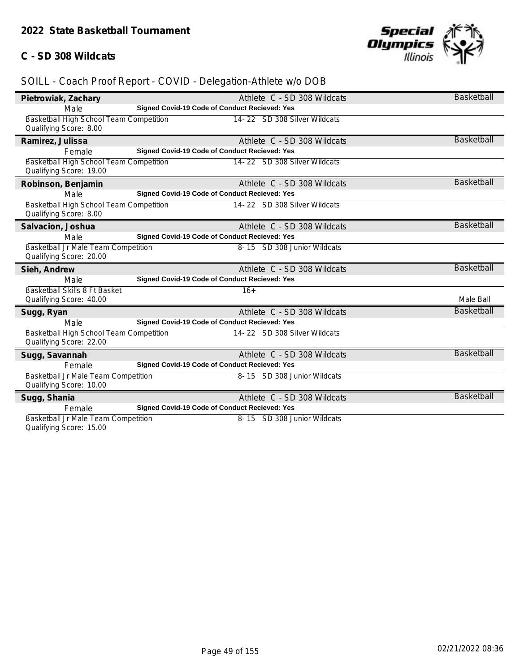#### **C - SD 308 Wildcats**



## *SOILL - Coach Proof Report - COVID - Delegation-Athlete w/o DOB*

| Pietrowiak, Zachary                     | Athlete C - SD 308 Wildcats                   | Basketball        |
|-----------------------------------------|-----------------------------------------------|-------------------|
| Male                                    | Signed Covid-19 Code of Conduct Recieved: Yes |                   |
| Basketball High School Team Competition | 14-22 SD 308 Silver Wildcats                  |                   |
| Qualifying Score: 8.00                  |                                               |                   |
| Ramirez, Julissa                        | Athlete C - SD 308 Wildcats                   | <b>Basketball</b> |
| Female                                  | Signed Covid-19 Code of Conduct Recieved: Yes |                   |
| Basketball High School Team Competition | 14-22 SD 308 Silver Wildcats                  |                   |
| Qualifying Score: 19.00                 |                                               |                   |
| Robinson, Benjamin                      | Athlete C - SD 308 Wildcats                   | <b>Basketball</b> |
| Male                                    | Signed Covid-19 Code of Conduct Recieved: Yes |                   |
| Basketball High School Team Competition | 14-22 SD 308 Silver Wildcats                  |                   |
| Qualifying Score: 8.00                  |                                               |                   |
| Salvacion, Joshua                       | Athlete C - SD 308 Wildcats                   | <b>Basketball</b> |
| Male                                    | Signed Covid-19 Code of Conduct Recieved: Yes |                   |
| Basketball Jr Male Team Competition     | 8-15 SD 308 Junior Wildcats                   |                   |
| Qualifying Score: 20.00                 |                                               |                   |
| Sieh, Andrew                            | Athlete C - SD 308 Wildcats                   | <b>Basketball</b> |
| Male                                    | Signed Covid-19 Code of Conduct Recieved: Yes |                   |
| Basketball Skills 8 Ft Basket           | $16+$                                         |                   |
| Qualifying Score: 40.00                 |                                               | Male Ball         |
| Sugg, Ryan                              | Athlete C - SD 308 Wildcats                   | <b>Basketball</b> |
| Male                                    | Signed Covid-19 Code of Conduct Recieved: Yes |                   |
| Basketball High School Team Competition | 14-22 SD 308 Silver Wildcats                  |                   |
| Qualifying Score: 22.00                 |                                               |                   |
| Sugg, Savannah                          | Athlete C - SD 308 Wildcats                   | <b>Basketball</b> |
| Female                                  | Signed Covid-19 Code of Conduct Recieved: Yes |                   |
| Basketball Jr Male Team Competition     | 8-15 SD 308 Junior Wildcats                   |                   |
| Qualifying Score: 10.00                 |                                               |                   |
| Sugg, Shania                            | Athlete C - SD 308 Wildcats                   | <b>Basketball</b> |
| Female                                  | Signed Covid-19 Code of Conduct Recieved: Yes |                   |
| Basketball Jr Male Team Competition     | 8-15 SD 308 Junior Wildcats                   |                   |

Qualifying Score: 15.00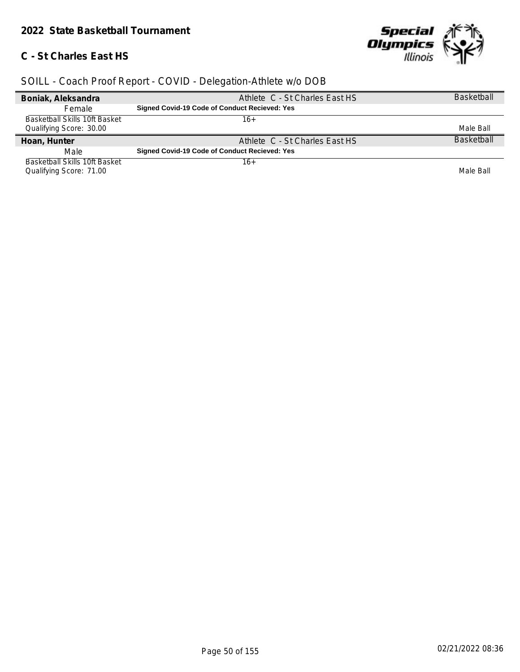## **C - St Charles East HS**



| Boniak, Aleksandra            | Athlete C - St Charles East HS                | <b>Basketball</b> |
|-------------------------------|-----------------------------------------------|-------------------|
| <b>Female</b>                 | Signed Covid-19 Code of Conduct Recieved: Yes |                   |
| Basketball Skills 10ft Basket | 16+                                           |                   |
| Qualifying Score: 30.00       |                                               | Male Ball         |
|                               |                                               |                   |
| Hoan, Hunter                  | Athlete C - St Charles East HS                | <b>Basketball</b> |
| Male                          | Signed Covid-19 Code of Conduct Recieved: Yes |                   |
| Basketball Skills 10ft Basket | 16+                                           |                   |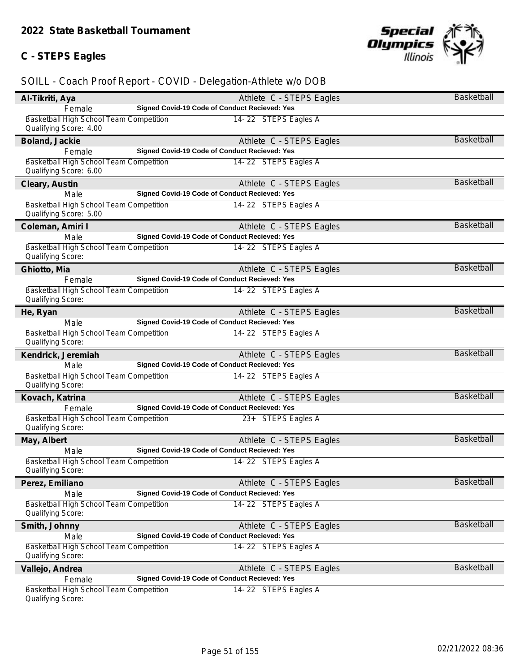## **C - STEPS Eagles**



| Al-Tikriti, Aya                                                   | Athlete C - STEPS Eagles                                                  | Basketball        |
|-------------------------------------------------------------------|---------------------------------------------------------------------------|-------------------|
| Female                                                            | Signed Covid-19 Code of Conduct Recieved: Yes                             |                   |
| Basketball High School Team Competition<br>Qualifying Score: 4.00 | 14-22 STEPS Eagles A                                                      |                   |
| Boland, Jackie                                                    | Athlete C - STEPS Eagles                                                  | <b>Basketball</b> |
| Female                                                            | Signed Covid-19 Code of Conduct Recieved: Yes                             |                   |
| Basketball High School Team Competition                           | 14-22 STEPS Eagles A                                                      |                   |
| Qualifying Score: 6.00                                            |                                                                           |                   |
| Cleary, Austin                                                    | Athlete C - STEPS Eagles                                                  | <b>Basketball</b> |
| Male                                                              | Signed Covid-19 Code of Conduct Recieved: Yes                             |                   |
| Basketball High School Team Competition<br>Qualifying Score: 5.00 | 14-22 STEPS Eagles A                                                      |                   |
| Coleman, Amiri I                                                  | Athlete C - STEPS Eagles                                                  | <b>Basketball</b> |
| Male                                                              | Signed Covid-19 Code of Conduct Recieved: Yes                             |                   |
| Basketball High School Team Competition                           | 14-22 STEPS Eagles A                                                      |                   |
| Qualifying Score:                                                 |                                                                           |                   |
| Ghiotto, Mia                                                      | Athlete C - STEPS Eagles                                                  | Basketball        |
| Female                                                            | Signed Covid-19 Code of Conduct Recieved: Yes                             |                   |
| Basketball High School Team Competition                           | 14-22 STEPS Eagles A                                                      |                   |
| Qualifying Score:                                                 |                                                                           |                   |
| He, Ryan                                                          | Athlete C - STEPS Eagles                                                  | Basketball        |
| Male                                                              | Signed Covid-19 Code of Conduct Recieved: Yes                             |                   |
| Basketball High School Team Competition<br>Qualifying Score:      | 14-22 STEPS Eagles A                                                      |                   |
| Kendrick, Jeremiah                                                | Athlete C - STEPS Eagles                                                  | <b>Basketball</b> |
| Male                                                              | Signed Covid-19 Code of Conduct Recieved: Yes                             |                   |
| Basketball High School Team Competition                           | 14-22 STEPS Eagles A                                                      |                   |
| Qualifying Score:                                                 |                                                                           |                   |
| Kovach, Katrina                                                   | Athlete C - STEPS Eagles                                                  | Basketball        |
| Female                                                            | Signed Covid-19 Code of Conduct Recieved: Yes                             |                   |
| Basketball High School Team Competition<br>Qualifying Score:      | 23+ STEPS Eagles A                                                        |                   |
| May, Albert                                                       | Athlete C - STEPS Eagles                                                  | <b>Basketball</b> |
| Male                                                              | Signed Covid-19 Code of Conduct Recieved: Yes                             |                   |
| Basketball High School Team Competition<br>Qualifying Score:      | 14-22 STEPS Eagles A                                                      |                   |
| Perez, Emiliano                                                   | Athlete C - STEPS Eagles                                                  | Basketball        |
| Male                                                              | Signed Covid-19 Code of Conduct Recieved: Yes                             |                   |
| Basketball High School Team Competition                           | 14-22 STEPS Eagles A                                                      |                   |
| Qualifying Score:                                                 |                                                                           |                   |
| Smith, Johnny                                                     | Athlete C - STEPS Eagles                                                  | <b>Basketball</b> |
| Male                                                              | Signed Covid-19 Code of Conduct Recieved: Yes                             |                   |
| Basketball High School Team Competition                           | 14-22 STEPS Eagles A                                                      |                   |
| Qualifying Score:                                                 |                                                                           |                   |
| Vallejo, Andrea                                                   | Athlete C - STEPS Eagles<br>Signed Covid-19 Code of Conduct Recieved: Yes | Basketball        |
| Female<br>Basketball High School Team Competition                 | 14-22 STEPS Eagles A                                                      |                   |
| Qualifying Score:                                                 |                                                                           |                   |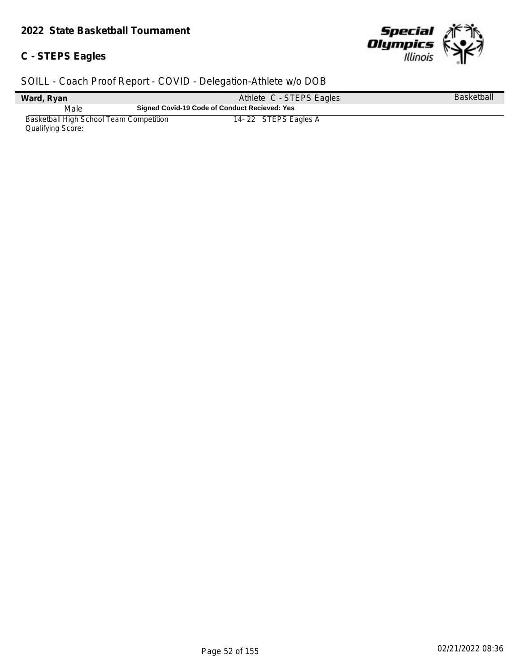## **C - STEPS Eagles**



| Ward, Ryan                                                   | Athlete C - STEPS Eagles                      | <b>Basketball</b> |
|--------------------------------------------------------------|-----------------------------------------------|-------------------|
| Male                                                         | Signed Covid-19 Code of Conduct Recieved: Yes |                   |
| Basketball High School Team Competition<br>Qualifying Score: | 14-22 STEPS Eagles A                          |                   |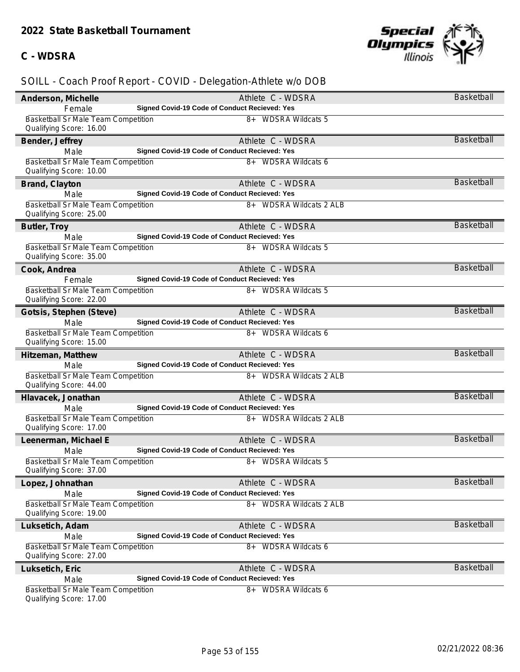## **C - WDSRA**



| Anderson, Michelle                                                    | Athlete C - WDSRA                                                  | Basketball        |
|-----------------------------------------------------------------------|--------------------------------------------------------------------|-------------------|
| Female                                                                | Signed Covid-19 Code of Conduct Recieved: Yes                      |                   |
| <b>Basketball Sr Male Team Competition</b>                            | 8+ WDSRA Wildcats 5                                                |                   |
| Qualifying Score: 16.00                                               |                                                                    |                   |
| Bender, Jeffrey                                                       | Athlete C - WDSRA                                                  | <b>Basketball</b> |
| Male                                                                  | Signed Covid-19 Code of Conduct Recieved: Yes                      |                   |
| Basketball Sr Male Team Competition                                   | 8+ WDSRA Wildcats 6                                                |                   |
| Qualifying Score: 10.00                                               |                                                                    |                   |
| Brand, Clayton                                                        | Athlete C - WDSRA                                                  | <b>Basketball</b> |
| Male                                                                  | Signed Covid-19 Code of Conduct Recieved: Yes                      |                   |
| Basketball Sr Male Team Competition                                   | 8+ WDSRA Wildcats 2 ALB                                            |                   |
| Qualifying Score: 25.00                                               |                                                                    |                   |
| Butler, Troy                                                          | Athlete C - WDSRA                                                  | <b>Basketball</b> |
| Male                                                                  | Signed Covid-19 Code of Conduct Recieved: Yes                      |                   |
| <b>Basketball Sr Male Team Competition</b><br>Qualifying Score: 35.00 | 8+ WDSRA Wildcats 5                                                |                   |
| Cook, Andrea                                                          | Athlete C - WDSRA                                                  | <b>Basketball</b> |
| Female                                                                | Signed Covid-19 Code of Conduct Recieved: Yes                      |                   |
| Basketball Sr Male Team Competition                                   | 8+ WDSRA Wildcats 5                                                |                   |
| Qualifying Score: 22.00                                               |                                                                    |                   |
| Gotsis, Stephen (Steve)                                               | Athlete C - WDSRA                                                  | <b>Basketball</b> |
| Male                                                                  | Signed Covid-19 Code of Conduct Recieved: Yes                      |                   |
| Basketball Sr Male Team Competition<br>Qualifying Score: 15.00        | 8+ WDSRA Wildcats 6                                                |                   |
| Hitzeman, Matthew                                                     | Athlete C - WDSRA                                                  | <b>Basketball</b> |
| Male                                                                  | Signed Covid-19 Code of Conduct Recieved: Yes                      |                   |
| <b>Basketball Sr Male Team Competition</b>                            | 8+ WDSRA Wildcats 2 ALB                                            |                   |
| Qualifying Score: 44.00                                               |                                                                    |                   |
| Hlavacek, Jonathan                                                    | Athlete C - WDSRA                                                  | <b>Basketball</b> |
| Male                                                                  | Signed Covid-19 Code of Conduct Recieved: Yes                      |                   |
| Basketball Sr Male Team Competition<br>Qualifying Score: 17.00        | 8+ WDSRA Wildcats 2 ALB                                            |                   |
| Leenerman, Michael E                                                  | Athlete C - WDSRA                                                  | <b>Basketball</b> |
| Male                                                                  | Signed Covid-19 Code of Conduct Recieved: Yes                      |                   |
| Basketball Sr Male Team Competition                                   | 8+ WDSRA Wildcats 5                                                |                   |
| Qualifying Score: 37.00                                               |                                                                    |                   |
| Lopez, Johnathan                                                      | Athlete C - WDSRA                                                  | Basketball        |
| Male                                                                  | Signed Covid-19 Code of Conduct Recieved: Yes                      |                   |
| Basketball Sr Male Team Competition<br>Qualifying Score: 19.00        | 8+ WDSRA Wildcats 2 ALB                                            |                   |
|                                                                       |                                                                    | Basketball        |
| Luksetich, Adam<br>Male                                               | Athlete C - WDSRA<br>Signed Covid-19 Code of Conduct Recieved: Yes |                   |
| <b>Basketball Sr Male Team Competition</b>                            | 8+ WDSRA Wildcats 6                                                |                   |
| Qualifying Score: 27.00                                               |                                                                    |                   |
| Luksetich, Eric                                                       | Athlete C - WDSRA                                                  | <b>Basketball</b> |
| Male                                                                  | Signed Covid-19 Code of Conduct Recieved: Yes                      |                   |
| <b>Basketball Sr Male Team Competition</b>                            | 8+ WDSRA Wildcats 6                                                |                   |
| Qualifying Score: 17.00                                               |                                                                    |                   |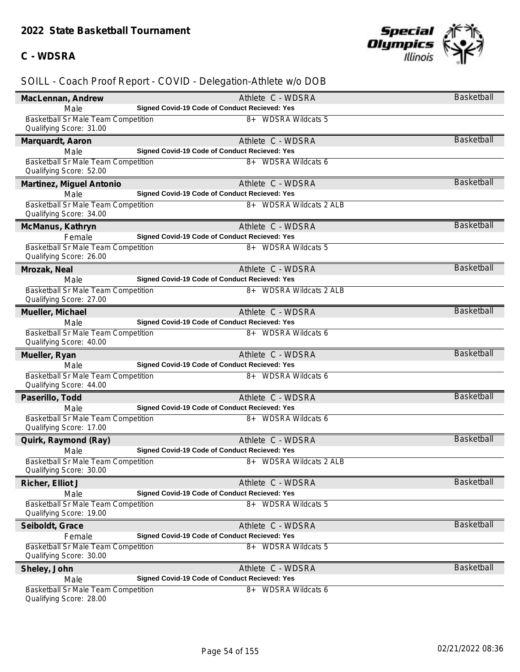## **C - WDSRA**



| MacLennan, Andrew                                                     | Athlete C - WDSRA                                                    | Basketball        |
|-----------------------------------------------------------------------|----------------------------------------------------------------------|-------------------|
| Male                                                                  | Signed Covid-19 Code of Conduct Recieved: Yes                        |                   |
| <b>Basketball Sr Male Team Competition</b><br>Qualifying Score: 31.00 | 8+ WDSRA Wildcats 5                                                  |                   |
| Marquardt, Aaron                                                      | Athlete C - WDSRA                                                    | Basketball        |
| Male                                                                  | Signed Covid-19 Code of Conduct Recieved: Yes                        |                   |
| Basketball Sr Male Team Competition<br>Qualifying Score: 52.00        | 8+ WDSRA Wildcats 6                                                  |                   |
| Martinez, Miguel Antonio                                              | Athlete C - WDSRA                                                    | <b>Basketball</b> |
| Male                                                                  | Signed Covid-19 Code of Conduct Recieved: Yes                        |                   |
| Basketball Sr Male Team Competition<br>Qualifying Score: 34.00        | 8+ WDSRA Wildcats 2 ALB                                              |                   |
| McManus, Kathryn                                                      | Athlete C - WDSRA                                                    | <b>Basketball</b> |
| Female                                                                | Signed Covid-19 Code of Conduct Recieved: Yes                        |                   |
| Basketball Sr Male Team Competition<br>Qualifying Score: 26.00        | 8+ WDSRA Wildcats 5                                                  |                   |
| Mrozak, Neal                                                          | Athlete C - WDSRA                                                    | <b>Basketball</b> |
| Male                                                                  | Signed Covid-19 Code of Conduct Recieved: Yes                        |                   |
| Basketball Sr Male Team Competition<br>Qualifying Score: 27.00        | 8+ WDSRA Wildcats 2 ALB                                              |                   |
| Mueller, Michael                                                      | Athlete C - WDSRA                                                    | <b>Basketball</b> |
| Male                                                                  | Signed Covid-19 Code of Conduct Recieved: Yes                        |                   |
| Basketball Sr Male Team Competition<br>Qualifying Score: 40.00        | 8+ WDSRA Wildcats 6                                                  |                   |
| Mueller, Ryan                                                         | Athlete C - WDSRA                                                    | <b>Basketball</b> |
| Male                                                                  | Signed Covid-19 Code of Conduct Recieved: Yes                        |                   |
| Basketball Sr Male Team Competition<br>Qualifying Score: 44.00        | 8+ WDSRA Wildcats 6                                                  |                   |
| Paserillo, Todd                                                       | Athlete C - WDSRA                                                    | <b>Basketball</b> |
| Male                                                                  | Signed Covid-19 Code of Conduct Recieved: Yes                        |                   |
| Basketball Sr Male Team Competition<br>Qualifying Score: 17.00        | 8+ WDSRA Wildcats 6                                                  |                   |
| Quirk, Raymond (Ray)                                                  | Athlete C - WDSRA                                                    | <b>Basketball</b> |
| Male                                                                  | Signed Covid-19 Code of Conduct Recieved: Yes                        |                   |
| Basketball Sr Male Team Competition<br>Qualifying Score: 30.00        | 8+ WDSRA Wildcats 2 ALB                                              |                   |
| Richer, Elliot J                                                      | Athlete C - WDSRA                                                    | Basketball        |
| Male                                                                  | Signed Covid-19 Code of Conduct Recieved: Yes                        |                   |
| <b>Basketball Sr Male Team Competition</b><br>Qualifying Score: 19.00 | 8+ WDSRA Wildcats 5                                                  |                   |
| Seiboldt, Grace                                                       | Athlete C - WDSRA                                                    | <b>Basketball</b> |
| Female                                                                | Signed Covid-19 Code of Conduct Recieved: Yes                        |                   |
| Basketball Sr Male Team Competition<br>Qualifying Score: 30.00        | 8+ WDSRA Wildcats 5                                                  |                   |
| Sheley, John                                                          | Athlete C - WDSRA                                                    | Basketball        |
| Male                                                                  |                                                                      |                   |
| <b>Basketball Sr Male Team Competition</b>                            | Signed Covid-19 Code of Conduct Recieved: Yes<br>8+ WDSRA Wildcats 6 |                   |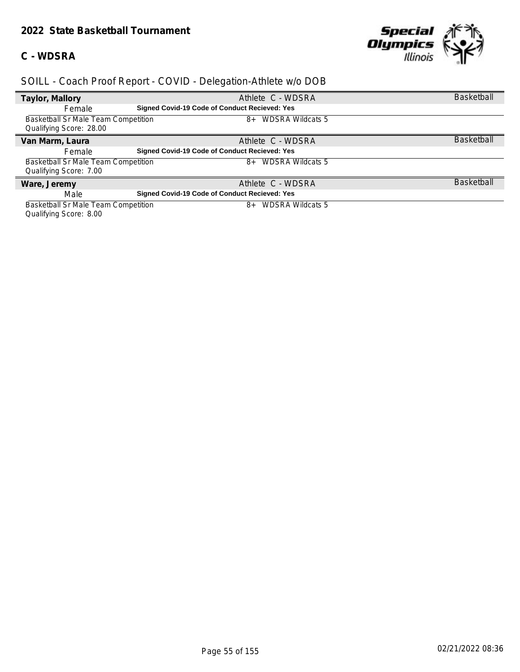#### **C - WDSRA**



## *SOILL - Coach Proof Report - COVID - Delegation-Athlete w/o DOB*

| Taylor, Mallory                     | Athlete C - WDSRA                                    | <b>Basketball</b> |
|-------------------------------------|------------------------------------------------------|-------------------|
| Female                              | <b>Signed Covid-19 Code of Conduct Recieved: Yes</b> |                   |
| Basketball Sr Male Team Competition | <b>WDSRA Wildcats 5</b><br>$8+$                      |                   |
| Qualifying Score: 28.00             |                                                      |                   |
| Van Marm, Laura                     | Athlete C - WDSRA                                    | <b>Basketball</b> |
| Female                              | <b>Signed Covid-19 Code of Conduct Recieved: Yes</b> |                   |
| Basketball Sr Male Team Competition | <b>WDSRA Wildcats 5</b><br>$8+$                      |                   |
| Qualifying Score: 7.00              |                                                      |                   |
| Ware, Jeremy                        | Athlete C - WDSRA                                    | <b>Basketball</b> |
| Male                                | Signed Covid-19 Code of Conduct Recieved: Yes        |                   |
| Basketball Sr Male Team Competition | <b>WDSRA Wildcats 5</b><br>8+                        |                   |

Qualifying Score: 8.00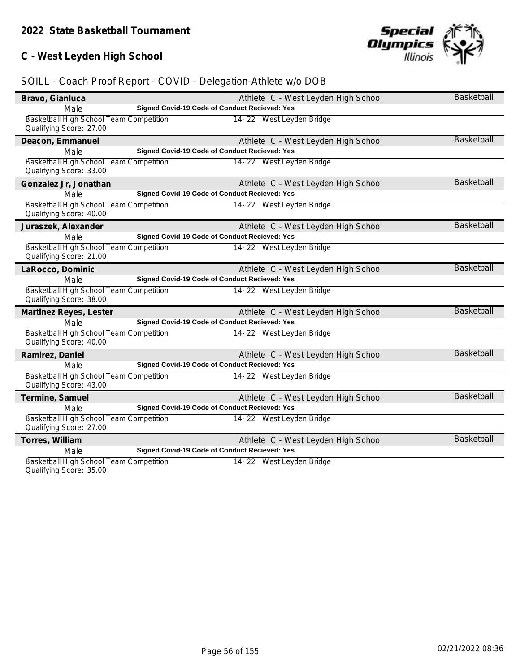## **C - West Leyden High School**

# Special<br>Olympics **Illinois**

## *SOILL - Coach Proof Report - COVID - Delegation-Athlete w/o DOB*

| Bravo, Gianluca                         |                                               | Athlete C - West Leyden High School | <b>Basketball</b> |
|-----------------------------------------|-----------------------------------------------|-------------------------------------|-------------------|
| Male                                    | Signed Covid-19 Code of Conduct Recieved: Yes |                                     |                   |
| Basketball High School Team Competition |                                               | 14-22 West Leyden Bridge            |                   |
| Qualifying Score: 27.00                 |                                               |                                     |                   |
| Deacon, Emmanuel                        |                                               | Athlete C - West Leyden High School | <b>Basketball</b> |
| Male                                    | Signed Covid-19 Code of Conduct Recieved: Yes |                                     |                   |
| Basketball High School Team Competition |                                               | 14-22 West Leyden Bridge            |                   |
| Qualifying Score: 33.00                 |                                               |                                     |                   |
| Gonzalez Jr, Jonathan                   |                                               | Athlete C - West Leyden High School | <b>Basketball</b> |
| Male                                    | Signed Covid-19 Code of Conduct Recieved: Yes |                                     |                   |
| Basketball High School Team Competition |                                               | 14-22 West Leyden Bridge            |                   |
| Qualifying Score: 40.00                 |                                               |                                     |                   |
| Juraszek, Alexander                     |                                               | Athlete C - West Leyden High School | <b>Basketball</b> |
| Male                                    | Signed Covid-19 Code of Conduct Recieved: Yes |                                     |                   |
| Basketball High School Team Competition |                                               | 14-22 West Leyden Bridge            |                   |
| Qualifying Score: 21.00                 |                                               |                                     |                   |
| LaRocco, Dominic                        |                                               | Athlete C - West Leyden High School | Basketball        |
| Male                                    | Signed Covid-19 Code of Conduct Recieved: Yes |                                     |                   |
| Basketball High School Team Competition |                                               | 14-22 West Leyden Bridge            |                   |
| Qualifying Score: 38.00                 |                                               |                                     |                   |
| Martinez Reyes, Lester                  |                                               | Athlete C - West Leyden High School | Basketball        |
| Male                                    | Signed Covid-19 Code of Conduct Recieved: Yes |                                     |                   |
| Basketball High School Team Competition |                                               | 14-22 West Leyden Bridge            |                   |
| Qualifying Score: 40.00                 |                                               |                                     |                   |
| Ramirez, Daniel                         |                                               | Athlete C - West Leyden High School | <b>Basketball</b> |
| Male                                    | Signed Covid-19 Code of Conduct Recieved: Yes |                                     |                   |
| Basketball High School Team Competition |                                               | 14-22 West Leyden Bridge            |                   |
| Qualifying Score: 43.00                 |                                               |                                     |                   |
| Termine, Samuel                         |                                               | Athlete C - West Leyden High School | <b>Basketball</b> |
| Male                                    | Signed Covid-19 Code of Conduct Recieved: Yes |                                     |                   |
| Basketball High School Team Competition |                                               | 14-22 West Leyden Bridge            |                   |
| Qualifying Score: 27.00                 |                                               |                                     |                   |
| Torres, William                         |                                               | Athlete C - West Leyden High School | <b>Basketball</b> |
| Male                                    | Signed Covid-19 Code of Conduct Recieved: Yes |                                     |                   |
| Basketball High School Team Competition |                                               | 14-22 West Leyden Bridge            |                   |
|                                         |                                               |                                     |                   |

Qualifying Score: 35.00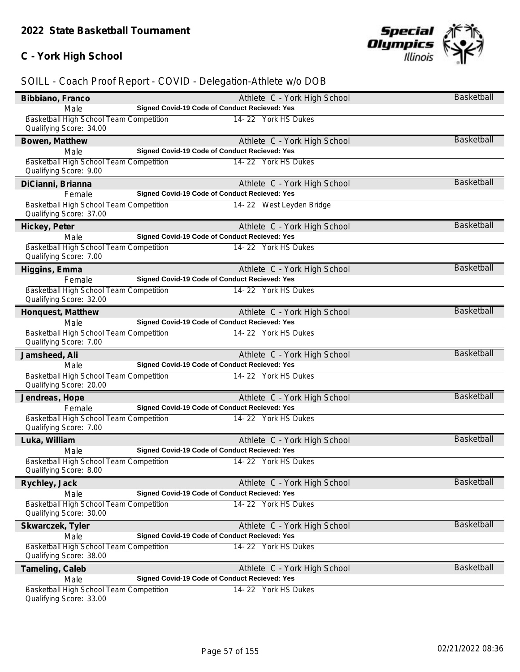## **C - York High School**



| Bibbiano, Franco                                                   | Athlete C - York High School                  | Basketball        |
|--------------------------------------------------------------------|-----------------------------------------------|-------------------|
| Male                                                               | Signed Covid-19 Code of Conduct Recieved: Yes |                   |
| Basketball High School Team Competition<br>Qualifying Score: 34.00 | 14-22 York HS Dukes                           |                   |
| Bowen, Matthew                                                     | Athlete C - York High School                  | <b>Basketball</b> |
| Male                                                               | Signed Covid-19 Code of Conduct Recieved: Yes |                   |
| Basketball High School Team Competition                            | 14-22 York HS Dukes                           |                   |
| Qualifying Score: 9.00                                             |                                               |                   |
| DiCianni, Brianna                                                  | Athlete C - York High School                  | <b>Basketball</b> |
| Female                                                             | Signed Covid-19 Code of Conduct Recieved: Yes |                   |
| Basketball High School Team Competition<br>Qualifying Score: 37.00 | 14-22 West Leyden Bridge                      |                   |
| Hickey, Peter                                                      | Athlete C - York High School                  | Basketball        |
| Male                                                               | Signed Covid-19 Code of Conduct Recieved: Yes |                   |
| Basketball High School Team Competition<br>Qualifying Score: 7.00  | 14-22 York HS Dukes                           |                   |
| Higgins, Emma                                                      | Athlete C - York High School                  | <b>Basketball</b> |
| Female                                                             | Signed Covid-19 Code of Conduct Recieved: Yes |                   |
| Basketball High School Team Competition<br>Qualifying Score: 32.00 | 14-22 York HS Dukes                           |                   |
| Honquest, Matthew                                                  | Athlete C - York High School                  | <b>Basketball</b> |
| Male                                                               | Signed Covid-19 Code of Conduct Recieved: Yes |                   |
| Basketball High School Team Competition<br>Qualifying Score: 7.00  | 14-22 York HS Dukes                           |                   |
| Jamsheed, Ali                                                      | Athlete C - York High School                  | <b>Basketball</b> |
| Male                                                               | Signed Covid-19 Code of Conduct Recieved: Yes |                   |
| Basketball High School Team Competition<br>Qualifying Score: 20.00 | 14-22 York HS Dukes                           |                   |
| Jendreas, Hope                                                     | Athlete C - York High School                  | <b>Basketball</b> |
| Female                                                             | Signed Covid-19 Code of Conduct Recieved: Yes |                   |
| Basketball High School Team Competition<br>Qualifying Score: 7.00  | 14-22 York HS Dukes                           |                   |
| Luka, William                                                      | Athlete C - York High School                  | <b>Basketball</b> |
| Male                                                               | Signed Covid-19 Code of Conduct Recieved: Yes |                   |
| Basketball High School Team Competition<br>Qualifying Score: 8.00  | 14-22 York HS Dukes                           |                   |
| Rychley, Jack                                                      | Athlete C - York High School                  | Basketball        |
| Male                                                               | Signed Covid-19 Code of Conduct Recieved: Yes |                   |
| Basketball High School Team Competition                            | 14-22 York HS Dukes                           |                   |
| Qualifying Score: 30.00                                            |                                               |                   |
| Skwarczek, Tyler                                                   | Athlete C - York High School                  | <b>Basketball</b> |
| Male                                                               | Signed Covid-19 Code of Conduct Recieved: Yes |                   |
| Basketball High School Team Competition<br>Qualifying Score: 38.00 | 14-22 York HS Dukes                           |                   |
| Tameling, Caleb                                                    | Athlete C - York High School                  | Basketball        |
| Male                                                               | Signed Covid-19 Code of Conduct Recieved: Yes |                   |
| Basketball High School Team Competition<br>Qualifying Score: 33.00 | 14-22 York HS Dukes                           |                   |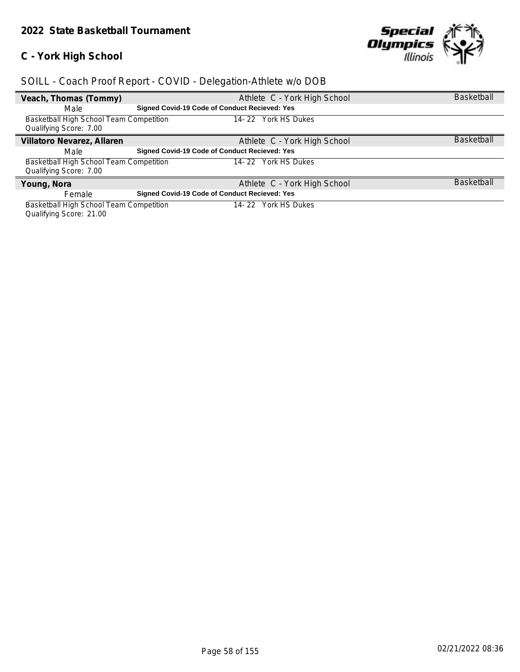## **C - York High School**



## *SOILL - Coach Proof Report - COVID - Delegation-Athlete w/o DOB*

| Veach, Thomas (Tommy)                          |                                                      | Athlete C - York High School | <b>Basketball</b> |
|------------------------------------------------|------------------------------------------------------|------------------------------|-------------------|
| Male                                           | Signed Covid-19 Code of Conduct Recieved: Yes        |                              |                   |
| Basketball High School Team Competition        |                                                      | York HS Dukes<br>14-22       |                   |
| Qualifying Score: 7.00                         |                                                      |                              |                   |
| Villatoro Nevarez, Allaren                     |                                                      | Athlete C - York High School | <b>Basketball</b> |
| Male                                           | <b>Signed Covid-19 Code of Conduct Recieved: Yes</b> |                              |                   |
| <b>Basketball High School Team Competition</b> |                                                      | York HS Dukes<br>14- 22      |                   |
| Qualifying Score: 7.00                         |                                                      |                              |                   |
| Young, Nora                                    |                                                      | Athlete C - York High School | <b>Basketball</b> |
| Female                                         | Signed Covid-19 Code of Conduct Recieved: Yes        |                              |                   |
| Basketball High School Team Competition        |                                                      | York HS Dukes<br>14- 22      |                   |

Qualifying Score: 21.00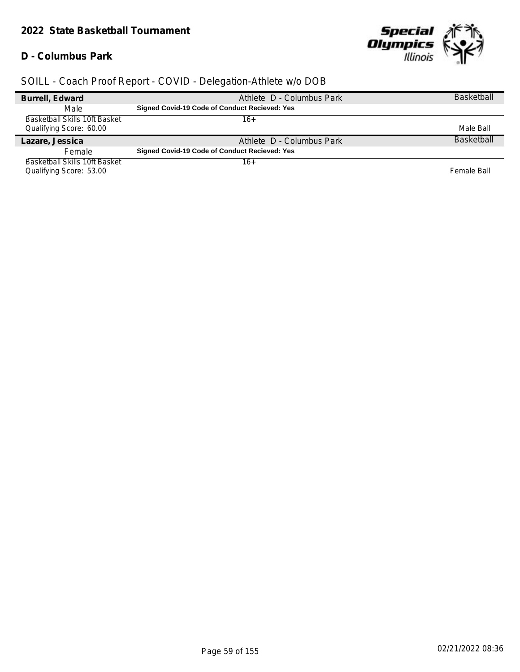#### *2022 State Basketball Tournament*

#### **D - Columbus Park**



| Burrell, Edward                      | Athlete D - Columbus Park                            | <b>Basketball</b> |
|--------------------------------------|------------------------------------------------------|-------------------|
| Male                                 | <b>Signed Covid-19 Code of Conduct Recieved: Yes</b> |                   |
| <b>Basketball Skills 10ft Basket</b> | 16+                                                  |                   |
| Qualifying Score: 60.00              |                                                      | Male Ball         |
| Lazare, Jessica                      | Athlete D - Columbus Park                            | <b>Basketball</b> |
| Female                               | <b>Signed Covid-19 Code of Conduct Recieved: Yes</b> |                   |
| Basketball Skills 10ft Basket        | 16+                                                  |                   |
| Qualifying Score: 53.00              |                                                      | Female Ball       |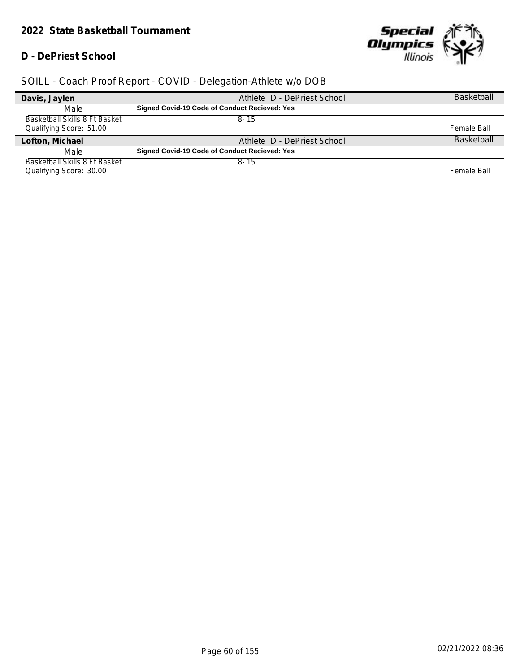#### *2022 State Basketball Tournament*

#### **D - DePriest School**



| Davis, Jaylen                 | Athlete D - DePriest School                   | <b>Basketball</b> |
|-------------------------------|-----------------------------------------------|-------------------|
| Male                          | Signed Covid-19 Code of Conduct Recieved: Yes |                   |
| Basketball Skills 8 Ft Basket | $8 - 15$                                      |                   |
| Qualifying Score: 51.00       |                                               | Female Ball       |
|                               |                                               |                   |
| Lofton, Michael               | Athlete D - DePriest School                   | <b>Basketball</b> |
| Male                          | Signed Covid-19 Code of Conduct Recieved: Yes |                   |
| Basketball Skills 8 Ft Basket | $8 - 15$                                      |                   |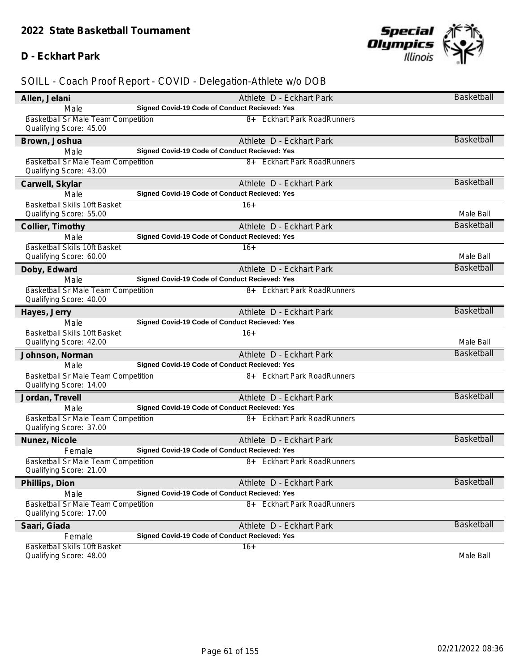#### **D - Eckhart Park**



| Allen, Jelani                                                  | Athlete D - Eckhart Park                                                  | Basketball        |
|----------------------------------------------------------------|---------------------------------------------------------------------------|-------------------|
| Male                                                           | Signed Covid-19 Code of Conduct Recieved: Yes                             |                   |
| Basketball Sr Male Team Competition                            | 8+ Eckhart Park RoadRunners                                               |                   |
| Qualifying Score: 45.00                                        |                                                                           |                   |
| Brown, Joshua                                                  | Athlete D - Eckhart Park                                                  | <b>Basketball</b> |
| Male                                                           | Signed Covid-19 Code of Conduct Recieved: Yes                             |                   |
| Basketball Sr Male Team Competition<br>Qualifying Score: 43.00 | 8+ Eckhart Park RoadRunners                                               |                   |
|                                                                |                                                                           | <b>Basketball</b> |
| Carwell, Skylar<br>Male                                        | Athlete D - Eckhart Park<br>Signed Covid-19 Code of Conduct Recieved: Yes |                   |
| Basketball Skills 10ft Basket                                  | $16+$                                                                     |                   |
| Qualifying Score: 55.00                                        |                                                                           | Male Ball         |
| Collier, Timothy                                               | Athlete D - Eckhart Park                                                  | <b>Basketball</b> |
| Male                                                           | Signed Covid-19 Code of Conduct Recieved: Yes                             |                   |
| Basketball Skills 10ft Basket                                  | $16+$                                                                     |                   |
| Qualifying Score: 60.00                                        |                                                                           | Male Ball         |
| Doby, Edward                                                   | Athlete D - Eckhart Park                                                  | Basketball        |
| Male                                                           | Signed Covid-19 Code of Conduct Recieved: Yes                             |                   |
| Basketball Sr Male Team Competition                            | 8+ Eckhart Park RoadRunners                                               |                   |
| Qualifying Score: 40.00                                        |                                                                           |                   |
| Hayes, Jerry                                                   | Athlete D - Eckhart Park                                                  | <b>Basketball</b> |
| Male                                                           | Signed Covid-19 Code of Conduct Recieved: Yes                             |                   |
| Basketball Skills 10ft Basket                                  | $16+$                                                                     |                   |
| Qualifying Score: 42.00                                        |                                                                           | Male Ball         |
| Johnson, Norman                                                | Athlete D - Eckhart Park                                                  | Basketball        |
| Male                                                           | Signed Covid-19 Code of Conduct Recieved: Yes                             |                   |
| <b>Basketball Sr Male Team Competition</b>                     | 8+ Eckhart Park RoadRunners                                               |                   |
| Qualifying Score: 14.00                                        |                                                                           | <b>Basketball</b> |
| Jordan, Trevell                                                | Athlete D - Eckhart Park<br>Signed Covid-19 Code of Conduct Recieved: Yes |                   |
| Male<br>Basketball Sr Male Team Competition                    | 8+ Eckhart Park RoadRunners                                               |                   |
| Qualifying Score: 37.00                                        |                                                                           |                   |
| Nunez, Nicole                                                  | Athlete D - Eckhart Park                                                  | <b>Basketball</b> |
| Female                                                         | Signed Covid-19 Code of Conduct Recieved: Yes                             |                   |
| Basketball Sr Male Team Competition                            | 8+ Eckhart Park RoadRunners                                               |                   |
| Qualifying Score: 21.00                                        |                                                                           |                   |
| Phillips, Dion                                                 | Athlete D - Eckhart Park                                                  | <b>Basketball</b> |
| Male                                                           | Signed Covid-19 Code of Conduct Recieved: Yes                             |                   |
| <b>Basketball Sr Male Team Competition</b>                     | 8+ Eckhart Park RoadRunners                                               |                   |
| Qualifying Score: 17.00                                        |                                                                           |                   |
| Saari, Giada                                                   | Athlete D - Eckhart Park                                                  | <b>Basketball</b> |
| Female                                                         | Signed Covid-19 Code of Conduct Recieved: Yes                             |                   |
| Basketball Skills 10ft Basket                                  | $16+$                                                                     |                   |
| Qualifying Score: 48.00                                        |                                                                           | Male Ball         |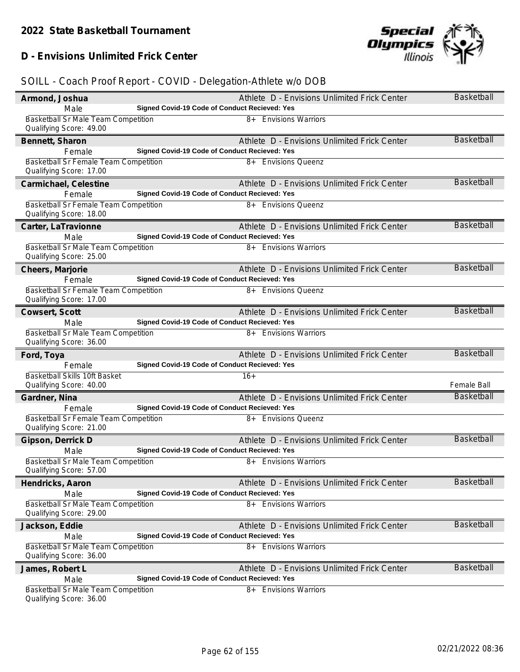## **D - Envisions Unlimited Frick Center**

| Armond, Joshua                                                   | Athlete D - Envisions Unlimited Frick Center                                     | Basketball        |
|------------------------------------------------------------------|----------------------------------------------------------------------------------|-------------------|
| Male                                                             | Signed Covid-19 Code of Conduct Recieved: Yes                                    |                   |
| Basketball Sr Male Team Competition                              | 8+ Envisions Warriors                                                            |                   |
| Qualifying Score: 49.00                                          |                                                                                  |                   |
| Bennett, Sharon                                                  | Athlete D - Envisions Unlimited Frick Center                                     | <b>Basketball</b> |
| Female                                                           | Signed Covid-19 Code of Conduct Recieved: Yes                                    |                   |
| Basketball Sr Female Team Competition                            | 8+ Envisions Queenz                                                              |                   |
| Qualifying Score: 17.00                                          |                                                                                  |                   |
| Carmichael, Celestine                                            | Athlete D - Envisions Unlimited Frick Center                                     | <b>Basketball</b> |
| Female                                                           | Signed Covid-19 Code of Conduct Recieved: Yes                                    |                   |
| Basketball Sr Female Team Competition<br>Qualifying Score: 18.00 | 8+ Envisions Queenz                                                              |                   |
| Carter, LaTravionne                                              | Athlete D - Envisions Unlimited Frick Center                                     | Basketball        |
| Male                                                             | Signed Covid-19 Code of Conduct Recieved: Yes                                    |                   |
| Basketball Sr Male Team Competition<br>Qualifying Score: 25.00   | 8+ Envisions Warriors                                                            |                   |
| Cheers, Marjorie                                                 | Athlete D - Envisions Unlimited Frick Center                                     | Basketball        |
| Female                                                           | Signed Covid-19 Code of Conduct Recieved: Yes                                    |                   |
| Basketball Sr Female Team Competition<br>Qualifying Score: 17.00 | 8+ Envisions Oueenz                                                              |                   |
| Cowsert, Scott                                                   | Athlete D - Envisions Unlimited Frick Center                                     | <b>Basketball</b> |
| Male                                                             | Signed Covid-19 Code of Conduct Recieved: Yes                                    |                   |
| Basketball Sr Male Team Competition                              | 8+ Envisions Warriors                                                            |                   |
| Qualifying Score: 36.00                                          |                                                                                  |                   |
|                                                                  |                                                                                  |                   |
| Ford, Toya                                                       | Athlete D - Envisions Unlimited Frick Center                                     | <b>Basketball</b> |
| Female                                                           | Signed Covid-19 Code of Conduct Recieved: Yes                                    |                   |
| Basketball Skills 10ft Basket                                    | $16+$                                                                            |                   |
| Qualifying Score: 40.00                                          |                                                                                  | Female Ball       |
| Gardner, Nina                                                    | Athlete D - Envisions Unlimited Frick Center                                     | <b>Basketball</b> |
| Female                                                           | Signed Covid-19 Code of Conduct Recieved: Yes                                    |                   |
| Basketball Sr Female Team Competition<br>Qualifying Score: 21.00 | 8+ Envisions Queenz                                                              |                   |
| Gipson, Derrick D                                                | Athlete D - Envisions Unlimited Frick Center                                     | <b>Basketball</b> |
| Male                                                             | Signed Covid-19 Code of Conduct Recieved: Yes                                    |                   |
| Basketball Sr Male Team Competition<br>Qualifying Score: 57.00   | 8+ Envisions Warriors                                                            |                   |
| Hendricks, Aaron                                                 | Athlete D - Envisions Unlimited Frick Center                                     | Basketball        |
| Male                                                             | Signed Covid-19 Code of Conduct Recieved: Yes                                    |                   |
| Basketball Sr Male Team Competition                              | 8+ Envisions Warriors                                                            |                   |
| Qualifying Score: 29.00                                          |                                                                                  |                   |
| Jackson, Eddie                                                   | Athlete D - Envisions Unlimited Frick Center                                     | <b>Basketball</b> |
| Male                                                             | Signed Covid-19 Code of Conduct Recieved: Yes                                    |                   |
| <b>Basketball Sr Male Team Competition</b>                       | 8+ Envisions Warriors                                                            |                   |
| Qualifying Score: 36.00                                          |                                                                                  |                   |
| James, Robert L                                                  | Athlete D - Envisions Unlimited Frick Center                                     | <b>Basketball</b> |
| Male<br><b>Basketball Sr Male Team Competition</b>               | Signed Covid-19 Code of Conduct Recieved: Yes<br><b>Envisions Warriors</b><br>8+ |                   |

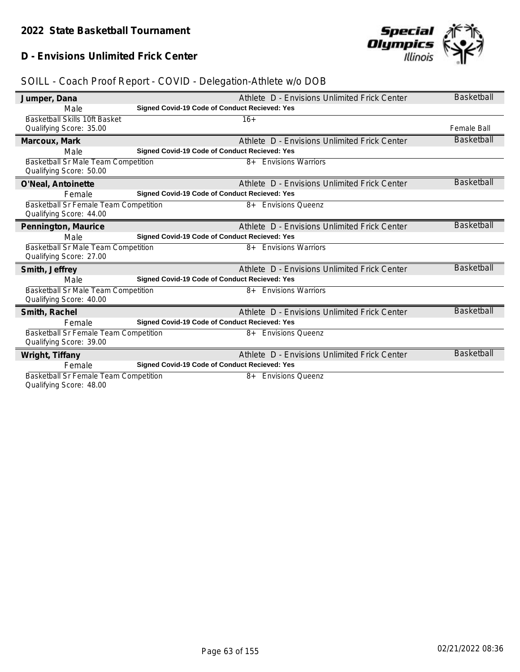## **D - Envisions Unlimited Frick Center**



| Jumper, Dana                                 | Athlete D - Envisions Unlimited Frick Center  | <b>Basketball</b>  |
|----------------------------------------------|-----------------------------------------------|--------------------|
| Male                                         | Signed Covid-19 Code of Conduct Recieved: Yes |                    |
| <b>Basketball Skills 10ft Basket</b>         | $16+$                                         |                    |
| Qualifying Score: 35.00                      |                                               | <b>Female Ball</b> |
| Marcoux, Mark                                | Athlete D - Envisions Unlimited Frick Center  | <b>Basketball</b>  |
| Male                                         | Signed Covid-19 Code of Conduct Recieved: Yes |                    |
| <b>Basketball Sr Male Team Competition</b>   | <b>Envisions Warriors</b><br>$8+$             |                    |
| Qualifying Score: 50.00                      |                                               |                    |
| O'Neal, Antoinette                           | Athlete D - Envisions Unlimited Frick Center  | <b>Basketball</b>  |
| Female                                       | Signed Covid-19 Code of Conduct Recieved: Yes |                    |
| <b>Basketball Sr Female Team Competition</b> | 8+ Envisions Oueenz                           |                    |
| Qualifying Score: 44.00                      |                                               |                    |
| Pennington, Maurice                          | Athlete D - Envisions Unlimited Frick Center  | <b>Basketball</b>  |
| Male                                         | Signed Covid-19 Code of Conduct Recieved: Yes |                    |
| <b>Basketball Sr Male Team Competition</b>   | 8+ Envisions Warriors                         |                    |
| Qualifying Score: 27.00                      |                                               |                    |
| Smith, Jeffrey                               | Athlete D - Envisions Unlimited Frick Center  | <b>Basketball</b>  |
| Male                                         | Signed Covid-19 Code of Conduct Recieved: Yes |                    |
| Basketball Sr Male Team Competition          | <b>Envisions Warriors</b><br>$8+$             |                    |
| Qualifying Score: 40.00                      |                                               |                    |
| Smith, Rachel                                | Athlete D - Envisions Unlimited Frick Center  | <b>Basketball</b>  |
| Female                                       | Signed Covid-19 Code of Conduct Recieved: Yes |                    |
| Basketball Sr Female Team Competition        | 8+ Envisions Queenz                           |                    |
| Qualifying Score: 39.00                      |                                               |                    |
| Wright, Tiffany                              | Athlete D - Envisions Unlimited Frick Center  | <b>Basketball</b>  |
| Female                                       | Signed Covid-19 Code of Conduct Recieved: Yes |                    |
| <b>Basketball Sr Female Team Competition</b> | 8+ Envisions Queenz                           |                    |
| Qualifying Score: 48.00                      |                                               |                    |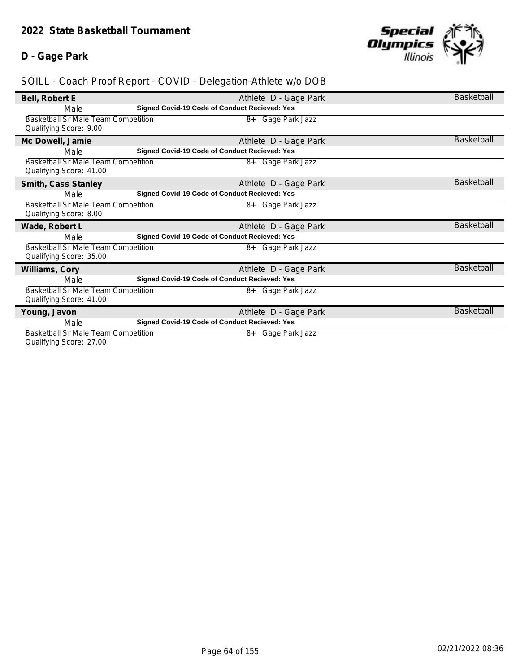## **D - Gage Park**



## *SOILL - Coach Proof Report - COVID - Delegation-Athlete w/o DOB*

| Bell, Robert E                             | Athlete D - Gage Park                                | <b>Basketball</b> |
|--------------------------------------------|------------------------------------------------------|-------------------|
| Male                                       | <b>Signed Covid-19 Code of Conduct Recieved: Yes</b> |                   |
| Basketball Sr Male Team Competition        | 8+ Gage Park Jazz                                    |                   |
| Qualifying Score: 9.00                     |                                                      |                   |
| Mc Dowell, Jamie                           | Athlete D - Gage Park                                | <b>Basketball</b> |
| Male                                       | <b>Signed Covid-19 Code of Conduct Recieved: Yes</b> |                   |
| <b>Basketball Sr Male Team Competition</b> | 8+ Gage Park Jazz                                    |                   |
| Qualifying Score: 41.00                    |                                                      |                   |
| Smith, Cass Stanley                        | Athlete D - Gage Park                                | <b>Basketball</b> |
| Male                                       | <b>Signed Covid-19 Code of Conduct Recieved: Yes</b> |                   |
| Basketball Sr Male Team Competition        | 8+ Gage Park Jazz                                    |                   |
| Qualifying Score: 8.00                     |                                                      |                   |
| Wade, Robert L                             | Athlete D - Gage Park                                | <b>Basketball</b> |
| Male                                       | <b>Signed Covid-19 Code of Conduct Recieved: Yes</b> |                   |
| <b>Basketball Sr Male Team Competition</b> | 8+ Gage Park Jazz                                    |                   |
| Qualifying Score: 35.00                    |                                                      |                   |
| Williams, Cory                             | Athlete D - Gage Park                                | Basketball        |
| Male                                       | <b>Signed Covid-19 Code of Conduct Recieved: Yes</b> |                   |
| Basketball Sr Male Team Competition        | 8+ Gage Park Jazz                                    |                   |
| Qualifying Score: 41.00                    |                                                      |                   |
| Young, Javon                               | Athlete D - Gage Park                                | <b>Basketball</b> |
| Male                                       | <b>Signed Covid-19 Code of Conduct Recieved: Yes</b> |                   |
| Basketball Sr Male Team Competition        | 8+ Gage Park Jazz                                    |                   |
|                                            |                                                      |                   |

Qualifying Score: 27.00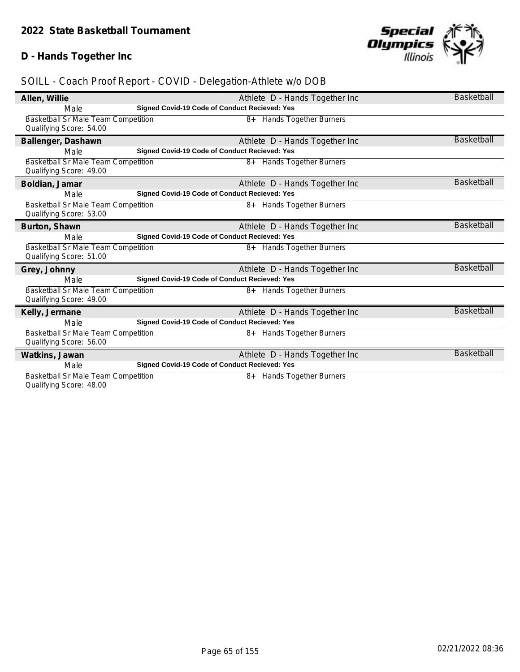## **D - Hands Together Inc**



| Allen, Willie                              | Athlete D - Hands Together Inc                | <b>Basketball</b> |
|--------------------------------------------|-----------------------------------------------|-------------------|
| Male                                       | Signed Covid-19 Code of Conduct Recieved: Yes |                   |
| <b>Basketball Sr Male Team Competition</b> | 8+ Hands Together Burners                     |                   |
| Qualifying Score: 54.00                    |                                               |                   |
| Ballenger, Dashawn                         | Athlete D - Hands Together Inc                | <b>Basketball</b> |
| Male                                       | Signed Covid-19 Code of Conduct Recieved: Yes |                   |
| Basketball Sr Male Team Competition        | 8+ Hands Together Burners                     |                   |
| Qualifying Score: 49.00                    |                                               |                   |
| Boldian, Jamar                             | Athlete D - Hands Together Inc                | <b>Basketball</b> |
| Male                                       | Signed Covid-19 Code of Conduct Recieved: Yes |                   |
| Basketball Sr Male Team Competition        | 8+ Hands Together Burners                     |                   |
| Qualifying Score: 53.00                    |                                               |                   |
| Burton, Shawn                              | Athlete D - Hands Together Inc                | <b>Basketball</b> |
| Male                                       | Signed Covid-19 Code of Conduct Recieved: Yes |                   |
| Basketball Sr Male Team Competition        | 8+ Hands Together Burners                     |                   |
| Qualifying Score: 51.00                    |                                               |                   |
| Grey, Johnny                               | Athlete D - Hands Together Inc                | <b>Basketball</b> |
| Male                                       | Signed Covid-19 Code of Conduct Recieved: Yes |                   |
| Basketball Sr Male Team Competition        | <b>Hands Together Burners</b><br>8+           |                   |
| Qualifying Score: 49.00                    |                                               |                   |
| Kelly, Jermane                             | Athlete D - Hands Together Inc                | <b>Basketball</b> |
| Male                                       | Signed Covid-19 Code of Conduct Recieved: Yes |                   |
| Basketball Sr Male Team Competition        | 8+ Hands Together Burners                     |                   |
| Qualifying Score: 56.00                    |                                               |                   |
| Watkins, Jawan                             | Athlete D - Hands Together Inc                | <b>Basketball</b> |
| Male                                       | Signed Covid-19 Code of Conduct Recieved: Yes |                   |
| <b>Basketball Sr Male Team Competition</b> | <b>Hands Together Burners</b><br>8+           |                   |
| Qualifying Score: 48.00                    |                                               |                   |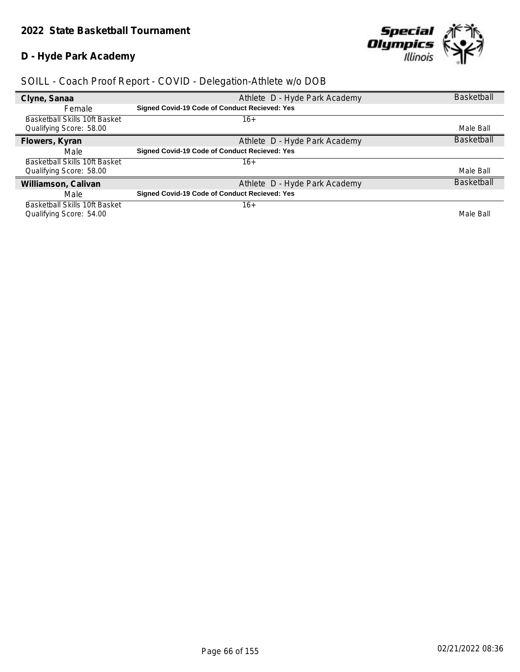## **D - Hyde Park Academy**



| Clyne, Sanaa                  | Athlete D - Hyde Park Academy                 | <b>Basketball</b> |
|-------------------------------|-----------------------------------------------|-------------------|
| Female                        | Signed Covid-19 Code of Conduct Recieved: Yes |                   |
| Basketball Skills 10ft Basket | 16+                                           |                   |
| Qualifying Score: 58.00       |                                               | Male Ball         |
| Flowers, Kyran                | Athlete D - Hyde Park Academy                 | <b>Basketball</b> |
| Male                          | Signed Covid-19 Code of Conduct Recieved: Yes |                   |
| Basketball Skills 10ft Basket | $16+$                                         |                   |
| Qualifying Score: 58.00       |                                               | Male Ball         |
| Williamson, Calivan           | Athlete D - Hyde Park Academy                 | <b>Basketball</b> |
| Male                          | Signed Covid-19 Code of Conduct Recieved: Yes |                   |
| Basketball Skills 10ft Basket | $16+$                                         |                   |
| Qualifying Score: 54.00       |                                               | Male Ball         |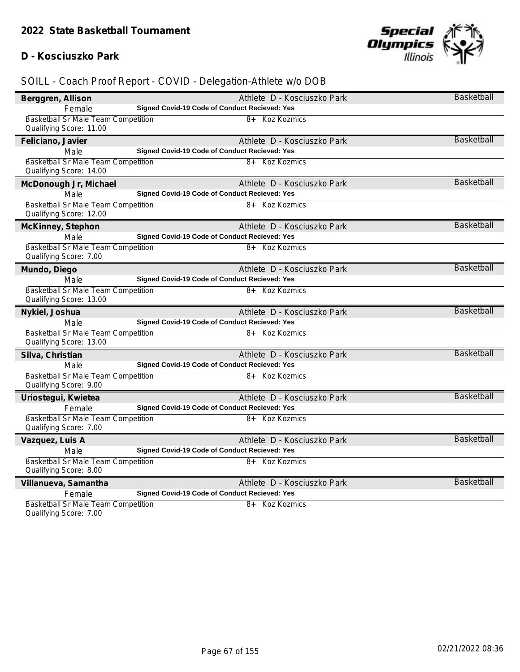#### **D - Kosciuszko Park**



## *SOILL - Coach Proof Report - COVID - Delegation-Athlete w/o DOB*

| Berggren, Allison                                                     | Athlete D - Kosciuszko Park                   | Basketball        |
|-----------------------------------------------------------------------|-----------------------------------------------|-------------------|
| Female                                                                | Signed Covid-19 Code of Conduct Recieved: Yes |                   |
| Basketball Sr Male Team Competition<br>Qualifying Score: 11.00        | 8+ Koz Kozmics                                |                   |
| Feliciano, Javier                                                     | Athlete D - Kosciuszko Park                   | Basketball        |
| Male                                                                  | Signed Covid-19 Code of Conduct Recieved: Yes |                   |
| Basketball Sr Male Team Competition<br>Qualifying Score: 14.00        | 8+ Koz Kozmics                                |                   |
| McDonough Jr, Michael                                                 | Athlete D - Kosciuszko Park                   | <b>Basketball</b> |
| Male                                                                  | Signed Covid-19 Code of Conduct Recieved: Yes |                   |
| Basketball Sr Male Team Competition<br>Qualifying Score: 12.00        | 8+ Koz Kozmics                                |                   |
| McKinney, Stephon                                                     | Athlete D - Kosciuszko Park                   | Basketball        |
| Male                                                                  | Signed Covid-19 Code of Conduct Recieved: Yes |                   |
| <b>Basketball Sr Male Team Competition</b><br>Qualifying Score: 7.00  | 8+ Koz Kozmics                                |                   |
| Mundo, Diego                                                          | Athlete D - Kosciuszko Park                   | <b>Basketball</b> |
| Male                                                                  | Signed Covid-19 Code of Conduct Recieved: Yes |                   |
| Basketball Sr Male Team Competition<br>Qualifying Score: 13.00        | 8+ Koz Kozmics                                |                   |
| Nykiel, Joshua                                                        | Athlete D - Kosciuszko Park                   | <b>Basketball</b> |
| Male                                                                  | Signed Covid-19 Code of Conduct Recieved: Yes |                   |
| <b>Basketball Sr Male Team Competition</b><br>Qualifying Score: 13.00 | 8+ Koz Kozmics                                |                   |
| Silva, Christian                                                      | Athlete D - Kosciuszko Park                   | <b>Basketball</b> |
| Male                                                                  | Signed Covid-19 Code of Conduct Recieved: Yes |                   |
| Basketball Sr Male Team Competition<br>Qualifying Score: 9.00         | 8+ Koz Kozmics                                |                   |
| Uriostegui, Kwietea                                                   | Athlete D - Kosciuszko Park                   | <b>Basketball</b> |
| Female                                                                | Signed Covid-19 Code of Conduct Recieved: Yes |                   |
| Basketball Sr Male Team Competition<br>Qualifying Score: 7.00         | 8+ Koz Kozmics                                |                   |
| Vazquez, Luis A                                                       | Athlete D - Kosciuszko Park                   | <b>Basketball</b> |
| Male                                                                  | Signed Covid-19 Code of Conduct Recieved: Yes |                   |
| Basketball Sr Male Team Competition<br>Qualifying Score: 8.00         | 8+ Koz Kozmics                                |                   |
| Villanueva, Samantha                                                  | Athlete D - Kosciuszko Park                   | <b>Basketball</b> |
| Female                                                                | Signed Covid-19 Code of Conduct Recieved: Yes |                   |
| Basketball Sr Male Team Competition                                   | 8+ Koz Kozmics                                |                   |

Qualifying Score: 7.00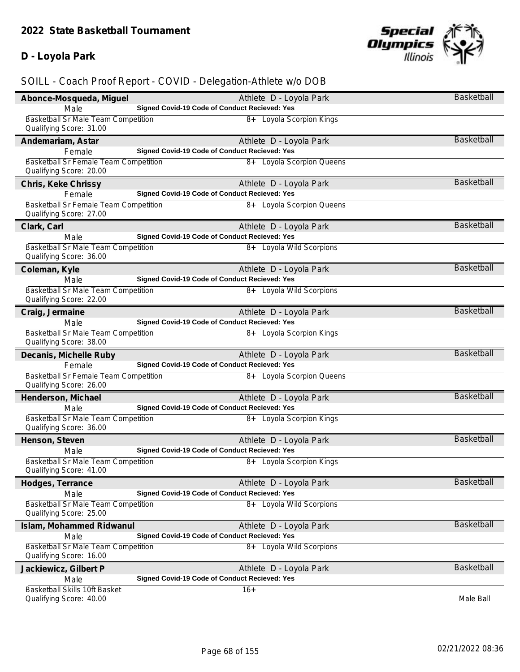## **D - Loyola Park**



| Abonce-Mosqueda, Miguel                                          | Athlete D - Loyola Park                              | Basketball        |
|------------------------------------------------------------------|------------------------------------------------------|-------------------|
| Male                                                             | <b>Signed Covid-19 Code of Conduct Recieved: Yes</b> |                   |
| Basketball Sr Male Team Competition<br>Qualifying Score: 31.00   | 8+ Loyola Scorpion Kings                             |                   |
| Andemariam, Astar                                                | Athlete D - Loyola Park                              | Basketball        |
| Female                                                           | Signed Covid-19 Code of Conduct Recieved: Yes        |                   |
| Basketball Sr Female Team Competition<br>Qualifying Score: 20.00 | 8+ Loyola Scorpion Queens                            |                   |
| Chris, Keke Chrissy                                              | Athlete D - Loyola Park                              | Basketball        |
| Female                                                           | Signed Covid-19 Code of Conduct Recieved: Yes        |                   |
| Basketball Sr Female Team Competition<br>Qualifying Score: 27.00 | 8+ Loyola Scorpion Queens                            |                   |
| Clark, Carl                                                      | Athlete D - Loyola Park                              | <b>Basketball</b> |
| Male                                                             | Signed Covid-19 Code of Conduct Recieved: Yes        |                   |
| Basketball Sr Male Team Competition<br>Qualifying Score: 36.00   | 8+ Loyola Wild Scorpions                             |                   |
| Coleman, Kyle                                                    | Athlete D - Loyola Park                              | <b>Basketball</b> |
| Male                                                             | Signed Covid-19 Code of Conduct Recieved: Yes        |                   |
| Basketball Sr Male Team Competition<br>Qualifying Score: 22.00   | 8+ Loyola Wild Scorpions                             |                   |
| Craig, Jermaine                                                  | Athlete D - Loyola Park                              | <b>Basketball</b> |
| Male                                                             | Signed Covid-19 Code of Conduct Recieved: Yes        |                   |
| Basketball Sr Male Team Competition<br>Qualifying Score: 38.00   | 8+ Loyola Scorpion Kings                             |                   |
| Decanis, Michelle Ruby                                           | Athlete D - Loyola Park                              | <b>Basketball</b> |
| Female                                                           | Signed Covid-19 Code of Conduct Recieved: Yes        |                   |
| Basketball Sr Female Team Competition<br>Qualifying Score: 26.00 | 8+ Loyola Scorpion Queens                            |                   |
| Henderson, Michael                                               | Athlete D - Loyola Park                              | <b>Basketball</b> |
| Male                                                             | Signed Covid-19 Code of Conduct Recieved: Yes        |                   |
| Basketball Sr Male Team Competition<br>Qualifying Score: 36.00   | 8+ Loyola Scorpion Kings                             |                   |
| Henson, Steven                                                   | Athlete D - Loyola Park                              | <b>Basketball</b> |
| Male                                                             | <b>Signed Covid-19 Code of Conduct Recieved: Yes</b> |                   |
| Basketball Sr Male Team Competition<br>Qualifying Score: 41.00   | 8+ Loyola Scorpion Kings                             |                   |
| Hodges, Terrance                                                 | Athlete D - Loyola Park                              | <b>Basketball</b> |
| Male                                                             | Signed Covid-19 Code of Conduct Recieved: Yes        |                   |
| Basketball Sr Male Team Competition<br>Qualifying Score: 25.00   | 8+ Loyola Wild Scorpions                             |                   |
| Islam, Mohammed Ridwanul                                         | Athlete D - Loyola Park                              | Basketball        |
| Male                                                             | <b>Signed Covid-19 Code of Conduct Recieved: Yes</b> |                   |
| Basketball Sr Male Team Competition<br>Qualifying Score: 16.00   | 8+ Loyola Wild Scorpions                             |                   |
| Jackiewicz, Gilbert P                                            | Athlete D - Loyola Park                              | Basketball        |
| Male                                                             |                                                      |                   |
|                                                                  | Signed Covid-19 Code of Conduct Recieved: Yes        |                   |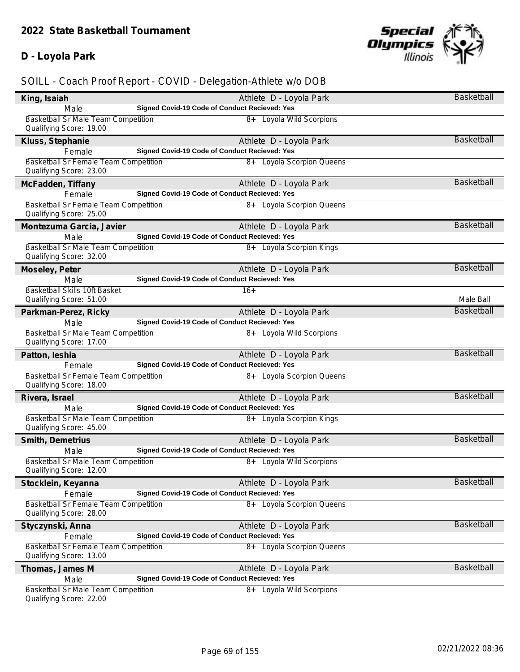## **D - Loyola Park**



| King, Isaiah                                                            | Athlete D - Loyola Park                       | Basketball        |
|-------------------------------------------------------------------------|-----------------------------------------------|-------------------|
| Male                                                                    | Signed Covid-19 Code of Conduct Recieved: Yes |                   |
| <b>Basketball Sr Male Team Competition</b><br>Qualifying Score: 19.00   | 8+ Loyola Wild Scorpions                      |                   |
| Kluss, Stephanie                                                        | Athlete D - Loyola Park                       | <b>Basketball</b> |
| Female                                                                  | Signed Covid-19 Code of Conduct Recieved: Yes |                   |
| Basketball Sr Female Team Competition<br>Qualifying Score: 23.00        | 8+ Loyola Scorpion Queens                     |                   |
| McFadden, Tiffany                                                       | Athlete D - Loyola Park                       | <b>Basketball</b> |
| Female                                                                  | Signed Covid-19 Code of Conduct Recieved: Yes |                   |
| Basketball Sr Female Team Competition<br>Qualifying Score: 25.00        | 8+ Loyola Scorpion Queens                     |                   |
| Montezuma Garcia, Javier                                                | Athlete D - Loyola Park                       | <b>Basketball</b> |
| Male                                                                    | Signed Covid-19 Code of Conduct Recieved: Yes |                   |
| <b>Basketball Sr Male Team Competition</b><br>Qualifying Score: 32.00   | 8+ Loyola Scorpion Kings                      |                   |
| Moseley, Peter                                                          | Athlete D - Loyola Park                       | Basketball        |
| Male                                                                    | Signed Covid-19 Code of Conduct Recieved: Yes |                   |
| Basketball Skills 10ft Basket<br>Qualifying Score: 51.00                | $16+$                                         | Male Ball         |
| Parkman-Perez, Ricky                                                    | Athlete D - Loyola Park                       | <b>Basketball</b> |
| Male                                                                    | Signed Covid-19 Code of Conduct Recieved: Yes |                   |
| Basketball Sr Male Team Competition<br>Qualifying Score: 17.00          | 8+ Loyola Wild Scorpions                      |                   |
| Patton, leshia                                                          | Athlete D - Loyola Park                       | <b>Basketball</b> |
| Female                                                                  | Signed Covid-19 Code of Conduct Recieved: Yes |                   |
| Basketball Sr Female Team Competition<br>Qualifying Score: 18.00        | 8+ Loyola Scorpion Queens                     |                   |
| Rivera, Israel                                                          | Athlete D - Loyola Park                       | <b>Basketball</b> |
| Male                                                                    | Signed Covid-19 Code of Conduct Recieved: Yes |                   |
| Basketball Sr Male Team Competition<br>Qualifying Score: 45.00          | 8+ Loyola Scorpion Kings                      |                   |
| Smith, Demetrius                                                        | Athlete D - Loyola Park                       | <b>Basketball</b> |
| Male                                                                    | Signed Covid-19 Code of Conduct Recieved: Yes |                   |
| Basketball Sr Male Team Competition<br>Qualifying Score: 12.00          | 8+ Loyola Wild Scorpions                      |                   |
| Stocklein, Keyanna                                                      | Athlete D - Loyola Park                       | Basketball        |
| Female                                                                  | Signed Covid-19 Code of Conduct Recieved: Yes |                   |
| Basketball Sr Female Team Competition<br>Qualifying Score: 28.00        | 8+ Loyola Scorpion Queens                     |                   |
| Styczynski, Anna                                                        | Athlete D - Loyola Park                       | <b>Basketball</b> |
| Female                                                                  | Signed Covid-19 Code of Conduct Recieved: Yes |                   |
| <b>Basketball Sr Female Team Competition</b><br>Qualifying Score: 13.00 | 8+ Loyola Scorpion Queens                     |                   |
| Thomas, James M                                                         | Athlete D - Loyola Park                       | <b>Basketball</b> |
| Male                                                                    | Signed Covid-19 Code of Conduct Recieved: Yes |                   |
| <b>Basketball Sr Male Team Competition</b><br>Qualifying Score: 22.00   | 8+ Loyola Wild Scorpions                      |                   |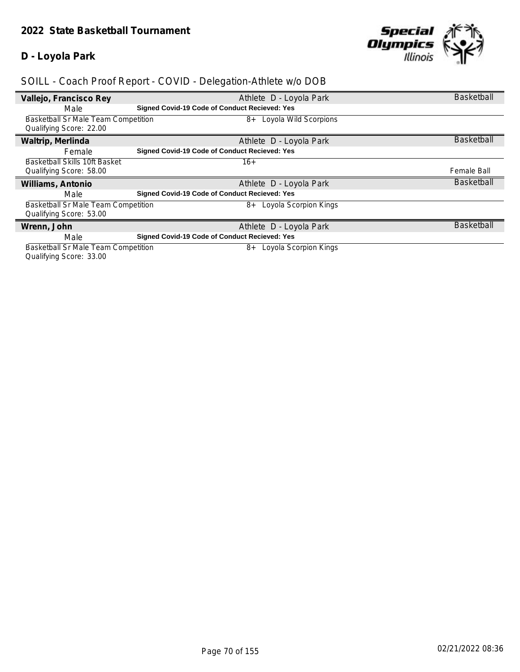## **D - Loyola Park**



## *SOILL - Coach Proof Report - COVID - Delegation-Athlete w/o DOB*

| Vallejo, Francisco Rey                     | Athlete D - Loyola Park                              | <b>Basketball</b> |
|--------------------------------------------|------------------------------------------------------|-------------------|
| Male                                       | <b>Signed Covid-19 Code of Conduct Recieved: Yes</b> |                   |
| <b>Basketball Sr Male Team Competition</b> | 8+ Loyola Wild Scorpions                             |                   |
| Qualifying Score: 22.00                    |                                                      |                   |
| Waltrip, Merlinda                          | Athlete D - Loyola Park                              | <b>Basketball</b> |
| Female                                     | Signed Covid-19 Code of Conduct Recieved: Yes        |                   |
| Basketball Skills 10ft Basket              | $16+$                                                |                   |
| Qualifying Score: 58.00                    |                                                      | Female Ball       |
| Williams, Antonio                          | Athlete D - Loyola Park                              | <b>Basketball</b> |
| Male                                       | <b>Signed Covid-19 Code of Conduct Recieved: Yes</b> |                   |
| Basketball Sr Male Team Competition        | 8+ Loyola Scorpion Kings                             |                   |
| Qualifying Score: 53.00                    |                                                      |                   |
| Wrenn, John                                | Athlete D - Loyola Park                              | <b>Basketball</b> |
| Male                                       | Signed Covid-19 Code of Conduct Recieved: Yes        |                   |
| <b>Basketball Sr Male Team Competition</b> | Loyola Scorpion Kings<br>8+                          |                   |

Qualifying Score: 33.00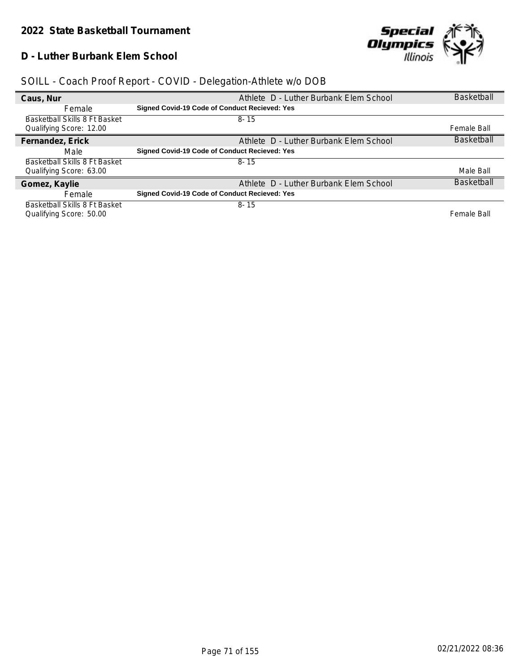## **D - Luther Burbank Elem School**



| Caus, Nur                     | Athlete D - Luther Burbank Elem School        | <b>Basketball</b> |
|-------------------------------|-----------------------------------------------|-------------------|
| Female                        | Signed Covid-19 Code of Conduct Recieved: Yes |                   |
| Basketball Skills 8 Ft Basket | $8 - 15$                                      |                   |
| Qualifying Score: 12.00       |                                               | Female Ball       |
| Fernandez, Erick              | Athlete D - Luther Burbank Elem School        | <b>Basketball</b> |
| Male                          | Signed Covid-19 Code of Conduct Recieved: Yes |                   |
| Basketball Skills 8 Ft Basket | $8 - 15$                                      |                   |
| Qualifying Score: 63.00       |                                               | Male Ball         |
| Gomez, Kaylie                 | Athlete D - Luther Burbank Elem School        | <b>Basketball</b> |
| Female                        | Signed Covid-19 Code of Conduct Recieved: Yes |                   |
| Basketball Skills 8 Ft Basket | $8 - 15$                                      |                   |
| Qualifying Score: 50.00       |                                               | Female Ball       |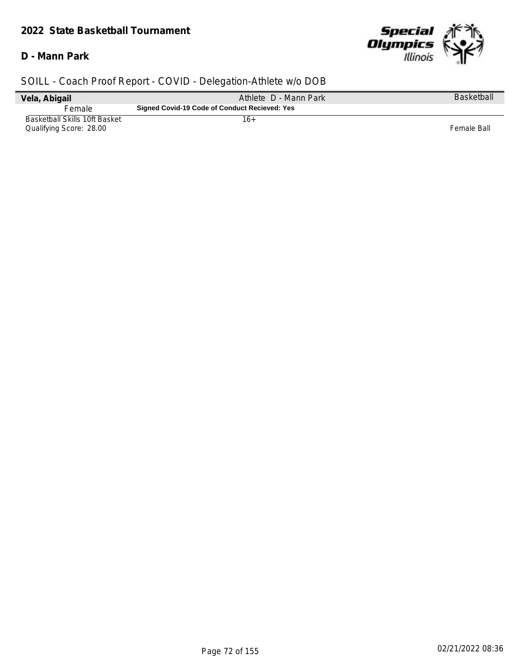#### *2022 State Basketball Tournament*

#### **D - Mann Park**



| Vela, Abigail                                            | Athlete D - Mann Park                         | <b>Basketball</b> |
|----------------------------------------------------------|-----------------------------------------------|-------------------|
| Female                                                   | Signed Covid-19 Code of Conduct Recieved: Yes |                   |
| Basketball Skills 10ft Basket<br>Qualifying Score: 28.00 | 16+                                           | Female Ball       |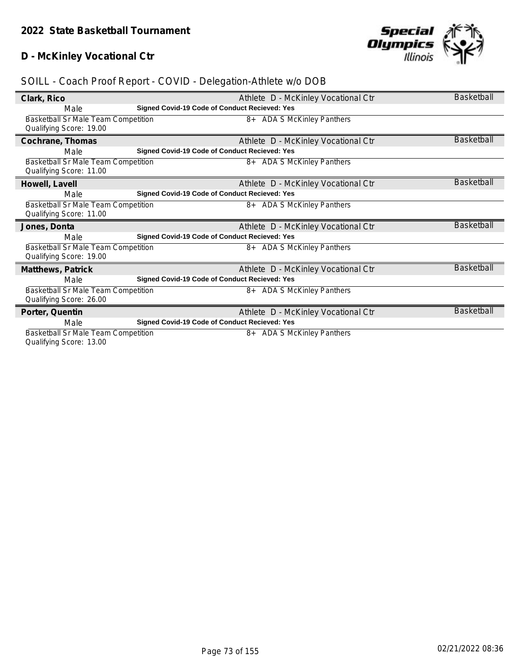### **D - McKinley Vocational Ctr**



### *SOILL - Coach Proof Report - COVID - Delegation-Athlete w/o DOB*

| Clark, Rico                                                           |                                                      | Athlete D - McKinley Vocational Ctr  | <b>Basketball</b> |
|-----------------------------------------------------------------------|------------------------------------------------------|--------------------------------------|-------------------|
| Male                                                                  | <b>Signed Covid-19 Code of Conduct Recieved: Yes</b> |                                      |                   |
| Basketball Sr Male Team Competition<br>Qualifying Score: 19.00        |                                                      | 8+ ADA S McKinley Panthers           |                   |
| Cochrane, Thomas                                                      |                                                      |                                      | <b>Basketball</b> |
|                                                                       | <b>Signed Covid-19 Code of Conduct Recieved: Yes</b> | Athlete D - McKinley Vocational Ctr  |                   |
| Male                                                                  |                                                      |                                      |                   |
| <b>Basketball Sr Male Team Competition</b><br>Qualifying Score: 11.00 |                                                      | 8+ ADA S McKinley Panthers           |                   |
| Howell, Lavell                                                        |                                                      | Athlete D - McKinley Vocational Ctr  | Basketball        |
| Male                                                                  | Signed Covid-19 Code of Conduct Recieved: Yes        |                                      |                   |
| Basketball Sr Male Team Competition                                   |                                                      | 8+ ADA S McKinley Panthers           |                   |
| Qualifying Score: 11.00                                               |                                                      |                                      |                   |
| Jones, Donta                                                          |                                                      | Athlete D - McKinley Vocational Ctr  | <b>Basketball</b> |
| Male                                                                  | <b>Signed Covid-19 Code of Conduct Recieved: Yes</b> |                                      |                   |
| <b>Basketball Sr Male Team Competition</b>                            |                                                      | 8+ ADA S McKinley Panthers           |                   |
| Qualifying Score: 19.00                                               |                                                      |                                      |                   |
| Matthews, Patrick                                                     |                                                      | Athlete D - McKinley Vocational Ctr  | <b>Basketball</b> |
| Male                                                                  | Signed Covid-19 Code of Conduct Recieved: Yes        |                                      |                   |
| Basketball Sr Male Team Competition                                   |                                                      | 8+ ADA S McKinley Panthers           |                   |
| Qualifying Score: 26.00                                               |                                                      |                                      |                   |
| Porter, Quentin                                                       |                                                      | Athlete D - McKinley Vocational Ctr  | <b>Basketball</b> |
| Male                                                                  | <b>Signed Covid-19 Code of Conduct Recieved: Yes</b> |                                      |                   |
| <b>Basketball Sr Male Team Competition</b>                            |                                                      | <b>ADA S McKinley Panthers</b><br>8+ |                   |
| Ouglifuing Coore: 12 00                                               |                                                      |                                      |                   |

Qualifying Score: 13.00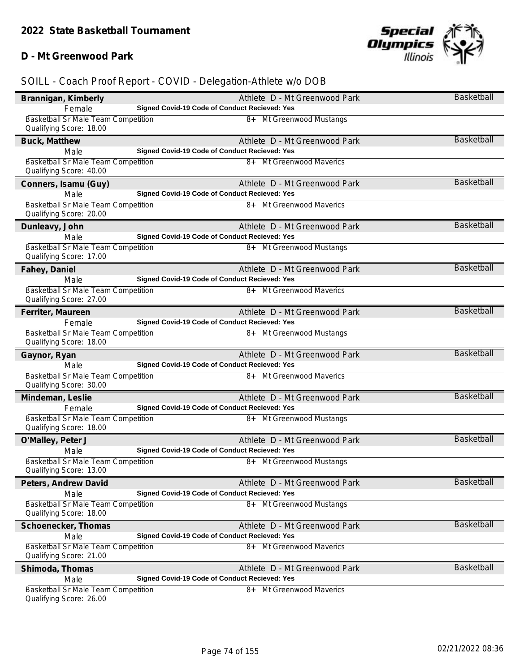### **D - Mt Greenwood Park**



| Brannigan, Kimberly                                                   | Athlete D - Mt Greenwood Park                                             | Basketball        |
|-----------------------------------------------------------------------|---------------------------------------------------------------------------|-------------------|
| Female                                                                | Signed Covid-19 Code of Conduct Recieved: Yes                             |                   |
| Basketball Sr Male Team Competition                                   | 8+ Mt Greenwood Mustangs                                                  |                   |
| Qualifying Score: 18.00                                               |                                                                           |                   |
| Buck, Matthew                                                         | Athlete D - Mt Greenwood Park                                             | <b>Basketball</b> |
| Male                                                                  | Signed Covid-19 Code of Conduct Recieved: Yes                             |                   |
| Basketball Sr Male Team Competition<br>Qualifying Score: 40.00        | 8+ Mt Greenwood Maverics                                                  |                   |
| Conners, Isamu (Guy)                                                  | Athlete D - Mt Greenwood Park                                             | Basketball        |
| Male                                                                  | Signed Covid-19 Code of Conduct Recieved: Yes                             |                   |
| Basketball Sr Male Team Competition                                   | 8+ Mt Greenwood Maverics                                                  |                   |
| Qualifying Score: 20.00                                               |                                                                           |                   |
| Dunleavy, John                                                        | Athlete D - Mt Greenwood Park                                             | <b>Basketball</b> |
| Male                                                                  | Signed Covid-19 Code of Conduct Recieved: Yes                             |                   |
| <b>Basketball Sr Male Team Competition</b><br>Qualifying Score: 17.00 | 8+ Mt Greenwood Mustangs                                                  |                   |
| Fahey, Daniel                                                         | Athlete D - Mt Greenwood Park                                             | <b>Basketball</b> |
| Male                                                                  | Signed Covid-19 Code of Conduct Recieved: Yes                             |                   |
| Basketball Sr Male Team Competition<br>Qualifying Score: 27.00        | 8+ Mt Greenwood Maverics                                                  |                   |
| Ferriter, Maureen                                                     | Athlete D - Mt Greenwood Park                                             | <b>Basketball</b> |
| Female                                                                | Signed Covid-19 Code of Conduct Recieved: Yes                             |                   |
| Basketball Sr Male Team Competition<br>Qualifying Score: 18.00        | 8+ Mt Greenwood Mustangs                                                  |                   |
| Gaynor, Ryan                                                          | Athlete D - Mt Greenwood Park                                             | <b>Basketball</b> |
| Male                                                                  | Signed Covid-19 Code of Conduct Recieved: Yes                             |                   |
| <b>Basketball Sr Male Team Competition</b><br>Qualifying Score: 30.00 | 8+ Mt Greenwood Maverics                                                  |                   |
| Mindeman, Leslie                                                      | Athlete D - Mt Greenwood Park                                             | <b>Basketball</b> |
| Female                                                                | Signed Covid-19 Code of Conduct Recieved: Yes                             |                   |
| Basketball Sr Male Team Competition<br>Qualifying Score: 18.00        | 8+ Mt Greenwood Mustangs                                                  |                   |
| O'Malley, Peter J                                                     | Athlete D - Mt Greenwood Park                                             | <b>Basketball</b> |
| Male                                                                  | Signed Covid-19 Code of Conduct Recieved: Yes                             |                   |
| Basketball Sr Male Team Competition<br>Qualifying Score: 13.00        | 8+ Mt Greenwood Mustangs                                                  |                   |
| Peters, Andrew David                                                  | Athlete D - Mt Greenwood Park                                             | Basketball        |
| Male                                                                  | Signed Covid-19 Code of Conduct Recieved: Yes                             |                   |
| Basketball Sr Male Team Competition                                   | 8+<br>Mt Greenwood Mustangs                                               |                   |
| Qualifying Score: 18.00                                               |                                                                           |                   |
| Schoenecker, Thomas                                                   | Athlete D - Mt Greenwood Park                                             | Basketball        |
| Male                                                                  | Signed Covid-19 Code of Conduct Recieved: Yes                             |                   |
| Basketball Sr Male Team Competition                                   | Mt Greenwood Maverics<br>8+                                               |                   |
| Qualifying Score: 21.00                                               |                                                                           |                   |
| Shimoda, Thomas                                                       | Athlete D - Mt Greenwood Park                                             | <b>Basketball</b> |
| Male<br>Basketball Sr Male Team Competition                           | Signed Covid-19 Code of Conduct Recieved: Yes<br>8+ Mt Greenwood Maverics |                   |
| Qualifying Score: 26.00                                               |                                                                           |                   |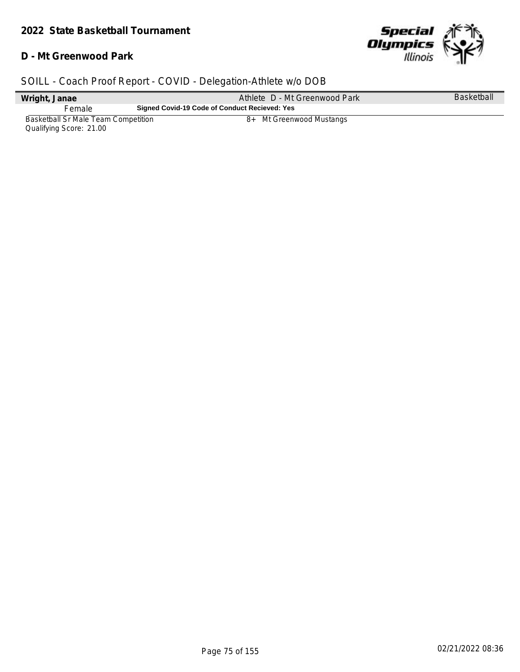#### **D - Mt Greenwood Park**



| Wright, Janae                       | Athlete D - Mt Greenwood Park                 | <b>Basketball</b> |
|-------------------------------------|-----------------------------------------------|-------------------|
| Female                              | Signed Covid-19 Code of Conduct Recieved: Yes |                   |
| Basketball Sr Male Team Competition | 8+ Mt Greenwood Mustangs                      |                   |
| Qualifying Score: 21.00             |                                               |                   |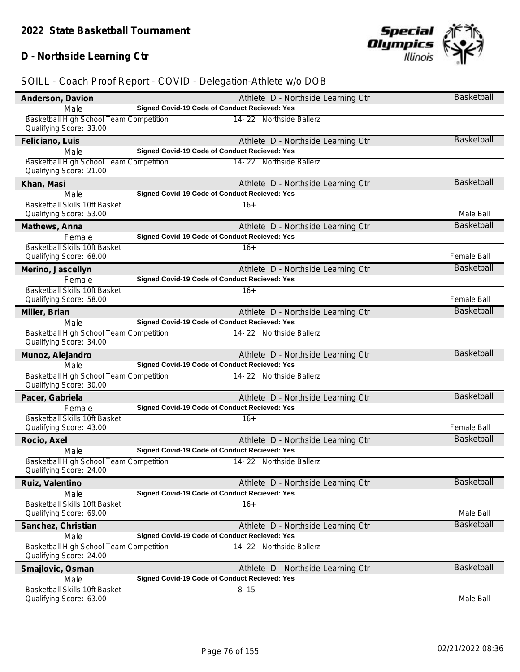# **D - Northside Learning Ctr**



| Anderson, Davion                                                   | Athlete D - Northside Learning Ctr            | Basketball         |
|--------------------------------------------------------------------|-----------------------------------------------|--------------------|
| Male                                                               | Signed Covid-19 Code of Conduct Recieved: Yes |                    |
| Basketball High School Team Competition                            | 14-22 Northside Ballerz                       |                    |
| Qualifying Score: 33.00                                            |                                               |                    |
| Feliciano, Luis                                                    | Athlete D - Northside Learning Ctr            | <b>Basketball</b>  |
| Male                                                               | Signed Covid-19 Code of Conduct Recieved: Yes |                    |
| Basketball High School Team Competition<br>Qualifying Score: 21.00 | 14-22 Northside Ballerz                       |                    |
| Khan, Masi                                                         | Athlete D - Northside Learning Ctr            | Basketball         |
| Male                                                               | Signed Covid-19 Code of Conduct Recieved: Yes |                    |
| Basketball Skills 10ft Basket<br>Qualifying Score: 53.00           | $16+$                                         | Male Ball          |
| Mathews, Anna                                                      | Athlete D - Northside Learning Ctr            | <b>Basketball</b>  |
| Female                                                             | Signed Covid-19 Code of Conduct Recieved: Yes |                    |
| <b>Basketball Skills 10ft Basket</b>                               | $16+$                                         |                    |
| Qualifying Score: 68.00                                            |                                               | Female Ball        |
| Merino, Jascellyn                                                  | Athlete D - Northside Learning Ctr            | Basketball         |
| Female                                                             | Signed Covid-19 Code of Conduct Recieved: Yes |                    |
| Basketball Skills 10ft Basket                                      | $16+$                                         |                    |
| Qualifying Score: 58.00                                            |                                               | <b>Female Ball</b> |
| Miller, Brian                                                      | Athlete D - Northside Learning Ctr            | <b>Basketball</b>  |
| Male                                                               | Signed Covid-19 Code of Conduct Recieved: Yes |                    |
| Basketball High School Team Competition                            | 14-22 Northside Ballerz                       |                    |
| Qualifying Score: 34.00                                            |                                               |                    |
|                                                                    |                                               |                    |
| Munoz, Alejandro                                                   | Athlete D - Northside Learning Ctr            | <b>Basketball</b>  |
| Male                                                               | Signed Covid-19 Code of Conduct Recieved: Yes |                    |
| Basketball High School Team Competition                            | 14-22 Northside Ballerz                       |                    |
| Qualifying Score: 30.00                                            |                                               |                    |
| Pacer, Gabriela                                                    | Athlete D - Northside Learning Ctr            | <b>Basketball</b>  |
| Female                                                             | Signed Covid-19 Code of Conduct Recieved: Yes |                    |
| Basketball Skills 10ft Basket                                      | $16+$                                         |                    |
| Qualifying Score: 43.00                                            |                                               | Female Ball        |
| Rocio, Axel                                                        | Athlete D - Northside Learning Ctr            | <b>Basketball</b>  |
| Male                                                               | Signed Covid-19 Code of Conduct Recieved: Yes |                    |
| Basketball High School Team Competition                            | 14-22 Northside Ballerz                       |                    |
| Qualifying Score: 24.00                                            |                                               |                    |
| Ruiz, Valentino                                                    | Athlete D - Northside Learning Ctr            | <b>Basketball</b>  |
| Male                                                               | Signed Covid-19 Code of Conduct Recieved: Yes |                    |
| Basketball Skills 10ft Basket                                      | $16+$                                         |                    |
| Qualifying Score: 69.00                                            |                                               | Male Ball          |
| Sanchez, Christian                                                 | Athlete D - Northside Learning Ctr            | <b>Basketball</b>  |
| Male                                                               | Signed Covid-19 Code of Conduct Recieved: Yes |                    |
| Basketball High School Team Competition                            | 14-22 Northside Ballerz                       |                    |
| Qualifying Score: 24.00                                            |                                               |                    |
| Smajlovic, Osman                                                   | Athlete D - Northside Learning Ctr            | <b>Basketball</b>  |
| Male                                                               | Signed Covid-19 Code of Conduct Recieved: Yes |                    |
| Basketball Skills 10ft Basket<br>Qualifying Score: 63.00           | $8 - 15$                                      | Male Ball          |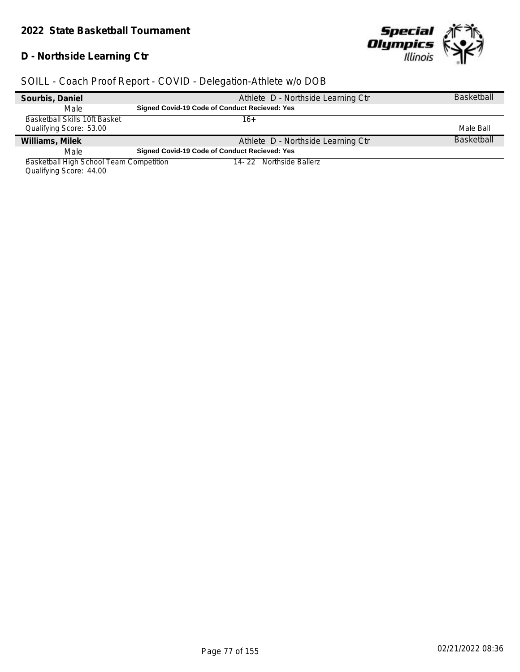# **D - Northside Learning Ctr**



### *SOILL - Coach Proof Report - COVID - Delegation-Athlete w/o DOB*

| Sourbis, Daniel                         | Athlete D - Northside Learning Ctr            | <b>Basketball</b> |
|-----------------------------------------|-----------------------------------------------|-------------------|
| Male                                    | Signed Covid-19 Code of Conduct Recieved: Yes |                   |
| Basketball Skills 10ft Basket           | 16+                                           |                   |
| Qualifying Score: 53.00                 |                                               | Male Ball         |
| Williams, Milek                         | Athlete D - Northside Learning Ctr            | <b>Basketball</b> |
| Male                                    | Signed Covid-19 Code of Conduct Recieved: Yes |                   |
| Basketball High School Team Competition | 14-22 Northside Ballerz                       |                   |

Qualifying Score: 44.00

 $\overline{\phantom{a}}$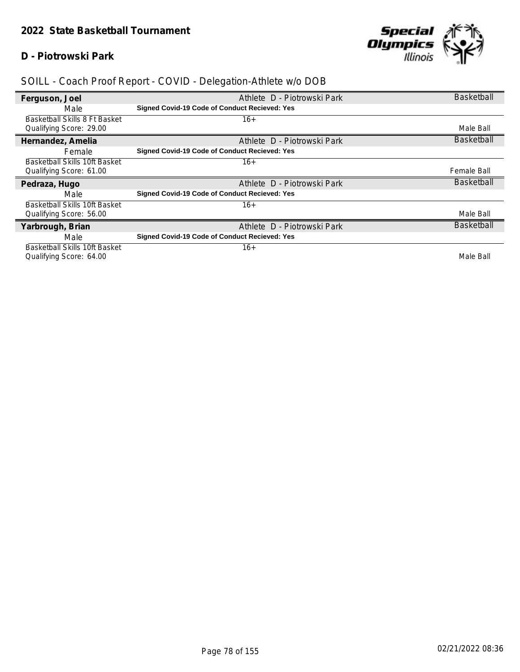#### **D - Piotrowski Park**



| Ferguson, Joel                       | Athlete D - Piotrowski Park                   | <b>Basketball</b> |
|--------------------------------------|-----------------------------------------------|-------------------|
| Male                                 | Signed Covid-19 Code of Conduct Recieved: Yes |                   |
| Basketball Skills 8 Ft Basket        | 16+                                           |                   |
| Qualifying Score: 29.00              |                                               | Male Ball         |
| Hernandez, Amelia                    | Athlete D - Piotrowski Park                   | <b>Basketball</b> |
| Female                               | Signed Covid-19 Code of Conduct Recieved: Yes |                   |
| Basketball Skills 10ft Basket        | $16+$                                         |                   |
| Qualifying Score: 61.00              |                                               | Female Ball       |
|                                      |                                               |                   |
| Pedraza, Hugo                        | Athlete D - Piotrowski Park                   | <b>Basketball</b> |
| Male                                 | Signed Covid-19 Code of Conduct Recieved: Yes |                   |
| <b>Basketball Skills 10ft Basket</b> | $16+$                                         |                   |
| Qualifying Score: 56.00              |                                               | Male Ball         |
| Yarbrough, Brian                     | Athlete D - Piotrowski Park                   | <b>Basketball</b> |
| Male                                 | Signed Covid-19 Code of Conduct Recieved: Yes |                   |
| Basketball Skills 10ft Basket        | 16+                                           |                   |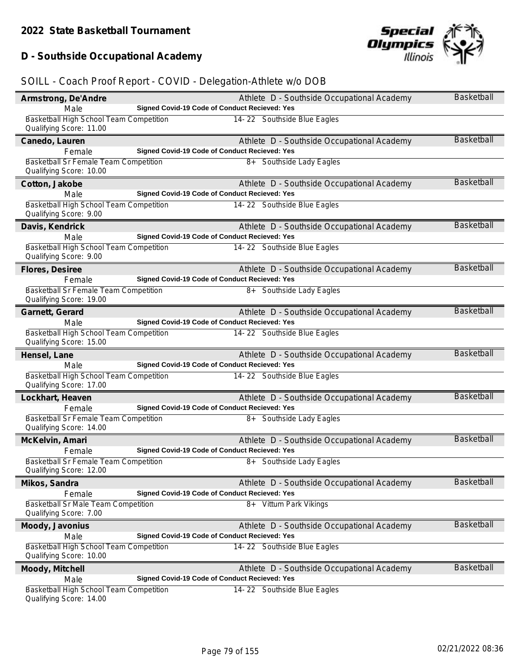# **D - Southside Occupational Academy**



| Armstrong, De'Andre                                                  |                                                      | Athlete D - Southside Occupational Academy | <b>Basketball</b> |
|----------------------------------------------------------------------|------------------------------------------------------|--------------------------------------------|-------------------|
| Male                                                                 | Signed Covid-19 Code of Conduct Recieved: Yes        |                                            |                   |
| Basketball High School Team Competition<br>Qualifying Score: 11.00   |                                                      | 14-22 Southside Blue Eagles                |                   |
| Canedo, Lauren                                                       |                                                      | Athlete D - Southside Occupational Academy | <b>Basketball</b> |
| Female                                                               | <b>Signed Covid-19 Code of Conduct Recieved: Yes</b> |                                            |                   |
| Basketball Sr Female Team Competition<br>Qualifying Score: 10.00     |                                                      | 8+ Southside Lady Eagles                   |                   |
| Cotton, Jakobe                                                       |                                                      | Athlete D - Southside Occupational Academy | <b>Basketball</b> |
| Male                                                                 | Signed Covid-19 Code of Conduct Recieved: Yes        |                                            |                   |
| Basketball High School Team Competition<br>Qualifying Score: 9.00    |                                                      | 14-22 Southside Blue Eagles                |                   |
| Davis, Kendrick                                                      |                                                      | Athlete D - Southside Occupational Academy | Basketball        |
| Male                                                                 | Signed Covid-19 Code of Conduct Recieved: Yes        |                                            |                   |
| Basketball High School Team Competition<br>Qualifying Score: 9.00    |                                                      | 14-22 Southside Blue Eagles                |                   |
| Flores, Desiree                                                      |                                                      | Athlete D - Southside Occupational Academy | <b>Basketball</b> |
| Female                                                               | Signed Covid-19 Code of Conduct Recieved: Yes        |                                            |                   |
| Basketball Sr Female Team Competition<br>Qualifying Score: 19.00     |                                                      | 8+ Southside Lady Eagles                   |                   |
| Garnett, Gerard                                                      |                                                      | Athlete D - Southside Occupational Academy | Basketball        |
| Male                                                                 | Signed Covid-19 Code of Conduct Recieved: Yes        |                                            |                   |
| Basketball High School Team Competition<br>Qualifying Score: 15.00   |                                                      | 14-22 Southside Blue Eagles                |                   |
| Hensel, Lane                                                         |                                                      | Athlete D - Southside Occupational Academy | <b>Basketball</b> |
| Male                                                                 | Signed Covid-19 Code of Conduct Recieved: Yes        |                                            |                   |
| Basketball High School Team Competition<br>Qualifying Score: 17.00   |                                                      | 14-22 Southside Blue Eagles                |                   |
| Lockhart, Heaven                                                     |                                                      | Athlete D - Southside Occupational Academy | <b>Basketball</b> |
| Female                                                               | Signed Covid-19 Code of Conduct Recieved: Yes        |                                            |                   |
| Basketball Sr Female Team Competition<br>Qualifying Score: 14.00     |                                                      | 8+ Southside Lady Eagles                   |                   |
| McKelvin, Amari                                                      |                                                      | Athlete D - Southside Occupational Academy | <b>Basketball</b> |
| Female                                                               | Signed Covid-19 Code of Conduct Recieved: Yes        |                                            |                   |
| Basketball Sr Female Team Competition<br>Qualifying Score: 12.00     |                                                      | 8+ Southside Lady Eagles                   |                   |
| Mikos, Sandra                                                        |                                                      |                                            |                   |
|                                                                      |                                                      | Athlete D - Southside Occupational Academy | Basketball        |
| Female                                                               | Signed Covid-19 Code of Conduct Recieved: Yes        |                                            |                   |
| <b>Basketball Sr Male Team Competition</b><br>Qualifying Score: 7.00 |                                                      | 8+ Vittum Park Vikings                     |                   |
| Moody, Javonius                                                      |                                                      | Athlete D - Southside Occupational Academy | <b>Basketball</b> |
| Male                                                                 | Signed Covid-19 Code of Conduct Recieved: Yes        |                                            |                   |
| Basketball High School Team Competition<br>Qualifying Score: 10.00   |                                                      | 14-22 Southside Blue Eagles                |                   |
| Moody, Mitchell                                                      |                                                      | Athlete D - Southside Occupational Academy | <b>Basketball</b> |
| Male<br>Basketball High School Team Competition                      | Signed Covid-19 Code of Conduct Recieved: Yes        | 14-22 Southside Blue Eagles                |                   |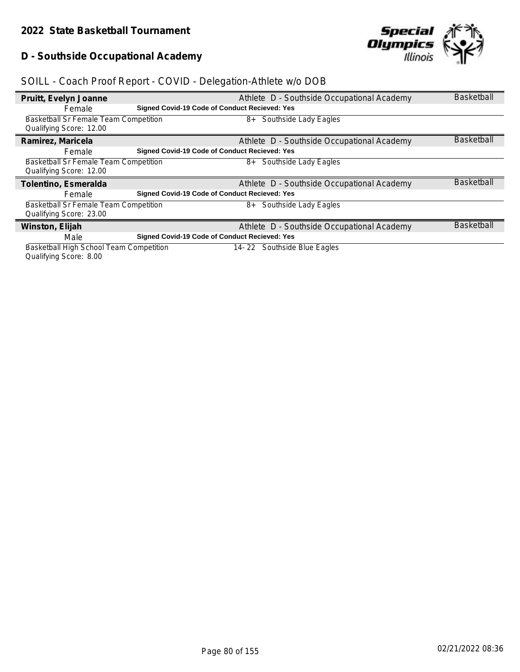### **D - Southside Occupational Academy**



# *SOILL - Coach Proof Report - COVID - Delegation-Athlete w/o DOB*

| Pruitt, Evelyn Joanne                        |                                                      | Athlete D - Southside Occupational Academy | <b>Basketball</b> |
|----------------------------------------------|------------------------------------------------------|--------------------------------------------|-------------------|
| Female                                       | <b>Signed Covid-19 Code of Conduct Recieved: Yes</b> |                                            |                   |
| <b>Basketball Sr Female Team Competition</b> |                                                      | 8+ Southside Lady Eagles                   |                   |
| Qualifying Score: 12.00                      |                                                      |                                            |                   |
| Ramirez, Maricela                            |                                                      | Athlete D - Southside Occupational Academy | <b>Basketball</b> |
| Female                                       | <b>Signed Covid-19 Code of Conduct Recieved: Yes</b> |                                            |                   |
| <b>Basketball Sr Female Team Competition</b> |                                                      | 8+ Southside Lady Eagles                   |                   |
| Qualifying Score: 12.00                      |                                                      |                                            |                   |
| Tolentino, Esmeralda                         |                                                      | Athlete D - Southside Occupational Academy | <b>Basketball</b> |
| Female                                       | <b>Signed Covid-19 Code of Conduct Recieved: Yes</b> |                                            |                   |
| Basketball Sr Female Team Competition        |                                                      | Southside Lady Eagles<br>8+                |                   |
| Qualifying Score: 23.00                      |                                                      |                                            |                   |
| Winston, Elijah                              |                                                      | Athlete D - Southside Occupational Academy | <b>Basketball</b> |
| Male                                         | <b>Signed Covid-19 Code of Conduct Recieved: Yes</b> |                                            |                   |
| Basketball High School Team Competition      |                                                      | 14-22 Southside Blue Eagles                |                   |

Qualifying Score: 8.00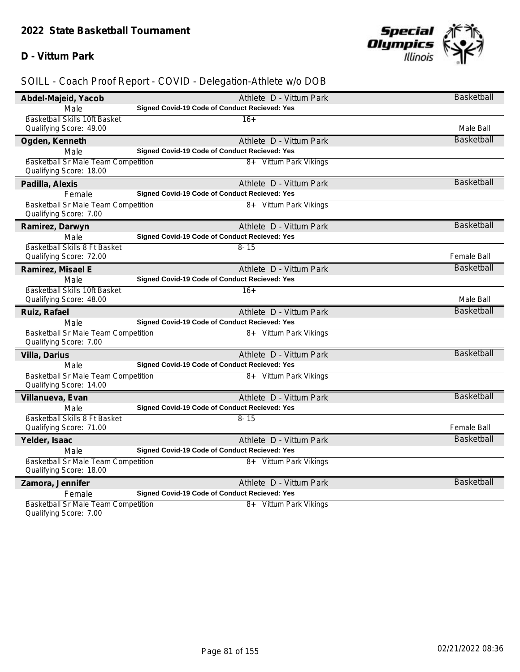#### **D - Vittum Park**



| Abdel-Majeid, Yacob                                            | Athlete D - Vittum Park                              | <b>Basketball</b> |
|----------------------------------------------------------------|------------------------------------------------------|-------------------|
| Male                                                           | Signed Covid-19 Code of Conduct Recieved: Yes        |                   |
| Basketball Skills 10ft Basket                                  | $16+$                                                |                   |
| Qualifying Score: 49.00                                        |                                                      | Male Ball         |
| Ogden, Kenneth                                                 | Athlete D - Vittum Park                              | <b>Basketball</b> |
| Male                                                           | Signed Covid-19 Code of Conduct Recieved: Yes        |                   |
| Basketball Sr Male Team Competition                            | 8+ Vittum Park Vikings                               |                   |
| Qualifying Score: 18.00                                        |                                                      |                   |
| Padilla, Alexis                                                | Athlete D - Vittum Park                              | Basketball        |
| Female                                                         | Signed Covid-19 Code of Conduct Recieved: Yes        |                   |
| Basketball Sr Male Team Competition                            | 8+ Vittum Park Vikings                               |                   |
| Qualifying Score: 7.00                                         |                                                      |                   |
| Ramirez, Darwyn                                                | Athlete D - Vittum Park                              | Basketball        |
| Male                                                           | Signed Covid-19 Code of Conduct Recieved: Yes        |                   |
| Basketball Skills 8 Ft Basket                                  | $8 - 15$                                             |                   |
| Qualifying Score: 72.00                                        |                                                      | Female Ball       |
| Ramirez, Misael E                                              | Athlete D - Vittum Park                              | <b>Basketball</b> |
| Male                                                           | Signed Covid-19 Code of Conduct Recieved: Yes        |                   |
| Basketball Skills 10ft Basket                                  | $16+$                                                |                   |
| Qualifying Score: 48.00                                        |                                                      | Male Ball         |
| Ruiz, Rafael                                                   | Athlete D - Vittum Park                              | <b>Basketball</b> |
| Male                                                           | <b>Signed Covid-19 Code of Conduct Recieved: Yes</b> |                   |
| Basketball Sr Male Team Competition<br>Qualifying Score: 7.00  | 8+ Vittum Park Vikings                               |                   |
|                                                                |                                                      | Basketball        |
| Villa, Darius                                                  | Athlete D - Vittum Park                              |                   |
| Male                                                           | <b>Signed Covid-19 Code of Conduct Recieved: Yes</b> |                   |
| Basketball Sr Male Team Competition<br>Qualifying Score: 14.00 | 8+ Vittum Park Vikings                               |                   |
|                                                                | Athlete D - Vittum Park                              | Basketball        |
| Villanueva, Evan<br>Male                                       | Signed Covid-19 Code of Conduct Recieved: Yes        |                   |
| Basketball Skills 8 Ft Basket                                  | $8 - 15$                                             |                   |
| Qualifying Score: 71.00                                        |                                                      | Female Ball       |
| Yelder, Isaac                                                  | Athlete D - Vittum Park                              | Basketball        |
| Male                                                           | Signed Covid-19 Code of Conduct Recieved: Yes        |                   |
| Basketball Sr Male Team Competition                            | 8+ Vittum Park Vikings                               |                   |
| Qualifying Score: 18.00                                        |                                                      |                   |
| Zamora, Jennifer                                               | Athlete D - Vittum Park                              | <b>Basketball</b> |
| Female                                                         | Signed Covid-19 Code of Conduct Recieved: Yes        |                   |
| Basketball Sr Male Team Competition                            | 8+ Vittum Park Vikings                               |                   |
| Qualifying Score: 7.00                                         |                                                      |                   |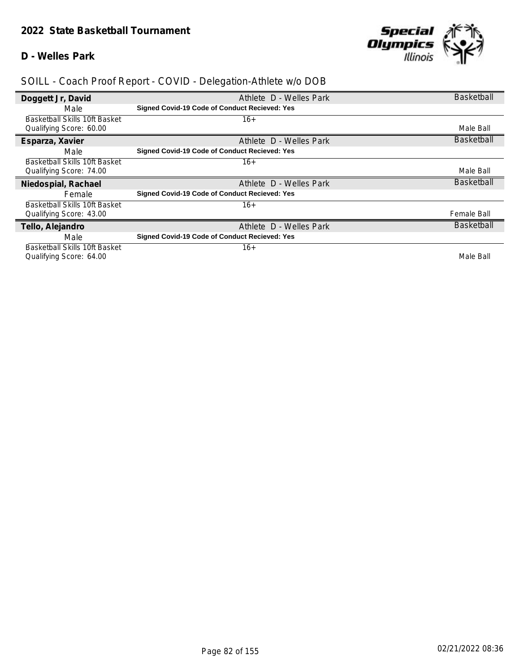#### **D - Welles Park**



| Doggett Jr, David             | Athlete D - Welles Park                       | <b>Basketball</b> |
|-------------------------------|-----------------------------------------------|-------------------|
| Male                          | Signed Covid-19 Code of Conduct Recieved: Yes |                   |
| Basketball Skills 10ft Basket | 16+                                           |                   |
| Qualifying Score: 60.00       |                                               | Male Ball         |
| Esparza, Xavier               | Athlete D - Welles Park                       | <b>Basketball</b> |
| Male                          | Signed Covid-19 Code of Conduct Recieved: Yes |                   |
| Basketball Skills 10ft Basket | 16+                                           |                   |
| Qualifying Score: 74.00       |                                               | Male Ball         |
|                               |                                               |                   |
| Niedospial, Rachael           | Athlete D - Welles Park                       | <b>Basketball</b> |
| Female                        | Signed Covid-19 Code of Conduct Recieved: Yes |                   |
| Basketball Skills 10ft Basket | $16+$                                         |                   |
| Qualifying Score: 43.00       |                                               | Female Ball       |
| Tello, Alejandro              | Athlete D - Welles Park                       | <b>Basketball</b> |
| Male                          | Signed Covid-19 Code of Conduct Recieved: Yes |                   |
| Basketball Skills 10ft Basket | $16+$                                         |                   |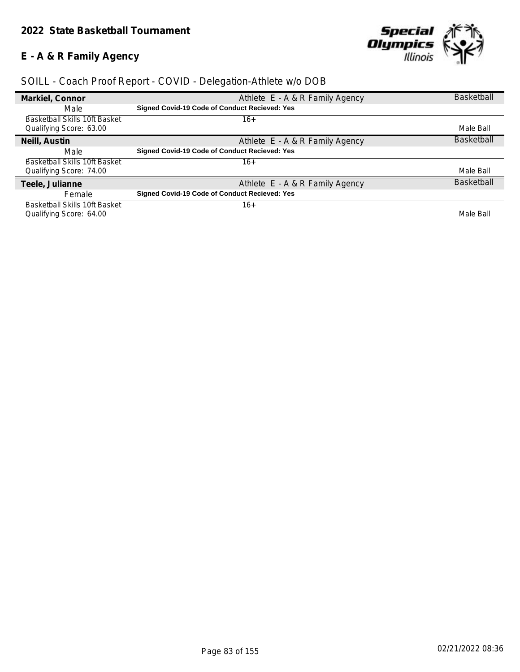### **E - A & R Family Agency**



| Markiel, Connor                      | Athlete E - A & R Family Agency               | <b>Basketball</b> |
|--------------------------------------|-----------------------------------------------|-------------------|
| Male                                 | Signed Covid-19 Code of Conduct Recieved: Yes |                   |
| <b>Basketball Skills 10ft Basket</b> | $16+$                                         |                   |
| Qualifying Score: 63.00              |                                               | Male Ball         |
| Neill, Austin                        | Athlete E - A & R Family Agency               | <b>Basketball</b> |
| Male                                 | Signed Covid-19 Code of Conduct Recieved: Yes |                   |
| Basketball Skills 10ft Basket        | $16+$                                         |                   |
| Qualifying Score: 74.00              |                                               | Male Ball         |
| Teele, Julianne                      | Athlete E - A & R Family Agency               | <b>Basketball</b> |
| Female                               | Signed Covid-19 Code of Conduct Recieved: Yes |                   |
| <b>Basketball Skills 10ft Basket</b> | $16+$                                         |                   |
| Qualifying Score: 64.00              |                                               | Male Ball         |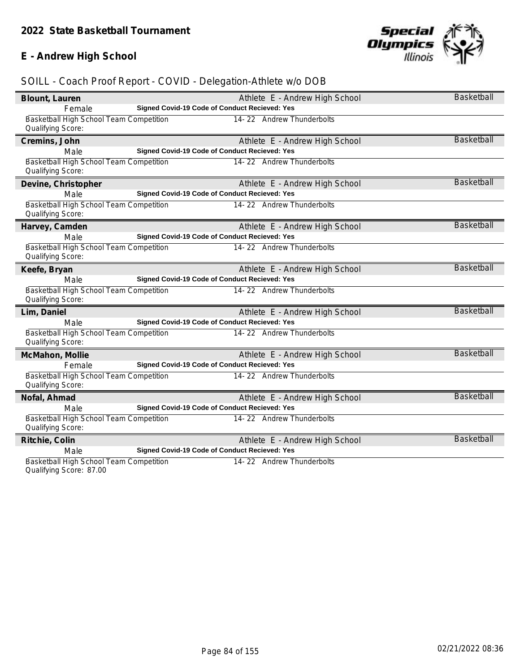### **E - Andrew High School**



### *SOILL - Coach Proof Report - COVID - Delegation-Athlete w/o DOB*

| Blount, Lauren                                               |                                               | Athlete E - Andrew High School | <b>Basketball</b> |
|--------------------------------------------------------------|-----------------------------------------------|--------------------------------|-------------------|
| Female                                                       | Signed Covid-19 Code of Conduct Recieved: Yes |                                |                   |
| Basketball High School Team Competition<br>Qualifying Score: |                                               | 14-22 Andrew Thunderbolts      |                   |
| Cremins, John                                                |                                               | Athlete E - Andrew High School | <b>Basketball</b> |
| Male                                                         | Signed Covid-19 Code of Conduct Recieved: Yes |                                |                   |
| Basketball High School Team Competition<br>Qualifying Score: |                                               | 14-22 Andrew Thunderbolts      |                   |
| Devine, Christopher                                          |                                               | Athlete E - Andrew High School | <b>Basketball</b> |
| Male                                                         | Signed Covid-19 Code of Conduct Recieved: Yes |                                |                   |
| Basketball High School Team Competition<br>Qualifying Score: |                                               | 14-22 Andrew Thunderbolts      |                   |
| Harvey, Camden                                               |                                               | Athlete E - Andrew High School | <b>Basketball</b> |
| Male                                                         | Signed Covid-19 Code of Conduct Recieved: Yes |                                |                   |
| Basketball High School Team Competition<br>Qualifying Score: |                                               | 14-22 Andrew Thunderbolts      |                   |
| Keefe, Bryan                                                 |                                               | Athlete E - Andrew High School | <b>Basketball</b> |
| Male                                                         | Signed Covid-19 Code of Conduct Recieved: Yes |                                |                   |
| Basketball High School Team Competition<br>Qualifying Score: |                                               | 14-22 Andrew Thunderbolts      |                   |
| Lim, Daniel                                                  |                                               | Athlete E - Andrew High School | <b>Basketball</b> |
| Male                                                         | Signed Covid-19 Code of Conduct Recieved: Yes |                                |                   |
| Basketball High School Team Competition<br>Qualifying Score: |                                               | 14-22 Andrew Thunderbolts      |                   |
| McMahon, Mollie                                              |                                               | Athlete E - Andrew High School | <b>Basketball</b> |
| Female                                                       | Signed Covid-19 Code of Conduct Recieved: Yes |                                |                   |
| Basketball High School Team Competition<br>Qualifying Score: |                                               | 14-22 Andrew Thunderbolts      |                   |
| Nofal, Ahmad                                                 |                                               | Athlete E - Andrew High School | <b>Basketball</b> |
| Male                                                         | Signed Covid-19 Code of Conduct Recieved: Yes |                                |                   |
| Basketball High School Team Competition<br>Qualifying Score: |                                               | 14-22 Andrew Thunderbolts      |                   |
| Ritchie, Colin                                               |                                               | Athlete E - Andrew High School | Basketball        |
| Male                                                         | Signed Covid-19 Code of Conduct Recieved: Yes |                                |                   |
| Basketball High School Team Competition                      |                                               | 14-22 Andrew Thunderbolts      |                   |

Qualifying Score: 87.00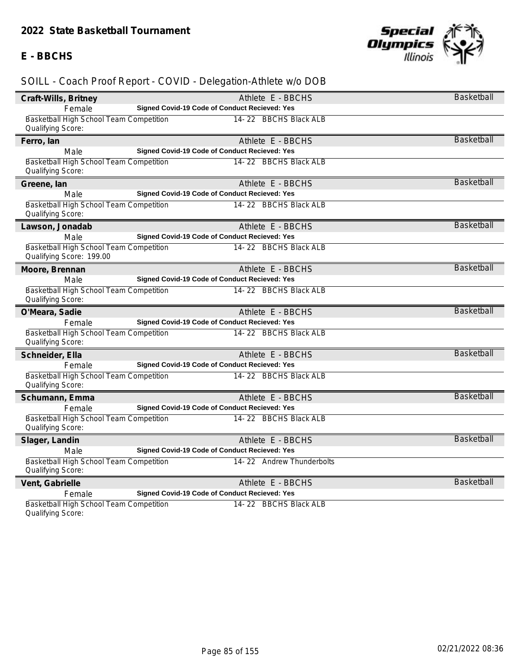#### **E - BBCHS**



| Craft-Wills, Britney                                                |                                               | Athlete E - BBCHS         | <b>Basketball</b> |
|---------------------------------------------------------------------|-----------------------------------------------|---------------------------|-------------------|
| Female                                                              | Signed Covid-19 Code of Conduct Recieved: Yes |                           |                   |
| Basketball High School Team Competition<br>Qualifying Score:        |                                               | 14-22 BBCHS Black ALB     |                   |
| Ferro, Ian                                                          |                                               | Athlete E - BBCHS         | <b>Basketball</b> |
| Male                                                                | Signed Covid-19 Code of Conduct Recieved: Yes |                           |                   |
| Basketball High School Team Competition<br>Qualifying Score:        |                                               | 14-22 BBCHS Black ALB     |                   |
| Greene, lan                                                         |                                               | Athlete E - BBCHS         | <b>Basketball</b> |
| Male                                                                | Signed Covid-19 Code of Conduct Recieved: Yes |                           |                   |
| Basketball High School Team Competition<br>Qualifying Score:        |                                               | 14-22 BBCHS Black ALB     |                   |
| Lawson, Jonadab                                                     |                                               | Athlete E - BBCHS         | <b>Basketball</b> |
| Male                                                                | Signed Covid-19 Code of Conduct Recieved: Yes |                           |                   |
| Basketball High School Team Competition<br>Qualifying Score: 199.00 |                                               | 14-22 BBCHS Black ALB     |                   |
| Moore, Brennan                                                      |                                               | Athlete E - BBCHS         | <b>Basketball</b> |
| Male                                                                | Signed Covid-19 Code of Conduct Recieved: Yes |                           |                   |
| Basketball High School Team Competition<br>Qualifying Score:        |                                               | 14-22 BBCHS Black ALB     |                   |
| O'Meara, Sadie                                                      |                                               | Athlete E - BBCHS         | <b>Basketball</b> |
| Female                                                              | Signed Covid-19 Code of Conduct Recieved: Yes |                           |                   |
| Basketball High School Team Competition<br>Qualifying Score:        |                                               | 14-22 BBCHS Black ALB     |                   |
| Schneider, Ella                                                     |                                               | Athlete E - BBCHS         | <b>Basketball</b> |
| Female                                                              | Signed Covid-19 Code of Conduct Recieved: Yes |                           |                   |
| Basketball High School Team Competition<br>Qualifying Score:        |                                               | 14-22 BBCHS Black ALB     |                   |
| Schumann, Emma                                                      |                                               | Athlete E - BBCHS         | <b>Basketball</b> |
| Female                                                              | Signed Covid-19 Code of Conduct Recieved: Yes |                           |                   |
| Basketball High School Team Competition<br>Qualifying Score:        |                                               | 14-22 BBCHS Black ALB     |                   |
| Slager, Landin                                                      |                                               | Athlete E - BBCHS         | <b>Basketball</b> |
| Male                                                                | Signed Covid-19 Code of Conduct Recieved: Yes |                           |                   |
| Basketball High School Team Competition<br>Qualifying Score:        |                                               | 14-22 Andrew Thunderbolts |                   |
| Vent, Gabrielle                                                     |                                               | Athlete E - BBCHS         | <b>Basketball</b> |
| Female                                                              | Signed Covid-19 Code of Conduct Recieved: Yes |                           |                   |
| Basketball High School Team Competition<br>Qualifying Score:        |                                               | 14-22 BBCHS Black ALB     |                   |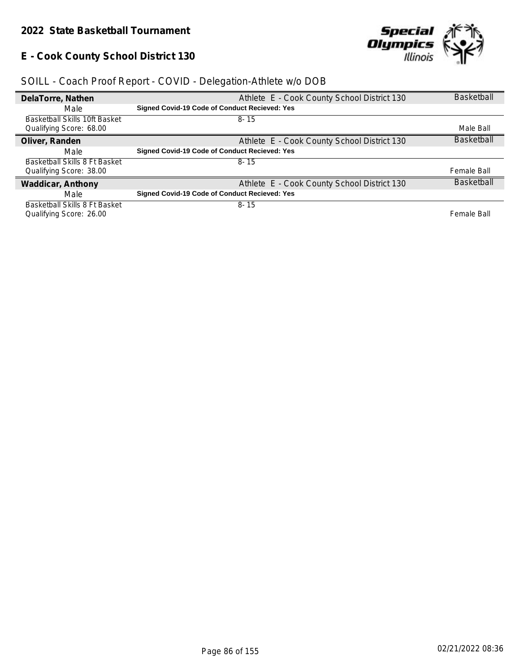### **E - Cook County School District 130**



| DelaTorre, Nathen             | Athlete E - Cook County School District 130          | <b>Basketball</b> |
|-------------------------------|------------------------------------------------------|-------------------|
| Male                          | Signed Covid-19 Code of Conduct Recieved: Yes        |                   |
| Basketball Skills 10ft Basket | $8 - 15$                                             |                   |
| Qualifying Score: 68.00       |                                                      | Male Ball         |
| Oliver, Randen                | Athlete E - Cook County School District 130          | <b>Basketball</b> |
| Male                          | <b>Signed Covid-19 Code of Conduct Recieved: Yes</b> |                   |
| Basketball Skills 8 Ft Basket | $8 - 15$                                             |                   |
| Qualifying Score: 38.00       |                                                      | Female Ball       |
| Waddicar, Anthony             | Athlete E - Cook County School District 130          | <b>Basketball</b> |
| Male                          | Signed Covid-19 Code of Conduct Recieved: Yes        |                   |
| Basketball Skills 8 Ft Basket | $8 - 15$                                             |                   |
| Qualifying Score: 26.00       |                                                      | Female Ball       |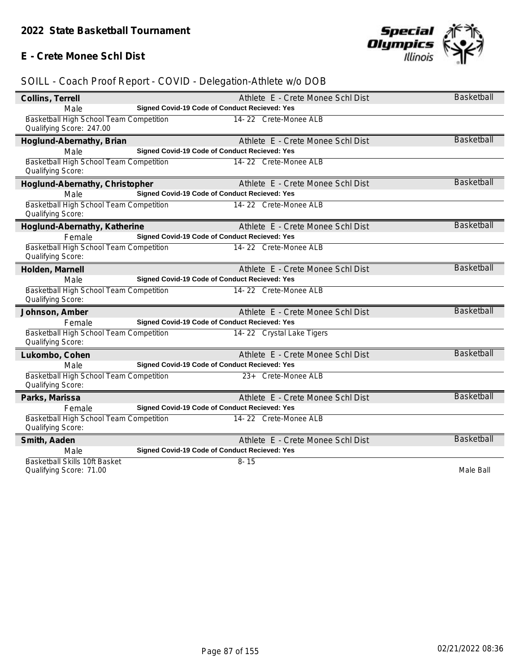### **E - Crete Monee Schl Dist**



| Collins, Terrell                        |                                               | Athlete E - Crete Monee Schl Dist | Basketball        |
|-----------------------------------------|-----------------------------------------------|-----------------------------------|-------------------|
| Male                                    | Signed Covid-19 Code of Conduct Recieved: Yes |                                   |                   |
| Basketball High School Team Competition |                                               | 14-22 Crete-Monee ALB             |                   |
| Qualifying Score: 247.00                |                                               |                                   |                   |
| Hoglund-Abernathy, Brian                |                                               | Athlete E - Crete Monee Schl Dist | <b>Basketball</b> |
| Male                                    | Signed Covid-19 Code of Conduct Recieved: Yes |                                   |                   |
| Basketball High School Team Competition |                                               | 14-22 Crete-Monee ALB             |                   |
| Qualifying Score:                       |                                               |                                   |                   |
| Hoglund-Abernathy, Christopher          |                                               | Athlete E - Crete Monee Schl Dist | <b>Basketball</b> |
| Male                                    | Signed Covid-19 Code of Conduct Recieved: Yes |                                   |                   |
| Basketball High School Team Competition |                                               | 14-22 Crete-Monee ALB             |                   |
| Qualifying Score:                       |                                               |                                   |                   |
| Hoglund-Abernathy, Katherine            |                                               | Athlete E - Crete Monee Schl Dist | <b>Basketball</b> |
| Female                                  | Signed Covid-19 Code of Conduct Recieved: Yes |                                   |                   |
| Basketball High School Team Competition |                                               | 14-22 Crete-Monee ALB             |                   |
| Qualifying Score:                       |                                               |                                   |                   |
| Holden, Marnell                         |                                               | Athlete E - Crete Monee Schl Dist | <b>Basketball</b> |
| Male                                    | Signed Covid-19 Code of Conduct Recieved: Yes |                                   |                   |
| Basketball High School Team Competition |                                               | 14-22 Crete-Monee ALB             |                   |
| Qualifying Score:                       |                                               |                                   |                   |
| Johnson, Amber                          |                                               | Athlete E - Crete Monee Schl Dist | <b>Basketball</b> |
| Female                                  | Signed Covid-19 Code of Conduct Recieved: Yes |                                   |                   |
| Basketball High School Team Competition |                                               | 14-22 Crystal Lake Tigers         |                   |
| Qualifying Score:                       |                                               |                                   |                   |
| Lukombo, Cohen                          |                                               | Athlete E - Crete Monee Schl Dist | <b>Basketball</b> |
| Male                                    | Signed Covid-19 Code of Conduct Recieved: Yes |                                   |                   |
| Basketball High School Team Competition |                                               | 23+ Crete-Monee ALB               |                   |
| Qualifying Score:                       |                                               |                                   |                   |
| Parks, Marissa                          |                                               | Athlete E - Crete Monee Schl Dist | <b>Basketball</b> |
| Female                                  | Signed Covid-19 Code of Conduct Recieved: Yes |                                   |                   |
| Basketball High School Team Competition |                                               | 14-22 Crete-Monee ALB             |                   |
| Qualifying Score:                       |                                               |                                   |                   |
| Smith, Aaden                            |                                               | Athlete E - Crete Monee Schl Dist | <b>Basketball</b> |
| Male                                    | Signed Covid-19 Code of Conduct Recieved: Yes |                                   |                   |
| Basketball Skills 10ft Basket           |                                               | $8 - 15$                          |                   |
| Qualifying Score: 71.00                 |                                               |                                   | Male Ball         |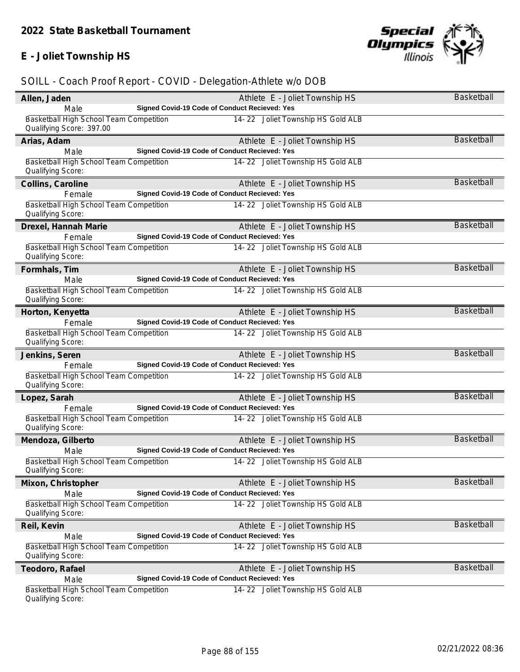# **E - Joliet Township HS**



| Allen, Jaden                                                        | Athlete E - Joliet Township HS                | Basketball        |
|---------------------------------------------------------------------|-----------------------------------------------|-------------------|
| Male                                                                | Signed Covid-19 Code of Conduct Recieved: Yes |                   |
| Basketball High School Team Competition<br>Qualifying Score: 397.00 | 14-22 Joliet Township HS Gold ALB             |                   |
| Arias, Adam                                                         | Athlete E - Joliet Township HS                | Basketball        |
| Male                                                                | Signed Covid-19 Code of Conduct Recieved: Yes |                   |
| Basketball High School Team Competition<br>Qualifying Score:        | 14-22 Joliet Township HS Gold ALB             |                   |
| Collins, Caroline                                                   | Athlete E - Joliet Township HS                | <b>Basketball</b> |
| Female                                                              | Signed Covid-19 Code of Conduct Recieved: Yes |                   |
| Basketball High School Team Competition<br>Qualifying Score:        | 14-22 Joliet Township HS Gold ALB             |                   |
| Drexel, Hannah Marie                                                | Athlete E - Joliet Township HS                | Basketball        |
| Female                                                              | Signed Covid-19 Code of Conduct Recieved: Yes |                   |
| Basketball High School Team Competition<br>Qualifying Score:        | 14-22 Joliet Township HS Gold ALB             |                   |
| Formhals, Tim                                                       | Athlete E - Joliet Township HS                | Basketball        |
| Male                                                                | Signed Covid-19 Code of Conduct Recieved: Yes |                   |
| Basketball High School Team Competition<br>Qualifying Score:        | 14-22 Joliet Township HS Gold ALB             |                   |
| Horton, Kenyetta                                                    | Athlete E - Joliet Township HS                | <b>Basketball</b> |
| Female                                                              | Signed Covid-19 Code of Conduct Recieved: Yes |                   |
| Basketball High School Team Competition<br>Qualifying Score:        | 14-22 Joliet Township HS Gold ALB             |                   |
| Jenkins, Seren                                                      | Athlete E - Joliet Township HS                | <b>Basketball</b> |
| Female                                                              | Signed Covid-19 Code of Conduct Recieved: Yes |                   |
| Basketball High School Team Competition                             | 14-22 Joliet Township HS Gold ALB             |                   |
| Qualifying Score:                                                   |                                               |                   |
| Lopez, Sarah                                                        | Athlete E - Joliet Township HS                | <b>Basketball</b> |
| Female                                                              | Signed Covid-19 Code of Conduct Recieved: Yes |                   |
| Basketball High School Team Competition<br>Qualifying Score:        | 14-22 Joliet Township HS Gold ALB             |                   |
| Mendoza, Gilberto                                                   | Athlete E - Joliet Township HS                | <b>Basketball</b> |
| Male                                                                | Signed Covid-19 Code of Conduct Recieved: Yes |                   |
| Basketball High School Team Competition<br>Qualifying Score:        | 14-22 Joliet Township HS Gold ALB             |                   |
| Mixon, Christopher                                                  | Athlete E - Joliet Township HS                | Basketball        |
| Male                                                                | Signed Covid-19 Code of Conduct Recieved: Yes |                   |
| Basketball High School Team Competition<br>Qualifying Score:        | 14-22 Joliet Township HS Gold ALB             |                   |
| Reil, Kevin                                                         | Athlete E - Joliet Township HS                | <b>Basketball</b> |
| Male                                                                | Signed Covid-19 Code of Conduct Recieved: Yes |                   |
| Basketball High School Team Competition                             | 14-22 Joliet Township HS Gold ALB             |                   |
| Qualifying Score:                                                   |                                               |                   |
| Teodoro, Rafael                                                     | Athlete E - Joliet Township HS                | Basketball        |
| Male                                                                | Signed Covid-19 Code of Conduct Recieved: Yes |                   |
| Basketball High School Team Competition<br>Qualifying Score:        | 14-22 Joliet Township HS Gold ALB             |                   |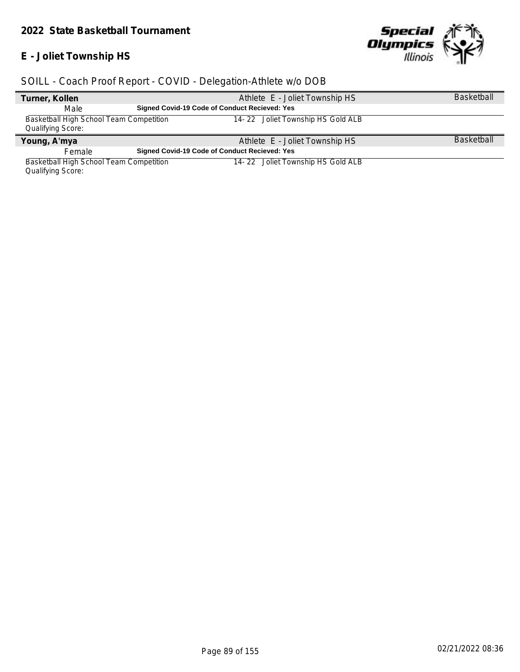### **E - Joliet Township HS**



### *SOILL - Coach Proof Report - COVID - Delegation-Athlete w/o DOB*

| Turner, Kollen                          | Athlete E - Joliet Township HS                       | <b>Basketball</b> |
|-----------------------------------------|------------------------------------------------------|-------------------|
| Male                                    | <b>Signed Covid-19 Code of Conduct Recieved: Yes</b> |                   |
| Basketball High School Team Competition | 14-22 Joliet Township HS Gold ALB                    |                   |
| Qualifying Score:                       |                                                      |                   |
| Young, A'mya                            | Athlete E - Joliet Township HS                       | <b>Basketball</b> |
| Female                                  | <b>Signed Covid-19 Code of Conduct Recieved: Yes</b> |                   |
| Basketball High School Team Competition | 14-22 Joliet Township HS Gold ALB                    |                   |

Qualifying Score: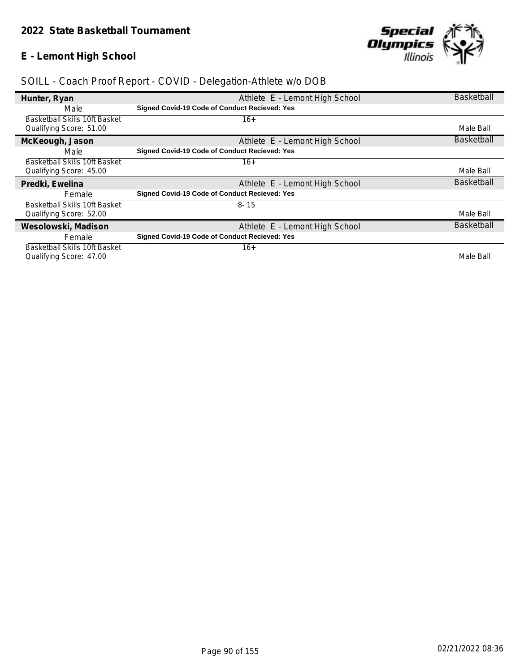### **E - Lemont High School**



| Hunter, Ryan                                             | Athlete E - Lemont High School                       | <b>Basketball</b> |
|----------------------------------------------------------|------------------------------------------------------|-------------------|
| Male                                                     | Signed Covid-19 Code of Conduct Recieved: Yes        |                   |
| Basketball Skills 10ft Basket<br>Qualifying Score: 51.00 | $16+$                                                | Male Ball         |
| McKeough, Jason                                          | Athlete E - Lemont High School                       | <b>Basketball</b> |
| Male                                                     | Signed Covid-19 Code of Conduct Recieved: Yes        |                   |
| Basketball Skills 10ft Basket                            | $16+$                                                |                   |
| Qualifying Score: 45.00                                  |                                                      | Male Ball         |
| Predki, Ewelina                                          | Athlete E - Lemont High School                       | <b>Basketball</b> |
| Female                                                   | Signed Covid-19 Code of Conduct Recieved: Yes        |                   |
| <b>Basketball Skills 10ft Basket</b>                     | $8 - 15$                                             |                   |
| Qualifying Score: 52.00                                  |                                                      | Male Ball         |
| Wesolowski, Madison                                      | Athlete E - Lemont High School                       | <b>Basketball</b> |
| Female                                                   | <b>Signed Covid-19 Code of Conduct Recieved: Yes</b> |                   |
|                                                          |                                                      |                   |
| Basketball Skills 10ft Basket                            | $16+$                                                |                   |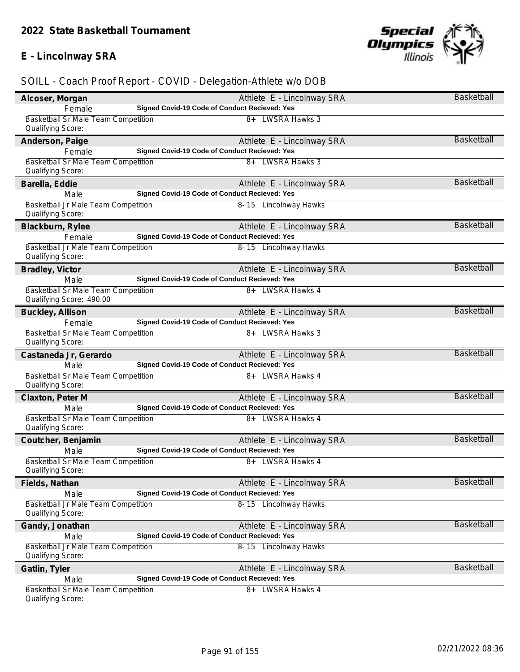### **E - Lincolnway SRA**



| Alcoser, Morgan                                                 | Athlete E - Lincolnway SRA                    | <b>Basketball</b> |
|-----------------------------------------------------------------|-----------------------------------------------|-------------------|
| Female                                                          | Signed Covid-19 Code of Conduct Recieved: Yes |                   |
| <b>Basketball Sr Male Team Competition</b>                      | 8+ LWSRA Hawks 3                              |                   |
| Qualifying Score:                                               |                                               |                   |
| Anderson, Paige                                                 | Athlete E - Lincolnway SRA                    | Basketball        |
| Female                                                          | Signed Covid-19 Code of Conduct Recieved: Yes |                   |
| Basketball Sr Male Team Competition                             | 8+ LWSRA Hawks 3                              |                   |
| Qualifying Score:                                               |                                               |                   |
| Barella, Eddie                                                  | Athlete E - Lincolnway SRA                    | <b>Basketball</b> |
| Male<br>Basketball Jr Male Team Competition                     | Signed Covid-19 Code of Conduct Recieved: Yes |                   |
| Qualifying Score:                                               | 8-15 Lincolnway Hawks                         |                   |
| Blackburn, Rylee                                                | Athlete E - Lincolnway SRA                    | <b>Basketball</b> |
| Female                                                          | Signed Covid-19 Code of Conduct Recieved: Yes |                   |
| Basketball Jr Male Team Competition<br>Qualifying Score:        | 8-15 Lincolnway Hawks                         |                   |
| Bradley, Victor                                                 | Athlete E - Lincolnway SRA                    | <b>Basketball</b> |
| Male                                                            | Signed Covid-19 Code of Conduct Recieved: Yes |                   |
| Basketball Sr Male Team Competition                             | 8+ LWSRA Hawks 4                              |                   |
| Qualifying Score: 490.00                                        |                                               |                   |
| Buckley, Allison                                                | Athlete E - Lincolnway SRA                    | <b>Basketball</b> |
| Female                                                          | Signed Covid-19 Code of Conduct Recieved: Yes |                   |
| Basketball Sr Male Team Competition                             | 8+ LWSRA Hawks 3                              |                   |
| Qualifying Score:                                               |                                               |                   |
| Castaneda Jr, Gerardo                                           | Athlete E - Lincolnway SRA                    | <b>Basketball</b> |
| Male                                                            | Signed Covid-19 Code of Conduct Recieved: Yes |                   |
| Basketball Sr Male Team Competition<br>Qualifying Score:        | 8+ LWSRA Hawks 4                              |                   |
| Claxton, Peter M                                                | Athlete E - Lincolnway SRA                    | <b>Basketball</b> |
| Male                                                            | Signed Covid-19 Code of Conduct Recieved: Yes |                   |
| Basketball Sr Male Team Competition                             | 8+ LWSRA Hawks 4                              |                   |
| Qualifying Score:                                               |                                               |                   |
| Coutcher, Benjamin                                              | Athlete E - Lincolnway SRA                    | <b>Basketball</b> |
| Male                                                            | Signed Covid-19 Code of Conduct Recieved: Yes |                   |
| Basketball Sr Male Team Competition<br>Qualifying Score:        | 8+ LWSRA Hawks 4                              |                   |
| Fields, Nathan                                                  | Athlete E - Lincolnway SRA                    | Basketball        |
| Male                                                            | Signed Covid-19 Code of Conduct Recieved: Yes |                   |
| Basketball Jr Male Team Competition                             | 8-15 Lincolnway Hawks                         |                   |
| Qualifying Score:                                               |                                               |                   |
| Gandy, Jonathan                                                 | Athlete E - Lincolnway SRA                    | <b>Basketball</b> |
| Male                                                            | Signed Covid-19 Code of Conduct Recieved: Yes |                   |
| Basketball Jr Male Team Competition                             | 8-15 Lincolnway Hawks                         |                   |
| Qualifying Score:                                               |                                               |                   |
| Gatlin, Tyler                                                   | Athlete E - Lincolnway SRA                    | Basketball        |
| Male                                                            | Signed Covid-19 Code of Conduct Recieved: Yes |                   |
| <b>Basketball Sr Male Team Competition</b><br>Qualifying Score: | LWSRA Hawks 4<br>8+                           |                   |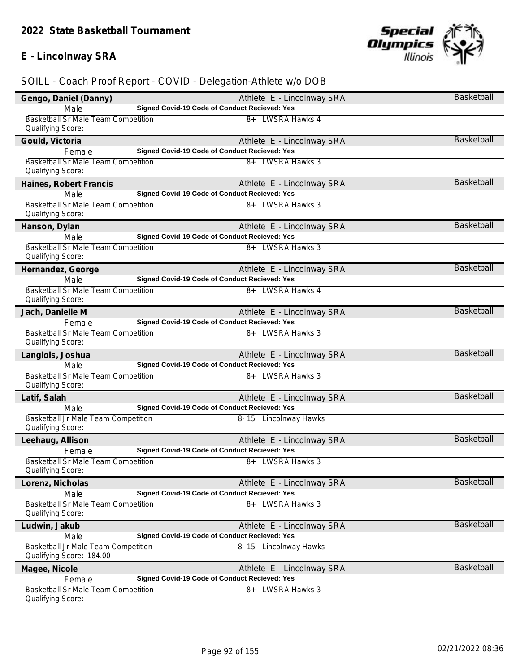### **E - Lincolnway SRA**



| Gengo, Daniel (Danny)                                           | Athlete E - Lincolnway SRA                    | Basketball        |
|-----------------------------------------------------------------|-----------------------------------------------|-------------------|
| Male                                                            | Signed Covid-19 Code of Conduct Recieved: Yes |                   |
| Basketball Sr Male Team Competition                             | 8+ LWSRA Hawks 4                              |                   |
| Qualifying Score:                                               |                                               |                   |
| Gould, Victoria                                                 | Athlete E - Lincolnway SRA                    | <b>Basketball</b> |
| Female                                                          | Signed Covid-19 Code of Conduct Recieved: Yes |                   |
| Basketball Sr Male Team Competition                             | 8+ LWSRA Hawks 3                              |                   |
| Qualifying Score:                                               |                                               |                   |
| Haines, Robert Francis                                          | Athlete E - Lincolnway SRA                    | <b>Basketball</b> |
| Male                                                            | Signed Covid-19 Code of Conduct Recieved: Yes |                   |
| Basketball Sr Male Team Competition                             | 8+ LWSRA Hawks 3                              |                   |
| Qualifying Score:                                               |                                               |                   |
| Hanson, Dylan                                                   | Athlete E - Lincolnway SRA                    | <b>Basketball</b> |
| Male                                                            | Signed Covid-19 Code of Conduct Recieved: Yes |                   |
| Basketball Sr Male Team Competition                             | 8+ LWSRA Hawks 3                              |                   |
| Qualifying Score:                                               |                                               |                   |
| Hernandez, George                                               | Athlete E - Lincolnway SRA                    | Basketball        |
| Male                                                            | Signed Covid-19 Code of Conduct Recieved: Yes |                   |
| Basketball Sr Male Team Competition                             | 8+ LWSRA Hawks 4                              |                   |
| Qualifying Score:                                               |                                               |                   |
| Jach, Danielle M                                                | Athlete E - Lincolnway SRA                    | <b>Basketball</b> |
| Female                                                          | Signed Covid-19 Code of Conduct Recieved: Yes |                   |
| <b>Basketball Sr Male Team Competition</b>                      | 8+ LWSRA Hawks 3                              |                   |
| Qualifying Score:                                               |                                               |                   |
| Langlois, Joshua                                                | Athlete E - Lincolnway SRA                    | <b>Basketball</b> |
| Male                                                            | Signed Covid-19 Code of Conduct Recieved: Yes |                   |
| Basketball Sr Male Team Competition                             | 8+ LWSRA Hawks 3                              |                   |
| Qualifying Score:                                               |                                               |                   |
| Latif, Salah                                                    | Athlete E - Lincolnway SRA                    | <b>Basketball</b> |
| Male                                                            | Signed Covid-19 Code of Conduct Recieved: Yes |                   |
| Basketball Jr Male Team Competition                             | 8-15 Lincolnway Hawks                         |                   |
| Qualifying Score:                                               |                                               |                   |
| Leehaug, Allison                                                | Athlete E - Lincolnway SRA                    | <b>Basketball</b> |
| Female                                                          | Signed Covid-19 Code of Conduct Recieved: Yes |                   |
| Basketball Sr Male Team Competition                             | 8+ LWSRA Hawks 3                              |                   |
| Qualifying Score:                                               |                                               |                   |
| Lorenz, Nicholas                                                | Athlete E - Lincolnway SRA                    | Basketball        |
| Male                                                            | Signed Covid-19 Code of Conduct Recieved: Yes |                   |
| <b>Basketball Sr Male Team Competition</b>                      | 8+ LWSRA Hawks 3                              |                   |
| Qualifying Score:                                               |                                               |                   |
| Ludwin, Jakub                                                   | Athlete E - Lincolnway SRA                    | <b>Basketball</b> |
| Male                                                            | Signed Covid-19 Code of Conduct Recieved: Yes |                   |
| Basketball Jr Male Team Competition<br>Qualifying Score: 184.00 | 8-15 Lincolnway Hawks                         |                   |
|                                                                 |                                               | <b>Basketball</b> |
| Magee, Nicole                                                   | Athlete E - Lincolnway SRA                    |                   |
| Female                                                          | Signed Covid-19 Code of Conduct Recieved: Yes |                   |
| Basketball Sr Male Team Competition<br>Qualifying Score:        | <b>LWSRA Hawks 3</b><br>8+                    |                   |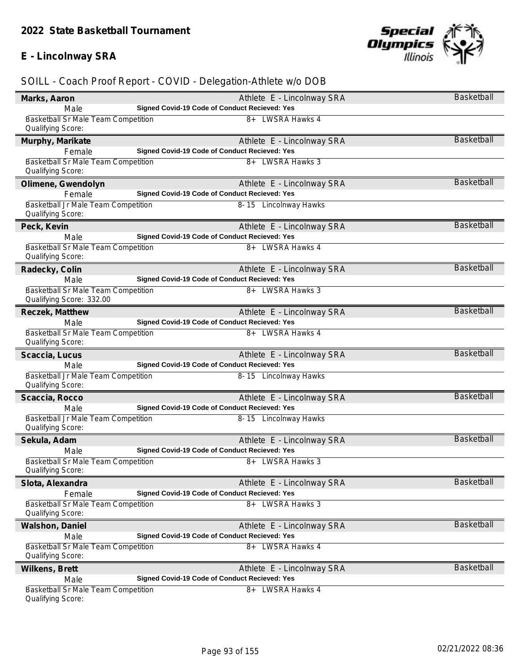### **E - Lincolnway SRA**



| Marks, Aaron                                                    | Athlete E - Lincolnway SRA                           | <b>Basketball</b> |
|-----------------------------------------------------------------|------------------------------------------------------|-------------------|
| Male                                                            | Signed Covid-19 Code of Conduct Recieved: Yes        |                   |
| <b>Basketball Sr Male Team Competition</b><br>Qualifying Score: | 8+ LWSRA Hawks 4                                     |                   |
| Murphy, Marikate                                                | Athlete E - Lincolnway SRA                           | Basketball        |
| Female                                                          | Signed Covid-19 Code of Conduct Recieved: Yes        |                   |
| Basketball Sr Male Team Competition<br>Qualifying Score:        | 8+ LWSRA Hawks 3                                     |                   |
| Olimene, Gwendolyn                                              | Athlete E - Lincolnway SRA                           | <b>Basketball</b> |
| Female                                                          | <b>Signed Covid-19 Code of Conduct Recieved: Yes</b> |                   |
| Basketball Jr Male Team Competition<br>Qualifying Score:        | 8-15 Lincolnway Hawks                                |                   |
| Peck, Kevin                                                     | Athlete E - Lincolnway SRA                           | Basketball        |
| Male                                                            | Signed Covid-19 Code of Conduct Recieved: Yes        |                   |
| Basketball Sr Male Team Competition<br>Qualifying Score:        | 8+ LWSRA Hawks 4                                     |                   |
| Radecky, Colin                                                  | Athlete E - Lincolnway SRA                           | <b>Basketball</b> |
| Male                                                            | Signed Covid-19 Code of Conduct Recieved: Yes        |                   |
| Basketball Sr Male Team Competition<br>Qualifying Score: 332.00 | 8+ LWSRA Hawks 3                                     |                   |
| Reczek, Matthew                                                 | Athlete E - Lincolnway SRA                           | <b>Basketball</b> |
| Male                                                            | Signed Covid-19 Code of Conduct Recieved: Yes        |                   |
| Basketball Sr Male Team Competition<br>Qualifying Score:        | 8+ LWSRA Hawks 4                                     |                   |
| Scaccia, Lucus                                                  | Athlete E - Lincolnway SRA                           | <b>Basketball</b> |
| Male                                                            | Signed Covid-19 Code of Conduct Recieved: Yes        |                   |
| Basketball Jr Male Team Competition<br>Qualifying Score:        | 8-15 Lincolnway Hawks                                |                   |
| Scaccia, Rocco                                                  | Athlete E - Lincolnway SRA                           | <b>Basketball</b> |
| Male                                                            | Signed Covid-19 Code of Conduct Recieved: Yes        |                   |
| Basketball Jr Male Team Competition<br>Qualifying Score:        | 8-15 Lincolnway Hawks                                |                   |
| Sekula, Adam                                                    | Athlete E - Lincolnway SRA                           | <b>Basketball</b> |
| Male                                                            | Signed Covid-19 Code of Conduct Recieved: Yes        |                   |
| Basketball Sr Male Team Competition<br>Qualifying Score:        | 8+ LWSRA Hawks 3                                     |                   |
| Slota, Alexandra                                                | Athlete E - Lincolnway SRA                           | Basketball        |
| Female                                                          | Signed Covid-19 Code of Conduct Recieved: Yes        |                   |
| Basketball Sr Male Team Competition<br>Qualifying Score:        | <b>LWSRA Hawks 3</b><br>$8+$                         |                   |
| Walshon, Daniel                                                 | Athlete E - Lincolnway SRA                           | <b>Basketball</b> |
| Male                                                            | Signed Covid-19 Code of Conduct Recieved: Yes        |                   |
| <b>Basketball Sr Male Team Competition</b><br>Qualifying Score: | 8+ LWSRA Hawks 4                                     |                   |
| Wilkens, Brett                                                  | Athlete E - Lincolnway SRA                           | Basketball        |
| Male                                                            | Signed Covid-19 Code of Conduct Recieved: Yes        |                   |
| <b>Basketball Sr Male Team Competition</b><br>Qualifying Score: | LWSRA Hawks 4<br>8+                                  |                   |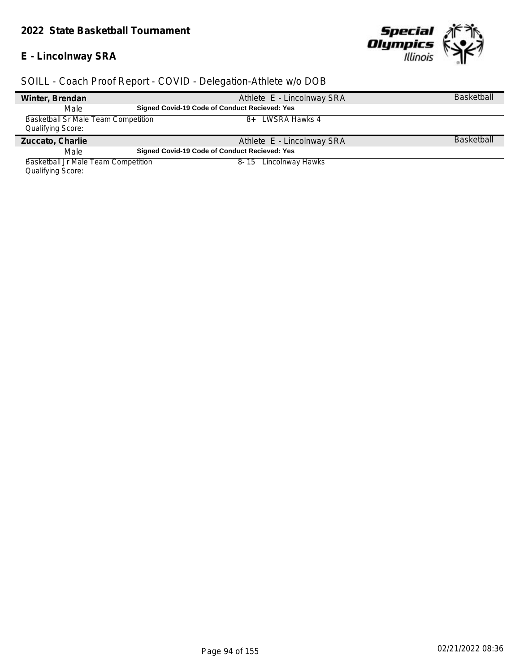#### *2022 State Basketball Tournament*

#### **E - Lincolnway SRA**

 $\overline{\phantom{a}}$ 

 $\overline{a}$ 



### *SOILL - Coach Proof Report - COVID - Delegation-Athlete w/o DOB*

| Winter, Brendan                     | Athlete E - Lincolnway SRA                    | <b>Basketball</b> |
|-------------------------------------|-----------------------------------------------|-------------------|
| Male                                | Signed Covid-19 Code of Conduct Recieved: Yes |                   |
| Basketball Sr Male Team Competition | 8+ LWSRA Hawks 4                              |                   |
| <b>Qualifying Score:</b>            |                                               |                   |
| Zuccato, Charlie                    | Athlete E - Lincolnway SRA                    | <b>Basketball</b> |
| Male                                | Signed Covid-19 Code of Conduct Recieved: Yes |                   |
| Basketball Jr Male Team Competition | 8-15 Lincolnway Hawks                         |                   |

Qualifying Score: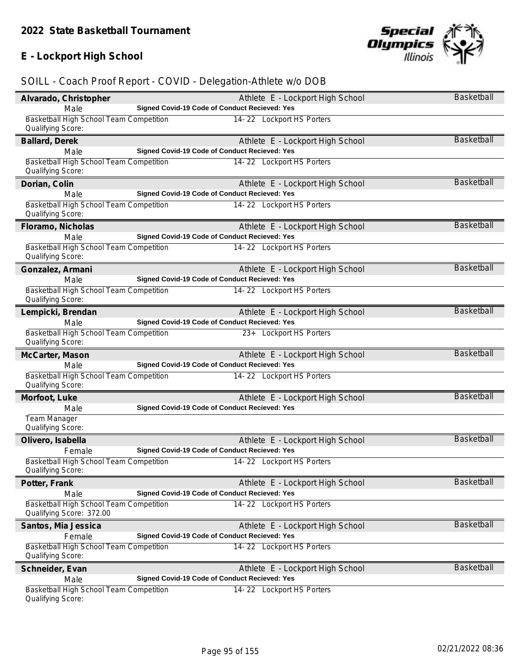# **E - Lockport High School**



| Alvarado, Christopher                                               | Athlete E - Lockport High School                     | <b>Basketball</b> |
|---------------------------------------------------------------------|------------------------------------------------------|-------------------|
| Male                                                                | Signed Covid-19 Code of Conduct Recieved: Yes        |                   |
| Basketball High School Team Competition<br>Qualifying Score:        | 14-22 Lockport HS Porters                            |                   |
| Ballard, Derek                                                      | Athlete E - Lockport High School                     | <b>Basketball</b> |
| Male                                                                | Signed Covid-19 Code of Conduct Recieved: Yes        |                   |
| Basketball High School Team Competition<br>Qualifying Score:        | 14-22 Lockport HS Porters                            |                   |
| Dorian, Colin                                                       | Athlete E - Lockport High School                     | Basketball        |
| Male                                                                | <b>Signed Covid-19 Code of Conduct Recieved: Yes</b> |                   |
| Basketball High School Team Competition<br>Qualifying Score:        | 14-22 Lockport HS Porters                            |                   |
| Floramo, Nicholas                                                   | Athlete E - Lockport High School                     | <b>Basketball</b> |
| Male                                                                | Signed Covid-19 Code of Conduct Recieved: Yes        |                   |
| Basketball High School Team Competition<br>Qualifying Score:        | 14-22 Lockport HS Porters                            |                   |
| Gonzalez, Armani                                                    | Athlete E - Lockport High School                     | <b>Basketball</b> |
| Male                                                                | Signed Covid-19 Code of Conduct Recieved: Yes        |                   |
| Basketball High School Team Competition<br>Qualifying Score:        | 14-22 Lockport HS Porters                            |                   |
| Lempicki, Brendan                                                   | Athlete E - Lockport High School                     | <b>Basketball</b> |
| Male                                                                | Signed Covid-19 Code of Conduct Recieved: Yes        |                   |
| Basketball High School Team Competition<br>Qualifying Score:        | 23+ Lockport HS Porters                              |                   |
| McCarter, Mason                                                     | Athlete E - Lockport High School                     | <b>Basketball</b> |
| Male                                                                | Signed Covid-19 Code of Conduct Recieved: Yes        |                   |
| Basketball High School Team Competition<br>Qualifying Score:        | 14-22 Lockport HS Porters                            |                   |
| Morfoot, Luke                                                       | Athlete E - Lockport High School                     | <b>Basketball</b> |
| Male                                                                | Signed Covid-19 Code of Conduct Recieved: Yes        |                   |
| Team Manager<br>Qualifying Score:                                   |                                                      |                   |
| Olivero, Isabella                                                   | Athlete E - Lockport High School                     | <b>Basketball</b> |
| Female                                                              | Signed Covid-19 Code of Conduct Recieved: Yes        |                   |
| Basketball High School Team Competition<br>Qualifying Score:        | 14-22 Lockport HS Porters                            |                   |
| Potter, Frank                                                       | Athlete E - Lockport High School                     | Basketball        |
| Male                                                                | Signed Covid-19 Code of Conduct Recieved: Yes        |                   |
| Basketball High School Team Competition<br>Qualifying Score: 372.00 | 14-22 Lockport HS Porters                            |                   |
| Santos, Mia Jessica                                                 | Athlete E - Lockport High School                     | <b>Basketball</b> |
| Female                                                              | Signed Covid-19 Code of Conduct Recieved: Yes        |                   |
| Basketball High School Team Competition<br>Qualifying Score:        | 14-22 Lockport HS Porters                            |                   |
| Schneider, Evan                                                     | Athlete E - Lockport High School                     | Basketball        |
| Male                                                                | Signed Covid-19 Code of Conduct Recieved: Yes        |                   |
| Basketball High School Team Competition<br>Qualifying Score:        | 14-22 Lockport HS Porters                            |                   |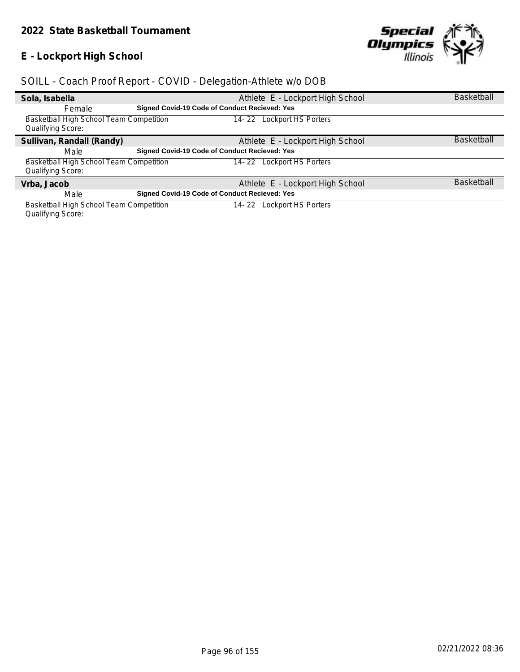### **E - Lockport High School**



### *SOILL - Coach Proof Report - COVID - Delegation-Athlete w/o DOB*

| Sola, Isabella                          | Athlete E - Lockport High School              | <b>Basketball</b> |
|-----------------------------------------|-----------------------------------------------|-------------------|
| Female                                  | Signed Covid-19 Code of Conduct Recieved: Yes |                   |
| Basketball High School Team Competition | 14-22 Lockport HS Porters                     |                   |
| <b>Qualifying Score:</b>                |                                               |                   |
| Sullivan, Randall (Randy)               | Athlete E - Lockport High School              | <b>Basketball</b> |
| Male                                    | Signed Covid-19 Code of Conduct Recieved: Yes |                   |
| Basketball High School Team Competition | Lockport HS Porters<br>14- 22                 |                   |
| <b>Qualifying Score:</b>                |                                               |                   |
| Vrba, Jacob                             | Athlete E - Lockport High School              | <b>Basketball</b> |
| Male                                    | Signed Covid-19 Code of Conduct Recieved: Yes |                   |
| Basketball High School Team Competition | Lockport HS Porters<br>14- 22                 |                   |

Qualifying Score: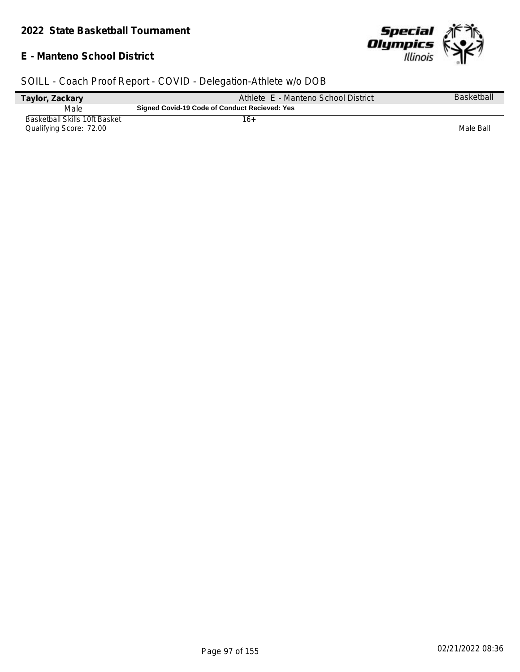#### **E - Manteno School District**



| Taylor, Zackary                                          | Athlete E - Manteno School District           | <b>Basketball</b> |
|----------------------------------------------------------|-----------------------------------------------|-------------------|
| Male                                                     | Signed Covid-19 Code of Conduct Recieved: Yes |                   |
| Basketball Skills 10ft Basket<br>Qualifying Score: 72.00 | 16+                                           | Male Ball         |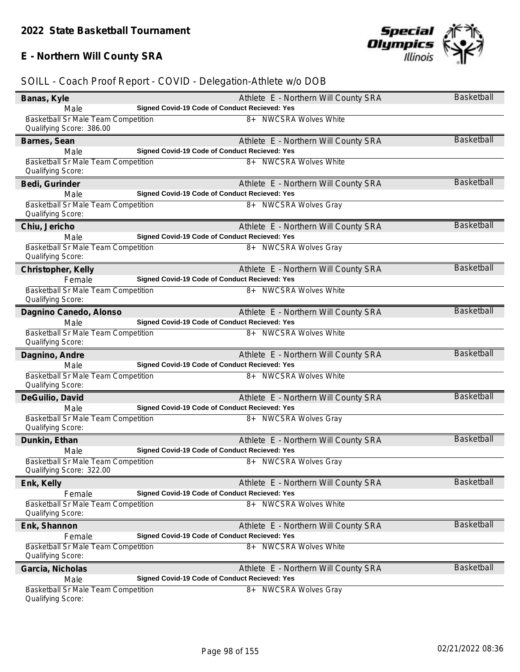# **E - Northern Will County SRA**

| Banas, Kyle                                                            | Athlete E - Northern Will County SRA          | <b>Basketball</b> |
|------------------------------------------------------------------------|-----------------------------------------------|-------------------|
| Male                                                                   | Signed Covid-19 Code of Conduct Recieved: Yes |                   |
| <b>Basketball Sr Male Team Competition</b><br>Qualifying Score: 386.00 | 8+ NWCSRA Wolves White                        |                   |
| Barnes, Sean                                                           | Athlete E - Northern Will County SRA          | <b>Basketball</b> |
| Male                                                                   | Signed Covid-19 Code of Conduct Recieved: Yes |                   |
| Basketball Sr Male Team Competition<br>Qualifying Score:               | 8+ NWCSRA Wolves White                        |                   |
| Bedi, Gurinder                                                         | Athlete E - Northern Will County SRA          | Basketball        |
| Male                                                                   | Signed Covid-19 Code of Conduct Recieved: Yes |                   |
| Basketball Sr Male Team Competition<br>Qualifying Score:               | 8+ NWCSRA Wolves Gray                         |                   |
| Chiu, Jericho                                                          | Athlete E - Northern Will County SRA          | Basketball        |
| Male                                                                   | Signed Covid-19 Code of Conduct Recieved: Yes |                   |
| <b>Basketball Sr Male Team Competition</b><br>Qualifying Score:        | 8+ NWCSRA Wolves Gray                         |                   |
| Christopher, Kelly                                                     | Athlete E - Northern Will County SRA          | Basketball        |
| Female                                                                 | Signed Covid-19 Code of Conduct Recieved: Yes |                   |
| Basketball Sr Male Team Competition<br>Qualifying Score:               | 8+ NWCSRA Wolves White                        |                   |
| Dagnino Canedo, Alonso                                                 | Athlete E - Northern Will County SRA          | <b>Basketball</b> |
| Male                                                                   | Signed Covid-19 Code of Conduct Recieved: Yes |                   |
| <b>Basketball Sr Male Team Competition</b><br>Qualifying Score:        | 8+ NWCSRA Wolves White                        |                   |
| Dagnino, Andre                                                         | Athlete E - Northern Will County SRA          | <b>Basketball</b> |
| Male                                                                   | Signed Covid-19 Code of Conduct Recieved: Yes |                   |
| Basketball Sr Male Team Competition<br>Qualifying Score:               | <b>NWCSRA Wolves White</b><br>8+              |                   |
| DeGuilio, David                                                        | Athlete E - Northern Will County SRA          | <b>Basketball</b> |
| Male                                                                   | Signed Covid-19 Code of Conduct Recieved: Yes |                   |
| Basketball Sr Male Team Competition<br>Qualifying Score:               | 8+ NWCSRA Wolves Gray                         |                   |
| Dunkin, Ethan                                                          | Athlete E - Northern Will County SRA          | Basketball        |
| Male                                                                   | Signed Covid-19 Code of Conduct Recieved: Yes |                   |
| Basketball Sr Male Team Competition<br>Qualifying Score: 322.00        | 8+ NWCSRA Wolves Gray                         |                   |
| Enk, Kelly                                                             | Athlete E - Northern Will County SRA          | Basketball        |
| Female                                                                 | Signed Covid-19 Code of Conduct Recieved: Yes |                   |
| <b>Basketball Sr Male Team Competition</b><br>Qualifying Score:        | <b>NWCSRA Wolves White</b><br>8+              |                   |
| Enk, Shannon                                                           | Athlete E - Northern Will County SRA          | Basketball        |
| Female                                                                 | Signed Covid-19 Code of Conduct Recieved: Yes |                   |
| Basketball Sr Male Team Competition                                    | <b>NWCSRA Wolves White</b><br>8+              |                   |
| Qualifying Score:                                                      |                                               |                   |
| Garcia, Nicholas                                                       | Athlete E - Northern Will County SRA          | <b>Basketball</b> |
| Male                                                                   | Signed Covid-19 Code of Conduct Recieved: Yes |                   |
| <b>Basketball Sr Male Team Competition</b><br>Qualifying Score:        | <b>NWCSRA Wolves Gray</b><br>8+               |                   |

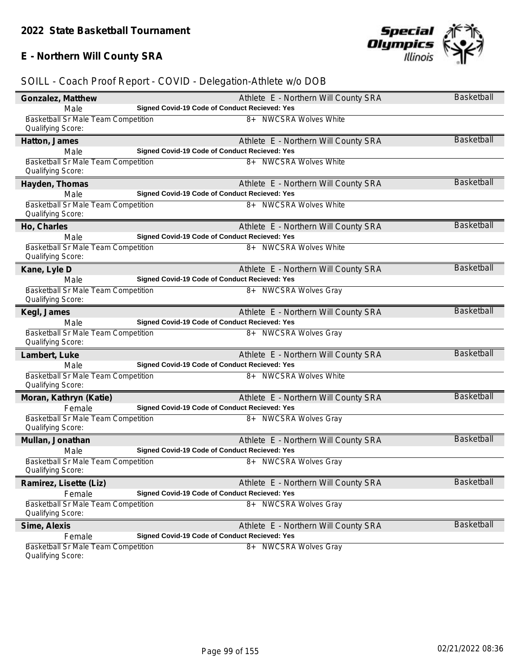# **E - Northern Will County SRA**

| Gonzalez, Matthew                                               |                                               | Athlete E - Northern Will County SRA | <b>Basketball</b> |
|-----------------------------------------------------------------|-----------------------------------------------|--------------------------------------|-------------------|
| Male                                                            | Signed Covid-19 Code of Conduct Recieved: Yes |                                      |                   |
| <b>Basketball Sr Male Team Competition</b><br>Qualifying Score: |                                               | 8+ NWCSRA Wolves White               |                   |
| Hatton, James                                                   |                                               | Athlete E - Northern Will County SRA | <b>Basketball</b> |
| Male                                                            | Signed Covid-19 Code of Conduct Recieved: Yes |                                      |                   |
| <b>Basketball Sr Male Team Competition</b><br>Qualifying Score: |                                               | 8+ NWCSRA Wolves White               |                   |
| Hayden, Thomas                                                  |                                               | Athlete E - Northern Will County SRA | <b>Basketball</b> |
| Male                                                            | Signed Covid-19 Code of Conduct Recieved: Yes |                                      |                   |
| Basketball Sr Male Team Competition<br>Qualifying Score:        |                                               | 8+ NWCSRA Wolves White               |                   |
| Ho, Charles                                                     |                                               | Athlete E - Northern Will County SRA | <b>Basketball</b> |
| Male                                                            | Signed Covid-19 Code of Conduct Recieved: Yes |                                      |                   |
| Basketball Sr Male Team Competition<br>Qualifying Score:        |                                               | 8+ NWCSRA Wolves White               |                   |
| Kane, Lyle D                                                    |                                               | Athlete E - Northern Will County SRA | <b>Basketball</b> |
| Male                                                            | Signed Covid-19 Code of Conduct Recieved: Yes |                                      |                   |
| <b>Basketball Sr Male Team Competition</b><br>Qualifying Score: |                                               | 8+ NWCSRA Wolves Gray                |                   |
| Kegl, James                                                     |                                               | Athlete E - Northern Will County SRA | <b>Basketball</b> |
| Male                                                            | Signed Covid-19 Code of Conduct Recieved: Yes |                                      |                   |
| Basketball Sr Male Team Competition<br>Qualifying Score:        |                                               | 8+ NWCSRA Wolves Gray                |                   |
| Lambert, Luke                                                   |                                               | Athlete E - Northern Will County SRA | <b>Basketball</b> |
| Male                                                            | Signed Covid-19 Code of Conduct Recieved: Yes |                                      |                   |
| <b>Basketball Sr Male Team Competition</b><br>Qualifying Score: |                                               | 8+ NWCSRA Wolves White               |                   |
| Moran, Kathryn (Katie)                                          |                                               | Athlete E - Northern Will County SRA | <b>Basketball</b> |
| Female                                                          | Signed Covid-19 Code of Conduct Recieved: Yes |                                      |                   |
| Basketball Sr Male Team Competition<br>Qualifying Score:        |                                               | 8+ NWCSRA Wolves Gray                |                   |
| Mullan, Jonathan                                                |                                               | Athlete E - Northern Will County SRA | <b>Basketball</b> |
| Male                                                            | Signed Covid-19 Code of Conduct Recieved: Yes |                                      |                   |
| Basketball Sr Male Team Competition<br>Qualifying Score:        |                                               | 8+ NWCSRA Wolves Gray                |                   |
| Ramirez, Lisette (Liz)                                          |                                               | Athlete E - Northern Will County SRA | Basketball        |
| Female                                                          | Signed Covid-19 Code of Conduct Recieved: Yes |                                      |                   |
| Basketball Sr Male Team Competition<br>Qualifying Score:        |                                               | <b>NWCSRA Wolves Gray</b><br>8+      |                   |
| Sime, Alexis                                                    |                                               | Athlete E - Northern Will County SRA | <b>Basketball</b> |
| Female                                                          | Signed Covid-19 Code of Conduct Recieved: Yes |                                      |                   |
| Basketball Sr Male Team Competition<br>Qualifying Score:        |                                               | 8+ NWCSRA Wolves Gray                |                   |

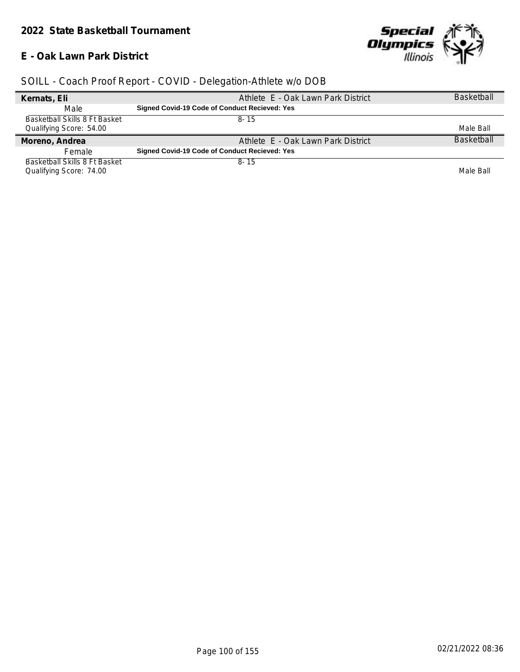#### **E - Oak Lawn Park District**



| Kernats, Eli                  | Athlete E - Oak Lawn Park District            | <b>Basketball</b> |
|-------------------------------|-----------------------------------------------|-------------------|
| Male                          | Signed Covid-19 Code of Conduct Recieved: Yes |                   |
| Basketball Skills 8 Ft Basket | $8 - 15$                                      |                   |
| Qualifying Score: 54.00       |                                               | Male Ball         |
| Moreno, Andrea                | Athlete E - Oak Lawn Park District            | <b>Basketball</b> |
| Female                        | Signed Covid-19 Code of Conduct Recieved: Yes |                   |
| Basketball Skills 8 Ft Basket | $8 - 15$                                      |                   |
|                               |                                               |                   |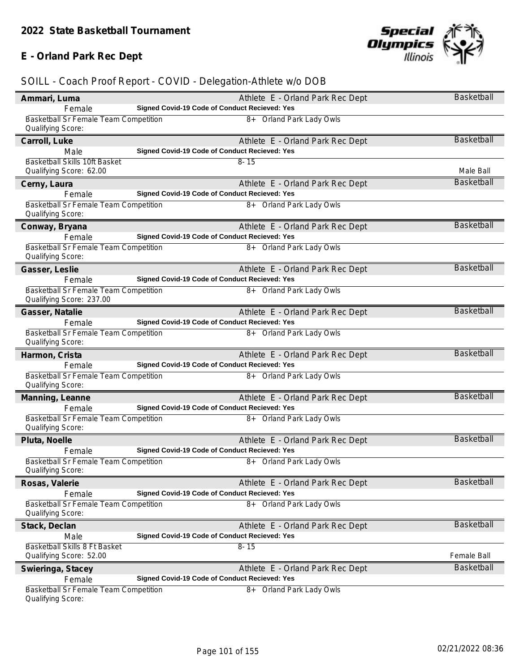### **E - Orland Park Rec Dept**



| Ammari, Luma                                                      | Athlete E - Orland Park Rec Dept              | <b>Basketball</b> |
|-------------------------------------------------------------------|-----------------------------------------------|-------------------|
| Female                                                            | Signed Covid-19 Code of Conduct Recieved: Yes |                   |
| Basketball Sr Female Team Competition<br>Qualifying Score:        | 8+ Orland Park Lady Owls                      |                   |
| Carroll, Luke                                                     | Athlete E - Orland Park Rec Dept              | <b>Basketball</b> |
| Male                                                              | Signed Covid-19 Code of Conduct Recieved: Yes |                   |
| Basketball Skills 10ft Basket                                     | $8 - 15$                                      |                   |
| Qualifying Score: 62.00                                           |                                               | Male Ball         |
| Cerny, Laura                                                      | Athlete E - Orland Park Rec Dept              | <b>Basketball</b> |
| Female                                                            | Signed Covid-19 Code of Conduct Recieved: Yes |                   |
| Basketball Sr Female Team Competition<br>Qualifying Score:        | 8+ Orland Park Lady Owls                      |                   |
| Conway, Bryana                                                    | Athlete E - Orland Park Rec Dept              | <b>Basketball</b> |
| Female                                                            | Signed Covid-19 Code of Conduct Recieved: Yes |                   |
| Basketball Sr Female Team Competition<br>Qualifying Score:        | 8+ Orland Park Lady Owls                      |                   |
| Gasser, Leslie                                                    | Athlete E - Orland Park Rec Dept              | Basketball        |
| Female                                                            | Signed Covid-19 Code of Conduct Recieved: Yes |                   |
| Basketball Sr Female Team Competition<br>Qualifying Score: 237.00 | 8+ Orland Park Lady Owls                      |                   |
| Gasser, Natalie                                                   | Athlete E - Orland Park Rec Dept              | <b>Basketball</b> |
| Female                                                            | Signed Covid-19 Code of Conduct Recieved: Yes |                   |
| Basketball Sr Female Team Competition<br>Qualifying Score:        | 8+ Orland Park Lady Owls                      |                   |
| Harmon, Crista                                                    | Athlete E - Orland Park Rec Dept              | <b>Basketball</b> |
| Female                                                            | Signed Covid-19 Code of Conduct Recieved: Yes |                   |
| Basketball Sr Female Team Competition<br>Qualifying Score:        | 8+ Orland Park Lady Owls                      |                   |
| Manning, Leanne                                                   | Athlete E - Orland Park Rec Dept              | <b>Basketball</b> |
| Female                                                            | Signed Covid-19 Code of Conduct Recieved: Yes |                   |
| Basketball Sr Female Team Competition<br>Qualifying Score:        | 8+ Orland Park Lady Owls                      |                   |
| Pluta, Noelle                                                     | Athlete E - Orland Park Rec Dept              | <b>Basketball</b> |
| Female                                                            | Signed Covid-19 Code of Conduct Recieved: Yes |                   |
| Basketball Sr Female Team Competition<br>Qualifying Score:        | 8+ Orland Park Lady Owls                      |                   |
| Rosas, Valerie                                                    | Athlete E - Orland Park Rec Dept              | <b>Basketball</b> |
| Female                                                            | Signed Covid-19 Code of Conduct Recieved: Yes |                   |
| Basketball Sr Female Team Competition<br>Qualifying Score:        | 8+ Orland Park Lady Owls                      |                   |
| Stack, Declan                                                     | Athlete E - Orland Park Rec Dept              | <b>Basketball</b> |
| Male                                                              | Signed Covid-19 Code of Conduct Recieved: Yes |                   |
| Basketball Skills 8 Ft Basket                                     | $8 - 15$                                      |                   |
| Qualifying Score: 52.00                                           |                                               | Female Ball       |
| Swieringa, Stacey                                                 | Athlete E - Orland Park Rec Dept              | Basketball        |
| Female                                                            | Signed Covid-19 Code of Conduct Recieved: Yes |                   |
| Basketball Sr Female Team Competition<br>Qualifying Score:        | 8+ Orland Park Lady Owls                      |                   |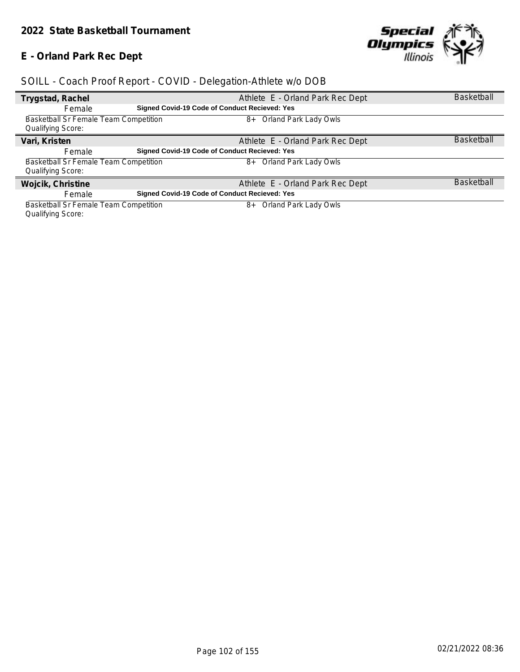### **E - Orland Park Rec Dept**



| Trygstad, Rachel                      |                                                      | Athlete E - Orland Park Rec Dept | <b>Basketball</b> |
|---------------------------------------|------------------------------------------------------|----------------------------------|-------------------|
| Female                                | Signed Covid-19 Code of Conduct Recieved: Yes        |                                  |                   |
| Basketball Sr Female Team Competition |                                                      | Orland Park Lady Owls<br>8+      |                   |
| <b>Qualifying Score:</b>              |                                                      |                                  |                   |
| Vari, Kristen                         |                                                      | Athlete E - Orland Park Rec Dept | <b>Basketball</b> |
| Female                                | Signed Covid-19 Code of Conduct Recieved: Yes        |                                  |                   |
| Basketball Sr Female Team Competition |                                                      | Orland Park Lady Owls<br>8+      |                   |
| <b>Qualifying Score:</b>              |                                                      |                                  |                   |
| Wojcik, Christine                     |                                                      | Athlete E - Orland Park Rec Dept | <b>Basketball</b> |
| Female                                | <b>Signed Covid-19 Code of Conduct Recieved: Yes</b> |                                  |                   |
| Basketball Sr Female Team Competition |                                                      | Orland Park Lady Owls<br>8+      |                   |
| <b>Qualifying Score:</b>              |                                                      |                                  |                   |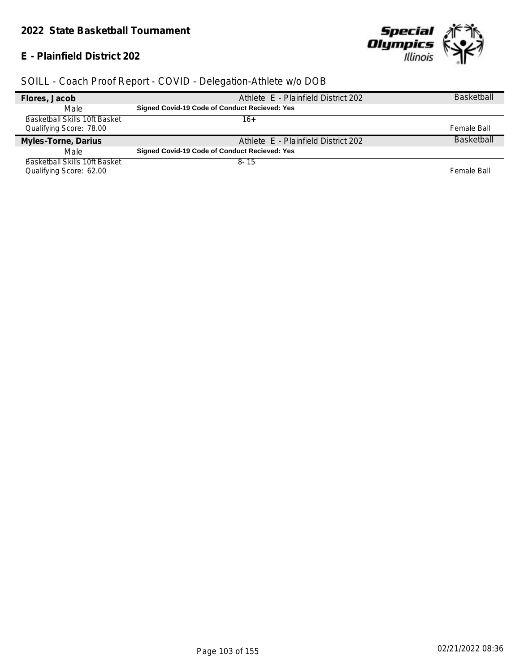#### **E - Plainfield District 202**



| Flores, Jacob                 | Athlete E - Plainfield District 202           | <b>Basketball</b> |
|-------------------------------|-----------------------------------------------|-------------------|
| Male                          | Signed Covid-19 Code of Conduct Recieved: Yes |                   |
| Basketball Skills 10ft Basket | 16+                                           |                   |
| Qualifying Score: 78.00       |                                               | Female Ball       |
| Myles-Torne, Darius           | Athlete E - Plainfield District 202           | <b>Basketball</b> |
| Male                          | Signed Covid-19 Code of Conduct Recieved: Yes |                   |
| Basketball Skills 10ft Basket | $8 - 15$                                      |                   |
| Qualifying Score: 62.00       |                                               | Female Ball       |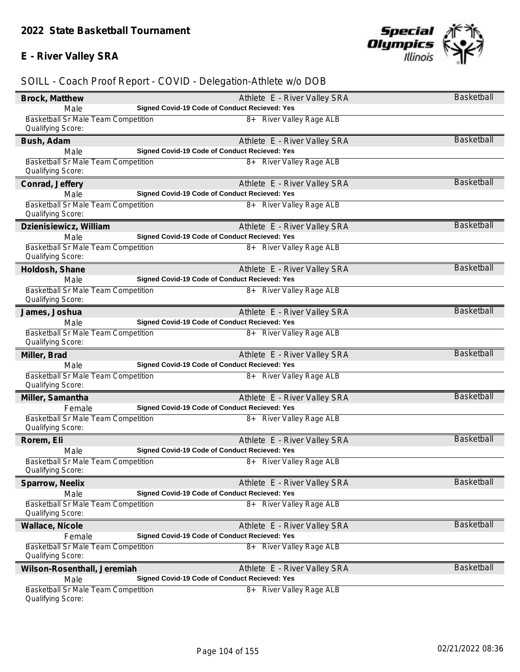### **E - River Valley SRA**



| Brock, Matthew                                                  | Athlete E - River Valley SRA                  | Basketball        |
|-----------------------------------------------------------------|-----------------------------------------------|-------------------|
| Male                                                            | Signed Covid-19 Code of Conduct Recieved: Yes |                   |
| Basketball Sr Male Team Competition                             | 8+ River Valley Rage ALB                      |                   |
| Qualifying Score:                                               |                                               |                   |
| Bush, Adam                                                      | Athlete E - River Valley SRA                  | <b>Basketball</b> |
| Male                                                            | Signed Covid-19 Code of Conduct Recieved: Yes |                   |
| <b>Basketball Sr Male Team Competition</b>                      | 8+ River Valley Rage ALB                      |                   |
| Qualifying Score:                                               |                                               |                   |
| Conrad, Jeffery                                                 | Athlete E - River Valley SRA                  | Basketball        |
| Male                                                            | Signed Covid-19 Code of Conduct Recieved: Yes |                   |
| Basketball Sr Male Team Competition                             | 8+ River Valley Rage ALB                      |                   |
| Qualifying Score:                                               |                                               |                   |
| Dzienisiewicz, William                                          | Athlete E - River Valley SRA                  | <b>Basketball</b> |
| Male                                                            | Signed Covid-19 Code of Conduct Recieved: Yes |                   |
| <b>Basketball Sr Male Team Competition</b>                      | 8+ River Valley Rage ALB                      |                   |
| Qualifying Score:                                               |                                               |                   |
| Holdosh, Shane                                                  | Athlete E - River Valley SRA                  | Basketball        |
| Male                                                            | Signed Covid-19 Code of Conduct Recieved: Yes |                   |
| Basketball Sr Male Team Competition                             | 8+ River Valley Rage ALB                      |                   |
| Qualifying Score:                                               |                                               |                   |
| James, Joshua                                                   | Athlete E - River Valley SRA                  | <b>Basketball</b> |
| Male                                                            | Signed Covid-19 Code of Conduct Recieved: Yes |                   |
| Basketball Sr Male Team Competition                             | 8+ River Valley Rage ALB                      |                   |
| Qualifying Score:                                               |                                               |                   |
| Miller, Brad                                                    | Athlete E - River Valley SRA                  | <b>Basketball</b> |
| Male                                                            | Signed Covid-19 Code of Conduct Recieved: Yes |                   |
| <b>Basketball Sr Male Team Competition</b>                      | 8+ River Valley Rage ALB                      |                   |
| Qualifying Score:                                               |                                               |                   |
| Miller, Samantha                                                | Athlete E - River Valley SRA                  | Basketball        |
| Female                                                          | Signed Covid-19 Code of Conduct Recieved: Yes |                   |
| Basketball Sr Male Team Competition                             | 8+ River Valley Rage ALB                      |                   |
| Qualifying Score:                                               |                                               |                   |
| Rorem, Eli                                                      | Athlete E - River Valley SRA                  | <b>Basketball</b> |
| Male                                                            | Signed Covid-19 Code of Conduct Recieved: Yes |                   |
| <b>Basketball Sr Male Team Competition</b>                      | 8+ River Valley Rage ALB                      |                   |
| Qualifying Score:                                               |                                               |                   |
| Sparrow, Neelix                                                 | Athlete E - River Valley SRA                  | Basketball        |
| Male                                                            | Signed Covid-19 Code of Conduct Recieved: Yes |                   |
| <b>Basketball Sr Male Team Competition</b>                      | 8+ River Valley Rage ALB                      |                   |
| Qualifying Score:                                               |                                               |                   |
| Wallace, Nicole                                                 | Athlete E - River Valley SRA                  | <b>Basketball</b> |
| Female                                                          | Signed Covid-19 Code of Conduct Recieved: Yes |                   |
| Basketball Sr Male Team Competition                             | 8+ River Valley Rage ALB                      |                   |
| Qualifying Score:                                               |                                               |                   |
| Wilson-Rosenthall, Jeremiah                                     | Athlete E - River Valley SRA                  | <b>Basketball</b> |
| Male                                                            | Signed Covid-19 Code of Conduct Recieved: Yes |                   |
| <b>Basketball Sr Male Team Competition</b><br>Qualifying Score: | 8+ River Valley Rage ALB                      |                   |
|                                                                 |                                               |                   |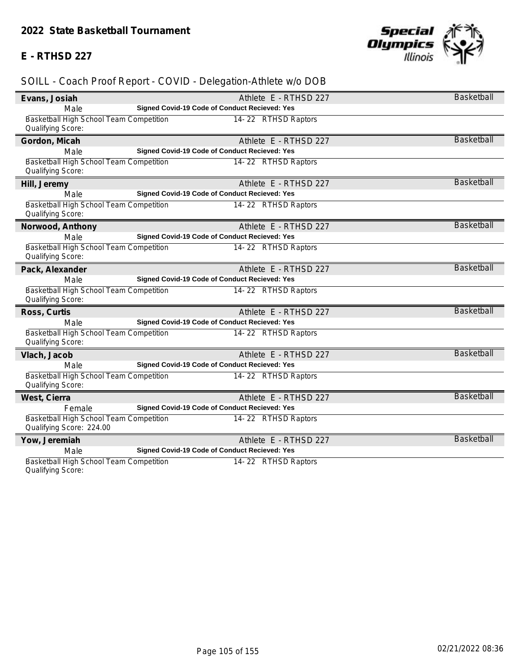#### **E - RTHSD 227**



# *SOILL - Coach Proof Report - COVID - Delegation-Athlete w/o DOB*

| Evans, Josiah                           | Athlete E - RTHSD 227                                | <b>Basketball</b> |
|-----------------------------------------|------------------------------------------------------|-------------------|
| Male                                    | Signed Covid-19 Code of Conduct Recieved: Yes        |                   |
| Basketball High School Team Competition | 14-22 RTHSD Raptors                                  |                   |
| Qualifying Score:                       |                                                      |                   |
| Gordon, Micah                           | Athlete E - RTHSD 227                                | <b>Basketball</b> |
| Male                                    | Signed Covid-19 Code of Conduct Recieved: Yes        |                   |
| Basketball High School Team Competition | 14-22 RTHSD Raptors                                  |                   |
| Qualifying Score:                       |                                                      |                   |
| Hill, Jeremy                            | Athlete E - RTHSD 227                                | <b>Basketball</b> |
| Male                                    | Signed Covid-19 Code of Conduct Recieved: Yes        |                   |
| Basketball High School Team Competition | 14-22 RTHSD Raptors                                  |                   |
| Qualifying Score:                       |                                                      |                   |
| Norwood, Anthony                        | Athlete E - RTHSD 227                                | <b>Basketball</b> |
| Male                                    | Signed Covid-19 Code of Conduct Recieved: Yes        |                   |
| Basketball High School Team Competition | 14-22 RTHSD Raptors                                  |                   |
| Qualifying Score:                       |                                                      |                   |
| Pack, Alexander                         | Athlete E - RTHSD 227                                | Basketball        |
| Male                                    | Signed Covid-19 Code of Conduct Recieved: Yes        |                   |
| Basketball High School Team Competition | 14-22 RTHSD Raptors                                  |                   |
| Qualifying Score:                       |                                                      |                   |
| Ross, Curtis                            | Athlete E - RTHSD 227                                | Basketball        |
| Male                                    | Signed Covid-19 Code of Conduct Recieved: Yes        |                   |
| Basketball High School Team Competition | 14-22 RTHSD Raptors                                  |                   |
| Qualifying Score:                       |                                                      |                   |
| Vlach, Jacob                            | Athlete E - RTHSD 227                                | <b>Basketball</b> |
| Male                                    | <b>Signed Covid-19 Code of Conduct Recieved: Yes</b> |                   |
| Basketball High School Team Competition | 14-22 RTHSD Raptors                                  |                   |
| Qualifying Score:                       |                                                      |                   |
| West, Cierra                            | Athlete E - RTHSD 227                                | <b>Basketball</b> |
| Female                                  | Signed Covid-19 Code of Conduct Recieved: Yes        |                   |
| Basketball High School Team Competition | 14-22 RTHSD Raptors                                  |                   |
| Qualifying Score: 224.00                |                                                      |                   |
| Yow, Jeremiah                           | Athlete E - RTHSD 227                                | <b>Basketball</b> |
| Male                                    | Signed Covid-19 Code of Conduct Recieved: Yes        |                   |
| Basketball High School Team Competition | 14-22 RTHSD Raptors                                  |                   |

Qualifying Score: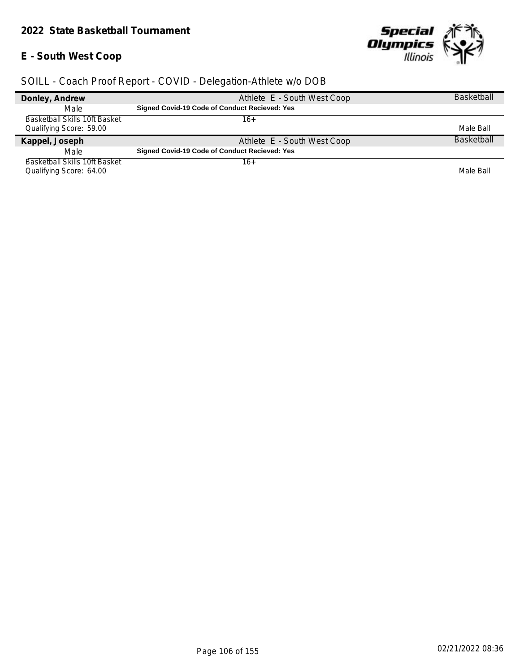#### *2022 State Basketball Tournament*

# **E - South West Coop**



| Donley, Andrew                       | Athlete E - South West Coop                          | <b>Basketball</b> |
|--------------------------------------|------------------------------------------------------|-------------------|
| Male                                 | <b>Signed Covid-19 Code of Conduct Recieved: Yes</b> |                   |
| <b>Basketball Skills 10ft Basket</b> | 16+                                                  |                   |
| Qualifying Score: 59.00              |                                                      | Male Ball         |
| Kappel, Joseph                       | Athlete E - South West Coop                          | <b>Basketball</b> |
| Male                                 | <b>Signed Covid-19 Code of Conduct Recieved: Yes</b> |                   |
| <b>Basketball Skills 10ft Basket</b> | 16+                                                  |                   |
| Qualifying Score: 64.00              |                                                      | Male Ball         |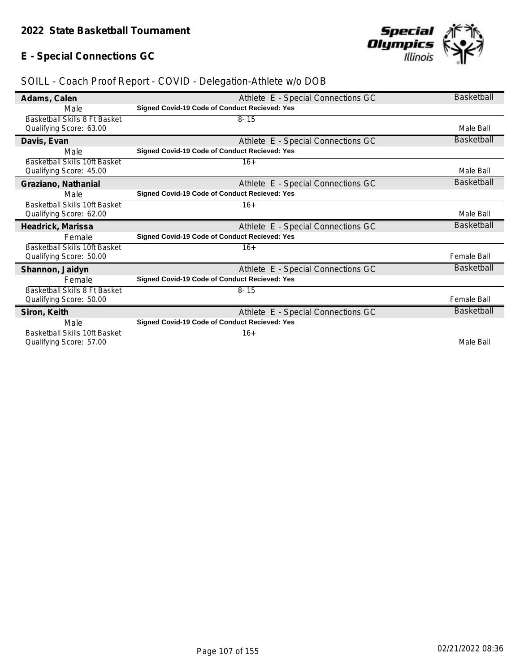# **E - Special Connections GC**



| Adams, Calen                         | Athlete E - Special Connections GC                   | <b>Basketball</b>  |
|--------------------------------------|------------------------------------------------------|--------------------|
| Male                                 | Signed Covid-19 Code of Conduct Recieved: Yes        |                    |
| Basketball Skills 8 Ft Basket        | $8 - 15$                                             |                    |
| Qualifying Score: 63.00              |                                                      | Male Ball          |
| Davis, Evan                          | Athlete E - Special Connections GC                   | Basketball         |
| Male                                 | Signed Covid-19 Code of Conduct Recieved: Yes        |                    |
| <b>Basketball Skills 10ft Basket</b> | $16+$                                                |                    |
| Qualifying Score: 45.00              |                                                      | Male Ball          |
| Graziano, Nathanial                  | Athlete E - Special Connections GC                   | Basketball         |
| Male                                 | Signed Covid-19 Code of Conduct Recieved: Yes        |                    |
| Basketball Skills 10ft Basket        | $16+$                                                |                    |
| Qualifying Score: 62.00              |                                                      | Male Ball          |
| Headrick, Marissa                    | Athlete E - Special Connections GC                   | Basketball         |
| Female                               | <b>Signed Covid-19 Code of Conduct Recieved: Yes</b> |                    |
| <b>Basketball Skills 10ft Basket</b> | $16+$                                                |                    |
| Qualifying Score: 50.00              |                                                      | <b>Female Ball</b> |
| Shannon, Jaidyn                      | Athlete E - Special Connections GC                   | Basketball         |
| Female                               | Signed Covid-19 Code of Conduct Recieved: Yes        |                    |
| Basketball Skills 8 Ft Basket        | $8 - 15$                                             |                    |
| Qualifying Score: 50.00              |                                                      | <b>Female Ball</b> |
| Siron, Keith                         | Athlete E - Special Connections GC                   | <b>Basketball</b>  |
| Male                                 | <b>Signed Covid-19 Code of Conduct Recieved: Yes</b> |                    |
| <b>Basketball Skills 10ft Basket</b> | $16+$                                                |                    |
| Qualifying Score: 57.00              |                                                      | Male Ball          |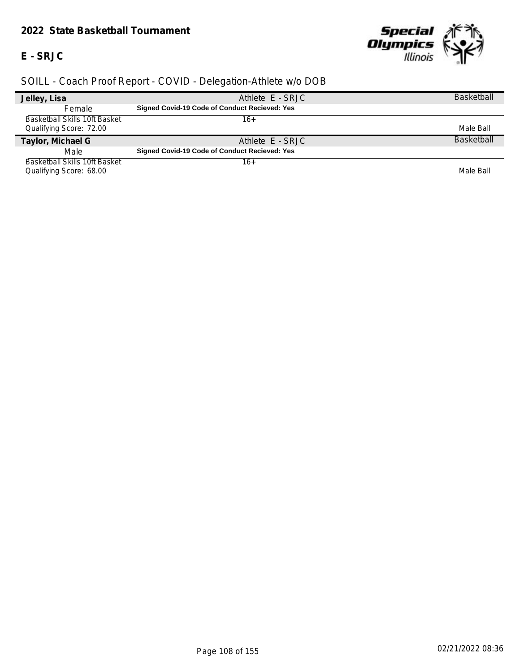#### *2022 State Basketball Tournament*

**E - SRJC**



| Jelley, Lisa                  | Athlete E - SRJC                                     | <b>Basketball</b> |
|-------------------------------|------------------------------------------------------|-------------------|
| Female                        | <b>Signed Covid-19 Code of Conduct Recieved: Yes</b> |                   |
| Basketball Skills 10ft Basket | 16+                                                  |                   |
| Qualifying Score: 72.00       |                                                      | Male Ball         |
| Taylor, Michael G             | Athlete E - SRJC                                     | <b>Basketball</b> |
| Male                          | <b>Signed Covid-19 Code of Conduct Recieved: Yes</b> |                   |
| Basketball Skills 10ft Basket | 16+                                                  |                   |
| Qualifying Score: 68.00       |                                                      | Male Ball         |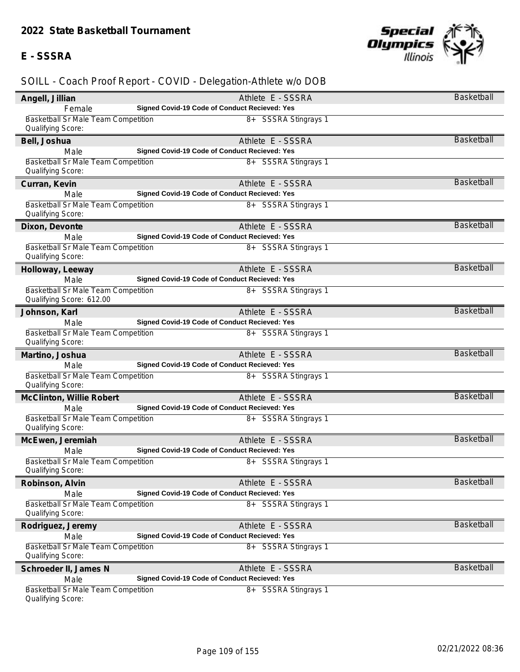# **E - SSSRA**



| Angell, Jillian                                                 | Athlete E - SSSRA                                                  | Basketball        |
|-----------------------------------------------------------------|--------------------------------------------------------------------|-------------------|
| Female                                                          | Signed Covid-19 Code of Conduct Recieved: Yes                      |                   |
| <b>Basketball Sr Male Team Competition</b>                      | 8+ SSSRA Stingrays 1                                               |                   |
| Qualifying Score:                                               |                                                                    |                   |
| Bell, Joshua                                                    | Athlete E - SSSRA                                                  | <b>Basketball</b> |
| Male                                                            | Signed Covid-19 Code of Conduct Recieved: Yes                      |                   |
| <b>Basketball Sr Male Team Competition</b>                      | 8+ SSSRA Stingrays 1                                               |                   |
| Qualifying Score:                                               |                                                                    |                   |
| Curran, Kevin                                                   | Athlete E - SSSRA                                                  | <b>Basketball</b> |
| Male                                                            | Signed Covid-19 Code of Conduct Recieved: Yes                      |                   |
| <b>Basketball Sr Male Team Competition</b>                      | 8+ SSSRA Stingrays 1                                               |                   |
| Qualifying Score:                                               |                                                                    |                   |
| Dixon, Devonte                                                  | Athlete E - SSSRA                                                  | <b>Basketball</b> |
| Male                                                            | Signed Covid-19 Code of Conduct Recieved: Yes                      |                   |
| <b>Basketball Sr Male Team Competition</b><br>Qualifying Score: | 8+ SSSRA Stingrays 1                                               |                   |
| Holloway, Leeway                                                | Athlete E - SSSRA                                                  | <b>Basketball</b> |
| Male                                                            | Signed Covid-19 Code of Conduct Recieved: Yes                      |                   |
| Basketball Sr Male Team Competition<br>Qualifying Score: 612.00 | 8+ SSSRA Stingrays 1                                               |                   |
|                                                                 |                                                                    | <b>Basketball</b> |
| Johnson, Karl<br>Male                                           | Athlete E - SSSRA<br>Signed Covid-19 Code of Conduct Recieved: Yes |                   |
| Basketball Sr Male Team Competition                             | 8+ SSSRA Stingrays 1                                               |                   |
| Qualifying Score:                                               |                                                                    |                   |
| Martino, Joshua                                                 | Athlete E - SSSRA                                                  | <b>Basketball</b> |
| Male                                                            | Signed Covid-19 Code of Conduct Recieved: Yes                      |                   |
| <b>Basketball Sr Male Team Competition</b><br>Qualifying Score: | 8+ SSSRA Stingrays 1                                               |                   |
|                                                                 | Athlete E - SSSRA                                                  | <b>Basketball</b> |
| McClinton, Willie Robert<br>Male                                | Signed Covid-19 Code of Conduct Recieved: Yes                      |                   |
| Basketball Sr Male Team Competition                             | 8+ SSSRA Stingrays 1                                               |                   |
| Qualifying Score:                                               |                                                                    |                   |
| McEwen, Jeremiah                                                | Athlete E - SSSRA                                                  | <b>Basketball</b> |
| Male                                                            | Signed Covid-19 Code of Conduct Recieved: Yes                      |                   |
| Basketball Sr Male Team Competition<br>Qualifying Score:        | 8+ SSSRA Stingrays 1                                               |                   |
| Robinson, Alvin                                                 | Athlete E - SSSRA                                                  | <b>Basketball</b> |
| Male                                                            | Signed Covid-19 Code of Conduct Recieved: Yes                      |                   |
| Basketball Sr Male Team Competition                             | 8+ SSSRA Stingrays 1                                               |                   |
| Qualifying Score:                                               |                                                                    |                   |
| Rodriguez, Jeremy                                               | Athlete E - SSSRA                                                  | Basketball        |
| Male                                                            | <b>Signed Covid-19 Code of Conduct Recieved: Yes</b>               |                   |
| Basketball Sr Male Team Competition                             | 8+ SSSRA Stingrays 1                                               |                   |
| Qualifying Score:                                               |                                                                    |                   |
| Schroeder II, James N                                           | Athlete E - SSSRA                                                  | <b>Basketball</b> |
| Male                                                            | Signed Covid-19 Code of Conduct Recieved: Yes                      |                   |
| Basketball Sr Male Team Competition<br>Qualifying Score:        | 8+ SSSRA Stingrays 1                                               |                   |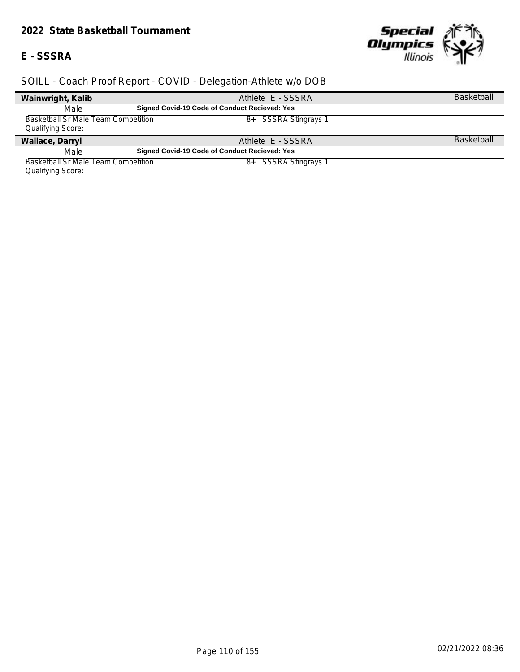#### *2022 State Basketball Tournament*

#### **E - SSSRA**

 $\overline{\phantom{a}}$ 



# *SOILL - Coach Proof Report - COVID - Delegation-Athlete w/o DOB*

| Wainwright, Kalib                   | Athlete E - SSSRA                                    | <b>Basketball</b> |
|-------------------------------------|------------------------------------------------------|-------------------|
| Male                                | <b>Signed Covid-19 Code of Conduct Recieved: Yes</b> |                   |
| Basketball Sr Male Team Competition | 8+ SSSRA Stingrays 1                                 |                   |
| Qualifying Score:                   |                                                      |                   |
| Wallace, Darryl                     | Athlete E - SSSRA                                    | <b>Basketball</b> |
| Male                                | Signed Covid-19 Code of Conduct Recieved: Yes        |                   |
| Basketball Sr Male Team Competition | <b>SSSRA Stingrays 1</b><br>8+                       |                   |

Qualifying Score: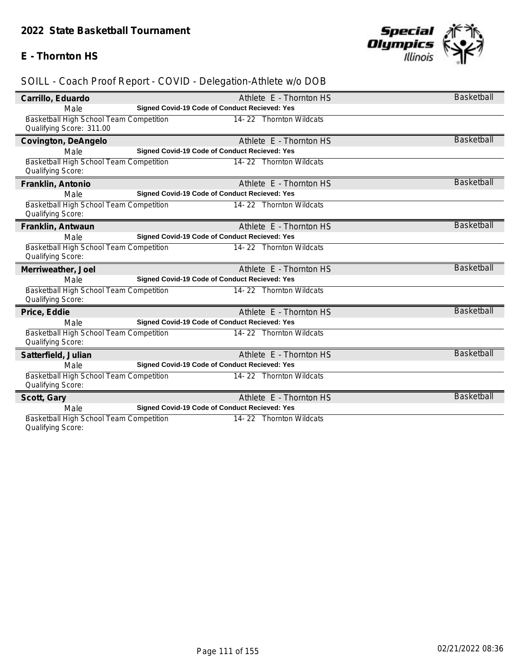# **E - Thornton HS**



# *SOILL - Coach Proof Report - COVID - Delegation-Athlete w/o DOB*

| Carrillo, Eduardo                       | Athlete E - Thornton HS                       | Basketball        |
|-----------------------------------------|-----------------------------------------------|-------------------|
| Male                                    | Signed Covid-19 Code of Conduct Recieved: Yes |                   |
| Basketball High School Team Competition | 14-22 Thornton Wildcats                       |                   |
| Qualifying Score: 311.00                |                                               |                   |
| Covington, DeAngelo                     | Athlete E - Thornton HS                       | <b>Basketball</b> |
| Male                                    | Signed Covid-19 Code of Conduct Recieved: Yes |                   |
| Basketball High School Team Competition | 14-22 Thornton Wildcats                       |                   |
| Qualifying Score:                       |                                               |                   |
| Franklin, Antonio                       | Athlete E - Thornton HS                       | <b>Basketball</b> |
| Male                                    | Signed Covid-19 Code of Conduct Recieved: Yes |                   |
| Basketball High School Team Competition | 14-22 Thornton Wildcats                       |                   |
| Qualifying Score:                       |                                               |                   |
| Franklin, Antwaun                       | Athlete E - Thornton HS                       | <b>Basketball</b> |
| Male                                    | Signed Covid-19 Code of Conduct Recieved: Yes |                   |
| Basketball High School Team Competition | 14-22 Thornton Wildcats                       |                   |
| Qualifying Score:                       |                                               |                   |
| Merriweather, Joel                      | Athlete E - Thornton HS                       | <b>Basketball</b> |
| Male                                    | Signed Covid-19 Code of Conduct Recieved: Yes |                   |
| Basketball High School Team Competition | 14-22 Thornton Wildcats                       |                   |
| Qualifying Score:                       |                                               |                   |
| Price, Eddie                            | Athlete E - Thornton HS                       | Basketball        |
| Male                                    | Signed Covid-19 Code of Conduct Recieved: Yes |                   |
| Basketball High School Team Competition | 14-22 Thornton Wildcats                       |                   |
| Qualifying Score:                       |                                               |                   |
| Satterfield, Julian                     | Athlete E - Thornton HS                       | <b>Basketball</b> |
| Male                                    | Signed Covid-19 Code of Conduct Recieved: Yes |                   |
| Basketball High School Team Competition | 14-22 Thornton Wildcats                       |                   |
| Qualifying Score:                       |                                               |                   |
| Scott, Gary                             | Athlete E - Thornton HS                       | <b>Basketball</b> |
| Male                                    | Signed Covid-19 Code of Conduct Recieved: Yes |                   |
| Basketball High School Team Competition | 14-22 Thornton Wildcats                       |                   |

Qualifying Score: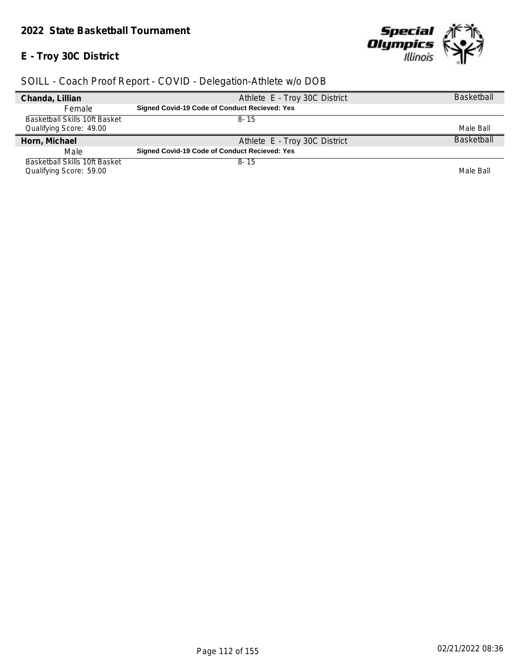#### *2022 State Basketball Tournament*

# **E - Troy 30C District**



| Chanda, Lillian               | Athlete E - Troy 30C District                        | <b>Basketball</b> |
|-------------------------------|------------------------------------------------------|-------------------|
| Female                        | <b>Signed Covid-19 Code of Conduct Recieved: Yes</b> |                   |
| Basketball Skills 10ft Basket | 8-15                                                 |                   |
| Qualifying Score: 49.00       |                                                      | Male Ball         |
|                               |                                                      |                   |
| Horn, Michael                 | Athlete E - Troy 30C District                        | <b>Basketball</b> |
| Male                          | <b>Signed Covid-19 Code of Conduct Recieved: Yes</b> |                   |
| Basketball Skills 10ft Basket | $8 - 15$                                             |                   |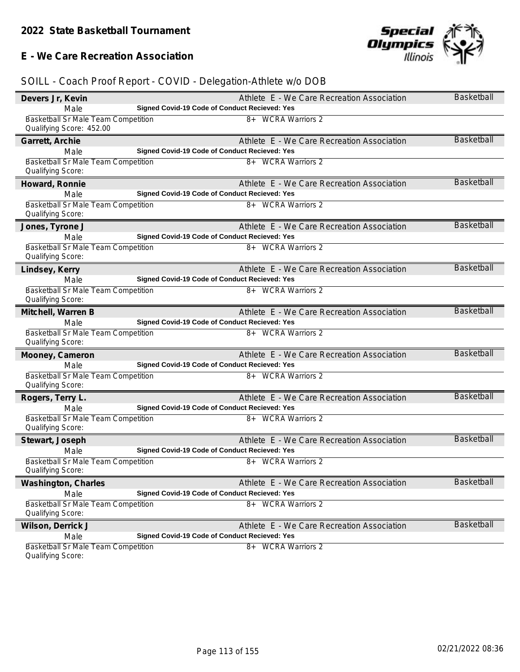#### **E - We Care Recreation Association**



| Devers Jr, Kevin                                                | Athlete E - We Care Recreation Association           | Basketball        |
|-----------------------------------------------------------------|------------------------------------------------------|-------------------|
| Male                                                            | <b>Signed Covid-19 Code of Conduct Recieved: Yes</b> |                   |
| Basketball Sr Male Team Competition<br>Qualifying Score: 452.00 | 8+ WCRA Warriors 2                                   |                   |
| Garrett, Archie                                                 | Athlete E - We Care Recreation Association           | Basketball        |
| Male                                                            | Signed Covid-19 Code of Conduct Recieved: Yes        |                   |
| Basketball Sr Male Team Competition                             | 8+ WCRA Warriors 2                                   |                   |
| Qualifying Score:                                               |                                                      |                   |
| Howard, Ronnie                                                  | Athlete E - We Care Recreation Association           | <b>Basketball</b> |
| Male                                                            | Signed Covid-19 Code of Conduct Recieved: Yes        |                   |
| Basketball Sr Male Team Competition<br>Qualifying Score:        | 8+ WCRA Warriors 2                                   |                   |
| Jones, Tyrone J                                                 | Athlete E - We Care Recreation Association           | <b>Basketball</b> |
| Male                                                            | Signed Covid-19 Code of Conduct Recieved: Yes        |                   |
| <b>Basketball Sr Male Team Competition</b><br>Qualifying Score: | 8+ WCRA Warriors 2                                   |                   |
| Lindsey, Kerry                                                  | Athlete E - We Care Recreation Association           | Basketball        |
| Male                                                            | Signed Covid-19 Code of Conduct Recieved: Yes        |                   |
| Basketball Sr Male Team Competition                             | 8+ WCRA Warriors 2                                   |                   |
| Qualifying Score:                                               |                                                      |                   |
| Mitchell, Warren B                                              | Athlete E - We Care Recreation Association           | <b>Basketball</b> |
| Male                                                            | Signed Covid-19 Code of Conduct Recieved: Yes        |                   |
| Basketball Sr Male Team Competition<br>Qualifying Score:        | 8+ WCRA Warriors 2                                   |                   |
| Mooney, Cameron                                                 | Athlete E - We Care Recreation Association           | <b>Basketball</b> |
| Male                                                            | Signed Covid-19 Code of Conduct Recieved: Yes        |                   |
| Basketball Sr Male Team Competition<br>Qualifying Score:        | 8+ WCRA Warriors 2                                   |                   |
|                                                                 | Athlete E - We Care Recreation Association           | <b>Basketball</b> |
| Rogers, Terry L.<br>Male                                        | Signed Covid-19 Code of Conduct Recieved: Yes        |                   |
| Basketball Sr Male Team Competition                             | 8+ WCRA Warriors 2                                   |                   |
| Qualifying Score:                                               |                                                      |                   |
| Stewart, Joseph                                                 | Athlete E - We Care Recreation Association           | <b>Basketball</b> |
| Male                                                            | Signed Covid-19 Code of Conduct Recieved: Yes        |                   |
| Basketball Sr Male Team Competition                             | 8+ WCRA Warriors 2                                   |                   |
| Qualifying Score:                                               |                                                      |                   |
| Washington, Charles                                             | Athlete E - We Care Recreation Association           | Basketball        |
| Male                                                            | Signed Covid-19 Code of Conduct Recieved: Yes        |                   |
| <b>Basketball Sr Male Team Competition</b><br>Qualifying Score: | 8+ WCRA Warriors 2                                   |                   |
| Wilson, Derrick J                                               | Athlete E - We Care Recreation Association           | <b>Basketball</b> |
| Male                                                            | Signed Covid-19 Code of Conduct Recieved: Yes        |                   |
| <b>Basketball Sr Male Team Competition</b>                      | 8+ WCRA Warriors 2                                   |                   |
| Qualifying Score:                                               |                                                      |                   |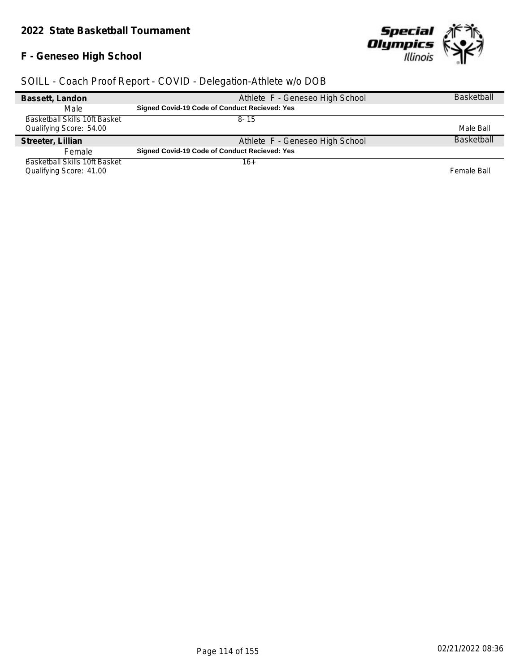# **F - Geneseo High School**



| Bassett, Landon                      | Athlete F - Geneseo High School                      | <b>Basketball</b> |
|--------------------------------------|------------------------------------------------------|-------------------|
| Male                                 | <b>Signed Covid-19 Code of Conduct Recieved: Yes</b> |                   |
| <b>Basketball Skills 10ft Basket</b> | 8-15                                                 |                   |
| Qualifying Score: 54.00              |                                                      | Male Ball         |
|                                      |                                                      |                   |
| Streeter, Lillian                    | Athlete F - Geneseo High School                      | <b>Basketball</b> |
| Female                               | <b>Signed Covid-19 Code of Conduct Recieved: Yes</b> |                   |
| Basketball Skills 10ft Basket        | 16+                                                  |                   |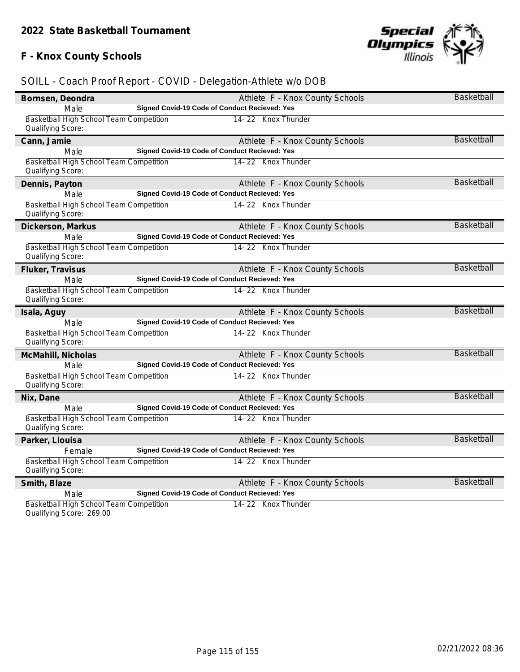# **F - Knox County Schools**



# *SOILL - Coach Proof Report - COVID - Delegation-Athlete w/o DOB*

| Bornsen, Deondra                                             |                                                      | Athlete F - Knox County Schools | <b>Basketball</b> |
|--------------------------------------------------------------|------------------------------------------------------|---------------------------------|-------------------|
| Male                                                         | Signed Covid-19 Code of Conduct Recieved: Yes        |                                 |                   |
| Basketball High School Team Competition<br>Qualifying Score: |                                                      | 14-22 Knox Thunder              |                   |
| Cann, Jamie                                                  |                                                      | Athlete F - Knox County Schools | <b>Basketball</b> |
| Male                                                         | <b>Signed Covid-19 Code of Conduct Recieved: Yes</b> |                                 |                   |
| Basketball High School Team Competition<br>Qualifying Score: |                                                      | 14-22 Knox Thunder              |                   |
| Dennis, Payton                                               |                                                      | Athlete F - Knox County Schools | <b>Basketball</b> |
| Male                                                         | <b>Signed Covid-19 Code of Conduct Recieved: Yes</b> |                                 |                   |
| Basketball High School Team Competition<br>Qualifying Score: |                                                      | 14-22 Knox Thunder              |                   |
| Dickerson, Markus                                            |                                                      | Athlete F - Knox County Schools | <b>Basketball</b> |
| Male                                                         | Signed Covid-19 Code of Conduct Recieved: Yes        |                                 |                   |
| Basketball High School Team Competition<br>Qualifying Score: |                                                      | 14-22 Knox Thunder              |                   |
| Fluker, Travisus                                             |                                                      | Athlete F - Knox County Schools | <b>Basketball</b> |
| Male                                                         | Signed Covid-19 Code of Conduct Recieved: Yes        |                                 |                   |
| Basketball High School Team Competition<br>Qualifying Score: |                                                      | 14-22 Knox Thunder              |                   |
| Isala, Aguy                                                  |                                                      | Athlete F - Knox County Schools | <b>Basketball</b> |
| Male                                                         | Signed Covid-19 Code of Conduct Recieved: Yes        |                                 |                   |
| Basketball High School Team Competition<br>Qualifying Score: |                                                      | 14-22 Knox Thunder              |                   |
| McMahill, Nicholas                                           |                                                      | Athlete F - Knox County Schools | Basketball        |
| Male                                                         | <b>Signed Covid-19 Code of Conduct Recieved: Yes</b> |                                 |                   |
| Basketball High School Team Competition<br>Qualifying Score: |                                                      | 14-22 Knox Thunder              |                   |
| Nix, Dane                                                    |                                                      | Athlete F - Knox County Schools | <b>Basketball</b> |
| Male                                                         | Signed Covid-19 Code of Conduct Recieved: Yes        |                                 |                   |
| Basketball High School Team Competition<br>Qualifying Score: |                                                      | 14-22 Knox Thunder              |                   |
| Parker, Llouisa                                              |                                                      | Athlete F - Knox County Schools | <b>Basketball</b> |
| Female                                                       | <b>Signed Covid-19 Code of Conduct Recieved: Yes</b> |                                 |                   |
| Basketball High School Team Competition<br>Qualifying Score: |                                                      | 14-22 Knox Thunder              |                   |
| Smith, Blaze                                                 |                                                      | Athlete F - Knox County Schools | <b>Basketball</b> |
| Male                                                         | Signed Covid-19 Code of Conduct Recieved: Yes        |                                 |                   |
| Basketball High School Team Competition                      |                                                      | 14-22 Knox Thunder              |                   |

Qualifying Score: 269.00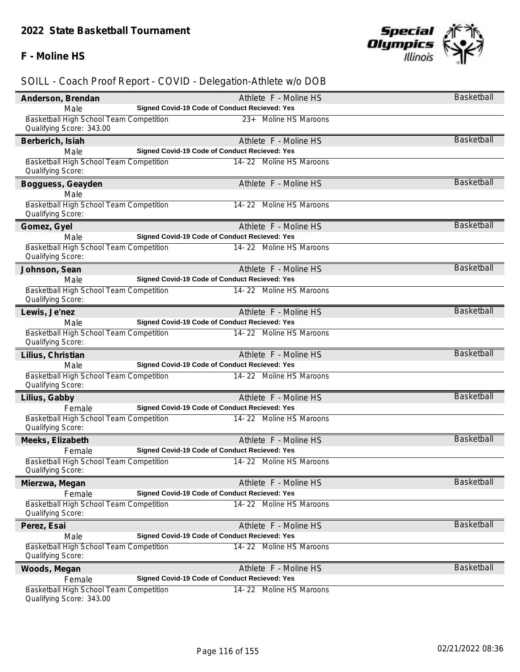# **F - Moline HS**



| Anderson, Brendan                                                   |                                               | Athlete F - Moline HS   | Basketball        |
|---------------------------------------------------------------------|-----------------------------------------------|-------------------------|-------------------|
| Male                                                                | Signed Covid-19 Code of Conduct Recieved: Yes |                         |                   |
| Basketball High School Team Competition<br>Qualifying Score: 343.00 |                                               | 23+ Moline HS Maroons   |                   |
| Berberich, Isiah                                                    |                                               | Athlete F - Moline HS   | <b>Basketball</b> |
| Male                                                                | Signed Covid-19 Code of Conduct Recieved: Yes |                         |                   |
| Basketball High School Team Competition<br>Qualifying Score:        |                                               | 14-22 Moline HS Maroons |                   |
| Bogguess, Geayden                                                   |                                               | Athlete F - Moline HS   | <b>Basketball</b> |
| Male<br>Basketball High School Team Competition                     |                                               | 14-22 Moline HS Maroons |                   |
| Qualifying Score:                                                   |                                               |                         |                   |
| Gomez, Gyel                                                         |                                               | Athlete F - Moline HS   | Basketball        |
| Male                                                                | Signed Covid-19 Code of Conduct Recieved: Yes |                         |                   |
| Basketball High School Team Competition<br>Qualifying Score:        |                                               | 14-22 Moline HS Maroons |                   |
| Johnson, Sean                                                       |                                               | Athlete F - Moline HS   | Basketball        |
| Male                                                                | Signed Covid-19 Code of Conduct Recieved: Yes |                         |                   |
| Basketball High School Team Competition<br>Qualifying Score:        |                                               | 14-22 Moline HS Maroons |                   |
| Lewis, Je'nez                                                       |                                               | Athlete F - Moline HS   | <b>Basketball</b> |
| Male                                                                | Signed Covid-19 Code of Conduct Recieved: Yes |                         |                   |
| Basketball High School Team Competition<br>Qualifying Score:        |                                               | 14-22 Moline HS Maroons |                   |
| Lilius, Christian                                                   |                                               | Athlete F - Moline HS   | <b>Basketball</b> |
| Male                                                                | Signed Covid-19 Code of Conduct Recieved: Yes |                         |                   |
| Basketball High School Team Competition<br>Qualifying Score:        |                                               | 14-22 Moline HS Maroons |                   |
| Lilius, Gabby                                                       |                                               | Athlete F - Moline HS   | <b>Basketball</b> |
| Female                                                              | Signed Covid-19 Code of Conduct Recieved: Yes |                         |                   |
| Basketball High School Team Competition<br>Qualifying Score:        |                                               | 14-22 Moline HS Maroons |                   |
| Meeks, Elizabeth                                                    |                                               | Athlete F - Moline HS   | Basketball        |
| Female                                                              | Signed Covid-19 Code of Conduct Recieved: Yes |                         |                   |
| Basketball High School Team Competition<br>Qualifying Score:        |                                               | 14-22 Moline HS Maroons |                   |
| Mierzwa, Megan                                                      |                                               | Athlete F - Moline HS   | Basketball        |
| Female                                                              | Signed Covid-19 Code of Conduct Recieved: Yes |                         |                   |
| Basketball High School Team Competition<br>Qualifying Score:        |                                               | 14-22 Moline HS Maroons |                   |
| Perez, Esai                                                         |                                               | Athlete F - Moline HS   | <b>Basketball</b> |
| Male                                                                | Signed Covid-19 Code of Conduct Recieved: Yes |                         |                   |
| <b>Basketball High School Team Competition</b><br>Qualifying Score: |                                               | 14-22 Moline HS Maroons |                   |
| Woods, Megan                                                        |                                               | Athlete F - Moline HS   | <b>Basketball</b> |
| Female                                                              | Signed Covid-19 Code of Conduct Recieved: Yes |                         |                   |
| Basketball High School Team Competition<br>Qualifying Score: 343.00 |                                               | 14-22 Moline HS Maroons |                   |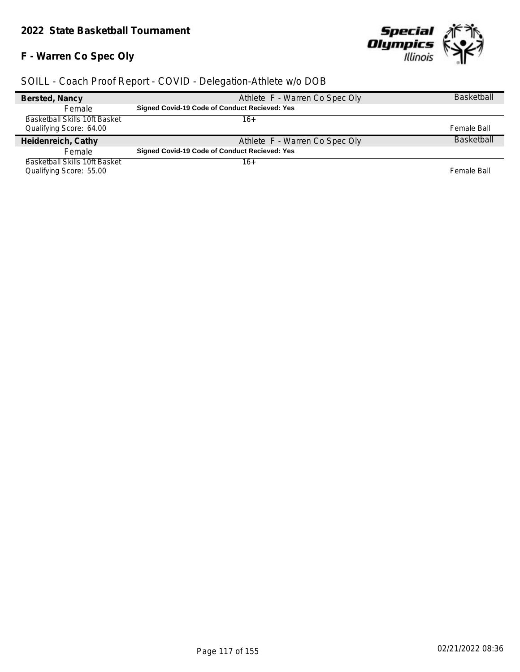# **F - Warren Co Spec Oly**



| Bersted, Nancy                | Athlete F - Warren Co Spec Oly                       | <b>Basketball</b> |
|-------------------------------|------------------------------------------------------|-------------------|
| Female                        | <b>Signed Covid-19 Code of Conduct Recieved: Yes</b> |                   |
| Basketball Skills 10ft Basket | 16+                                                  |                   |
| Qualifying Score: 64.00       |                                                      | Female Ball       |
| Heidenreich, Cathy            | Athlete F - Warren Co Spec Oly                       | <b>Basketball</b> |
| Female                        | <b>Signed Covid-19 Code of Conduct Recieved: Yes</b> |                   |
| Basketball Skills 10ft Basket | 16+                                                  |                   |
| Qualifying Score: 55.00       |                                                      | Female Ball       |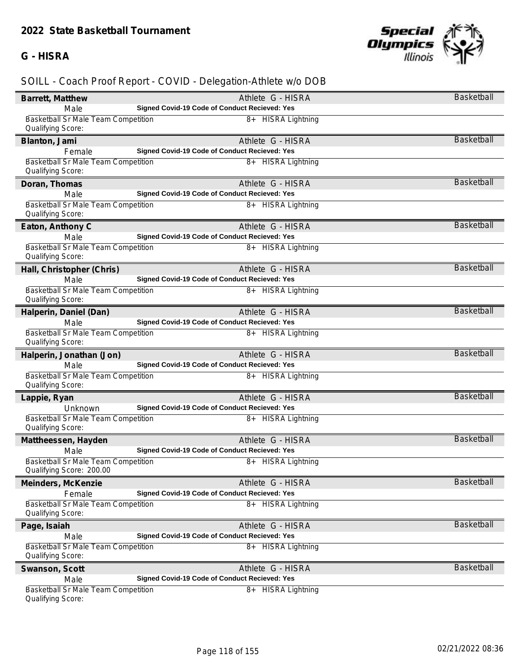# **G - HISRA**



| Barrett, Matthew                                                | Athlete G - HISRA                                                  | Basketball        |
|-----------------------------------------------------------------|--------------------------------------------------------------------|-------------------|
| Male                                                            | Signed Covid-19 Code of Conduct Recieved: Yes                      |                   |
| <b>Basketball Sr Male Team Competition</b>                      | 8+ HISRA Lightning                                                 |                   |
| Qualifying Score:                                               |                                                                    |                   |
| Blanton, Jami                                                   | Athlete G - HISRA                                                  | Basketball        |
| Female                                                          | Signed Covid-19 Code of Conduct Recieved: Yes                      |                   |
| Basketball Sr Male Team Competition                             | 8+ HISRA Lightning                                                 |                   |
| Qualifying Score:                                               |                                                                    |                   |
| Doran, Thomas                                                   | Athlete G - HISRA                                                  | Basketball        |
| Male                                                            | Signed Covid-19 Code of Conduct Recieved: Yes                      |                   |
| Basketball Sr Male Team Competition                             | 8+ HISRA Lightning                                                 |                   |
| Qualifying Score:                                               |                                                                    |                   |
| Eaton, Anthony C                                                | Athlete G - HISRA                                                  | <b>Basketball</b> |
| Male                                                            | Signed Covid-19 Code of Conduct Recieved: Yes                      |                   |
| Basketball Sr Male Team Competition                             | 8+ HISRA Lightning                                                 |                   |
| Qualifying Score:                                               |                                                                    |                   |
| Hall, Christopher (Chris)                                       | Athlete G - HISRA                                                  | <b>Basketball</b> |
| Male                                                            | Signed Covid-19 Code of Conduct Recieved: Yes                      |                   |
| Basketball Sr Male Team Competition<br>Qualifying Score:        | 8+ HISRA Lightning                                                 |                   |
|                                                                 |                                                                    | <b>Basketball</b> |
| Halperin, Daniel (Dan)<br>Male                                  | Athlete G - HISRA<br>Signed Covid-19 Code of Conduct Recieved: Yes |                   |
| Basketball Sr Male Team Competition                             | 8+ HISRA Lightning                                                 |                   |
| Qualifying Score:                                               |                                                                    |                   |
| Halperin, Jonathan (Jon)                                        | Athlete G - HISRA                                                  | Basketball        |
| Male                                                            | Signed Covid-19 Code of Conduct Recieved: Yes                      |                   |
| Basketball Sr Male Team Competition                             | 8+ HISRA Lightning                                                 |                   |
| Qualifying Score:                                               |                                                                    |                   |
| Lappie, Ryan                                                    | Athlete G - HISRA                                                  | <b>Basketball</b> |
| Unknown                                                         | Signed Covid-19 Code of Conduct Recieved: Yes                      |                   |
| Basketball Sr Male Team Competition                             | 8+ HISRA Lightning                                                 |                   |
| Qualifying Score:                                               |                                                                    |                   |
| Mattheessen, Hayden                                             | Athlete G - HISRA                                                  | <b>Basketball</b> |
| Male                                                            | Signed Covid-19 Code of Conduct Recieved: Yes                      |                   |
| Basketball Sr Male Team Competition                             | 8+ HISRA Lightning                                                 |                   |
| Qualifying Score: 200.00                                        |                                                                    |                   |
| Meinders, McKenzie                                              | Athlete G - HISRA                                                  | <b>Basketball</b> |
| Female                                                          | Signed Covid-19 Code of Conduct Recieved: Yes                      |                   |
| <b>Basketball Sr Male Team Competition</b>                      | <b>HISRA Lightning</b><br>8+                                       |                   |
| Qualifying Score:                                               |                                                                    |                   |
| Page, Isaiah                                                    | Athlete G - HISRA                                                  | <b>Basketball</b> |
| Male                                                            | Signed Covid-19 Code of Conduct Recieved: Yes                      |                   |
| <b>Basketball Sr Male Team Competition</b><br>Qualifying Score: | 8+ HISRA Lightning                                                 |                   |
|                                                                 |                                                                    | Basketball        |
| Swanson, Scott                                                  | Athlete G - HISRA<br>Signed Covid-19 Code of Conduct Recieved: Yes |                   |
| Male<br><b>Basketball Sr Male Team Competition</b>              | <b>HISRA Lightning</b><br>$8+$                                     |                   |
| Qualifying Score:                                               |                                                                    |                   |
|                                                                 |                                                                    |                   |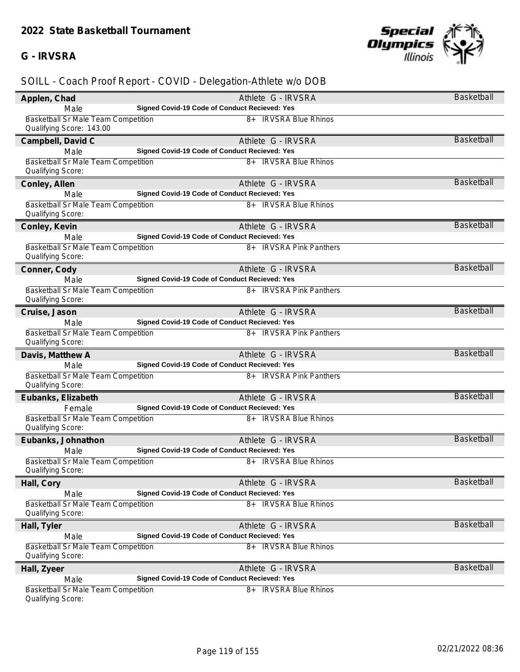#### **G - IRVSRA**



| Applen, Chad                                                           | Athlete G - IRVSRA                            | <b>Basketball</b> |
|------------------------------------------------------------------------|-----------------------------------------------|-------------------|
| Male                                                                   | Signed Covid-19 Code of Conduct Recieved: Yes |                   |
| <b>Basketball Sr Male Team Competition</b><br>Qualifying Score: 143.00 | 8+ IRVSRA Blue Rhinos                         |                   |
| Campbell, David C                                                      | Athlete G - IRVSRA                            | Basketball        |
| Male                                                                   | Signed Covid-19 Code of Conduct Recieved: Yes |                   |
| Basketball Sr Male Team Competition<br>Qualifying Score:               | 8+ IRVSRA Blue Rhinos                         |                   |
| Conley, Allen                                                          | Athlete G - IRVSRA                            | <b>Basketball</b> |
| Male                                                                   | Signed Covid-19 Code of Conduct Recieved: Yes |                   |
| Basketball Sr Male Team Competition<br>Qualifying Score:               | 8+ IRVSRA Blue Rhinos                         |                   |
| Conley, Kevin                                                          | Athlete G - IRVSRA                            | <b>Basketball</b> |
| Male                                                                   | Signed Covid-19 Code of Conduct Recieved: Yes |                   |
| Basketball Sr Male Team Competition<br>Qualifying Score:               | 8+ IRVSRA Pink Panthers                       |                   |
| Conner, Cody                                                           | Athlete G - IRVSRA                            | <b>Basketball</b> |
| Male                                                                   | Signed Covid-19 Code of Conduct Recieved: Yes |                   |
| <b>Basketball Sr Male Team Competition</b><br>Qualifying Score:        | 8+ IRVSRA Pink Panthers                       |                   |
| Cruise, Jason                                                          | Athlete G - IRVSRA                            | <b>Basketball</b> |
| Male                                                                   | Signed Covid-19 Code of Conduct Recieved: Yes |                   |
| Basketball Sr Male Team Competition<br>Qualifying Score:               | 8+ IRVSRA Pink Panthers                       |                   |
| Davis, Matthew A                                                       | Athlete G - IRVSRA                            | <b>Basketball</b> |
| Male                                                                   | Signed Covid-19 Code of Conduct Recieved: Yes |                   |
| Basketball Sr Male Team Competition<br>Qualifying Score:               | 8+ IRVSRA Pink Panthers                       |                   |
| Eubanks, Elizabeth                                                     | Athlete G - IRVSRA                            | <b>Basketball</b> |
| Female                                                                 | Signed Covid-19 Code of Conduct Recieved: Yes |                   |
| Basketball Sr Male Team Competition<br>Qualifying Score:               | 8+ IRVSRA Blue Rhinos                         |                   |
| Eubanks, Johnathon                                                     | Athlete G - IRVSRA                            | <b>Basketball</b> |
| Male                                                                   | Signed Covid-19 Code of Conduct Recieved: Yes |                   |
| Basketball Sr Male Team Competition<br>Qualifying Score:               | 8+ IRVSRA Blue Rhinos                         |                   |
| Hall, Cory                                                             | Athlete G - IRVSRA                            | Basketball        |
| Male                                                                   | Signed Covid-19 Code of Conduct Recieved: Yes |                   |
| <b>Basketball Sr Male Team Competition</b><br>Qualifying Score:        | <b>IRVSRA Blue Rhinos</b><br>8+               |                   |
| Hall, Tyler                                                            | Athlete G - IRVSRA                            | <b>Basketball</b> |
| Male                                                                   | Signed Covid-19 Code of Conduct Recieved: Yes |                   |
| <b>Basketball Sr Male Team Competition</b><br>Qualifying Score:        | 8+ IRVSRA Blue Rhinos                         |                   |
| Hall, Zyeer                                                            | Athlete G - IRVSRA                            | Basketball        |
| Male                                                                   | Signed Covid-19 Code of Conduct Recieved: Yes |                   |
| <b>Basketball Sr Male Team Competition</b><br>Qualifying Score:        | 8+ IRVSRA Blue Rhinos                         |                   |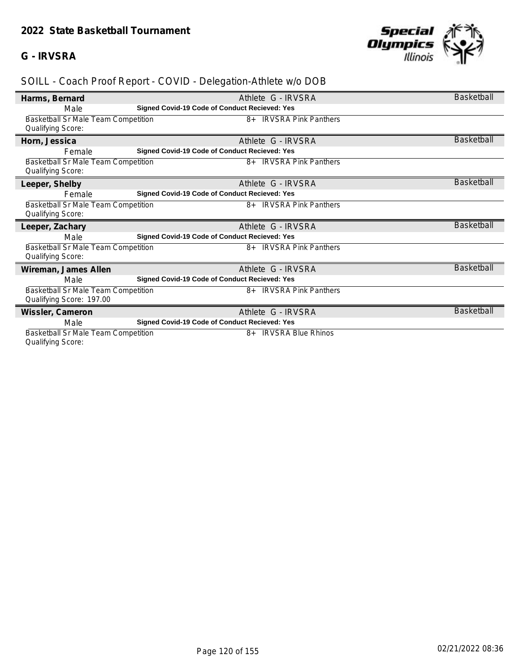#### **G - IRVSRA**



# *SOILL - Coach Proof Report - COVID - Delegation-Athlete w/o DOB*

| Harms, Bernard                                                         | Athlete G - IRVSRA                            | Basketball        |
|------------------------------------------------------------------------|-----------------------------------------------|-------------------|
| Male                                                                   | Signed Covid-19 Code of Conduct Recieved: Yes |                   |
| Basketball Sr Male Team Competition<br>Qualifying Score:               | <b>IRVSRA Pink Panthers</b><br>8+             |                   |
| Horn, Jessica                                                          | Athlete G - IRVSRA                            | <b>Basketball</b> |
| Female                                                                 | Signed Covid-19 Code of Conduct Recieved: Yes |                   |
| Basketball Sr Male Team Competition<br>Qualifying Score:               | 8+ IRVSRA Pink Panthers                       |                   |
| Leeper, Shelby                                                         | Athlete G - IRVSRA                            | <b>Basketball</b> |
| Female                                                                 | Signed Covid-19 Code of Conduct Recieved: Yes |                   |
| <b>Basketball Sr Male Team Competition</b><br>Qualifying Score:        | <b>IRVSRA Pink Panthers</b><br>8+             |                   |
| Leeper, Zachary                                                        | Athlete G - IRVSRA                            | <b>Basketball</b> |
| Male                                                                   | Signed Covid-19 Code of Conduct Recieved: Yes |                   |
| <b>Basketball Sr Male Team Competition</b><br><b>Qualifying Score:</b> | 8+ IRVSRA Pink Panthers                       |                   |
| Wireman, James Allen                                                   | Athlete G - IRVSRA                            | <b>Basketball</b> |
| Male                                                                   | Signed Covid-19 Code of Conduct Recieved: Yes |                   |
| <b>Basketball Sr Male Team Competition</b><br>Qualifying Score: 197.00 | 8+ IRVSRA Pink Panthers                       |                   |
| Wissler, Cameron                                                       | Athlete G - IRVSRA                            | <b>Basketball</b> |
| Male                                                                   | Signed Covid-19 Code of Conduct Recieved: Yes |                   |
| Basketball Sr Male Team Competition                                    | <b>IRVSRA Blue Rhinos</b><br>8+               |                   |

Qualifying Score: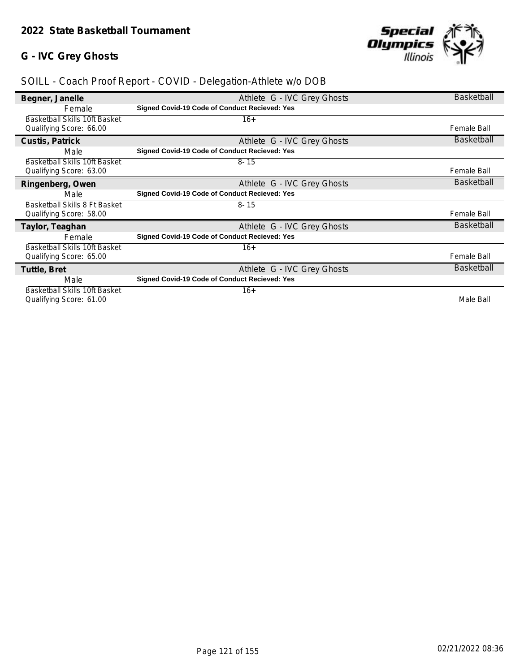# **G - IVC Grey Ghosts**



| Begner, Janelle                      | Athlete G - IVC Grey Ghosts                          | <b>Basketball</b>  |
|--------------------------------------|------------------------------------------------------|--------------------|
| Female                               | <b>Signed Covid-19 Code of Conduct Recieved: Yes</b> |                    |
| Basketball Skills 10ft Basket        | $16+$                                                |                    |
| Qualifying Score: 66.00              |                                                      | Female Ball        |
| Custis, Patrick                      | Athlete G - IVC Grey Ghosts                          | <b>Basketball</b>  |
| Male                                 | <b>Signed Covid-19 Code of Conduct Recieved: Yes</b> |                    |
| Basketball Skills 10ft Basket        | $8 - 15$                                             |                    |
| Qualifying Score: 63.00              |                                                      | Female Ball        |
| Ringenberg, Owen                     | Athlete G - IVC Grey Ghosts                          | <b>Basketball</b>  |
| Male                                 | <b>Signed Covid-19 Code of Conduct Recieved: Yes</b> |                    |
| Basketball Skills 8 Ft Basket        | $8 - 15$                                             |                    |
| Qualifying Score: 58.00              |                                                      | <b>Female Ball</b> |
| Taylor, Teaghan                      | Athlete G - IVC Grey Ghosts                          | <b>Basketball</b>  |
| Female                               | <b>Signed Covid-19 Code of Conduct Recieved: Yes</b> |                    |
| Basketball Skills 10ft Basket        | $16+$                                                |                    |
| Qualifying Score: 65.00              |                                                      | <b>Female Ball</b> |
| Tuttle, Bret                         | Athlete G - IVC Grey Ghosts                          | <b>Basketball</b>  |
| Male                                 | <b>Signed Covid-19 Code of Conduct Recieved: Yes</b> |                    |
| <b>Basketball Skills 10ft Basket</b> | $16+$                                                |                    |
| Qualifying Score: 61.00              |                                                      | Male Ball          |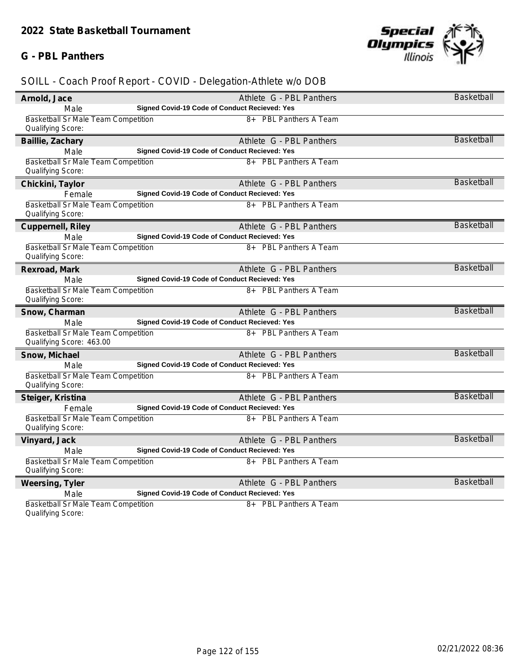#### **G - PBL Panthers**



| Arnold, Jace                                                    | Athlete G - PBL Panthers                      | Basketball        |
|-----------------------------------------------------------------|-----------------------------------------------|-------------------|
| Male                                                            | Signed Covid-19 Code of Conduct Recieved: Yes |                   |
| Basketball Sr Male Team Competition<br>Qualifying Score:        | 8+ PBL Panthers A Team                        |                   |
| Baillie, Zachary                                                | Athlete G - PBL Panthers                      | <b>Basketball</b> |
| Male                                                            | Signed Covid-19 Code of Conduct Recieved: Yes |                   |
| Basketball Sr Male Team Competition<br>Qualifying Score:        | 8+ PBL Panthers A Team                        |                   |
| Chickini, Taylor                                                | Athlete G - PBL Panthers                      | <b>Basketball</b> |
| Female                                                          | Signed Covid-19 Code of Conduct Recieved: Yes |                   |
| Basketball Sr Male Team Competition<br>Qualifying Score:        | 8+ PBL Panthers A Team                        |                   |
| Cuppernell, Riley                                               | Athlete G - PBL Panthers                      | <b>Basketball</b> |
| Male                                                            | Signed Covid-19 Code of Conduct Recieved: Yes |                   |
| Basketball Sr Male Team Competition<br>Qualifying Score:        | 8+ PBL Panthers A Team                        |                   |
| Rexroad, Mark                                                   | Athlete G - PBL Panthers                      | <b>Basketball</b> |
| Male                                                            | Signed Covid-19 Code of Conduct Recieved: Yes |                   |
| Basketball Sr Male Team Competition<br>Qualifying Score:        | 8+ PBL Panthers A Team                        |                   |
| Snow, Charman                                                   | Athlete G - PBL Panthers                      | <b>Basketball</b> |
| Male                                                            | Signed Covid-19 Code of Conduct Recieved: Yes |                   |
| Basketball Sr Male Team Competition<br>Qualifying Score: 463.00 | 8+ PBL Panthers A Team                        |                   |
| Snow, Michael                                                   | Athlete G - PBL Panthers                      | <b>Basketball</b> |
| Male                                                            | Signed Covid-19 Code of Conduct Recieved: Yes |                   |
| <b>Basketball Sr Male Team Competition</b><br>Qualifying Score: | 8+ PBL Panthers A Team                        |                   |
| Steiger, Kristina                                               | Athlete G - PBL Panthers                      | <b>Basketball</b> |
| Female                                                          | Signed Covid-19 Code of Conduct Recieved: Yes |                   |
| Basketball Sr Male Team Competition<br>Qualifying Score:        | 8+ PBL Panthers A Team                        |                   |
| Vinyard, Jack                                                   | Athlete G - PBL Panthers                      | <b>Basketball</b> |
| Male                                                            | Signed Covid-19 Code of Conduct Recieved: Yes |                   |
| Basketball Sr Male Team Competition                             | 8+ PBL Panthers A Team                        |                   |
| Qualifying Score:                                               |                                               |                   |
| Weersing, Tyler                                                 | Athlete G - PBL Panthers                      | <b>Basketball</b> |
| Male                                                            | Signed Covid-19 Code of Conduct Recieved: Yes |                   |
| Basketball Sr Male Team Competition<br>Qualifying Score:        | 8+ PBL Panthers A Team                        |                   |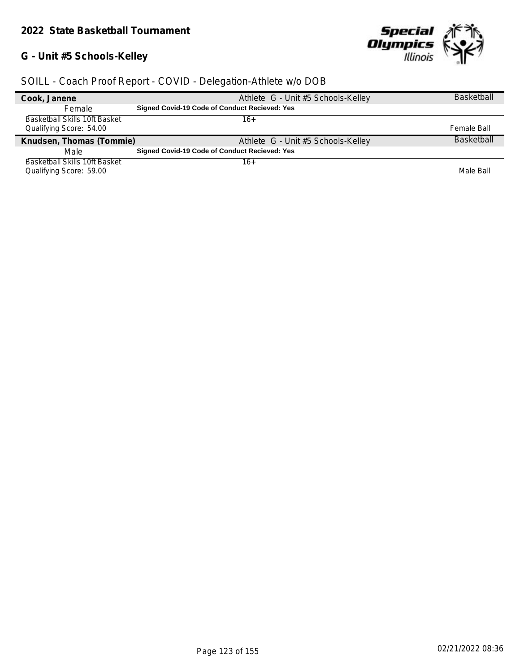# **G - Unit #5 Schools-Kelley**



| Cook, Janene                         | Athlete G - Unit #5 Schools-Kelley                   | <b>Basketball</b> |
|--------------------------------------|------------------------------------------------------|-------------------|
| <b>Female</b>                        | <b>Signed Covid-19 Code of Conduct Recieved: Yes</b> |                   |
| Basketball Skills 10ft Basket        | 16+                                                  |                   |
| Qualifying Score: 54.00              |                                                      | Female Ball       |
| Knudsen, Thomas (Tommie)             | Athlete G - Unit #5 Schools-Kelley                   | <b>Basketball</b> |
| Male                                 | <b>Signed Covid-19 Code of Conduct Recieved: Yes</b> |                   |
| <b>Basketball Skills 10ft Basket</b> | 16+                                                  |                   |
| Qualifying Score: 59.00              |                                                      | Male Ball         |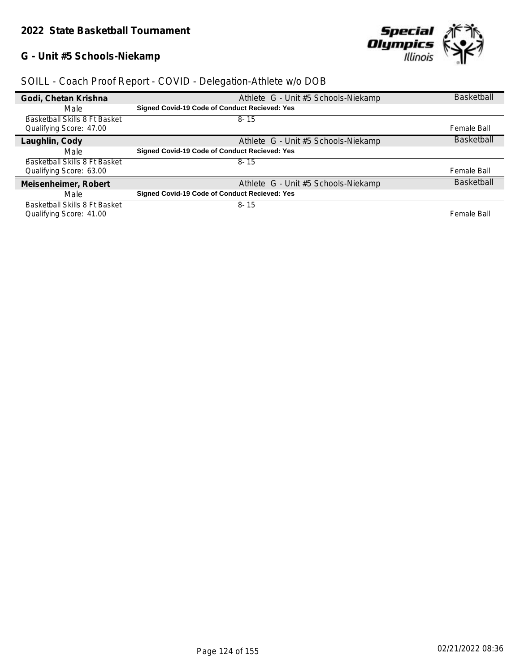# **G - Unit #5 Schools-Niekamp**



| Godi, Chetan Krishna          | Athlete G - Unit #5 Schools-Niekamp                  | <b>Basketball</b> |
|-------------------------------|------------------------------------------------------|-------------------|
| Male                          | Signed Covid-19 Code of Conduct Recieved: Yes        |                   |
| Basketball Skills 8 Ft Basket | $8 - 15$                                             |                   |
| Qualifying Score: 47.00       |                                                      | Female Ball       |
| Laughlin, Cody                | Athlete G - Unit #5 Schools-Niekamp                  | <b>Basketball</b> |
| Male                          | <b>Signed Covid-19 Code of Conduct Recieved: Yes</b> |                   |
| Basketball Skills 8 Ft Basket | $8 - 15$                                             |                   |
| Qualifying Score: 63.00       |                                                      | Female Ball       |
| Meisenheimer, Robert          | Athlete G - Unit #5 Schools-Niekamp                  | <b>Basketball</b> |
| Male                          | Signed Covid-19 Code of Conduct Recieved: Yes        |                   |
| Basketball Skills 8 Ft Basket | $8 - 15$                                             |                   |
| Qualifying Score: 41.00       |                                                      | Female Ball       |



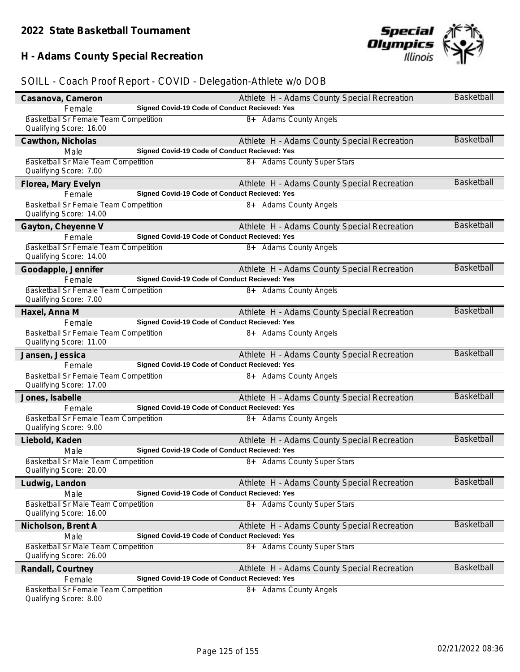# **H - Adams County Special Recreation**



| Casanova, Cameron                                                       | Athlete H - Adams County Special Recreation                                                  | <b>Basketball</b> |
|-------------------------------------------------------------------------|----------------------------------------------------------------------------------------------|-------------------|
| Female                                                                  | Signed Covid-19 Code of Conduct Recieved: Yes                                                |                   |
| <b>Basketball Sr Female Team Competition</b><br>Qualifying Score: 16.00 | 8+ Adams County Angels                                                                       |                   |
| Cawthon, Nicholas                                                       | Athlete H - Adams County Special Recreation                                                  | <b>Basketball</b> |
| Male                                                                    | Signed Covid-19 Code of Conduct Recieved: Yes                                                |                   |
| Basketball Sr Male Team Competition<br>Qualifying Score: 7.00           | 8+ Adams County Super Stars                                                                  |                   |
| Florea, Mary Evelyn                                                     | Athlete H - Adams County Special Recreation                                                  | <b>Basketball</b> |
| Female                                                                  | Signed Covid-19 Code of Conduct Recieved: Yes                                                |                   |
| <b>Basketball Sr Female Team Competition</b><br>Qualifying Score: 14.00 | 8+ Adams County Angels                                                                       |                   |
| Gayton, Cheyenne V                                                      | Athlete H - Adams County Special Recreation                                                  | <b>Basketball</b> |
| Female                                                                  | Signed Covid-19 Code of Conduct Recieved: Yes                                                |                   |
| Basketball Sr Female Team Competition<br>Qualifying Score: 14.00        | 8+ Adams County Angels                                                                       |                   |
| Goodapple, Jennifer                                                     | Athlete H - Adams County Special Recreation                                                  | Basketball        |
| Female                                                                  | Signed Covid-19 Code of Conduct Recieved: Yes                                                |                   |
| Basketball Sr Female Team Competition<br>Qualifying Score: 7.00         | 8+ Adams County Angels                                                                       |                   |
| Haxel, Anna M                                                           | Athlete H - Adams County Special Recreation                                                  | Basketball        |
| Female                                                                  | Signed Covid-19 Code of Conduct Recieved: Yes                                                |                   |
| Basketball Sr Female Team Competition<br>Qualifying Score: 11.00        | 8+ Adams County Angels                                                                       |                   |
| Jansen, Jessica                                                         | Athlete H - Adams County Special Recreation                                                  | Basketball        |
| Female                                                                  | Signed Covid-19 Code of Conduct Recieved: Yes                                                |                   |
| <b>Basketball Sr Female Team Competition</b><br>Qualifying Score: 17.00 | 8+ Adams County Angels                                                                       |                   |
|                                                                         | Athlete H - Adams County Special Recreation                                                  |                   |
|                                                                         |                                                                                              | <b>Basketball</b> |
| Jones, Isabelle<br>Female                                               | Signed Covid-19 Code of Conduct Recieved: Yes                                                |                   |
| Basketball Sr Female Team Competition<br>Qualifying Score: 9.00         | 8+ Adams County Angels                                                                       |                   |
|                                                                         |                                                                                              | <b>Basketball</b> |
| Liebold, Kaden<br>Male                                                  | Athlete H - Adams County Special Recreation<br>Signed Covid-19 Code of Conduct Recieved: Yes |                   |
| Basketball Sr Male Team Competition<br>Qualifying Score: 20.00          | 8+ Adams County Super Stars                                                                  |                   |
|                                                                         |                                                                                              | <b>Basketball</b> |
| Ludwig, Landon<br>Male                                                  | Athlete H - Adams County Special Recreation<br>Signed Covid-19 Code of Conduct Recieved: Yes |                   |
| Basketball Sr Male Team Competition<br>Qualifying Score: 16.00          | 8+ Adams County Super Stars                                                                  |                   |
|                                                                         |                                                                                              | Basketball        |
| Nicholson, Brent A<br>Male                                              | Athlete H - Adams County Special Recreation<br>Signed Covid-19 Code of Conduct Recieved: Yes |                   |
| <b>Basketball Sr Male Team Competition</b>                              | 8+ Adams County Super Stars                                                                  |                   |
| Qualifying Score: 26.00                                                 |                                                                                              |                   |
| Randall, Courtney                                                       | Athlete H - Adams County Special Recreation                                                  | <b>Basketball</b> |
| Female<br><b>Basketball Sr Female Team Competition</b>                  | Signed Covid-19 Code of Conduct Recieved: Yes<br>8+ Adams County Angels                      |                   |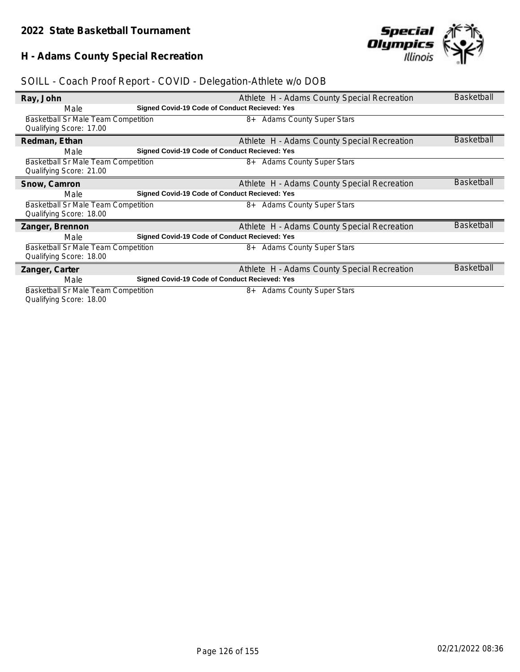# **H - Adams County Special Recreation**



| Ray, John                                  |                                               | Athlete H - Adams County Special Recreation | <b>Basketball</b> |
|--------------------------------------------|-----------------------------------------------|---------------------------------------------|-------------------|
| Male                                       | Signed Covid-19 Code of Conduct Recieved: Yes |                                             |                   |
| Basketball Sr Male Team Competition        |                                               | 8+ Adams County Super Stars                 |                   |
| Qualifying Score: 17.00                    |                                               |                                             |                   |
| Redman, Ethan                              |                                               | Athlete H - Adams County Special Recreation | <b>Basketball</b> |
| Male                                       | Signed Covid-19 Code of Conduct Recieved: Yes |                                             |                   |
| <b>Basketball Sr Male Team Competition</b> |                                               | 8+ Adams County Super Stars                 |                   |
| Qualifying Score: 21.00                    |                                               |                                             |                   |
| Snow, Camron                               |                                               | Athlete H - Adams County Special Recreation | <b>Basketball</b> |
| Male                                       | Signed Covid-19 Code of Conduct Recieved: Yes |                                             |                   |
| Basketball Sr Male Team Competition        |                                               | 8+ Adams County Super Stars                 |                   |
| Qualifying Score: 18.00                    |                                               |                                             |                   |
| Zanger, Brennon                            |                                               | Athlete H - Adams County Special Recreation | <b>Basketball</b> |
| Male                                       | Signed Covid-19 Code of Conduct Recieved: Yes |                                             |                   |
| <b>Basketball Sr Male Team Competition</b> |                                               | 8+ Adams County Super Stars                 |                   |
| Qualifying Score: 18.00                    |                                               |                                             |                   |
| Zanger, Carter                             |                                               | Athlete H - Adams County Special Recreation | <b>Basketball</b> |
| Male                                       | Signed Covid-19 Code of Conduct Recieved: Yes |                                             |                   |
| Basketball Sr Male Team Competition        |                                               | <b>Adams County Super Stars</b><br>8+       |                   |
| Qualifying Score: 18.00                    |                                               |                                             |                   |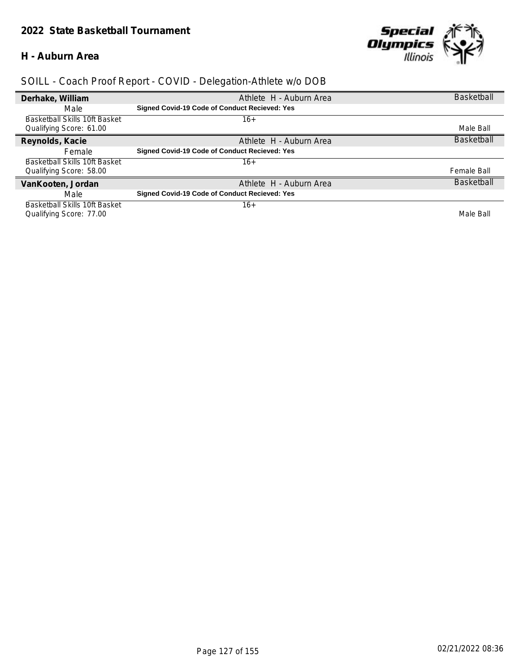#### **H - Auburn Area**



| Derhake, William              | Athlete H - Auburn Area                       | <b>Basketball</b> |
|-------------------------------|-----------------------------------------------|-------------------|
| Male                          | Signed Covid-19 Code of Conduct Recieved: Yes |                   |
| Basketball Skills 10ft Basket | 16+                                           |                   |
| Qualifying Score: 61.00       |                                               | Male Ball         |
| Reynolds, Kacie               | Athlete H - Auburn Area                       | <b>Basketball</b> |
| Female                        | Signed Covid-19 Code of Conduct Recieved: Yes |                   |
| Basketball Skills 10ft Basket | $16+$                                         |                   |
| Qualifying Score: 58.00       |                                               | Female Ball       |
| VanKooten, Jordan             | Athlete H - Auburn Area                       | <b>Basketball</b> |
| Male                          | Signed Covid-19 Code of Conduct Recieved: Yes |                   |
| Basketball Skills 10ft Basket | $16+$                                         |                   |
| Qualifying Score: 77.00       |                                               | Male Ball         |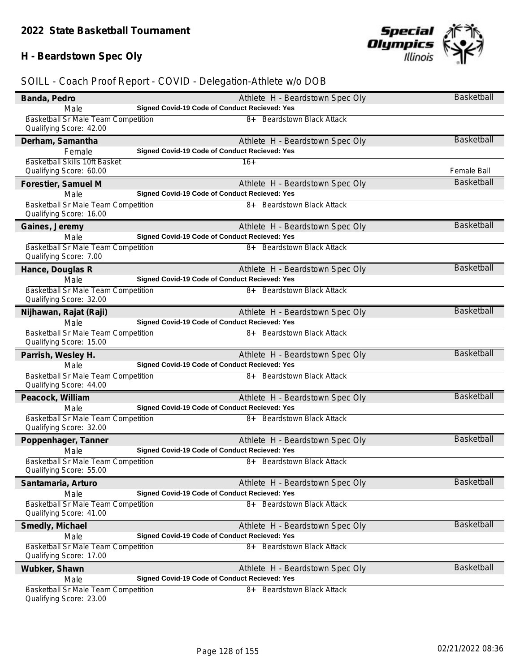# **H - Beardstown Spec Oly**

| Banda, Pedro                                                          | Athlete H - Beardstown Spec Oly                                                       | <b>Basketball</b> |
|-----------------------------------------------------------------------|---------------------------------------------------------------------------------------|-------------------|
| Male                                                                  | Signed Covid-19 Code of Conduct Recieved: Yes                                         |                   |
| <b>Basketball Sr Male Team Competition</b><br>Qualifying Score: 42.00 | <b>Beardstown Black Attack</b><br>8+                                                  |                   |
| Derham, Samantha                                                      | Athlete H - Beardstown Spec Oly                                                       | Basketball        |
| Female                                                                | Signed Covid-19 Code of Conduct Recieved: Yes                                         |                   |
| Basketball Skills 10ft Basket                                         | $16+$                                                                                 |                   |
| Qualifying Score: 60.00                                               |                                                                                       | Female Ball       |
| Forestier, Samuel M                                                   | Athlete H - Beardstown Spec Oly                                                       | <b>Basketball</b> |
| Male                                                                  | Signed Covid-19 Code of Conduct Recieved: Yes                                         |                   |
| Basketball Sr Male Team Competition<br>Qualifying Score: 16.00        | 8+ Beardstown Black Attack                                                            |                   |
| Gaines, Jeremy                                                        | Athlete H - Beardstown Spec Oly                                                       | <b>Basketball</b> |
| Male                                                                  | Signed Covid-19 Code of Conduct Recieved: Yes                                         |                   |
| Basketball Sr Male Team Competition<br>Qualifying Score: 7.00         | 8+ Beardstown Black Attack                                                            |                   |
| Hance, Douglas R                                                      | Athlete H - Beardstown Spec Oly                                                       | Basketball        |
| Male                                                                  | Signed Covid-19 Code of Conduct Recieved: Yes                                         |                   |
| <b>Basketball Sr Male Team Competition</b><br>Qualifying Score: 32.00 | <b>Beardstown Black Attack</b><br>$8+$                                                |                   |
| Nijhawan, Rajat (Raji)                                                | Athlete H - Beardstown Spec Oly                                                       | <b>Basketball</b> |
| Male                                                                  | Signed Covid-19 Code of Conduct Recieved: Yes                                         |                   |
| <b>Basketball Sr Male Team Competition</b><br>Qualifying Score: 15.00 | <b>Beardstown Black Attack</b><br>8+                                                  |                   |
| Parrish, Wesley H.                                                    | Athlete H - Beardstown Spec Oly                                                       | Basketball        |
| Male                                                                  | Signed Covid-19 Code of Conduct Recieved: Yes                                         |                   |
| Basketball Sr Male Team Competition<br>Qualifying Score: 44.00        | <b>Beardstown Black Attack</b><br>8+                                                  |                   |
| Peacock, William                                                      | Athlete H - Beardstown Spec Oly                                                       | <b>Basketball</b> |
| Male                                                                  | Signed Covid-19 Code of Conduct Recieved: Yes                                         |                   |
| Basketball Sr Male Team Competition<br>Qualifying Score: 32.00        | 8+ Beardstown Black Attack                                                            |                   |
| Poppenhager, Tanner                                                   | Athlete H - Beardstown Spec Oly                                                       | <b>Basketball</b> |
| Male                                                                  | Signed Covid-19 Code of Conduct Recieved: Yes                                         |                   |
| Basketball Sr Male Team Competition<br>Qualifying Score: 55.00        | 8+ Beardstown Black Attack                                                            |                   |
| Santamaria, Arturo                                                    | Athlete H - Beardstown Spec Oly                                                       | <b>Basketball</b> |
| Male                                                                  | Signed Covid-19 Code of Conduct Recieved: Yes                                         |                   |
| <b>Basketball Sr Male Team Competition</b>                            | <b>Beardstown Black Attack</b><br>8+                                                  |                   |
| Qualifying Score: 41.00                                               |                                                                                       |                   |
| Smedly, Michael                                                       | Athlete H - Beardstown Spec Oly                                                       | <b>Basketball</b> |
| Male<br><b>Basketball Sr Male Team Competition</b>                    | Signed Covid-19 Code of Conduct Recieved: Yes<br><b>Beardstown Black Attack</b><br>8+ |                   |
| Qualifying Score: 17.00                                               |                                                                                       |                   |
| Wubker, Shawn                                                         | Athlete H - Beardstown Spec Oly                                                       | Basketball        |
| Male                                                                  | Signed Covid-19 Code of Conduct Recieved: Yes                                         |                   |
| <b>Basketball Sr Male Team Competition</b><br>Qualifying Score: 23.00 | <b>Beardstown Black Attack</b><br>8+                                                  |                   |

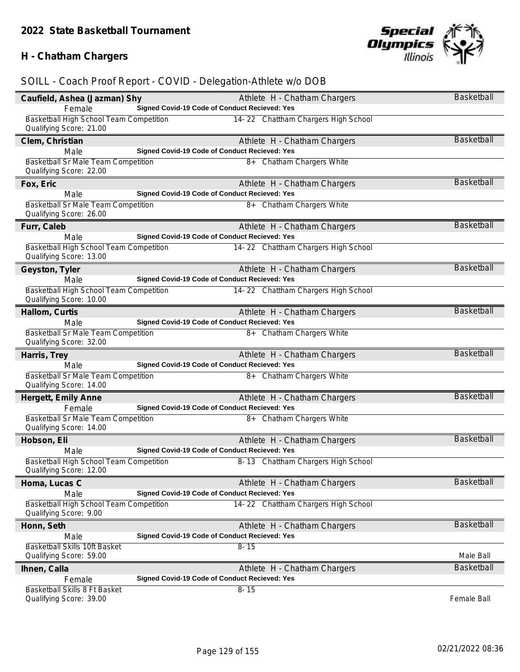# **H - Chatham Chargers**



| Caufield, Ashea (Jazman) Shy                                       | Athlete H - Chatham Chargers                                                  | <b>Basketball</b> |
|--------------------------------------------------------------------|-------------------------------------------------------------------------------|-------------------|
| Female                                                             | Signed Covid-19 Code of Conduct Recieved: Yes                                 |                   |
| Basketball High School Team Competition<br>Qualifying Score: 21.00 | 14-22 Chattham Chargers High School                                           |                   |
| Clem, Christian                                                    | Athlete H - Chatham Chargers                                                  | Basketball        |
| Male                                                               | Signed Covid-19 Code of Conduct Recieved: Yes                                 |                   |
| Basketball Sr Male Team Competition                                | 8+ Chatham Chargers White                                                     |                   |
| Qualifying Score: 22.00                                            |                                                                               |                   |
| Fox, Eric                                                          | Athlete H - Chatham Chargers                                                  | Basketball        |
| Male                                                               | Signed Covid-19 Code of Conduct Recieved: Yes                                 |                   |
| Basketball Sr Male Team Competition<br>Qualifying Score: 26.00     | 8+ Chatham Chargers White                                                     |                   |
| Furr, Caleb                                                        | Athlete H - Chatham Chargers                                                  | <b>Basketball</b> |
| Male                                                               | Signed Covid-19 Code of Conduct Recieved: Yes                                 |                   |
| Basketball High School Team Competition<br>Qualifying Score: 13.00 | 14-22 Chattham Chargers High School                                           |                   |
| Geyston, Tyler                                                     | Athlete H - Chatham Chargers                                                  | Basketball        |
| Male                                                               | Signed Covid-19 Code of Conduct Recieved: Yes                                 |                   |
| Basketball High School Team Competition<br>Qualifying Score: 10.00 | 14-22 Chattham Chargers High School                                           |                   |
| Hallom, Curtis                                                     | Athlete H - Chatham Chargers                                                  | <b>Basketball</b> |
| Male                                                               | Signed Covid-19 Code of Conduct Recieved: Yes                                 |                   |
| Basketball Sr Male Team Competition<br>Qualifying Score: 32.00     | 8+ Chatham Chargers White                                                     |                   |
|                                                                    |                                                                               |                   |
| Harris, Trey                                                       | Athlete H - Chatham Chargers                                                  | <b>Basketball</b> |
| Male                                                               | Signed Covid-19 Code of Conduct Recieved: Yes                                 |                   |
| Basketball Sr Male Team Competition<br>Qualifying Score: 14.00     | 8+ Chatham Chargers White                                                     |                   |
|                                                                    |                                                                               | <b>Basketball</b> |
| Hergett, Emily Anne<br>Female                                      | Athlete H - Chatham Chargers<br>Signed Covid-19 Code of Conduct Recieved: Yes |                   |
| Basketball Sr Male Team Competition                                | 8+ Chatham Chargers White                                                     |                   |
| Qualifying Score: 14.00                                            |                                                                               |                   |
| Hobson, Eli                                                        | Athlete H - Chatham Chargers                                                  | <b>Basketball</b> |
| Male                                                               | Signed Covid-19 Code of Conduct Recieved: Yes                                 |                   |
| Basketball High School Team Competition<br>Qualifying Score: 12.00 | 8-13 Chattham Chargers High School                                            |                   |
| Homa, Lucas C                                                      | Athlete H - Chatham Chargers                                                  | Basketball        |
| Male                                                               | Signed Covid-19 Code of Conduct Recieved: Yes                                 |                   |
| Basketball High School Team Competition<br>Qualifying Score: 9.00  | 14-22 Chattham Chargers High School                                           |                   |
| Honn, Seth                                                         | Athlete H - Chatham Chargers                                                  | <b>Basketball</b> |
| Male                                                               | Signed Covid-19 Code of Conduct Recieved: Yes                                 |                   |
| Basketball Skills 10ft Basket                                      | $8 - 15$                                                                      |                   |
| Qualifying Score: 59.00                                            |                                                                               | Male Ball         |
| Ihnen, Calla                                                       | Athlete H - Chatham Chargers                                                  | <b>Basketball</b> |
| Female                                                             | Signed Covid-19 Code of Conduct Recieved: Yes                                 |                   |
| Basketball Skills 8 Ft Basket<br>Qualifying Score: 39.00           | $8 - 15$                                                                      | Female Ball       |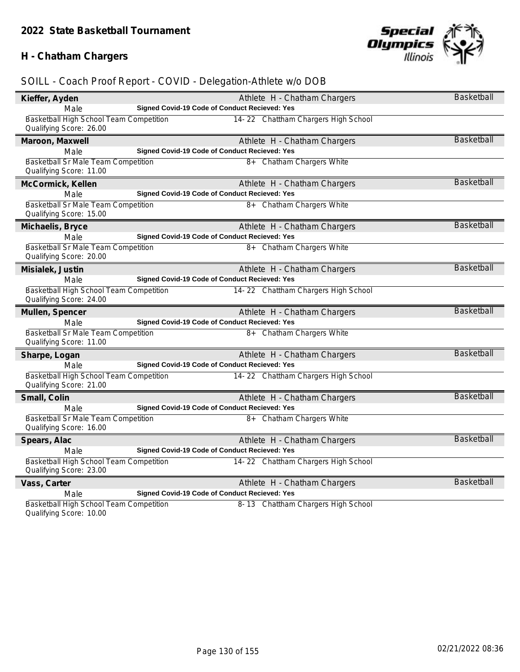# **H - Chatham Chargers**



# *SOILL - Coach Proof Report - COVID - Delegation-Athlete w/o DOB*

| Kieffer, Ayden                                                     |                                               | Athlete H - Chatham Chargers        | <b>Basketball</b> |
|--------------------------------------------------------------------|-----------------------------------------------|-------------------------------------|-------------------|
| Male                                                               | Signed Covid-19 Code of Conduct Recieved: Yes |                                     |                   |
| Basketball High School Team Competition<br>Qualifying Score: 26.00 |                                               | 14-22 Chattham Chargers High School |                   |
| Maroon, Maxwell                                                    |                                               | Athlete H - Chatham Chargers        | <b>Basketball</b> |
| Male                                                               | Signed Covid-19 Code of Conduct Recieved: Yes |                                     |                   |
| Basketball Sr Male Team Competition<br>Qualifying Score: 11.00     |                                               | 8+ Chatham Chargers White           |                   |
| McCormick, Kellen                                                  |                                               | Athlete H - Chatham Chargers        | <b>Basketball</b> |
| Male                                                               | Signed Covid-19 Code of Conduct Recieved: Yes |                                     |                   |
| Basketball Sr Male Team Competition<br>Qualifying Score: 15.00     |                                               | 8+ Chatham Chargers White           |                   |
| Michaelis, Bryce                                                   |                                               | Athlete H - Chatham Chargers        | <b>Basketball</b> |
| Male                                                               | Signed Covid-19 Code of Conduct Recieved: Yes |                                     |                   |
| Basketball Sr Male Team Competition<br>Qualifying Score: 20.00     |                                               | 8+ Chatham Chargers White           |                   |
| Misialek, Justin                                                   |                                               | Athlete H - Chatham Chargers        | <b>Basketball</b> |
| Male                                                               | Signed Covid-19 Code of Conduct Recieved: Yes |                                     |                   |
| Basketball High School Team Competition<br>Qualifying Score: 24.00 |                                               | 14-22 Chattham Chargers High School |                   |
| Mullen, Spencer                                                    |                                               | Athlete H - Chatham Chargers        | <b>Basketball</b> |
| Male                                                               | Signed Covid-19 Code of Conduct Recieved: Yes |                                     |                   |
| Basketball Sr Male Team Competition<br>Qualifying Score: 11.00     |                                               | 8+ Chatham Chargers White           |                   |
| Sharpe, Logan                                                      |                                               | Athlete H - Chatham Chargers        | <b>Basketball</b> |
| Male                                                               | Signed Covid-19 Code of Conduct Recieved: Yes |                                     |                   |
| Basketball High School Team Competition<br>Qualifying Score: 21.00 |                                               | 14-22 Chattham Chargers High School |                   |
| Small, Colin                                                       |                                               | Athlete H - Chatham Chargers        | <b>Basketball</b> |
| Male                                                               | Signed Covid-19 Code of Conduct Recieved: Yes |                                     |                   |
| Basketball Sr Male Team Competition<br>Qualifying Score: 16.00     |                                               | 8+ Chatham Chargers White           |                   |
| Spears, Alac                                                       |                                               | Athlete H - Chatham Chargers        | <b>Basketball</b> |
| Male                                                               | Signed Covid-19 Code of Conduct Recieved: Yes |                                     |                   |
| Basketball High School Team Competition<br>Qualifying Score: 23.00 |                                               | 14-22 Chattham Chargers High School |                   |
| Vass, Carter                                                       |                                               | Athlete H - Chatham Chargers        | <b>Basketball</b> |
| Male                                                               | Signed Covid-19 Code of Conduct Recieved: Yes |                                     |                   |
| Basketball High School Team Competition                            |                                               | 8-13 Chattham Chargers High School  |                   |

Qualifying Score: 10.00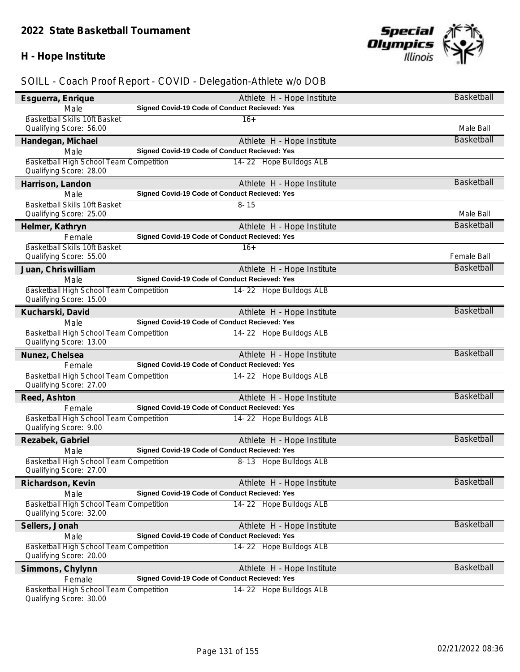# **H - Hope Institute**



| Esquerra, Enrique                                                  | Athlete H - Hope Institute                    | Basketball        |
|--------------------------------------------------------------------|-----------------------------------------------|-------------------|
| Male                                                               | Signed Covid-19 Code of Conduct Recieved: Yes |                   |
| Basketball Skills 10ft Basket                                      | $16+$                                         |                   |
| Qualifying Score: 56.00                                            |                                               | Male Ball         |
| Handegan, Michael                                                  | Athlete H - Hope Institute                    | Basketball        |
| Male                                                               | Signed Covid-19 Code of Conduct Recieved: Yes |                   |
| Basketball High School Team Competition                            | 14-22 Hope Bulldogs ALB                       |                   |
| Qualifying Score: 28.00                                            |                                               |                   |
| Harrison, Landon                                                   | Athlete H - Hope Institute                    | <b>Basketball</b> |
| Male                                                               | Signed Covid-19 Code of Conduct Recieved: Yes |                   |
| Basketball Skills 10ft Basket                                      | $8 - 15$                                      |                   |
| Qualifying Score: 25.00                                            |                                               | Male Ball         |
| Helmer, Kathryn                                                    | Athlete H - Hope Institute                    | <b>Basketball</b> |
| Female                                                             | Signed Covid-19 Code of Conduct Recieved: Yes |                   |
| Basketball Skills 10ft Basket                                      | $16+$                                         |                   |
| Qualifying Score: 55.00                                            |                                               | Female Ball       |
| Juan, Chriswilliam                                                 | Athlete H - Hope Institute                    | Basketball        |
| Male                                                               | Signed Covid-19 Code of Conduct Recieved: Yes |                   |
| Basketball High School Team Competition<br>Qualifying Score: 15.00 | 14-22 Hope Bulldogs ALB                       |                   |
| Kucharski, David                                                   | Athlete H - Hope Institute                    | <b>Basketball</b> |
| Male                                                               | Signed Covid-19 Code of Conduct Recieved: Yes |                   |
| Basketball High School Team Competition<br>Qualifying Score: 13.00 | 14-22 Hope Bulldogs ALB                       |                   |
| Nunez, Chelsea                                                     | Athlete H - Hope Institute                    | <b>Basketball</b> |
| Female                                                             | Signed Covid-19 Code of Conduct Recieved: Yes |                   |
| Basketball High School Team Competition                            | 14-22 Hope Bulldogs ALB                       |                   |
| Qualifying Score: 27.00                                            |                                               |                   |
| Reed, Ashton                                                       | Athlete H - Hope Institute                    | <b>Basketball</b> |
| Female                                                             | Signed Covid-19 Code of Conduct Recieved: Yes |                   |
| Basketball High School Team Competition<br>Qualifying Score: 9.00  | 14-22 Hope Bulldogs ALB                       |                   |
| Rezabek, Gabriel                                                   | Athlete H - Hope Institute                    | <b>Basketball</b> |
| Male                                                               | Signed Covid-19 Code of Conduct Recieved: Yes |                   |
| Basketball High School Team Competition<br>Qualifying Score: 27.00 | 8-13 Hope Bulldogs ALB                        |                   |
| Richardson, Kevin                                                  | Athlete H - Hope Institute                    | Basketball        |
| Male                                                               | Signed Covid-19 Code of Conduct Recieved: Yes |                   |
| Basketball High School Team Competition                            | 14-22 Hope Bulldogs ALB                       |                   |
| Qualifying Score: 32.00                                            |                                               |                   |
| Sellers, Jonah                                                     | Athlete H - Hope Institute                    | <b>Basketball</b> |
| Male                                                               | Signed Covid-19 Code of Conduct Recieved: Yes |                   |
| Basketball High School Team Competition<br>Qualifying Score: 20.00 | 14-22 Hope Bulldogs ALB                       |                   |
| Simmons, Chylynn                                                   | Athlete H - Hope Institute                    | <b>Basketball</b> |
| Female                                                             | Signed Covid-19 Code of Conduct Recieved: Yes |                   |
| Basketball High School Team Competition<br>Qualifying Score: 30.00 | 14-22 Hope Bulldogs ALB                       |                   |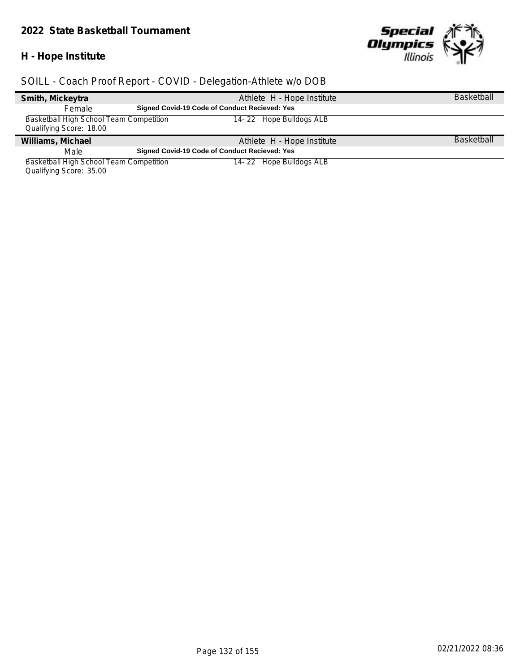#### *2022 State Basketball Tournament*

#### **H - Hope Institute**

 $\overline{\phantom{a}}$ 



# *SOILL - Coach Proof Report - COVID - Delegation-Athlete w/o DOB*

| Smith, Mickeytra                        |                                                      | Athlete H - Hope Institute | <b>Basketball</b> |
|-----------------------------------------|------------------------------------------------------|----------------------------|-------------------|
| Female                                  | <b>Signed Covid-19 Code of Conduct Recieved: Yes</b> |                            |                   |
| Basketball High School Team Competition |                                                      | 14-22 Hope Bulldogs ALB    |                   |
| Qualifying Score: 18.00                 |                                                      |                            |                   |
| Williams, Michael                       |                                                      | Athlete H - Hope Institute | <b>Basketball</b> |
| Male                                    | <b>Signed Covid-19 Code of Conduct Recieved: Yes</b> |                            |                   |
| Basketball High School Team Competition |                                                      | 14-22 Hope Bulldogs ALB    |                   |
|                                         |                                                      |                            |                   |

Qualifying Score: 35.00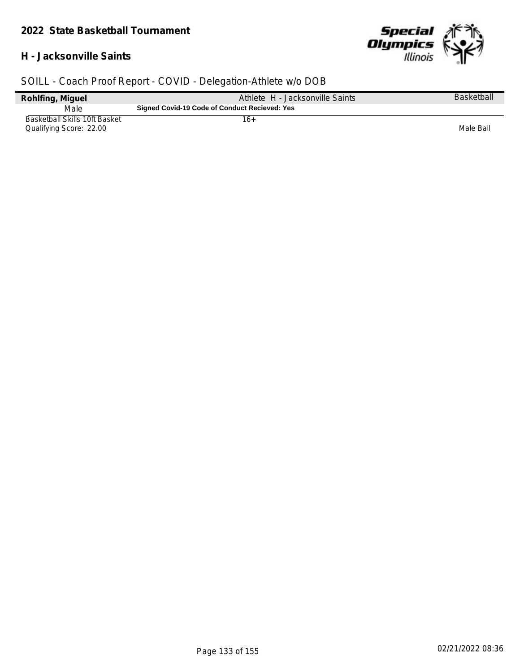#### **H - Jacksonville Saints**



| Rohlfing, Miguel                                         | Athlete H - Jacksonville Saints               | <b>Basketball</b> |
|----------------------------------------------------------|-----------------------------------------------|-------------------|
| Male                                                     | Signed Covid-19 Code of Conduct Recieved: Yes |                   |
| Basketball Skills 10ft Basket<br>Qualifying Score: 22.00 | 16+                                           | Male Ball         |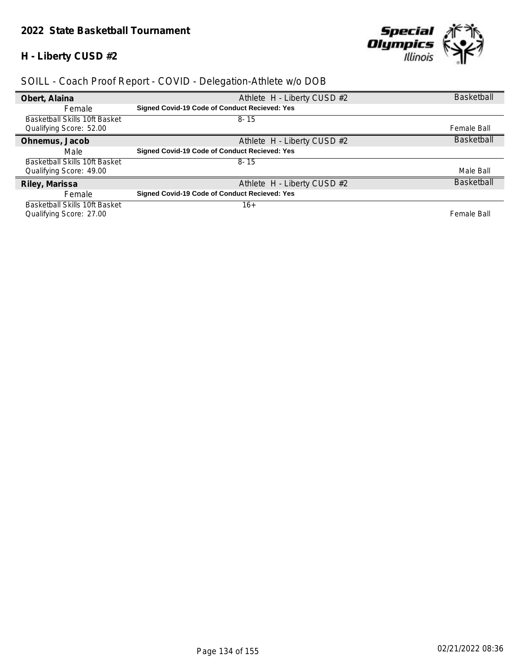# **H - Liberty CUSD #2**



| Obert, Alaina                        | Athlete H - Liberty CUSD #2                          | <b>Basketball</b> |
|--------------------------------------|------------------------------------------------------|-------------------|
| Female                               | <b>Signed Covid-19 Code of Conduct Recieved: Yes</b> |                   |
| <b>Basketball Skills 10ft Basket</b> | $8 - 15$                                             |                   |
| Qualifying Score: 52.00              |                                                      | Female Ball       |
| Ohnemus, Jacob                       | Athlete H - Liberty CUSD #2                          | <b>Basketball</b> |
| Male                                 | Signed Covid-19 Code of Conduct Recieved: Yes        |                   |
| Basketball Skills 10ft Basket        | $8 - 15$                                             |                   |
| Qualifying Score: 49.00              |                                                      | Male Ball         |
| Riley, Marissa                       | Athlete H - Liberty CUSD #2                          | <b>Basketball</b> |
| Female                               | <b>Signed Covid-19 Code of Conduct Recieved: Yes</b> |                   |
| <b>Basketball Skills 10ft Basket</b> | $16+$                                                |                   |
| Qualifying Score: 27.00              |                                                      | Female Ball       |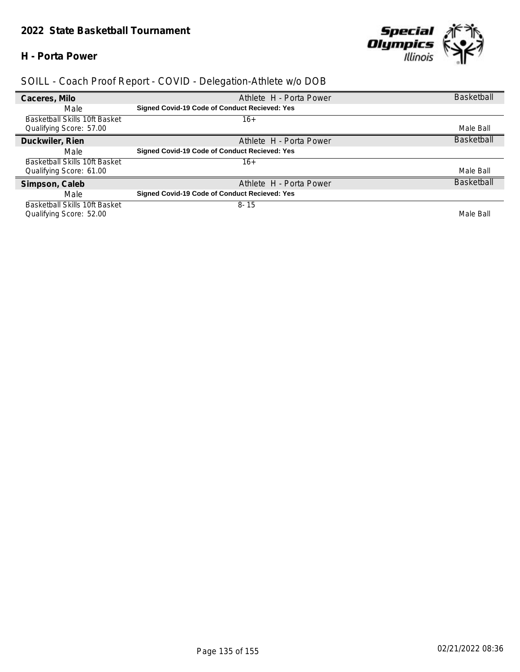#### **H - Porta Power**



| Caceres, Milo                 | Athlete H - Porta Power                       | <b>Basketball</b> |
|-------------------------------|-----------------------------------------------|-------------------|
| Male                          | Signed Covid-19 Code of Conduct Recieved: Yes |                   |
| Basketball Skills 10ft Basket | 16+                                           |                   |
| Qualifying Score: 57.00       |                                               | Male Ball         |
| Duckwiler, Rien               | Athlete H - Porta Power                       | <b>Basketball</b> |
| Male                          | Signed Covid-19 Code of Conduct Recieved: Yes |                   |
| Basketball Skills 10ft Basket | $16+$                                         |                   |
| Qualifying Score: 61.00       |                                               | Male Ball         |
| Simpson, Caleb                | Athlete H - Porta Power                       | <b>Basketball</b> |
| Male                          | Signed Covid-19 Code of Conduct Recieved: Yes |                   |
| Basketball Skills 10ft Basket | $8 - 15$                                      |                   |
| Qualifying Score: 52.00       |                                               | Male Ball         |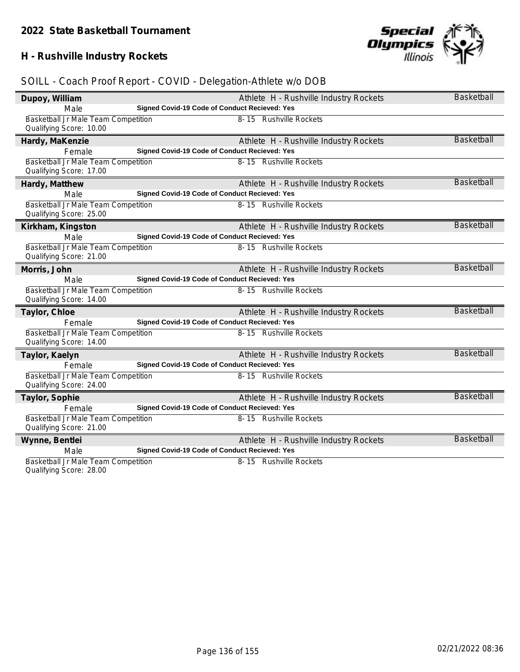# **H - Rushville Industry Rockets**

# *SOILL - Coach Proof Report - COVID - Delegation-Athlete w/o DOB*

| Dupoy, William                      |                                               | Athlete H - Rushville Industry Rockets | <b>Basketball</b> |
|-------------------------------------|-----------------------------------------------|----------------------------------------|-------------------|
| Male                                | Signed Covid-19 Code of Conduct Recieved: Yes |                                        |                   |
| Basketball Jr Male Team Competition |                                               | 8-15 Rushville Rockets                 |                   |
| Qualifying Score: 10.00             |                                               |                                        |                   |
| Hardy, MaKenzie                     |                                               | Athlete H - Rushville Industry Rockets | <b>Basketball</b> |
| Female                              | Signed Covid-19 Code of Conduct Recieved: Yes |                                        |                   |
| Basketball Jr Male Team Competition |                                               | 8-15 Rushville Rockets                 |                   |
| Qualifying Score: 17.00             |                                               |                                        |                   |
| Hardy, Matthew                      |                                               | Athlete H - Rushville Industry Rockets | <b>Basketball</b> |
| Male                                | Signed Covid-19 Code of Conduct Recieved: Yes |                                        |                   |
| Basketball Jr Male Team Competition |                                               | 8-15 Rushville Rockets                 |                   |
| Qualifying Score: 25.00             |                                               |                                        |                   |
| Kirkham, Kingston                   |                                               | Athlete H - Rushville Industry Rockets | <b>Basketball</b> |
| Male                                | Signed Covid-19 Code of Conduct Recieved: Yes |                                        |                   |
| Basketball Jr Male Team Competition |                                               | 8-15 Rushville Rockets                 |                   |
| Qualifying Score: 21.00             |                                               |                                        |                   |
| Morris, John                        |                                               | Athlete H - Rushville Industry Rockets | Basketball        |
| Male                                | Signed Covid-19 Code of Conduct Recieved: Yes |                                        |                   |
| Basketball Jr Male Team Competition |                                               | 8-15 Rushville Rockets                 |                   |
| Qualifying Score: 14.00             |                                               |                                        |                   |
| Taylor, Chloe                       |                                               | Athlete H - Rushville Industry Rockets | Basketball        |
| Female                              | Signed Covid-19 Code of Conduct Recieved: Yes |                                        |                   |
| Basketball Jr Male Team Competition |                                               | 8-15 Rushville Rockets                 |                   |
| Qualifying Score: 14.00             |                                               |                                        |                   |
| Taylor, Kaelyn                      |                                               | Athlete H - Rushville Industry Rockets | Basketball        |
| Female                              | Signed Covid-19 Code of Conduct Recieved: Yes |                                        |                   |
| Basketball Jr Male Team Competition |                                               | 8-15 Rushville Rockets                 |                   |
| Qualifying Score: 24.00             |                                               |                                        |                   |
| Taylor, Sophie                      |                                               | Athlete H - Rushville Industry Rockets | <b>Basketball</b> |
| Female                              | Signed Covid-19 Code of Conduct Recieved: Yes |                                        |                   |
| Basketball Jr Male Team Competition |                                               | 8-15 Rushville Rockets                 |                   |
| Qualifying Score: 21.00             |                                               |                                        |                   |
| Wynne, Bentlei                      |                                               | Athlete H - Rushville Industry Rockets | Basketball        |
| Male                                | Signed Covid-19 Code of Conduct Recieved: Yes |                                        |                   |
| Basketball Jr Male Team Competition |                                               | 8-15 Rushville Rockets                 |                   |
|                                     |                                               |                                        |                   |

Qualifying Score: 28.00

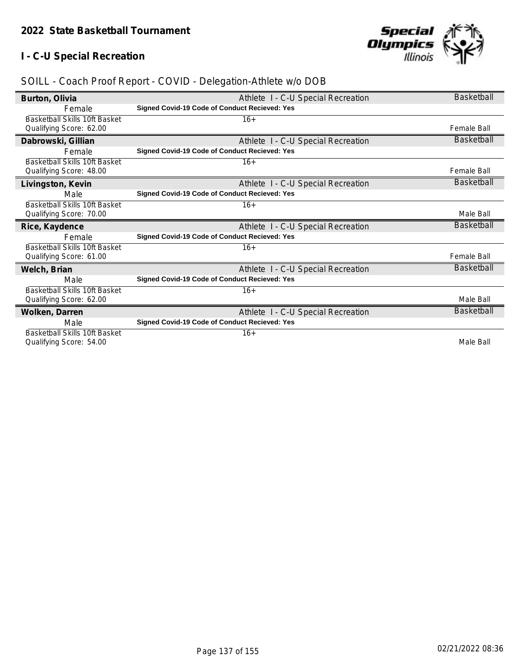# **I - C-U Special Recreation**



| Burton, Olivia                       | Athlete I - C-U Special Recreation                   | <b>Basketball</b>  |
|--------------------------------------|------------------------------------------------------|--------------------|
| Female                               | Signed Covid-19 Code of Conduct Recieved: Yes        |                    |
| Basketball Skills 10ft Basket        | $16+$                                                |                    |
| Qualifying Score: 62.00              |                                                      | <b>Female Ball</b> |
| Dabrowski, Gillian                   | Athlete I - C-U Special Recreation                   | Basketball         |
| Female                               | Signed Covid-19 Code of Conduct Recieved: Yes        |                    |
| <b>Basketball Skills 10ft Basket</b> | $16+$                                                |                    |
| Qualifying Score: 48.00              |                                                      | <b>Female Ball</b> |
| Livingston, Kevin                    | Athlete I - C-U Special Recreation                   | Basketball         |
| Male                                 | Signed Covid-19 Code of Conduct Recieved: Yes        |                    |
| Basketball Skills 10ft Basket        | $16+$                                                |                    |
| Qualifying Score: 70.00              |                                                      | Male Ball          |
| Rice, Kaydence                       | Athlete I - C-U Special Recreation                   | Basketball         |
| Female                               | <b>Signed Covid-19 Code of Conduct Recieved: Yes</b> |                    |
| <b>Basketball Skills 10ft Basket</b> | $16+$                                                |                    |
| Qualifying Score: 61.00              |                                                      | Female Ball        |
| Welch, Brian                         | Athlete I - C-U Special Recreation                   | Basketball         |
| Male                                 | Signed Covid-19 Code of Conduct Recieved: Yes        |                    |
| <b>Basketball Skills 10ft Basket</b> | $16+$                                                |                    |
| Qualifying Score: 62.00              |                                                      | Male Ball          |
| Wolken, Darren                       | Athlete I - C-U Special Recreation                   | <b>Basketball</b>  |
| Male                                 | <b>Signed Covid-19 Code of Conduct Recieved: Yes</b> |                    |
| Basketball Skills 10ft Basket        | $16+$                                                |                    |
| Qualifying Score: 54.00              |                                                      | Male Ball          |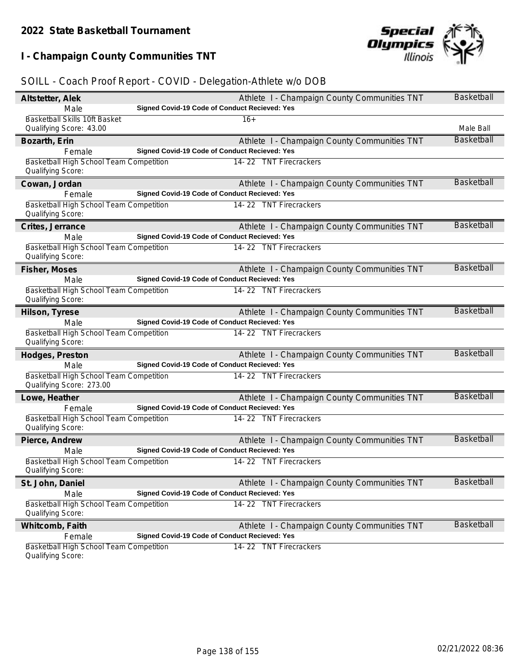# **I - Champaign County Communities TNT**



| Altstetter, Alek                                                    | Athlete I - Champaign County Communities TNT  | <b>Basketball</b> |
|---------------------------------------------------------------------|-----------------------------------------------|-------------------|
| Male                                                                | Signed Covid-19 Code of Conduct Recieved: Yes |                   |
| Basketball Skills 10ft Basket<br>Qualifying Score: 43.00            | $16+$                                         | Male Ball         |
| Bozarth, Erin                                                       | Athlete I - Champaign County Communities TNT  | Basketball        |
| Female                                                              | Signed Covid-19 Code of Conduct Recieved: Yes |                   |
| Basketball High School Team Competition                             | 14-22 TNT Firecrackers                        |                   |
| Qualifying Score:                                                   |                                               |                   |
| Cowan, Jordan                                                       | Athlete I - Champaign County Communities TNT  | <b>Basketball</b> |
| Female                                                              | Signed Covid-19 Code of Conduct Recieved: Yes |                   |
| Basketball High School Team Competition<br>Qualifying Score:        | 14-22 TNT Firecrackers                        |                   |
| Crites, Jerrance                                                    | Athlete I - Champaign County Communities TNT  | <b>Basketball</b> |
| Male                                                                | Signed Covid-19 Code of Conduct Recieved: Yes |                   |
| Basketball High School Team Competition<br>Qualifying Score:        | 14-22 TNT Firecrackers                        |                   |
| Fisher, Moses                                                       | Athlete I - Champaign County Communities TNT  | <b>Basketball</b> |
| Male                                                                | Signed Covid-19 Code of Conduct Recieved: Yes |                   |
| Basketball High School Team Competition<br>Qualifying Score:        | 14-22 TNT Firecrackers                        |                   |
| Hilson, Tyrese                                                      | Athlete I - Champaign County Communities TNT  | <b>Basketball</b> |
| Male                                                                | Signed Covid-19 Code of Conduct Recieved: Yes |                   |
| Basketball High School Team Competition<br>Qualifying Score:        | 14-22 TNT Firecrackers                        |                   |
| Hodges, Preston                                                     | Athlete I - Champaign County Communities TNT  | <b>Basketball</b> |
| Male                                                                | Signed Covid-19 Code of Conduct Recieved: Yes |                   |
| Basketball High School Team Competition<br>Qualifying Score: 273.00 | 14-22 TNT Firecrackers                        |                   |
| Lowe, Heather                                                       | Athlete I - Champaign County Communities TNT  | <b>Basketball</b> |
| Female                                                              | Signed Covid-19 Code of Conduct Recieved: Yes |                   |
| Basketball High School Team Competition<br>Qualifying Score:        | 14-22 TNT Firecrackers                        |                   |
| Pierce, Andrew                                                      | Athlete I - Champaign County Communities TNT  | <b>Basketball</b> |
| Male                                                                | Signed Covid-19 Code of Conduct Recieved: Yes |                   |
| Basketball High School Team Competition<br>Qualifying Score:        | 14-22 TNT Firecrackers                        |                   |
| St. John, Daniel                                                    | Athlete I - Champaign County Communities TNT  | <b>Basketball</b> |
| Male                                                                | Signed Covid-19 Code of Conduct Recieved: Yes |                   |
| <b>Basketball High School Team Competition</b>                      | 14-22 TNT Firecrackers                        |                   |
| Qualifying Score:                                                   |                                               |                   |
| Whitcomb, Faith                                                     | Athlete I - Champaign County Communities TNT  | <b>Basketball</b> |
| Female                                                              | Signed Covid-19 Code of Conduct Recieved: Yes |                   |
| Basketball High School Team Competition<br>Qualifying Score:        | 14-22 TNT Firecrackers                        |                   |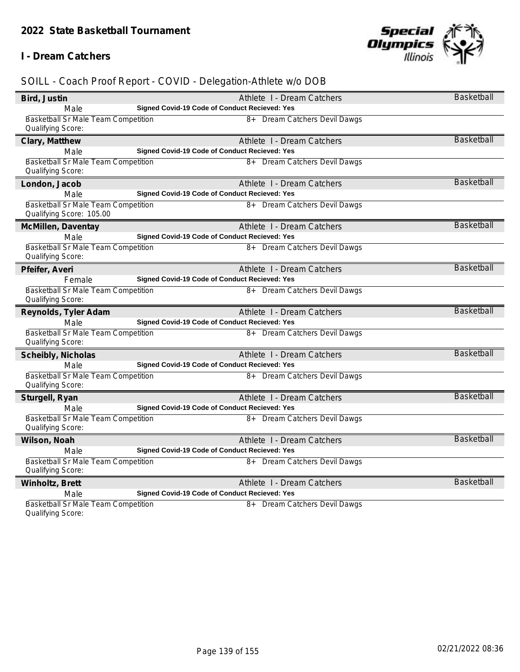#### **I - Dream Catchers**



| Bird, Justin                                                    | Athlete I - Dream Catchers                    | <b>Basketball</b> |
|-----------------------------------------------------------------|-----------------------------------------------|-------------------|
| Male                                                            | Signed Covid-19 Code of Conduct Recieved: Yes |                   |
| <b>Basketball Sr Male Team Competition</b><br>Qualifying Score: | 8+ Dream Catchers Devil Dawgs                 |                   |
| Clary, Matthew                                                  | Athlete I - Dream Catchers                    | <b>Basketball</b> |
| Male                                                            | Signed Covid-19 Code of Conduct Recieved: Yes |                   |
| Basketball Sr Male Team Competition<br>Qualifying Score:        | 8+ Dream Catchers Devil Dawgs                 |                   |
| London, Jacob                                                   | Athlete I - Dream Catchers                    | <b>Basketball</b> |
| Male                                                            | Signed Covid-19 Code of Conduct Recieved: Yes |                   |
| Basketball Sr Male Team Competition<br>Qualifying Score: 105.00 | 8+ Dream Catchers Devil Dawgs                 |                   |
| McMillen, Daventay                                              | Athlete I - Dream Catchers                    | Basketball        |
| Male                                                            | Signed Covid-19 Code of Conduct Recieved: Yes |                   |
| Basketball Sr Male Team Competition<br>Qualifying Score:        | 8+ Dream Catchers Devil Dawgs                 |                   |
| Pfeifer, Averi                                                  | Athlete I - Dream Catchers                    | <b>Basketball</b> |
| Female                                                          | Signed Covid-19 Code of Conduct Recieved: Yes |                   |
| Basketball Sr Male Team Competition<br>Qualifying Score:        | 8+ Dream Catchers Devil Dawgs                 |                   |
| Reynolds, Tyler Adam                                            | Athlete I - Dream Catchers                    | <b>Basketball</b> |
| Male                                                            | Signed Covid-19 Code of Conduct Recieved: Yes |                   |
| Basketball Sr Male Team Competition<br>Qualifying Score:        | 8+ Dream Catchers Devil Dawgs                 |                   |
| Scheibly, Nicholas                                              | Athlete I - Dream Catchers                    | <b>Basketball</b> |
| Male                                                            | Signed Covid-19 Code of Conduct Recieved: Yes |                   |
| Basketball Sr Male Team Competition<br>Qualifying Score:        | 8+ Dream Catchers Devil Dawgs                 |                   |
| Sturgell, Ryan                                                  | Athlete I - Dream Catchers                    | <b>Basketball</b> |
| Male                                                            | Signed Covid-19 Code of Conduct Recieved: Yes |                   |
| Basketball Sr Male Team Competition<br>Qualifying Score:        | 8+ Dream Catchers Devil Dawgs                 |                   |
| Wilson, Noah                                                    | Athlete I - Dream Catchers                    | <b>Basketball</b> |
| Male                                                            | Signed Covid-19 Code of Conduct Recieved: Yes |                   |
| Basketball Sr Male Team Competition<br>Qualifying Score:        | 8+ Dream Catchers Devil Dawgs                 |                   |
| Winholtz, Brett                                                 | Athlete I - Dream Catchers                    | <b>Basketball</b> |
| Male                                                            | Signed Covid-19 Code of Conduct Recieved: Yes |                   |
| Basketball Sr Male Team Competition<br>Qualifying Score:        | 8+ Dream Catchers Devil Dawgs                 |                   |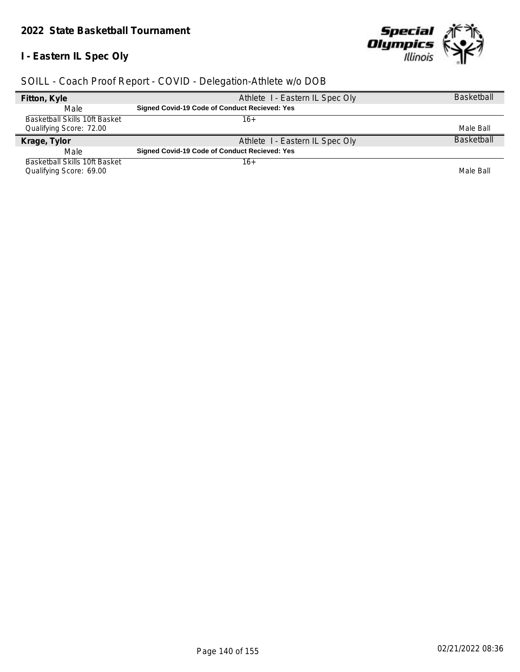# **I - Eastern IL Spec Oly**



| Fitton, Kyle                         | Athlete I - Eastern IL Spec Oly                      | <b>Basketball</b> |
|--------------------------------------|------------------------------------------------------|-------------------|
| Male                                 | <b>Signed Covid-19 Code of Conduct Recieved: Yes</b> |                   |
| <b>Basketball Skills 10ft Basket</b> | 16+                                                  |                   |
| Qualifying Score: 72.00              |                                                      | Male Ball         |
| Krage, Tylor                         | Athlete I - Eastern IL Spec Oly                      | <b>Basketball</b> |
|                                      |                                                      |                   |
| Male                                 | <b>Signed Covid-19 Code of Conduct Recieved: Yes</b> |                   |
| Basketball Skills 10ft Basket        | 16+                                                  |                   |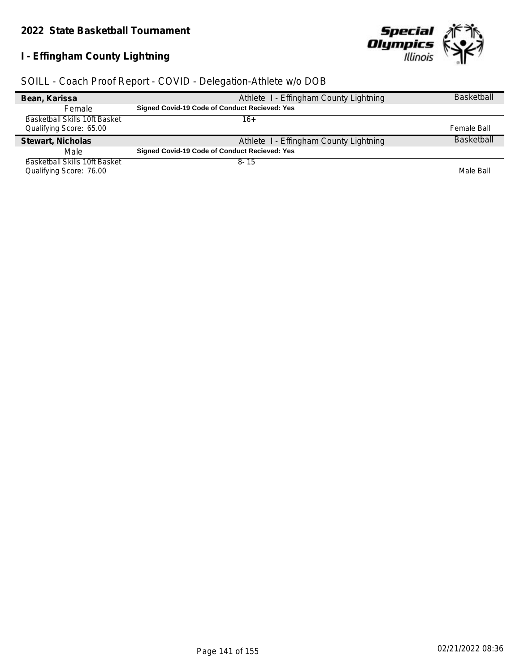# **I - Effingham County Lightning**



| Bean, Karissa                 | Athlete I - Effingham County Lightning        | <b>Basketball</b> |
|-------------------------------|-----------------------------------------------|-------------------|
| <b>Female</b>                 | Signed Covid-19 Code of Conduct Recieved: Yes |                   |
| Basketball Skills 10ft Basket | 16+                                           |                   |
| Qualifying Score: 65.00       |                                               | Female Ball       |
| Stewart, Nicholas             | Athlete I - Effingham County Lightning        | <b>Basketball</b> |
| Male                          | Signed Covid-19 Code of Conduct Recieved: Yes |                   |
| Basketball Skills 10ft Basket | $8 - 15$                                      |                   |
| Qualifying Score: 76.00       |                                               | Male Ball         |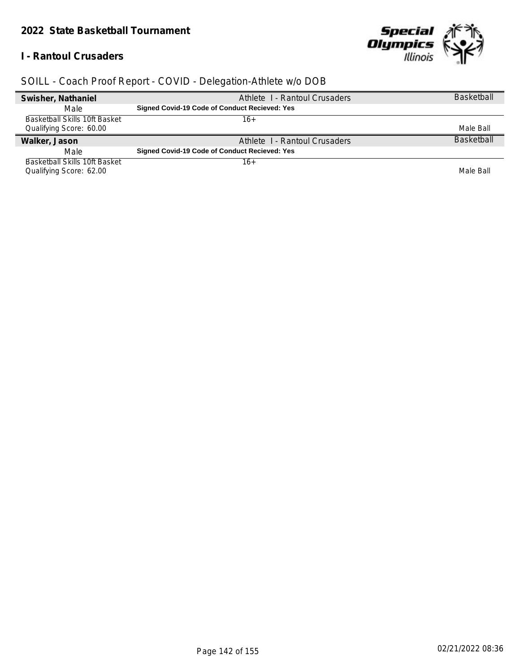#### *2022 State Basketball Tournament*

#### **I - Rantoul Crusaders**



| Swisher, Nathaniel                   | Athlete 1 - Rantoul Crusaders                        | <b>Basketball</b> |
|--------------------------------------|------------------------------------------------------|-------------------|
| Male                                 | <b>Signed Covid-19 Code of Conduct Recieved: Yes</b> |                   |
| <b>Basketball Skills 10ft Basket</b> | 16+                                                  |                   |
| Qualifying Score: 60.00              |                                                      | Male Ball         |
|                                      |                                                      |                   |
| Walker, Jason                        | Athlete I - Rantoul Crusaders                        | <b>Basketball</b> |
| Male                                 | <b>Signed Covid-19 Code of Conduct Recieved: Yes</b> |                   |
| Basketball Skills 10ft Basket        | 16+                                                  |                   |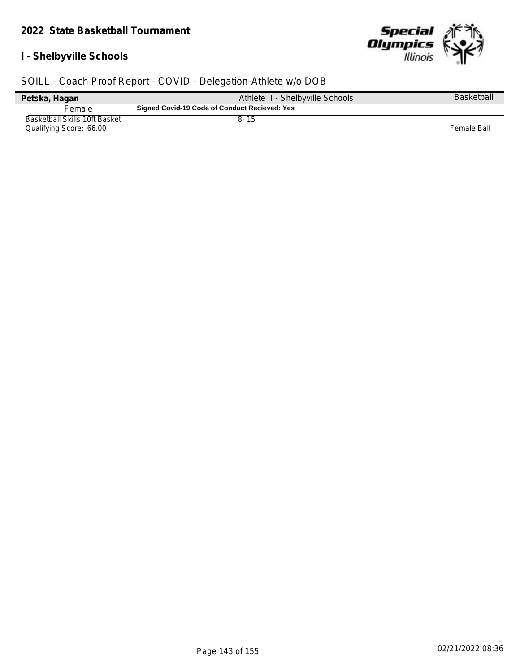# **I - Shelbyville Schools**



| Petska, Hagan                                            | Athlete I - Shelbyville Schools               | <b>Basketball</b> |
|----------------------------------------------------------|-----------------------------------------------|-------------------|
| Female                                                   | Signed Covid-19 Code of Conduct Recieved: Yes |                   |
| Basketball Skills 10ft Basket<br>Qualifying Score: 66.00 | $8 - 15$                                      | Female Ball       |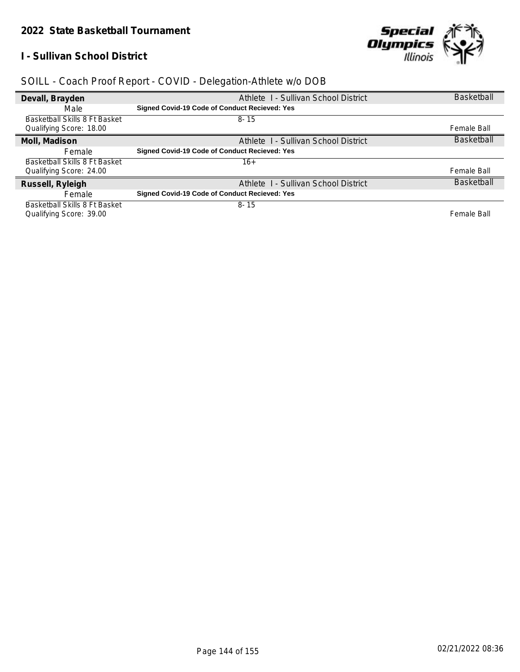#### **I - Sullivan School District**



| Devall, Brayden               | Athlete I - Sullivan School District                 | <b>Basketball</b> |
|-------------------------------|------------------------------------------------------|-------------------|
| Male                          | <b>Signed Covid-19 Code of Conduct Recieved: Yes</b> |                   |
| Basketball Skills 8 Ft Basket | $8 - 15$                                             |                   |
| Qualifying Score: 18.00       |                                                      | Female Ball       |
| Moll, Madison                 | Athlete I - Sullivan School District                 | <b>Basketball</b> |
| Female                        | Signed Covid-19 Code of Conduct Recieved: Yes        |                   |
| Basketball Skills 8 Ft Basket | $16+$                                                |                   |
| Qualifying Score: 24.00       |                                                      | Female Ball       |
| Russell, Ryleigh              | Athlete I - Sullivan School District                 | <b>Basketball</b> |
| Female                        | Signed Covid-19 Code of Conduct Recieved: Yes        |                   |
| Basketball Skills 8 Ft Basket | $8 - 15$                                             |                   |
| Qualifying Score: 39.00       |                                                      | Female Ball       |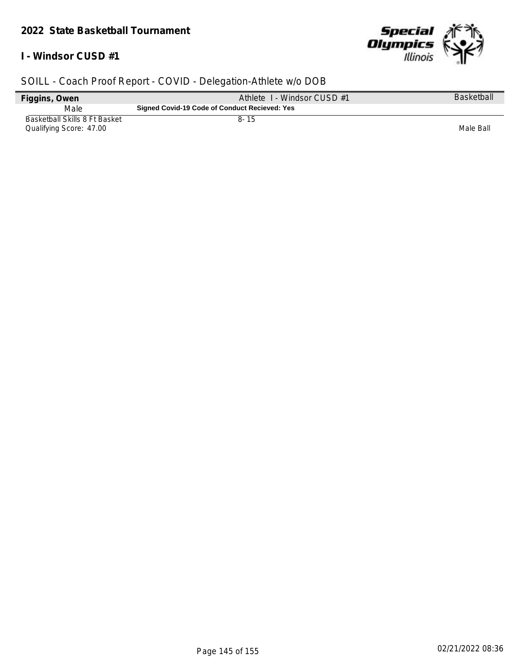#### *2022 State Basketball Tournament*

#### **I - Windsor CUSD #1**



| Figgins, Owen                                            | Athlete 1 - Windsor CUSD #1                   | Basketball |
|----------------------------------------------------------|-----------------------------------------------|------------|
| Male                                                     | Signed Covid-19 Code of Conduct Recieved: Yes |            |
| Basketball Skills 8 Ft Basket<br>Qualifying Score: 47.00 | 8- 15                                         | Male Ball  |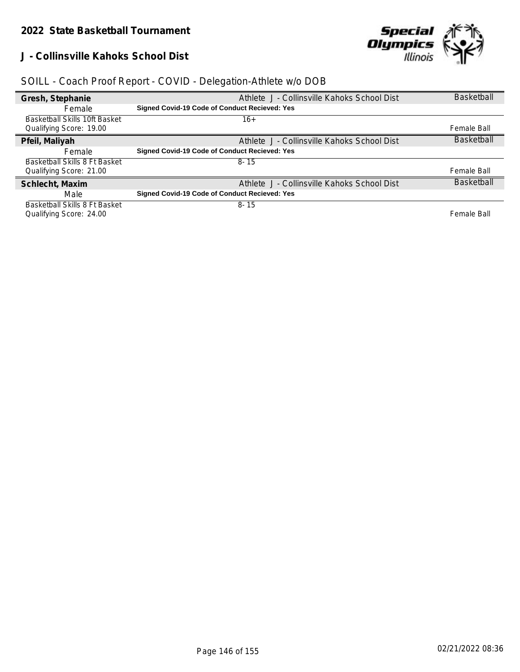#### **J - Collinsville Kahoks School Dist**



| Gresh, Stephanie                     | Athlete J - Collinsville Kahoks School Dist   | <b>Basketball</b> |
|--------------------------------------|-----------------------------------------------|-------------------|
| Female                               | Signed Covid-19 Code of Conduct Recieved: Yes |                   |
| <b>Basketball Skills 10ft Basket</b> | 16+                                           |                   |
| Qualifying Score: 19.00              |                                               | Female Ball       |
| Pfeil, Maliyah                       | Athlete J - Collinsville Kahoks School Dist   | <b>Basketball</b> |
| <b>Female</b>                        | Signed Covid-19 Code of Conduct Recieved: Yes |                   |
| Basketball Skills 8 Ft Basket        | $8 - 15$                                      |                   |
| Qualifying Score: 21.00              |                                               | Female Ball       |
| Schlecht, Maxim                      | Athlete J - Collinsville Kahoks School Dist   | <b>Basketball</b> |
| Male                                 | Signed Covid-19 Code of Conduct Recieved: Yes |                   |
| Basketball Skills 8 Ft Basket        | $8 - 15$                                      |                   |
| Qualifying Score: 24.00              |                                               | Female Ball       |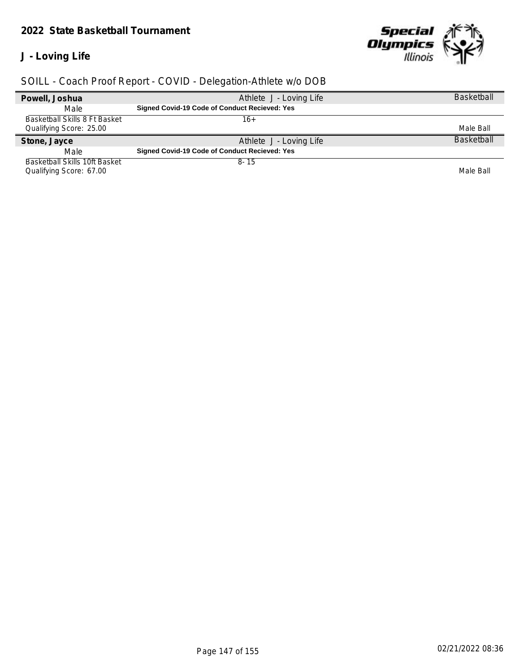### *2022 State Basketball Tournament*

### **J - Loving Life**



| Powell, Joshua                | Athlete J - Loving Life                              | <b>Basketball</b> |
|-------------------------------|------------------------------------------------------|-------------------|
| Male                          | <b>Signed Covid-19 Code of Conduct Recieved: Yes</b> |                   |
| Basketball Skills 8 Ft Basket | 16+                                                  |                   |
| Qualifying Score: 25.00       |                                                      | Male Ball         |
| Stone, Jayce                  | Athlete J - Loving Life                              | <b>Basketball</b> |
| Male                          | <b>Signed Covid-19 Code of Conduct Recieved: Yes</b> |                   |
| Basketball Skills 10ft Basket | $8 - 15$                                             |                   |
| Qualifying Score: 67.00       |                                                      | Male Ball         |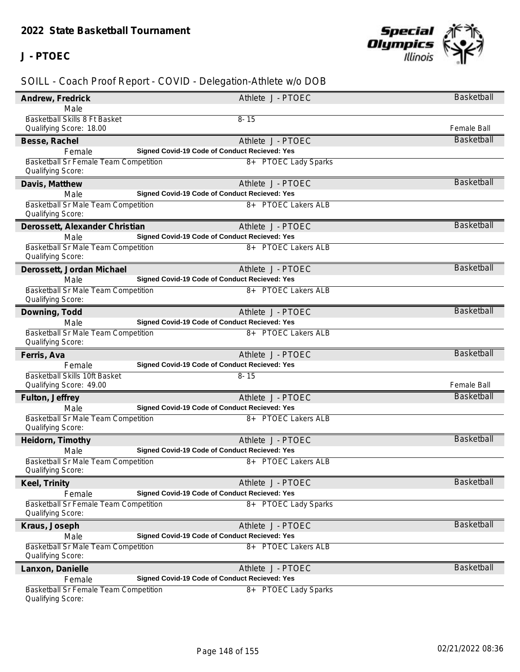### **J - PTOEC**



| Andrew, Fredrick                                                  | Athlete J - PTOEC                             | Basketball         |
|-------------------------------------------------------------------|-----------------------------------------------|--------------------|
| Male                                                              |                                               |                    |
| Basketball Skills 8 Ft Basket<br>Qualifying Score: 18.00          | $8 - 15$                                      | Female Ball        |
| Besse, Rachel                                                     | Athlete J - PTOEC                             | <b>Basketball</b>  |
| Female                                                            | Signed Covid-19 Code of Conduct Recieved: Yes |                    |
| <b>Basketball Sr Female Team Competition</b><br>Qualifying Score: | 8+ PTOEC Lady Sparks                          |                    |
| Davis, Matthew                                                    | Athlete J - PTOEC                             | Basketball         |
| Male                                                              | Signed Covid-19 Code of Conduct Recieved: Yes |                    |
| <b>Basketball Sr Male Team Competition</b><br>Qualifying Score:   | 8+ PTOEC Lakers ALB                           |                    |
| Derossett, Alexander Christian                                    | Athlete J - PTOEC                             | <b>Basketball</b>  |
| Male                                                              | Signed Covid-19 Code of Conduct Recieved: Yes |                    |
| Basketball Sr Male Team Competition<br>Qualifying Score:          | 8+ PTOEC Lakers ALB                           |                    |
| Derossett, Jordan Michael                                         | Athlete J - PTOEC                             | <b>Basketball</b>  |
| Male                                                              | Signed Covid-19 Code of Conduct Recieved: Yes |                    |
| Basketball Sr Male Team Competition<br>Qualifying Score:          | 8+ PTOEC Lakers ALB                           |                    |
| Downing, Todd                                                     | Athlete J - PTOEC                             | Basketball         |
| Male                                                              | Signed Covid-19 Code of Conduct Recieved: Yes |                    |
| Basketball Sr Male Team Competition<br>Qualifying Score:          | 8+ PTOEC Lakers ALB                           |                    |
| Ferris, Ava                                                       | Athlete J - PTOEC                             | <b>Basketball</b>  |
| Female                                                            | Signed Covid-19 Code of Conduct Recieved: Yes |                    |
| Basketball Skills 10ft Basket<br>Qualifying Score: 49.00          | $8 - 15$                                      | <b>Female Ball</b> |
| Fulton, Jeffrey                                                   | Athlete J - PTOEC                             | <b>Basketball</b>  |
| Male                                                              | Signed Covid-19 Code of Conduct Recieved: Yes |                    |
| Basketball Sr Male Team Competition<br>Qualifying Score:          | 8+ PTOEC Lakers ALB                           |                    |
| Heidorn, Timothy                                                  | Athlete J - PTOEC                             | <b>Basketball</b>  |
| Male                                                              | Signed Covid-19 Code of Conduct Recieved: Yes |                    |
| Basketball Sr Male Team Competition<br>Qualifying Score:          | 8+ PTOEC Lakers ALB                           |                    |
| Keel, Trinity                                                     | Athlete J - PTOEC                             | <b>Basketball</b>  |
| Female                                                            | Signed Covid-19 Code of Conduct Recieved: Yes |                    |
| Basketball Sr Female Team Competition<br>Qualifying Score:        | 8+ PTOEC Lady Sparks                          |                    |
| Kraus, Joseph                                                     | Athlete J - PTOEC                             | <b>Basketball</b>  |
| Male                                                              | Signed Covid-19 Code of Conduct Recieved: Yes |                    |
| Basketball Sr Male Team Competition<br>Qualifying Score:          | 8+ PTOEC Lakers ALB                           |                    |
| Lanxon, Danielle                                                  | Athlete J - PTOEC                             | <b>Basketball</b>  |
| Female                                                            | Signed Covid-19 Code of Conduct Recieved: Yes |                    |
| Basketball Sr Female Team Competition<br>Qualifying Score:        | 8+ PTOEC Lady Sparks                          |                    |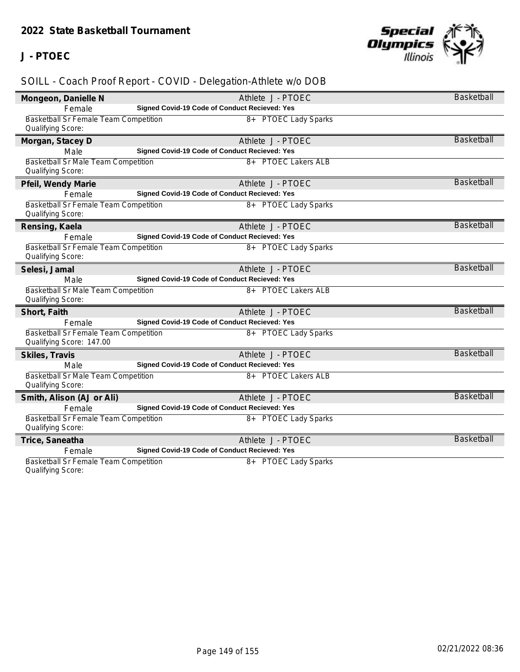### **J - PTOEC**



| Mongeon, Danielle N                                        | Athlete J - PTOEC                                                  | Basketball        |
|------------------------------------------------------------|--------------------------------------------------------------------|-------------------|
| Female                                                     | Signed Covid-19 Code of Conduct Recieved: Yes                      |                   |
| Basketball Sr Female Team Competition                      | 8+ PTOEC Lady Sparks                                               |                   |
| Qualifying Score:                                          |                                                                    |                   |
| Morgan, Stacey D                                           | Athlete J - PTOEC                                                  | <b>Basketball</b> |
| Male                                                       | Signed Covid-19 Code of Conduct Recieved: Yes                      |                   |
| <b>Basketball Sr Male Team Competition</b>                 | 8+ PTOEC Lakers ALB                                                |                   |
| Qualifying Score:                                          |                                                                    |                   |
| Pfeil, Wendy Marie                                         | Athlete J - PTOEC                                                  | <b>Basketball</b> |
| Female                                                     | Signed Covid-19 Code of Conduct Recieved: Yes                      |                   |
| Basketball Sr Female Team Competition<br>Qualifying Score: | 8+ PTOEC Lady Sparks                                               |                   |
|                                                            |                                                                    | <b>Basketball</b> |
| Rensing, Kaela                                             | Athlete J - PTOEC<br>Signed Covid-19 Code of Conduct Recieved: Yes |                   |
| Female<br>Basketball Sr Female Team Competition            | 8+ PTOEC Lady Sparks                                               |                   |
| Qualifying Score:                                          |                                                                    |                   |
|                                                            | Athlete J - PTOEC                                                  | <b>Basketball</b> |
| Selesi, Jamal<br>Male                                      | Signed Covid-19 Code of Conduct Recieved: Yes                      |                   |
| <b>Basketball Sr Male Team Competition</b>                 | 8+ PTOEC Lakers ALB                                                |                   |
| Qualifying Score:                                          |                                                                    |                   |
| Short, Faith                                               | Athlete J - PTOEC                                                  | <b>Basketball</b> |
| Female                                                     | Signed Covid-19 Code of Conduct Recieved: Yes                      |                   |
| Basketball Sr Female Team Competition                      | 8+ PTOEC Lady Sparks                                               |                   |
| Qualifying Score: 147.00                                   |                                                                    |                   |
| Skiles, Travis                                             | Athlete J - PTOEC                                                  | <b>Basketball</b> |
| Male                                                       | Signed Covid-19 Code of Conduct Recieved: Yes                      |                   |
| Basketball Sr Male Team Competition                        | 8+ PTOEC Lakers ALB                                                |                   |
| Qualifying Score:                                          |                                                                    |                   |
| Smith, Alison (AJ or Ali)                                  | Athlete J - PTOEC                                                  | <b>Basketball</b> |
| Female                                                     | Signed Covid-19 Code of Conduct Recieved: Yes                      |                   |
| Basketball Sr Female Team Competition                      | 8+ PTOEC Lady Sparks                                               |                   |
| Qualifying Score:                                          |                                                                    |                   |
| Trice, Saneatha                                            | Athlete J - PTOEC                                                  | <b>Basketball</b> |
| Female                                                     | Signed Covid-19 Code of Conduct Recieved: Yes                      |                   |
| Basketball Sr Female Team Competition                      | 8+ PTOEC Lady Sparks                                               |                   |
| Qualifying Score:                                          |                                                                    |                   |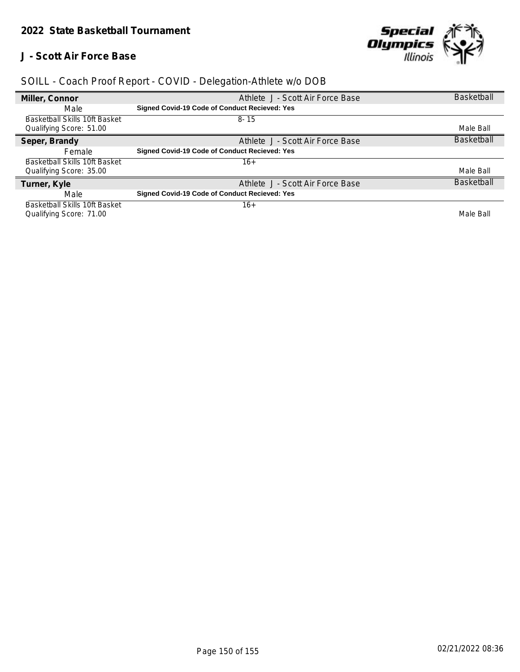#### **J - Scott Air Force Base**



| Miller, Connor                       | Athlete J - Scott Air Force Base                     | <b>Basketball</b> |
|--------------------------------------|------------------------------------------------------|-------------------|
| Male                                 | Signed Covid-19 Code of Conduct Recieved: Yes        |                   |
| <b>Basketball Skills 10ft Basket</b> | $8 - 15$                                             |                   |
| Qualifying Score: 51.00              |                                                      | Male Ball         |
| Seper, Brandy                        | Athlete J - Scott Air Force Base                     | <b>Basketball</b> |
| Female                               | Signed Covid-19 Code of Conduct Recieved: Yes        |                   |
| Basketball Skills 10ft Basket        | 16+                                                  |                   |
| Qualifying Score: 35.00              |                                                      | Male Ball         |
| Turner, Kyle                         | Athlete J - Scott Air Force Base                     | <b>Basketball</b> |
| Male                                 | <b>Signed Covid-19 Code of Conduct Recieved: Yes</b> |                   |
| <b>Basketball Skills 10ft Basket</b> | $16+$                                                |                   |
| Qualifying Score: 71.00              |                                                      | Male Ball         |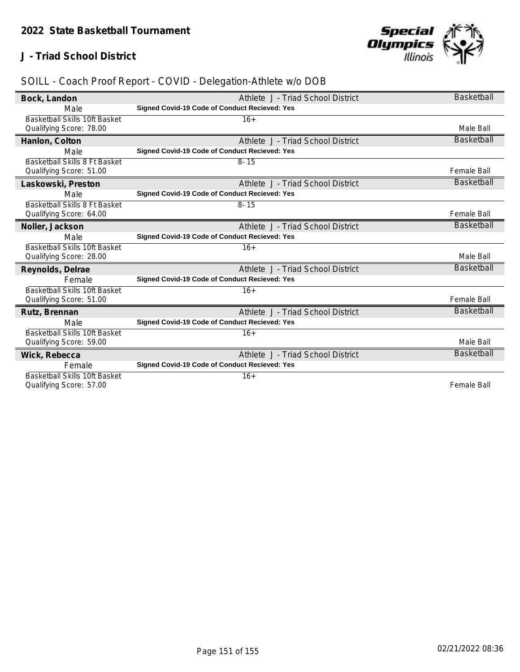### **J - Triad School District**



| Bock, Landon                         | Athlete J - Triad School District                    | <b>Basketball</b>  |
|--------------------------------------|------------------------------------------------------|--------------------|
| Male                                 | Signed Covid-19 Code of Conduct Recieved: Yes        |                    |
| <b>Basketball Skills 10ft Basket</b> | $16+$                                                |                    |
| Qualifying Score: 78.00              |                                                      | Male Ball          |
| Hanlon, Colton                       | Athlete J - Triad School District                    | <b>Basketball</b>  |
| Male                                 | Signed Covid-19 Code of Conduct Recieved: Yes        |                    |
| Basketball Skills 8 Ft Basket        | $8 - 15$                                             |                    |
| Qualifying Score: 51.00              |                                                      | <b>Female Ball</b> |
| Laskowski, Preston                   | Athlete J - Triad School District                    | <b>Basketball</b>  |
| Male                                 | Signed Covid-19 Code of Conduct Recieved: Yes        |                    |
| Basketball Skills 8 Ft Basket        | $8 - 15$                                             |                    |
| Qualifying Score: 64.00              |                                                      | <b>Female Ball</b> |
| Noller, Jackson                      | Athlete J - Triad School District                    | <b>Basketball</b>  |
| Male                                 | Signed Covid-19 Code of Conduct Recieved: Yes        |                    |
| Basketball Skills 10ft Basket        | $16+$                                                |                    |
| Qualifying Score: 28.00              |                                                      | Male Ball          |
| Reynolds, Delrae                     | Athlete J - Triad School District                    | <b>Basketball</b>  |
| Female                               | Signed Covid-19 Code of Conduct Recieved: Yes        |                    |
| Basketball Skills 10ft Basket        | $16+$                                                |                    |
| Qualifying Score: 51.00              |                                                      | <b>Female Ball</b> |
| Rutz, Brennan                        | Athlete J - Triad School District                    | <b>Basketball</b>  |
| Male                                 | <b>Signed Covid-19 Code of Conduct Recieved: Yes</b> |                    |
| Basketball Skills 10ft Basket        | $16+$                                                |                    |
| Qualifying Score: 59.00              |                                                      | Male Ball          |
| Wick, Rebecca                        | Athlete J - Triad School District                    | <b>Basketball</b>  |
| Female                               | Signed Covid-19 Code of Conduct Recieved: Yes        |                    |
| <b>Basketball Skills 10ft Basket</b> | $16+$                                                |                    |
| Qualifying Score: 57.00              |                                                      | <b>Female Ball</b> |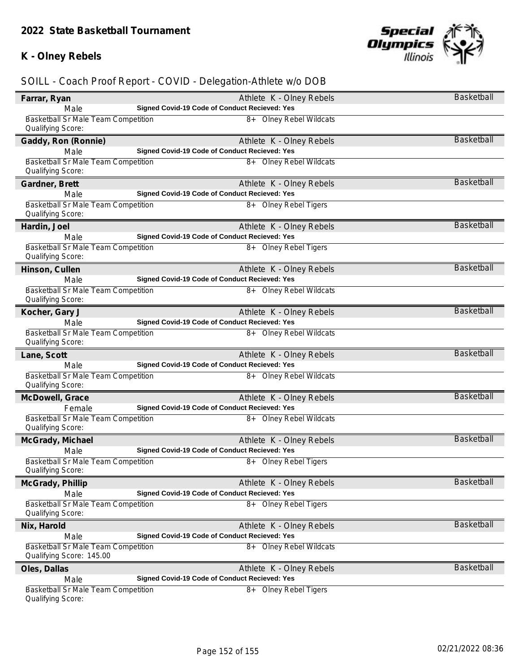### **K - Olney Rebels**



| Farrar, Ryan                                                           | Athlete K - Olney Rebels                      | Basketball        |
|------------------------------------------------------------------------|-----------------------------------------------|-------------------|
| Male                                                                   | Signed Covid-19 Code of Conduct Recieved: Yes |                   |
| Basketball Sr Male Team Competition<br>Qualifying Score:               | 8+ Olney Rebel Wildcats                       |                   |
| Gaddy, Ron (Ronnie)                                                    | Athlete K - Olney Rebels                      | <b>Basketball</b> |
| Male                                                                   | Signed Covid-19 Code of Conduct Recieved: Yes |                   |
| Basketball Sr Male Team Competition<br>Qualifying Score:               | 8+ Olney Rebel Wildcats                       |                   |
| Gardner, Brett                                                         | Athlete K - Olney Rebels                      | <b>Basketball</b> |
| Male                                                                   | Signed Covid-19 Code of Conduct Recieved: Yes |                   |
| Basketball Sr Male Team Competition<br>Qualifying Score:               | 8+ Olney Rebel Tigers                         |                   |
| Hardin, Joel                                                           | Athlete K - Olney Rebels                      | <b>Basketball</b> |
| Male                                                                   | Signed Covid-19 Code of Conduct Recieved: Yes |                   |
| Basketball Sr Male Team Competition<br>Qualifying Score:               | 8+ Olney Rebel Tigers                         |                   |
| Hinson, Cullen                                                         | Athlete K - Olney Rebels                      | <b>Basketball</b> |
| Male                                                                   | Signed Covid-19 Code of Conduct Recieved: Yes |                   |
| Basketball Sr Male Team Competition<br>Qualifying Score:               | 8+ Olney Rebel Wildcats                       |                   |
| Kocher, Gary J                                                         | Athlete K - Olney Rebels                      | <b>Basketball</b> |
| Male                                                                   | Signed Covid-19 Code of Conduct Recieved: Yes |                   |
| Basketball Sr Male Team Competition<br>Qualifying Score:               | 8+ Olney Rebel Wildcats                       |                   |
| Lane, Scott                                                            | Athlete K - Olney Rebels                      | <b>Basketball</b> |
| Male                                                                   | Signed Covid-19 Code of Conduct Recieved: Yes |                   |
| <b>Basketball Sr Male Team Competition</b><br>Qualifying Score:        | 8+ Olney Rebel Wildcats                       |                   |
| McDowell, Grace                                                        | Athlete K - Olney Rebels                      | <b>Basketball</b> |
| Female                                                                 | Signed Covid-19 Code of Conduct Recieved: Yes |                   |
| Basketball Sr Male Team Competition<br>Qualifying Score:               | 8+ Olney Rebel Wildcats                       |                   |
| McGrady, Michael                                                       | Athlete K - Olney Rebels                      | <b>Basketball</b> |
| Male                                                                   | Signed Covid-19 Code of Conduct Recieved: Yes |                   |
| Basketball Sr Male Team Competition<br>Qualifying Score:               | 8+ Olney Rebel Tigers                         |                   |
| McGrady, Phillip                                                       | Athlete K - Olney Rebels                      | Basketball        |
| Male                                                                   | Signed Covid-19 Code of Conduct Recieved: Yes |                   |
| Basketball Sr Male Team Competition<br>Qualifying Score:               | 8+ Olney Rebel Tigers                         |                   |
| Nix, Harold                                                            | Athlete K - Olney Rebels                      | <b>Basketball</b> |
| Male                                                                   | Signed Covid-19 Code of Conduct Recieved: Yes |                   |
| <b>Basketball Sr Male Team Competition</b><br>Qualifying Score: 145.00 | 8+ Olney Rebel Wildcats                       |                   |
| Oles, Dallas                                                           | Athlete K - Olney Rebels                      | <b>Basketball</b> |
| Male                                                                   | Signed Covid-19 Code of Conduct Recieved: Yes |                   |
| Basketball Sr Male Team Competition<br>Qualifying Score:               | 8+ Olney Rebel Tigers                         |                   |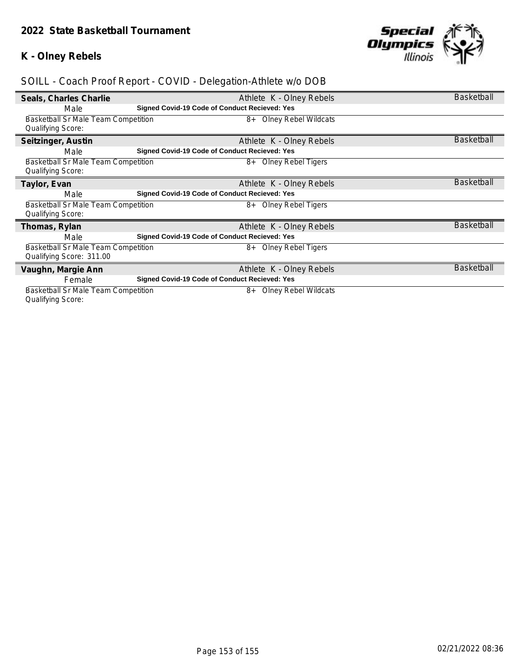### **K - Olney Rebels**



| Seals, Charles Charlie                     | Athlete K - Olney Rebels                             | <b>Basketball</b> |
|--------------------------------------------|------------------------------------------------------|-------------------|
| Male                                       | <b>Signed Covid-19 Code of Conduct Recieved: Yes</b> |                   |
| Basketball Sr Male Team Competition        | <b>Olney Rebel Wildcats</b><br>8+                    |                   |
| <b>Qualifying Score:</b>                   |                                                      |                   |
| Seitzinger, Austin                         | Athlete K - Olney Rebels                             | <b>Basketball</b> |
| Male                                       | Signed Covid-19 Code of Conduct Recieved: Yes        |                   |
| <b>Basketball Sr Male Team Competition</b> | <b>Olney Rebel Tigers</b><br>8+                      |                   |
| <b>Qualifying Score:</b>                   |                                                      |                   |
| Taylor, Evan                               | Athlete K - Olney Rebels                             | <b>Basketball</b> |
| Male                                       | Signed Covid-19 Code of Conduct Recieved: Yes        |                   |
| Basketball Sr Male Team Competition        | <b>Olney Rebel Tigers</b><br>8+                      |                   |
| <b>Qualifying Score:</b>                   |                                                      |                   |
| Thomas, Rylan                              | Athlete K - Olney Rebels                             | <b>Basketball</b> |
| Male                                       | <b>Signed Covid-19 Code of Conduct Recieved: Yes</b> |                   |
| <b>Basketball Sr Male Team Competition</b> | <b>Olney Rebel Tigers</b><br>8+                      |                   |
| Qualifying Score: 311.00                   |                                                      |                   |
| Vaughn, Margie Ann                         | Athlete K - Olney Rebels                             | <b>Basketball</b> |
| Female                                     | <b>Signed Covid-19 Code of Conduct Recieved: Yes</b> |                   |
| Basketball Sr Male Team Competition        | <b>Olney Rebel Wildcats</b><br>8+                    |                   |
| <b>Qualifying Score:</b>                   |                                                      |                   |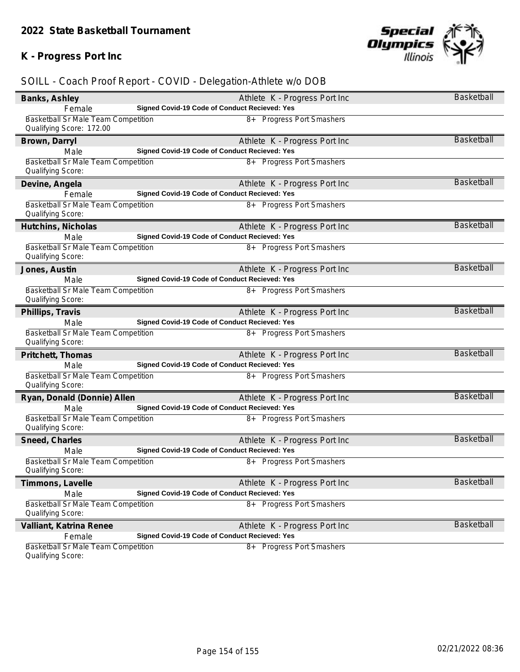### **K - Progress Port Inc**



| Banks, Ashley                                                   | Athlete K - Progress Port Inc                 | Basketball        |
|-----------------------------------------------------------------|-----------------------------------------------|-------------------|
| Female                                                          | Signed Covid-19 Code of Conduct Recieved: Yes |                   |
| Basketball Sr Male Team Competition<br>Qualifying Score: 172.00 | 8+ Progress Port Smashers                     |                   |
| Brown, Darryl                                                   | Athlete K - Progress Port Inc                 | <b>Basketball</b> |
| Male                                                            | Signed Covid-19 Code of Conduct Recieved: Yes |                   |
| <b>Basketball Sr Male Team Competition</b><br>Qualifying Score: | 8+ Progress Port Smashers                     |                   |
| Devine, Angela                                                  | Athlete K - Progress Port Inc                 | <b>Basketball</b> |
| Female                                                          | Signed Covid-19 Code of Conduct Recieved: Yes |                   |
| Basketball Sr Male Team Competition<br>Qualifying Score:        | 8+ Progress Port Smashers                     |                   |
| Hutchins, Nicholas                                              | Athlete K - Progress Port Inc                 | <b>Basketball</b> |
| Male                                                            | Signed Covid-19 Code of Conduct Recieved: Yes |                   |
| Basketball Sr Male Team Competition<br>Qualifying Score:        | 8+ Progress Port Smashers                     |                   |
| Jones, Austin                                                   | Athlete K - Progress Port Inc                 | <b>Basketball</b> |
| Male                                                            | Signed Covid-19 Code of Conduct Recieved: Yes |                   |
| Basketball Sr Male Team Competition<br>Qualifying Score:        | 8+ Progress Port Smashers                     |                   |
| Phillips, Travis                                                | Athlete K - Progress Port Inc                 | <b>Basketball</b> |
| Male                                                            | Signed Covid-19 Code of Conduct Recieved: Yes |                   |
| Basketball Sr Male Team Competition<br>Qualifying Score:        | 8+ Progress Port Smashers                     |                   |
| Pritchett, Thomas                                               | Athlete K - Progress Port Inc                 | <b>Basketball</b> |
| Male                                                            | Signed Covid-19 Code of Conduct Recieved: Yes |                   |
| Basketball Sr Male Team Competition<br>Qualifying Score:        | 8+ Progress Port Smashers                     |                   |
| Ryan, Donald (Donnie) Allen                                     | Athlete K - Progress Port Inc                 | <b>Basketball</b> |
| Male                                                            | Signed Covid-19 Code of Conduct Recieved: Yes |                   |
| Basketball Sr Male Team Competition<br>Qualifying Score:        | 8+ Progress Port Smashers                     |                   |
| Sneed, Charles                                                  | Athlete K - Progress Port Inc                 | <b>Basketball</b> |
| Male                                                            | Signed Covid-19 Code of Conduct Recieved: Yes |                   |
| <b>Basketball Sr Male Team Competition</b><br>Qualifying Score: | 8+ Progress Port Smashers                     |                   |
| Timmons, Lavelle                                                | Athlete K - Progress Port Inc                 | <b>Basketball</b> |
| Male                                                            | Signed Covid-19 Code of Conduct Recieved: Yes |                   |
| Basketball Sr Male Team Competition<br>Qualifying Score:        | 8+ Progress Port Smashers                     |                   |
| Valliant, Katrina Renee                                         | Athlete K - Progress Port Inc                 | <b>Basketball</b> |
| Female                                                          | Signed Covid-19 Code of Conduct Recieved: Yes |                   |
| Basketball Sr Male Team Competition<br>Qualifying Score:        | 8+ Progress Port Smashers                     |                   |